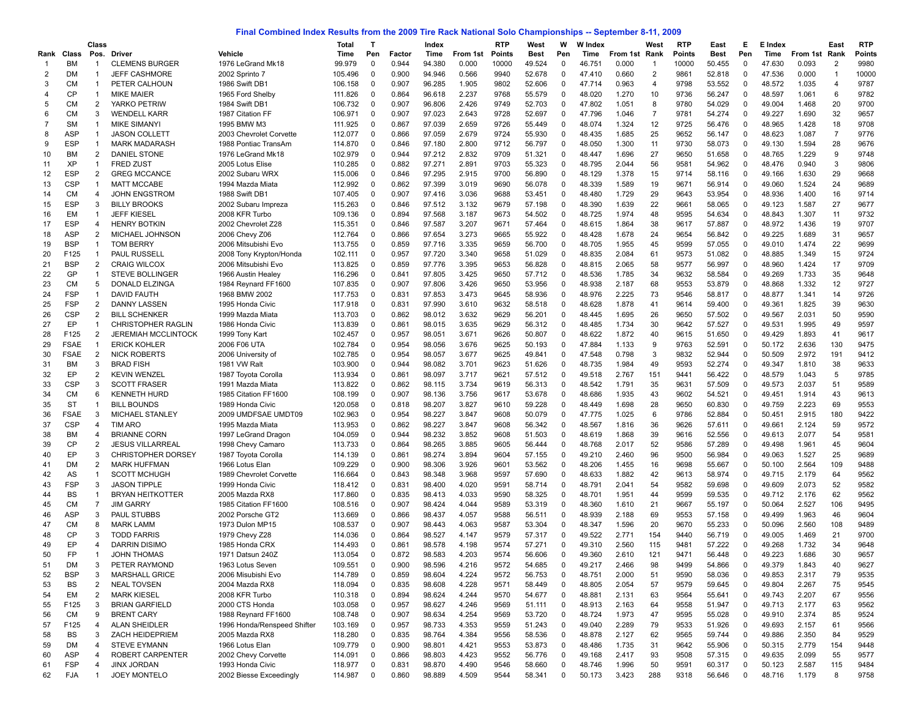## **Final Combined Index Results from the 2009 Tire Rack National Solo Championships -- September 8-11, 2009**

|          |                          | Class                          |                                                |                                     | Total              | $\mathsf{T}$   |                | Index            |                | <b>RTP</b>   | West             | w                       | <b>W</b> Index   |                | West           | <b>RTP</b>   | East             | Е                | E Index          |                | East           | <b>RTP</b>   |
|----------|--------------------------|--------------------------------|------------------------------------------------|-------------------------------------|--------------------|----------------|----------------|------------------|----------------|--------------|------------------|-------------------------|------------------|----------------|----------------|--------------|------------------|------------------|------------------|----------------|----------------|--------------|
| Rank     | Class                    | Pos.                           | Driver                                         | Vehicle                             | Time               | Pen            | Factor         | Time             | From 1st       | Points       | Best             | Pen                     | Time             | From 1st       | Rank           | Points       | Best             | Pen              | Time             | From 1st       | Rank           | Points       |
| -1       | <b>BM</b>                | -1                             | <b>CLEMENS BURGER</b>                          | 1976 LeGrand Mk18                   | 99.979             | 0              | 0.944          | 94.380           | 0.000          | 10000        | 49.524           | $\Omega$                | 46.751           | 0.000          | $\overline{1}$ | 10000        | 50.455           | $\mathbf 0$      | 47.630           | 0.093          | 2              | 9980         |
| 2        | DM                       | $\mathbf{1}$                   | <b>JEFF CASHMORE</b>                           | 2002 Sprinto 7                      | 105.496            | 0              | 0.900          | 94.946           | 0.566          | 9940         | 52.678           | $\Omega$                | 47.410           | 0.660          | $\overline{c}$ | 9861         | 52.818           | $\mathbf 0$      | 47.536           | 0.000          | -1             | 10000        |
| 3        | <b>CM</b>                | $\mathbf{1}$                   | PETER CALHOUN                                  | 1986 Swift DB1                      | 106.158            | 0              | 0.907          | 96.285           | 1.905          | 9802         | 52.606           | 0                       | 47.714           | 0.963          | $\overline{4}$ | 9798         | 53.552           | $\mathbf 0$      | 48.572           | 1.035          | 4              | 9787         |
|          | <b>CP</b>                | $\mathbf{1}$                   | <b>MIKE MAIER</b>                              | 1965 Ford Shelby                    | 111.826            | 0              | 0.864          | 96.618           | 2.237          | 9768         | 55.579           | $\Omega$                | 48.020           | 1.270          | 10             | 9736         | 56.247           | 0                | 48.597           | 1.061          | 6              | 9782         |
| 5        | <b>CM</b>                | $\overline{2}$                 | YARKO PETRIW                                   | 1984 Swift DB1                      | 106.732            | 0              | 0.907          | 96.806           | 2.426          | 9749         | 52.703           | $\Omega$                | 47.802           | 1.051          | 8              | 9780         | 54.029           | 0                | 49.004           | 1.468          | 20             | 9700         |
| 6        | <b>CM</b>                | 3                              | <b>WENDELL KARR</b>                            | 1987 Citation FF                    | 106.971            | 0              | 0.907          | 97.023           | 2.643          | 9728         | 52.697           | $\Omega$                | 47.796           | 1.046          | $\overline{7}$ | 9781         | 54.274           | $\mathbf 0$      | 49.227           | 1.690          | 32             | 9657         |
|          | <b>SM</b>                | $\mathbf{1}$                   | <b>MIKE SIMANYI</b>                            | 1995 BMW M3                         | 111.925            | 0              | 0.867          | 97.039           | 2.659          | 9726         | 55.449           | $\Omega$                | 48.074           | 1.324          | 12             | 9725         | 56.476           | 0                | 48.965           | 1.428          | 18             | 9708         |
| 8        | <b>ASP</b>               | $\mathbf{1}$                   | <b>JASON COLLETT</b>                           | 2003 Chevrolet Corvette             | 112.077            | 0              | 0.866          | 97.059           | 2.679          | 9724         | 55.930           | $\Omega$                | 48.435           | 1.685          | 25             | 9652         | 56.147           | 0                | 48.623           | 1.087          | $\overline{7}$ | 9776         |
| 9        | <b>ESP</b>               | $\mathbf{1}$                   | <b>MARK MADARASH</b>                           | 1988 Pontiac TransAm                | 114.870            | 0              | 0.846          | 97.180           | 2.800          | 9712         | 56.797           | $\mathbf 0$             | 48.050           | 1.300          | 11             | 9730         | 58.073           | 0                | 49.130           | 1.594          | 28             | 9676         |
| 10       | ВM                       | $\overline{2}$                 | <b>DANIEL STONE</b>                            | 1976 LeGrand Mk18                   | 102.979            | 0              | 0.944          | 97.212           | 2.832          | 9709         | 51.321           | $\mathbf 0$             | 48.447           | 1.696          | 27             | 9650         | 51.658           | 0                | 48.765           | 1.229          | 9              | 9748         |
| 11       | XP                       | $\mathbf{1}$<br>$\overline{2}$ | <b>FRED ZUST</b>                               | 2005 Lotus Elise                    | 110.285            | 0              | 0.882          | 97.271           | 2.891          | 9703         | 55.323           | $\mathbf 0$<br>$\Omega$ | 48.795           | 2.044          | 56             | 9581         | 54.962           | 0                | 48.476           | 0.940          | 3              | 9806         |
| 12<br>13 | <b>ESP</b><br><b>CSP</b> | $\mathbf{1}$                   | <b>GREG MCCANCE</b><br><b>MATT MCCABE</b>      | 2002 Subaru WRX<br>1994 Mazda Miata | 115.006<br>112.992 | 0              | 0.846<br>0.862 | 97.295<br>97.399 | 2.915<br>3.019 | 9700<br>9690 | 56.890<br>56.078 | $\Omega$                | 48.129<br>48.339 | 1.378<br>1.589 | 15<br>19       | 9714<br>9671 | 58.116<br>56.914 | 0<br>$\mathbf 0$ | 49.166<br>49.060 | 1.630<br>1.524 | 29<br>24       | 9668<br>9689 |
|          | <b>CM</b>                | 4                              | <b>JOHN ENGSTROM</b>                           | 1988 Swift DB                       | 107.405            | 0<br>0         | 0.907          | 97.416           | 3.036          | 9688         | 53.451           | $\Omega$                | 48.480           | 1.729          | 29             | 9643         | 53.954           | $\mathbf 0$      | 48.936           | 1.400          | 16             | 9714         |
| 14<br>15 | <b>ESP</b>               | 3                              | <b>BILLY BROOKS</b>                            | 2002 Subaru Impreza                 | 115.263            | 0              | 0.846          | 97.512           | 3.132          | 9679         | 57.198           | $\Omega$                | 48.390           | 1.639          | 22             | 9661         | 58.065           | 0                | 49.123           | 1.587          | 27             | 9677         |
| 16       | EM                       | $\mathbf{1}$                   | <b>JEFF KIESEL</b>                             | 2008 KFR Turbo                      | 109.136            | 0              | 0.894          | 97.568           | 3.187          | 9673         | 54.502           | $\Omega$                | 48.725           | 1.974          | 48             | 9595         | 54.634           | 0                | 48.843           | 1.307          | 11             | 9732         |
| 17       | <b>ESP</b>               | 4                              | <b>HENRY BOTKIN</b>                            | 2002 Chevrolet Z28                  | 115.351            | 0              | 0.846          | 97.587           | 3.207          | 9671         | 57.464           | $\mathbf 0$             | 48.615           | 1.864          | 38             | 9617         | 57.887           | 0                | 48.972           | 1.436          | 19             | 9707         |
| 18       | <b>ASP</b>               | $\overline{2}$                 | MICHAEL JOHNSON                                | 2006 Chevy Z06                      | 112.764            | 0              | 0.866          | 97.654           | 3.273          | 9665         | 55.922           | $\Omega$                | 48.428           | 1.678          | 24             | 9654         | 56.842           | $\mathbf 0$      | 49.225           | 1.689          | 31             | 9657         |
| 19       | <b>BSP</b>               | $\mathbf{1}$                   | <b>TOM BERRY</b>                               | 2006 Mitsubishi Evo                 | 113.755            | 0              | 0.859          | 97.716           | 3.335          | 9659         | 56.700           | $\mathbf 0$             | 48.705           | 1.955          | 45             | 9599         | 57.055           | 0                | 49.010           | 1.474          | 22             | 9699         |
| 20       | F125                     | $\mathbf{1}$                   | PAUL RUSSELL                                   | 2008 Tony Krypton/Honda             | 102.111            | 0              | 0.957          | 97.720           | 3.340          | 9658         | 51.029           | $\Omega$                | 48.835           | 2.084          | 61             | 9573         | 51.082           | 0                | 48.885           | 1.349          | 15             | 9724         |
| 21       | <b>BSP</b>               | $\overline{2}$                 | <b>CRAIG WILCOX</b>                            | 2006 Mitsubishi Evo                 | 113.825            | 0              | 0.859          | 97.776           | 3.395          | 9653         | 56.828           | $\Omega$                | 48.815           | 2.065          | 58             | 9577         | 56.997           | $\mathbf 0$      | 48.960           | 1.424          | 17             | 9709         |
| 22       | GP                       | $\mathbf{1}$                   | <b>STEVE BOLLINGER</b>                         | 1966 Austin Healey                  | 116.296            | 0              | 0.841          | 97.805           | 3.425          | 9650         | 57.712           | $\Omega$                | 48.536           | 1.785          | 34             | 9632         | 58.584           | $\mathbf 0$      | 49.269           | 1.733          | 35             | 9648         |
| 23       | <b>CM</b>                | 5                              | DONALD ELZINGA                                 | 1984 Reynard FF1600                 | 107.835            | 0              | 0.907          | 97.806           | 3.426          | 9650         | 53.956           | $\Omega$                | 48.938           | 2.187          | 68             | 9553         | 53.879           | 0                | 48.868           | 1.332          | 12             | 9727         |
| 24       | <b>FSP</b>               | $\mathbf{1}$                   | DAVID FAUTH                                    | 1968 BMW 2002                       | 117.753            | 0              | 0.831          | 97.853           | 3.473          | 9645         | 58.936           | $\Omega$                | 48.976           | 2.225          | 73             | 9546         | 58.817           | 0                | 48.877           | 1.341          | 14             | 9726         |
| 25       | <b>FSP</b>               | $\overline{2}$                 | DANNY LASSEN                                   | 1995 Honda Civic                    | 117.918            | 0              | 0.831          | 97.990           | 3.610          | 9632         | 58.518           | $\mathbf 0$             | 48.628           | 1.878          | 41             | 9614         | 59.400           | 0                | 49.361           | 1.825          | 39             | 9630         |
| 26       | <b>CSP</b>               | $\overline{2}$                 | <b>BILL SCHENKER</b>                           | 1999 Mazda Miata                    | 113.703            | 0              | 0.862          | 98.012           | 3.632          | 9629         | 56.201           | $\mathbf 0$             | 48.445           | 1.695          | 26             | 9650         | 57.502           | $\mathbf 0$      | 49.567           | 2.031          | 50             | 9590         |
| 27       | EP                       | $\mathbf{1}$                   | <b>CHRISTOPHER RAGLIN</b>                      | 1986 Honda Civic                    | 113.839            | 0              | 0.861          | 98.015           | 3.635          | 9629         | 56.312           | $\Omega$                | 48.485           | 1.734          | 30             | 9642         | 57.527           | 0                | 49.531           | 1.995          | 49             | 9597         |
| 28       | F125                     | $\overline{2}$                 | <b>JEREMIAH MCCLINTOCK</b>                     | 1999 Tony Kart                      | 102.457            | 0              | 0.957          | 98.051           | 3.671          | 9626         | 50.807           | $\mathbf 0$             | 48.622           | 1.872          | 40             | 9615         | 51.650           | $\mathbf 0$      | 49.429           | 1.893          | 41             | 9617         |
| 29       | <b>FSAE</b>              | $\mathbf{1}$                   | <b>ERICK KOHLER</b>                            | 2006 F06 UTA                        | 102.784            | 0              | 0.954          | 98.056           | 3.676          | 9625         | 50.193           | $\Omega$                | 47.884           | 1.133          | 9              | 9763         | 52.591           | 0                | 50.172           | 2.636          | 130            | 9475         |
| 30       | <b>FSAE</b>              | 2                              | <b>NICK ROBERTS</b>                            | 2006 University of                  | 102.785            | 0              | 0.954          | 98.057           | 3.677          | 9625         | 49.841           | 0                       | 47.548           | 0.798          | 3              | 9832         | 52.944           | $\mathbf 0$      | 50.509           | 2.972          | 191            | 9412         |
| 31       | ВM                       | 3                              | <b>BRAD FISH</b>                               | 1981 VW Ralt                        | 103.900            | 0              | 0.944          | 98.082           | 3.701          | 9623         | 51.626           | $\Omega$                | 48.735           | 1.984          | 49             | 9593         | 52.274           | $\mathbf 0$      | 49.347           | 1.810          | 38             | 9633         |
| 32       | EP                       | $\overline{2}$                 | <b>KEVIN WENZEL</b>                            | 1987 Toyota Corolla                 | 113.934            | 0              | 0.861          | 98.097           | 3.717          | 9621         | 57.512           | $\Omega$                | 49.518           | 2.767          | 151            | 9441         | 56.422           | 0                | 48.579           | 1.043          | 5              | 9785         |
| 33       | <b>CSP</b>               | 3                              | <b>SCOTT FRASER</b>                            | 1991 Mazda Miata                    | 113.822            | 0              | 0.862          | 98.115           | 3.734          | 9619         | 56.313           | $\Omega$                | 48.542           | 1.791          | 35             | 9631         | 57.509           | 0                | 49.573           | 2.037          | 51             | 9589         |
| 34       | <b>CM</b>                | 6                              | <b>KENNETH HURD</b>                            | 1985 Citation FF1600                | 108.199            | 0              | 0.907          | 98.136           | 3.756          | 9617         | 53.678           | $\Omega$                | 48.686           | 1.935          | 43             | 9602         | 54.521           | 0                | 49.451           | 1.914          | 43             | 9613         |
| 35       | <b>ST</b>                | $\mathbf{1}$                   | <b>BILL BOUNDS</b>                             | 1989 Honda Civic                    | 120.058            | 0              | 0.818          | 98.207           | 3.827          | 9610         | 59.228           | $\mathbf 0$             | 48.449           | 1.698          | 28             | 9650         | 60.830           | $\mathbf 0$      | 49.759           | 2.223          | 69             | 9553         |
| 36       | <b>FSAE</b>              | 3                              | <b>MICHAEL STANLEY</b>                         | 2009 UMDFSAE UMDT09                 | 102.963            | 0              | 0.954          | 98.227           | 3.847          | 9608         | 50.079           | 0                       | 47.775           | 1.025          | 6              | 9786         | 52.884           | 0                | 50.451           | 2.915          | 180            | 9422         |
| 37       | <b>CSP</b>               | 4                              | <b>TIM ARO</b>                                 | 1995 Mazda Miata                    | 113.953            | 0              | 0.862          | 98.227           | 3.847          | 9608         | 56.342           | $\mathbf 0$             | 48.567           | 1.816          | 36             | 9626         | 57.611           | 0                | 49.661           | 2.124          | 59             | 9572         |
| 38       | ВM                       | $\overline{4}$                 | <b>BRIANNE CORN</b>                            | 1997 LeGrand Dragon                 | 104.059            | 0              | 0.944          | 98.232           | 3.852          | 9608         | 51.503           | $\Omega$                | 48.619           | 1.868          | 39             | 9616         | 52.556           | $\mathbf 0$      | 49.613           | 2.077          | 54             | 9581         |
| 39       | CP                       | $\overline{2}$                 | <b>JESUS VILLARREAL</b>                        | 1998 Chevy Camaro                   | 113.733            | 0              | 0.864          | 98.265           | 3.885          | 9605         | 56.444           | $\Omega$                | 48.768           | 2.017          | 52             | 9586         | 57.289           | $\mathbf 0$      | 49.498           | 1.961          | 45             | 9604         |
| 40       | EP                       | 3                              | <b>CHRISTOPHER DORSEY</b>                      | 1987 Toyota Corolla                 | 114.139            | 0              | 0.861          | 98.274           | 3.894          | 9604         | 57.155           | $\Omega$                | 49.210           | 2.460          | 96             | 9500         | 56.984           | 0                | 49.063           | 1.527          | 25             | 9689         |
| 41       | DM                       | 2                              | <b>MARK HUFFMAN</b>                            | 1966 Lotus Elan                     | 109.229            | 0              | 0.900          | 98.306           | 3.926          | 9601         | 53.562           | $\Omega$                | 48.206           | 1.455          | 16             | 9698         | 55.667           | 0                | 50.100           | 2.564          | 109            | 9488         |
| 42       | AS                       | $\mathbf{1}$                   | <b>SCOTT MCHUGH</b>                            | 1989 Chevrolet Corvette             | 116.664            | 0              | 0.843          | 98.348           | 3.968          | 9597         | 57.690           | $\mathbf 0$             | 48.633           | 1.882          | 42             | 9613         | 58.974           | 0                | 49.715           | 2.179          | 64             | 9562         |
| 43<br>44 | <b>FSP</b><br><b>BS</b>  | 3<br>$\mathbf{1}$              | <b>JASON TIPPLE</b><br><b>BRYAN HEITKOTTER</b> | 1999 Honda Civic<br>2005 Mazda RX8  | 118.412<br>117.860 | 0<br>0         | 0.831<br>0.835 | 98.400<br>98.413 | 4.020<br>4.033 | 9591<br>9590 | 58.714<br>58.325 | 0<br>0                  | 48.791<br>48.701 | 2.041<br>1.951 | 54<br>44       | 9582<br>9599 | 59.698<br>59.535 | 0<br>0           | 49.609<br>49.712 | 2.073<br>2.176 | 52<br>62       | 9582<br>9562 |
| 45       | <b>CM</b>                | $\overline{7}$                 | <b>JIM GARRY</b>                               | 1985 Citation FF1600                | 108.516            | 0              | 0.907          | 98.424           | 4.044          | 9589         | 53.319           | $\Omega$                | 48.360           | 1.610          | 21             | 9667         | 55.197           | 0                | 50.064           | 2.527          | 106            | 9495         |
| 46       | <b>ASP</b>               | 3                              | <b>PAUL STUBBS</b>                             | 2002 Porsche GT2                    | 113.669            | 0              | 0.866          | 98.437           | 4.057          | 9588         | 56.511           | $\Omega$                | 48.939           | 2.188          | 69             | 9553         | 57.158           | $\mathbf 0$      | 49.499           | 1.963          | 46             | 9604         |
| 47       | <b>CM</b>                | 8                              | <b>MARK LAMM</b>                               | 1973 Dulon MP15                     | 108.537            | 0              | 0.907          | 98.443           | 4.063          | 9587         | 53.304           | $\Omega$                | 48.347           | 1.596          | 20             | 9670         | 55.233           | $\mathbf 0$      | 50.096           | 2.560          | 108            | 9489         |
| 48       | <b>CP</b>                | 3                              | <b>TODD FARRIS</b>                             | 1979 Chevy Z28                      | 114.036            | 0              | 0.864          | 98.527           | 4.147          | 9579         | 57.317           | $\Omega$                | 49.522           | 2.771          | 154            | 9440         | 56.719           | 0                | 49.005           | 1.469          | 21             | 9700         |
| 49       | EP                       | 4                              | <b>DARRIN DISIMO</b>                           | 1985 Honda CRX                      | 114.493            | 0              | 0.861          | 98.578           | 4.198          | 9574         | 57.271           | $\Omega$                | 49.310           | 2.560          | 115            | 9481         | 57.222           | 0                | 49.268           | 1.732          | 34             | 9648         |
| 50       | <b>FP</b>                | -1                             | JOHN THOMAS                                    | 1971 Datsun 240Z                    | 113.054            | $\Omega$       | 0.872          | 98.583           | 4.203          | 9574         | 56.606           | $\Omega$                | 49.360           | 2.610          | 121            | 9471         | 56.448           | $\Omega$         | 49.223           | 1.686          | 30             | 9657         |
| 51       | DM                       | 3                              | PETER RAYMOND                                  | 1963 Lotus Seven                    | 109.551            | 0              | 0.900          | 98.596           | 4.216          | 9572         | 54.685           | 0                       | 49.217           | 2.466          | 98             | 9499         | 54.866           | 0                | 49.379           | 1.843          | 40             | 9627         |
| 52       | <b>BSP</b>               | 3                              | <b>MARSHALL GRICE</b>                          | 2006 Misubishi Evo                  | 114.789            | $\mathbf 0$    | 0.859          | 98.604           | 4.224          | 9572         | 56.753           | 0                       | 48.751           | 2.000          | 51             | 9590         | 58.036           | $\mathsf 0$      | 49.853           | 2.317          | 79             | 9535         |
| 53       | BS                       | $\overline{2}$                 | <b>NEAL TOVSEN</b>                             | 2004 Mazda RX8                      | 118.094            | $\mathbf 0$    | 0.835          | 98.608           | 4.228          | 9571         | 58.449           | 0                       | 48.805           | 2.054          | 57             | 9579         | 59.645           | $\mathsf 0$      | 49.804           | 2.267          | 75             | 9545         |
| 54       | EM                       | $\overline{2}$                 | <b>MARK KIESEL</b>                             | 2008 KFR Turbo                      | 110.318            | 0              | 0.894          | 98.624           | 4.244          | 9570         | 54.677           | 0                       | 48.881           | 2.131          | 63             | 9564         | 55.641           | 0                | 49.743           | 2.207          | 67             | 9556         |
| 55       | F125                     | 3                              | <b>BRIAN GARFIELD</b>                          | 2000 CTS Honda                      | 103.058            | 0              | 0.957          | 98.627           | 4.246          | 9569         | 51.111           | 0                       | 48.913           | 2.163          | 64             | 9558         | 51.947           | $\mathbf 0$      | 49.713           | 2.177          | 63             | 9562         |
| 56       | <b>CM</b>                | 9                              | <b>BRENT CARY</b>                              | 1988 Reynard FF1600                 | 108.748            | 0              | 0.907          | 98.634           | 4.254          | 9569         | 53.720           | 0                       | 48.724           | 1.973          | 47             | 9595         | 55.028           | 0                | 49.910           | 2.374          | 85             | 9524         |
| 57       | F125                     | $\overline{4}$                 | ALAN SHEIDLER                                  | 1996 Honda/Renspeed Shifter         | 103.169            | 0              | 0.957          | 98.733           | 4.353          | 9559         | 51.243           | 0                       | 49.040           | 2.289          | 79             | 9533         | 51.926           | 0                | 49.693           | 2.157          | 61             | 9566         |
| 58       | BS                       | 3                              | ZACH HEIDEPRIEM                                | 2005 Mazda RX8                      | 118.280            | 0              | 0.835          | 98.764           | 4.384          | 9556         | 58.536           | 0                       | 48.878           | 2.127          | 62             | 9565         | 59.744           | $\mathbf 0$      | 49.886           | 2.350          | 84             | 9529         |
| 59       | DM                       | 4                              | <b>STEVE EYMANN</b>                            | 1966 Lotus Elan                     | 109.779            | 0              | 0.900          | 98.801           | 4.421          | 9553         | 53.873           | 0                       | 48.486           | 1.735          | 31             | 9642         | 55.906           | $\mathbf 0$      | 50.315           | 2.779          | 154            | 9448         |
| 60       | <b>ASP</b>               | 4                              | ROBERT CARPENTER                               | 2002 Chevy Corvette                 | 114.091            | 0              | 0.866          | 98.803           | 4.423          | 9552         | 56.776           | 0                       | 49.168           | 2.417          | 93             | 9508         | 57.315           | $\mathsf 0$      | 49.635           | 2.099          | 55             | 9577         |
| 61       | <b>FSP</b>               | $\overline{4}$                 | <b>JINX JORDAN</b>                             | 1993 Honda Civic                    | 118.977            | $\overline{0}$ | 0.831          | 98.870           | 4.490          | 9546         | 58.660           | 0                       | 48.746           | 1.996          | 50             | 9591         | 60.317           | $\pmb{0}$        | 50.123           | 2.587          | 115            | 9484         |
| 62       | <b>FJA</b>               | $\mathbf{1}$                   | <b>JOEY MONTELO</b>                            | 2002 Biesse Exceedingly             | 114.987            | 0              | 0.860          | 98.889           | 4.509          | 9544         | 58.341           | 0                       | 50.173           | 3.423          | 288            | 9318         | 56.646           | $\mathbf 0$      | 48.716           | 1.179          | 8              | 9758         |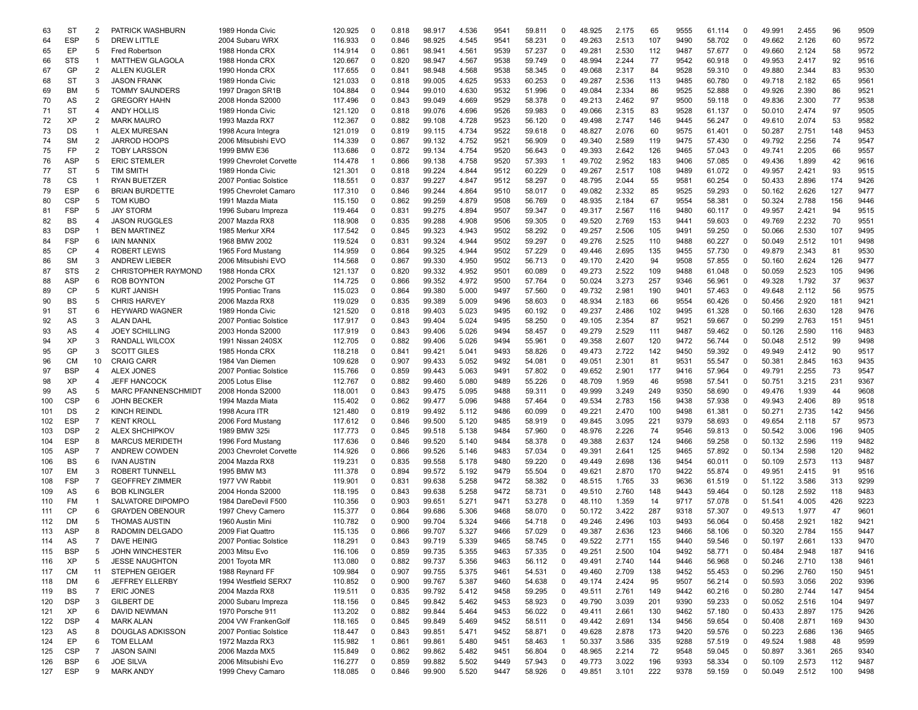| 63  | <b>ST</b>  | 2              | PATRICK WASHBURN           | 1989 Honda Civic        | 120.925 | $\Omega$       | 0.818 | 98.917 | 4.536 | 9541 | 59.811 | $\Omega$     | 48.925 | 2.175 | 65  | 9555 | 61.114 | $\Omega$    | 49.991 | 2.455 | 96  | 9509 |
|-----|------------|----------------|----------------------------|-------------------------|---------|----------------|-------|--------|-------|------|--------|--------------|--------|-------|-----|------|--------|-------------|--------|-------|-----|------|
| 64  | <b>ESP</b> | 5              | <b>DREW LITTLE</b>         | 2004 Subaru WRX         | 116.933 | $\Omega$       | 0.846 | 98.925 | 4.545 | 9541 | 58.231 | $\Omega$     | 49.263 | 2.513 | 107 | 9490 | 58.702 | $\Omega$    | 49.662 | 2.126 | 60  | 9572 |
| 65  | EP         | 5              | <b>Fred Robertson</b>      | 1988 Honda CRX          | 114.914 | 0              | 0.861 | 98.941 | 4.561 | 9539 | 57.237 | $\Omega$     | 49.281 | 2.530 | 112 | 9487 | 57.677 | $\Omega$    | 49.660 | 2.124 | 58  | 9572 |
| 66  | <b>STS</b> | $\mathbf{1}$   | <b>MATTHEW GLAGOLA</b>     | 1988 Honda CRX          | 120.667 | $\Omega$       | 0.820 | 98.947 | 4.567 | 9538 | 59.749 | $\Omega$     | 48.994 | 2.244 | 77  | 9542 | 60.918 | $\Omega$    | 49.953 | 2.417 | 92  | 9516 |
| 67  | GP         | 2              | <b>ALLEN KUGLER</b>        | 1990 Honda CRX          | 117.655 | $\Omega$       | 0.841 | 98.948 | 4.568 | 9538 | 58.345 | $\Omega$     | 49.068 | 2.317 | 84  | 9528 | 59.310 | $\Omega$    | 49.880 | 2.344 | 83  | 9530 |
|     | <b>ST</b>  | 3              |                            |                         |         | 0              |       |        | 4.625 | 9533 |        | $\Omega$     |        |       |     | 9485 | 60.780 | $\Omega$    |        |       | 65  | 9561 |
| 68  |            |                | <b>JASON FRANK</b>         | 1989 Honda Civic        | 121.033 |                | 0.818 | 99.005 |       |      | 60.253 |              | 49.287 | 2.536 | 113 |      |        |             | 49.718 | 2.182 |     |      |
| 69  | ВM         | 5              | <b>TOMMY SAUNDERS</b>      | 1997 Dragon SR1B        | 104.884 | $\Omega$       | 0.944 | 99.010 | 4.630 | 9532 | 51.996 | $\Omega$     | 49.084 | 2.334 | 86  | 9525 | 52.888 | $\Omega$    | 49.926 | 2.390 | 86  | 9521 |
| 70  | AS         | $\overline{2}$ | <b>GREGORY HAHN</b>        | 2008 Honda S2000        | 117.496 | 0              | 0.843 | 99.049 | 4.669 | 9529 | 58.378 | 0            | 49.213 | 2.462 | 97  | 9500 | 59.118 | $\mathbf 0$ | 49.836 | 2.300 | 77  | 9538 |
| 71  | <b>ST</b>  | 4              | <b>ANDY HOLLIS</b>         | 1989 Honda Civic        | 121.120 | $\Omega$       | 0.818 | 99.076 | 4.696 | 9526 | 59.983 | $\Omega$     | 49.066 | 2.315 | 83  | 9528 | 61.137 | $\mathbf 0$ | 50.010 | 2.474 | 97  | 9505 |
| 72  | XP         | 2              | <b>MARK MAURO</b>          | 1993 Mazda RX7          | 112.367 | $\Omega$       | 0.882 | 99.108 | 4.728 | 9523 | 56.120 | 0            | 49.498 | 2.747 | 146 | 9445 | 56.247 | $\mathbf 0$ | 49.610 | 2.074 | 53  | 9582 |
| 73  | DS         | $\mathbf{1}$   | <b>ALEX MURESAN</b>        | 1998 Acura Integra      | 121.019 | $\Omega$       | 0.819 | 99.115 | 4.734 | 9522 | 59.618 | $\Omega$     | 48.827 | 2.076 | 60  | 9575 | 61.401 | $\Omega$    | 50.287 | 2.751 | 148 | 9453 |
| 74  | <b>SM</b>  | $\overline{2}$ | <b>JARROD HOOPS</b>        | 2006 Mitsubishi EVO     | 114.339 | 0              | 0.867 | 99.132 | 4.752 | 9521 | 56.909 | $\mathbf 0$  | 49.340 | 2.589 | 119 | 9475 | 57.430 | $\Omega$    | 49.792 | 2.256 | 74  | 9547 |
|     | FP         | $\overline{2}$ | <b>TOBY LARSSON</b>        | 1999 BMW E36            |         | $\Omega$       | 0.872 | 99.134 | 4.754 | 9520 |        | $\Omega$     | 49.393 | 2.642 | 126 | 9465 | 57.043 | $\Omega$    | 49.741 | 2.205 | 66  | 9557 |
| 75  |            |                |                            |                         | 113.686 |                |       |        |       |      | 56.643 |              |        |       |     |      |        |             |        |       |     |      |
| 76  | <b>ASP</b> | 5              | <b>ERIC STEMLER</b>        | 1999 Chevrolet Corvette | 114.478 |                | 0.866 | 99.138 | 4.758 | 9520 | 57.393 |              | 49.702 | 2.952 | 183 | 9406 | 57.085 | $\Omega$    | 49.436 | 1.899 | 42  | 9616 |
| 77  | <b>ST</b>  | 5              | <b>TIM SMITH</b>           | 1989 Honda Civic        | 121.301 | 0              | 0.818 | 99.224 | 4.844 | 9512 | 60.229 | $\Omega$     | 49.267 | 2.517 | 108 | 9489 | 61.072 | $\mathbf 0$ | 49.957 | 2.421 | 93  | 9515 |
| 78  | CS         | -1             | <b>RYAN BUETZER</b>        | 2007 Pontiac Solstice   | 118.551 | $\Omega$       | 0.837 | 99.227 | 4.847 | 9512 | 58.297 | $\Omega$     | 48.795 | 2.044 | 55  | 9581 | 60.254 | $\mathbf 0$ | 50.433 | 2.896 | 174 | 9426 |
| 79  | <b>ESP</b> | 6              | <b>BRIAN BURDETTE</b>      | 1995 Chevrolet Camaro   | 117.310 | 0              | 0.846 | 99.244 | 4.864 | 9510 | 58.017 | $\Omega$     | 49.082 | 2.332 | 85  | 9525 | 59.293 | $\mathbf 0$ | 50.162 | 2.626 | 127 | 9477 |
| 80  | <b>CSP</b> | 5              | <b>TOM KUBO</b>            | 1991 Mazda Miata        | 115.150 | $\Omega$       | 0.862 | 99.259 | 4.879 | 9508 | 56.769 | $\Omega$     | 48.935 | 2.184 | 67  | 9554 | 58.381 | $\mathbf 0$ | 50.324 | 2.788 | 156 | 9446 |
| 81  | <b>FSP</b> | 5              | <b>JAY STORM</b>           | 1996 Subaru Impreza     | 119.464 | 0              | 0.831 | 99.275 | 4.894 | 9507 | 59.347 | 0            | 49.317 | 2.567 | 116 | 9480 | 60.117 | $\mathbf 0$ | 49.957 | 2.421 | 94  | 9515 |
| 82  | BS         | 4              | <b>JASON RUGGLES</b>       | 2007 Mazda RX8          | 118.908 | $\Omega$       | 0.835 | 99.288 | 4.908 | 9506 | 59.305 | $\mathbf 0$  | 49.520 | 2.769 | 153 | 9441 | 59.603 | $\Omega$    | 49.769 | 2.232 | 70  | 9551 |
|     |            | $\mathbf{1}$   |                            | 1985 Merkur XR4         |         | $\Omega$       |       |        |       |      |        | $\Omega$     |        |       |     | 9491 |        | $\Omega$    |        |       |     |      |
| 83  | <b>DSP</b> |                | <b>BEN MARTINEZ</b>        |                         | 117.542 |                | 0.845 | 99.323 | 4.943 | 9502 | 58.292 |              | 49.257 | 2.506 | 105 |      | 59.250 |             | 50.066 | 2.530 | 107 | 9495 |
| 84  | <b>FSP</b> | 6              | <b>JAIN MANNIX</b>         | 1968 BMW 2002           | 119.524 | $\Omega$       | 0.831 | 99.324 | 4.944 | 9502 | 59.297 | $\Omega$     | 49.276 | 2.525 | 110 | 9488 | 60.227 | $\Omega$    | 50.049 | 2.512 | 101 | 9498 |
| 85  | CP         | 4              | <b>ROBERT LEWIS</b>        | 1965 Ford Mustang       | 114.959 | $\Omega$       | 0.864 | 99.325 | 4.944 | 9502 | 57.229 | 0            | 49.446 | 2.695 | 135 | 9455 | 57.730 | $\Omega$    | 49.879 | 2.343 | 81  | 9530 |
| 86  | <b>SM</b>  | 3              | <b>ANDREW LIEBER</b>       | 2006 Mitsubishi EVO     | 114.568 | $\mathbf 0$    | 0.867 | 99.330 | 4.950 | 9502 | 56.713 | $\Omega$     | 49.170 | 2.420 | 94  | 9508 | 57.855 | $\mathbf 0$ | 50.160 | 2.624 | 126 | 9477 |
| 87  | <b>STS</b> | 2              | <b>CHRISTOPHER RAYMOND</b> | 1988 Honda CRX          | 121.137 | $\Omega$       | 0.820 | 99.332 | 4.952 | 9501 | 60.089 | $\Omega$     | 49.273 | 2.522 | 109 | 9488 | 61.048 | $\mathbf 0$ | 50.059 | 2.523 | 105 | 9496 |
| 88  | <b>ASP</b> | 6              | <b>ROB BOYNTON</b>         | 2002 Porsche GT         | 114.725 | 0              | 0.866 | 99.352 | 4.972 | 9500 | 57.764 | 0            | 50.024 | 3.273 | 257 | 9346 | 56.961 | $\mathbf 0$ | 49.328 | 1.792 | 37  | 9637 |
| 89  | CP         | 5              | <b>KURT JANISH</b>         | 1995 Pontiac Trans      | 115.023 | $\Omega$       | 0.864 | 99.380 | 5.000 | 9497 | 57.560 | $\Omega$     | 49.732 | 2.981 | 190 | 9401 | 57.463 | $\mathbf 0$ | 49.648 | 2.112 | 56  | 9575 |
|     |            | 5              |                            |                         |         |                |       |        |       |      |        |              |        |       |     |      |        | $\mathbf 0$ |        |       |     |      |
| 90  | BS         |                | <b>CHRIS HARVEY</b>        | 2006 Mazda RX8          | 119.029 | $\Omega$       | 0.835 | 99.389 | 5.009 | 9496 | 58.603 | 0            | 48.934 | 2.183 | 66  | 9554 | 60.426 |             | 50.456 | 2.920 | 181 | 9421 |
| 91  | <b>ST</b>  | 6              | <b>HEYWARD WAGNER</b>      | 1989 Honda Civic        | 121.520 | $\Omega$       | 0.818 | 99.403 | 5.023 | 9495 | 60.192 | $\Omega$     | 49.237 | 2.486 | 102 | 9495 | 61.328 | $\Omega$    | 50.166 | 2.630 | 128 | 9476 |
| 92  | AS         | 3              | <b>ALAN DAHL</b>           | 2007 Pontiac Solstice   | 117.917 | $\Omega$       | 0.843 | 99.404 | 5.024 | 9495 | 58.250 | $\Omega$     | 49.105 | 2.354 | 87  | 9521 | 59.667 | $\Omega$    | 50.299 | 2.763 | 151 | 9451 |
| 93  | AS         | 4              | <b>JOEY SCHILLING</b>      | 2003 Honda S2000        | 117.919 | $\Omega$       | 0.843 | 99.406 | 5.026 | 9494 | 58.457 | $\Omega$     | 49.279 | 2.529 | 111 | 9487 | 59.462 | $\Omega$    | 50.126 | 2.590 | 116 | 9483 |
| 94  | XP         | 3              | <b>RANDALL WILCOX</b>      | 1991 Nissan 240SX       | 112.705 | $\Omega$       | 0.882 | 99.406 | 5.026 | 9494 | 55.961 | $\Omega$     | 49.358 | 2.607 | 120 | 9472 | 56.744 | $\mathbf 0$ | 50.048 | 2.512 | 99  | 9498 |
| 95  | GP         | 3              | <b>SCOTT GILES</b>         | 1985 Honda CRX          | 118.218 | 0              | 0.841 | 99.421 | 5.041 | 9493 | 58.826 | $\mathbf 0$  | 49.473 | 2.722 | 142 | 9450 | 59.392 | $\mathbf 0$ | 49.949 | 2.412 | 90  | 9517 |
| 96  | CM         | 10             | <b>CRAIG CARR</b>          | 1984 Van Diemer         | 109.628 | $\Omega$       | 0.907 | 99.433 | 5.052 | 9492 | 54.081 | $\Omega$     | 49.051 | 2.301 | 81  | 9531 | 55.547 | $\mathbf 0$ | 50.381 | 2.845 | 163 | 9435 |
| 97  | <b>BSP</b> | 4              | <b>ALEX JONES</b>          | 2007 Pontiac Solstice   | 115.766 | $\Omega$       | 0.859 | 99.443 | 5.063 | 9491 | 57.802 | $\Omega$     | 49.652 | 2.901 | 177 | 9416 | 57.964 | $\mathbf 0$ | 49.791 | 2.255 | 73  | 9547 |
|     |            |                |                            |                         |         |                |       |        |       |      |        | $\Omega$     |        |       |     |      |        |             |        |       |     |      |
| 98  | XP         | 4              | <b>JEFF HANCOCK</b>        | 2005 Lotus Elise        | 112.767 | $\Omega$       | 0.882 | 99.460 | 5.080 | 9489 | 55.226 |              | 48.709 | 1.959 | 46  | 9598 | 57.541 | $\mathbf 0$ | 50.751 | 3.215 | 231 | 9367 |
| 99  | AS         | 5              | <b>MARC PFANNENSCHMIDT</b> | 2008 Honda S2000        | 118.001 | $\mathbf 0$    | 0.843 | 99.475 | 5.095 | 9488 | 59.311 | $\mathbf 0$  | 49.999 | 3.249 | 249 | 9350 | 58.690 | $\Omega$    | 49.476 | 1.939 | 44  | 9608 |
| 100 | <b>CSP</b> | 6              | <b>JOHN BECKER</b>         | 1994 Mazda Miata        | 115.402 | $\Omega$       | 0.862 | 99.477 | 5.096 | 9488 | 57.464 | $\Omega$     | 49.534 | 2.783 | 156 | 9438 | 57.938 | $\Omega$    | 49.943 | 2.406 | 89  | 9518 |
| 101 | DS         | 2              | <b>KINCH REINDL</b>        | 1998 Acura ITR          | 121.480 | $\Omega$       | 0.819 | 99.492 | 5.112 | 9486 | 60.099 | $\Omega$     | 49.221 | 2.470 | 100 | 9498 | 61.381 | $\Omega$    | 50.271 | 2.735 | 142 | 9456 |
| 102 | <b>ESP</b> | $\overline{7}$ | <b>KENT KROLL</b>          | 2006 Ford Mustang       | 117.612 | 0              | 0.846 | 99.500 | 5.120 | 9485 | 58.919 | $\Omega$     | 49.845 | 3.095 | 221 | 9379 | 58.693 | $\mathbf 0$ | 49.654 | 2.118 | 57  | 9573 |
| 103 | <b>DSP</b> | $\overline{2}$ | ALEX SHCHIPKOV             | 1989 BMW 325i           | 117.773 | $\Omega$       | 0.845 | 99.518 | 5.138 | 9484 | 57.960 | $\Omega$     | 48.976 | 2.226 | 74  | 9546 | 59.813 | $\mathbf 0$ | 50.542 | 3.006 | 196 | 9405 |
| 104 | <b>ESP</b> | 8              | <b>MARCUS MERIDETH</b>     | 1996 Ford Mustang       | 117.636 | 0              | 0.846 | 99.520 | 5.140 | 9484 | 58.378 | 0            | 49.388 | 2.637 | 124 | 9466 | 59.258 | $\mathbf 0$ | 50.132 | 2.596 | 119 | 9482 |
| 105 | ASP        | $\overline{7}$ | ANDREW COWDEN              | 2003 Chevrolet Corvette | 114.926 | $\Omega$       | 0.866 | 99.526 | 5.146 | 9483 | 57.034 | $\Omega$     | 49.391 | 2.641 | 125 | 9465 | 57.892 | $\mathbf 0$ | 50.134 | 2.598 | 120 | 9482 |
|     | BS         | 6              | <b>IVAN AUSTIN</b>         | 2004 Mazda RX8          |         | 0              | 0.835 | 99.558 | 5.178 | 9480 |        | $\mathbf 0$  | 49.449 | 2.698 | 136 | 9454 |        | $\mathbf 0$ | 50.109 | 2.573 | 113 | 9487 |
| 106 |            |                |                            |                         | 119.231 |                |       |        |       |      | 59.220 |              |        |       |     |      | 60.011 |             |        |       |     |      |
| 107 | EM         | 3              | <b>ROBERT TUNNELL</b>      | 1995 BMW M3             | 111.378 | $\Omega$       | 0.894 | 99.572 | 5.192 | 9479 | 55.504 | $\mathbf 0$  | 49.621 | 2.870 | 170 | 9422 | 55.874 | $\Omega$    | 49.951 | 2.415 | 91  | 9516 |
| 108 | <b>FSP</b> | $\overline{7}$ | <b>GEOFFREY ZIMMER</b>     | 1977 VW Rabbit          | 119.901 | $\Omega$       | 0.831 | 99.638 | 5.258 | 9472 | 58.382 | $\Omega$     | 48.515 | 1.765 | 33  | 9636 | 61.519 | $\Omega$    | 51.122 | 3.586 | 313 | 9299 |
| 109 | AS         | 6              | <b>BOB KLINGLER</b>        | 2004 Honda S2000        | 118.195 | $\Omega$       | 0.843 | 99.638 | 5.258 | 9472 | 58.731 | $\Omega$     | 49.510 | 2.760 | 148 | 9443 | 59.464 | $\Omega$    | 50.128 | 2.592 | 118 | 9483 |
| 110 | FM         | -1             | SALVATORE DIPOMPO          | 1984 DareDevil F500     | 110.356 | $\Omega$       | 0.903 | 99.651 | 5.271 | 9471 | 53.278 | $\Omega$     | 48.110 | 1.359 | 14  | 9717 | 57.078 | $\Omega$    | 51.541 | 4.005 | 426 | 9223 |
| 111 | CP         | 6              | <b>GRAYDEN OBENOUR</b>     | 1997 Chevy Camero       | 115.377 | $\mathbf 0$    | 0.864 | 99.686 | 5.306 | 9468 | 58.070 | $\mathbf 0$  | 50.172 | 3.422 | 287 | 9318 | 57.307 | $\mathbf 0$ | 49.513 | 1.977 | 47  | 9601 |
| 112 | DM         | 5              | <b>THOMAS AUSTIN</b>       | 1960 Austin Mini        | 110.782 | $\Omega$       | 0.900 | 99.704 | 5.324 | 9466 | 54.718 | $\Omega$     | 49.246 | 2.496 | 103 | 9493 | 56.064 | 0           | 50.458 | 2.921 | 182 | 9421 |
| 113 | ASP        | 8              | RADOMIN DELGADO            | 2009 Fiat Quattro       | 115.135 | 0              | 0.866 | 99.707 | 5.327 | 9466 | 57.029 | $\Omega$     | 49.387 | 2.636 | 123 | 9466 | 58.106 | $\mathbf 0$ | 50.320 | 2.784 | 155 | 9447 |
|     |            | $\overline{7}$ |                            |                         |         | $\Omega$       |       |        |       |      |        |              |        |       |     |      |        | $\Omega$    |        |       | 133 |      |
| 114 | AS         |                | <b>DAVE HEINIG</b>         | 2007 Pontiac Solstice   | 118.291 |                | 0.843 | 99.719 | 5.339 | 9465 | 58.745 | $\Omega$     | 49.522 | 2.771 | 155 | 9440 | 59.546 |             | 50.197 | 2.661 |     | 9470 |
| 115 | <b>BSP</b> | 5              | <b>JOHN WINCHESTER</b>     | 2003 Mitsu Evo          | 116.106 | 0              | 0.859 | 99.735 | 5.355 | 9463 | 57.335 | 0            | 49.251 | 2.500 | 104 | 9492 | 58.771 | 0           | 50.484 | 2.948 | 187 | 9416 |
| 116 | XP         | 5              | JESSE NAUGHTON             | 2001 Toyota MR          | 113.080 | 0              | 0.882 | 99.737 | 5.356 | 9463 | 56.112 | 0            | 49.491 | 2.740 | 144 | 9446 | 56.968 | $\mathbf 0$ | 50.246 | 2.710 | 138 | 9461 |
| 117 | CM         | 11             | STEPHEN GEIGER             | 1988 Reynard FF         | 109.984 | 0              | 0.907 | 99.755 | 5.375 | 9461 | 54.531 | $\mathbf 0$  | 49.460 | 2.709 | 138 | 9452 | 55.453 | $\mathbf 0$ | 50.296 | 2.760 | 150 | 9451 |
| 118 | DM         | 6              | JEFFREY ELLERBY            | 1994 Westfield SERX7    | 110.852 | 0              | 0.900 | 99.767 | 5.387 | 9460 | 54.638 | $\mathbf 0$  | 49.174 | 2.424 | 95  | 9507 | 56.214 | $\mathbf 0$ | 50.593 | 3.056 | 202 | 9396 |
| 119 | BS         | $\overline{7}$ | <b>ERIC JONES</b>          | 2004 Mazda RX8          | 119.511 | 0              | 0.835 | 99.792 | 5.412 | 9458 | 59.295 | $\mathbf 0$  | 49.511 | 2.761 | 149 | 9442 | 60.216 | 0           | 50.280 | 2.744 | 147 | 9454 |
| 120 | <b>DSP</b> | 3              | <b>GILBERT DE</b>          | 2000 Subaru Impreza     | 118.156 | 0              | 0.845 | 99.842 | 5.462 | 9453 | 58.923 | 0            | 49.790 | 3.039 | 201 | 9390 | 59.233 | $\mathbf 0$ | 50.052 | 2.516 | 104 | 9497 |
| 121 | XP         | 6              | DAVID NEWMAN               | 1970 Porsche 911        | 113.202 | 0              | 0.882 | 99.844 | 5.464 | 9453 | 56.022 | 0            | 49.411 | 2.661 | 130 | 9462 | 57.180 | 0           | 50.433 | 2.897 | 175 | 9426 |
|     |            |                |                            |                         |         |                |       |        |       |      |        |              |        |       |     |      |        |             |        |       |     |      |
| 122 | <b>DSP</b> | 4              | <b>MARK ALAN</b>           | 2004 VW FrankenGolf     | 118.165 | 0              | 0.845 | 99.849 | 5.469 | 9452 | 58.511 | $\mathbf 0$  | 49.442 | 2.691 | 134 | 9456 | 59.654 | 0           | 50.408 | 2.871 | 169 | 9430 |
| 123 | AS         | 8              | <b>DOUGLAS ADKISSON</b>    | 2007 Pontiac Solstice   | 118.447 | 0              | 0.843 | 99.851 | 5.471 | 9452 | 58.871 | 0            | 49.628 | 2.878 | 173 | 9420 | 59.576 | $\mathsf 0$ | 50.223 | 2.686 | 136 | 9465 |
| 124 | EP         | 6              | <b>TOM ELLAM</b>           | 1972 Mazda RX3          | 115.982 | $\overline{1}$ | 0.861 | 99.861 | 5.480 | 9451 | 58.463 | $\mathbf{1}$ | 50.337 | 3.586 | 335 | 9288 | 57.519 | 0           | 49.524 | 1.988 | 48  | 9599 |
| 125 | <b>CSP</b> | $\overline{7}$ | <b>JASON SAINI</b>         | 2006 Mazda MX5          | 115.849 | 0              | 0.862 | 99.862 | 5.482 | 9451 | 56.804 | 0            | 48.965 | 2.214 | 72  | 9548 | 59.045 | 0           | 50.897 | 3.361 | 265 | 9340 |
| 126 | <b>BSP</b> | 6              | <b>JOE SILVA</b>           | 2006 Mitsubishi Evo     | 116.277 | 0              | 0.859 | 99.882 | 5.502 | 9449 | 57.943 | 0            | 49.773 | 3.022 | 196 | 9393 | 58.334 | 0           | 50.109 | 2.573 | 112 | 9487 |
| 127 | <b>ESP</b> | 9              | <b>MARK ANDY</b>           | 1999 Chevy Camaro       | 118.085 | 0              | 0.846 | 99.900 | 5.520 | 9447 | 58.926 | 0            | 49.851 | 3.101 | 222 | 9378 | 59.159 | $\mathsf 0$ | 50.049 | 2.512 | 100 | 9498 |
|     |            |                |                            |                         |         |                |       |        |       |      |        |              |        |       |     |      |        |             |        |       |     |      |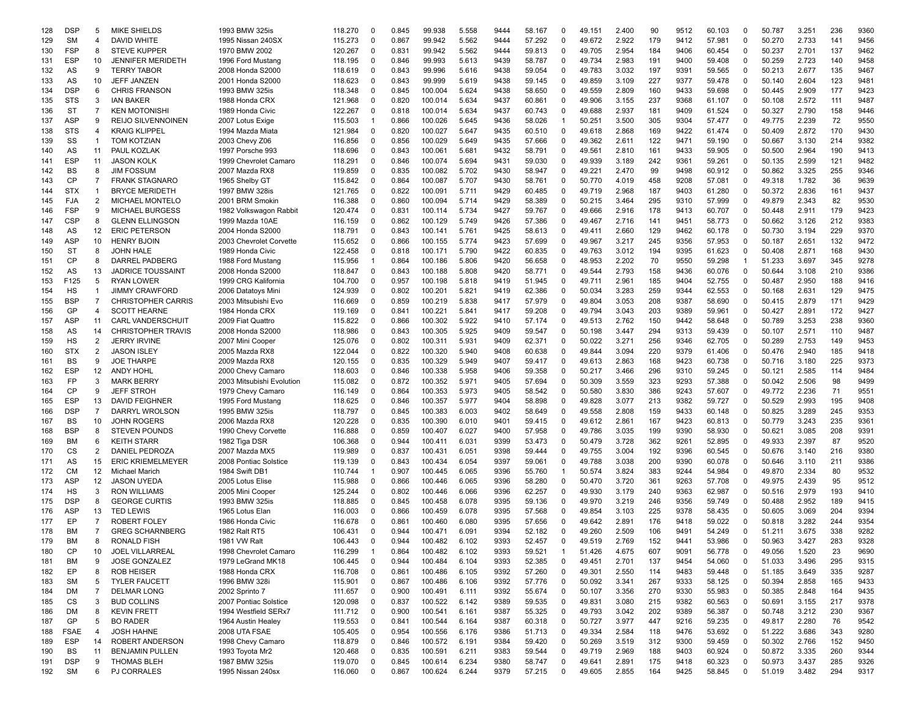| 128 | <b>DSP</b>  | 5              | <b>MIKE SHIELDS</b>       | 1993 BMW 325is            | 118.270 | 0            | 0.845 | 99.938  | 5.558 | 9444 | 58.167 | $\Omega$       | 49.151 | 2.400 | 90  | 9512 | 60.103 | 0           | 50.787 | 3.251 | 236 | 9360 |
|-----|-------------|----------------|---------------------------|---------------------------|---------|--------------|-------|---------|-------|------|--------|----------------|--------|-------|-----|------|--------|-------------|--------|-------|-----|------|
| 129 | <b>SM</b>   | 4              | DAVID WHITE               | 1995 Nissan 240SX         | 115.273 | $\Omega$     | 0.867 | 99.942  | 5.562 | 9444 | 57.292 | $\Omega$       | 49.672 | 2.922 | 179 | 9412 | 57.981 | $\mathbf 0$ | 50.270 | 2.733 | 141 | 9456 |
| 130 | FSP         | 8              | <b>STEVE KUPPER</b>       | 1970 BMW 2002             | 120.267 | $\Omega$     | 0.831 | 99.942  | 5.562 | 9444 | 59.813 | 0              | 49.705 | 2.954 | 184 | 9406 | 60.454 | 0           | 50.237 | 2.701 | 137 | 9462 |
| 131 | <b>ESP</b>  | 10             | JENNIFER MERIDETH         | 1996 Ford Mustang         | 118.195 | $\Omega$     | 0.846 | 99.993  | 5.613 | 9439 | 58.787 | $\Omega$       | 49.734 | 2.983 | 191 | 9400 | 59.408 | 0           | 50.259 | 2.723 | 140 | 9458 |
| 132 | AS          | 9              | <b>TERRY TABOR</b>        | 2008 Honda S2000          | 118.619 | $\Omega$     | 0.843 | 99.996  | 5.616 | 9438 | 59.054 | $\mathbf 0$    | 49.783 | 3.032 | 197 | 9391 | 59.565 | $\mathbf 0$ | 50.213 | 2.677 | 135 | 9467 |
|     |             |                | <b>JEFF JANZEN</b>        |                           |         | $\Omega$     |       |         |       | 9438 |        | $\Omega$       |        |       |     |      |        | $\Omega$    |        |       |     |      |
| 133 | AS          | 10             |                           | 2001 Honda S2000          | 118.623 |              | 0.843 | 99.999  | 5.619 |      | 59.145 |                | 49.859 | 3.109 | 227 | 9377 | 59.478 |             | 50.140 | 2.604 | 123 | 948' |
| 134 | <b>DSP</b>  | 6              | <b>CHRIS FRANSON</b>      | 1993 BMW 325is            | 118.348 | $\Omega$     | 0.845 | 100.004 | 5.624 | 9438 | 58.650 | $\Omega$       | 49.559 | 2.809 | 160 | 9433 | 59.698 | $\Omega$    | 50.445 | 2.909 | 177 | 9423 |
| 135 | <b>STS</b>  | 3              | <b>IAN BAKER</b>          | 1988 Honda CRX            | 121.968 | $\mathbf 0$  | 0.820 | 100.014 | 5.634 | 9437 | 60.861 | $\mathbf 0$    | 49.906 | 3.155 | 237 | 9368 | 61.107 | $\mathbf 0$ | 50.108 | 2.572 | 111 | 9487 |
| 136 | <b>ST</b>   | 7              | KEN MOTONISHI             | 1989 Honda Civic          | 122.267 | $\Omega$     | 0.818 | 100.014 | 5.634 | 9437 | 60.743 | 0              | 49.688 | 2.937 | 181 | 9409 | 61.524 | 0           | 50.327 | 2.790 | 158 | 9446 |
| 137 | <b>ASP</b>  | 9              | <b>REIJO SILVENNOINEN</b> | 2007 Lotus Exige          | 115.503 | -1           | 0.866 | 100.026 | 5.645 | 9436 | 58.026 | $\overline{1}$ | 50.251 | 3.500 | 305 | 9304 | 57.477 | $\mathbf 0$ | 49.775 | 2.239 | 72  | 9550 |
|     |             | 4              |                           |                           |         | $\Omega$     |       |         |       | 9435 |        | $\Omega$       |        |       | 169 | 9422 |        | 0           | 50.409 |       | 170 | 9430 |
| 138 | STS         |                | KRAIG KLIPPEL             | 1994 Mazda Miata          | 121.984 |              | 0.820 | 100.027 | 5.647 |      | 60.510 |                | 49.618 | 2.868 |     |      | 61.474 |             |        | 2.872 |     |      |
| 139 | SS          | -1             | <b>TOM KOTZIAN</b>        | 2003 Chevy Z06            | 116.856 | $\mathbf 0$  | 0.856 | 100.029 | 5.649 | 9435 | 57.666 | $\mathbf 0$    | 49.362 | 2.611 | 122 | 9471 | 59.190 | 0           | 50.667 | 3.130 | 214 | 9382 |
| 140 | AS          | 11             | PAUL KOZLAK               | 1997 Porsche 993          | 118.696 | $\Omega$     | 0.843 | 100.061 | 5.681 | 9432 | 58.791 | $\Omega$       | 49.561 | 2.810 | 161 | 9433 | 59.905 | $\Omega$    | 50.500 | 2.964 | 190 | 9413 |
| 141 | <b>ESP</b>  | 11             | <b>JASON KOLK</b>         | 1999 Chevrolet Camaro     | 118.291 | $\Omega$     | 0.846 | 100.074 | 5.694 | 9431 | 59.030 | $\Omega$       | 49.939 | 3.189 | 242 | 9361 | 59.261 | $\Omega$    | 50.135 | 2.599 | 121 | 9482 |
| 142 | BS          | 8              | <b>JIM FOSSUM</b>         | 2007 Mazda RX8            | 119.859 | $\Omega$     | 0.835 | 100.082 | 5.702 | 9430 | 58.947 | $\Omega$       | 49.221 | 2.470 | 99  | 9498 | 60.912 | $\Omega$    | 50.862 | 3.325 | 255 | 9346 |
| 143 | CP          | $\overline{7}$ | <b>FRANK STAGNARO</b>     | 1965 Shelby GT            | 115.842 | $\Omega$     | 0.864 | 100.087 | 5.707 | 9430 | 58.761 | $\Omega$       | 50.770 | 4.019 | 458 | 9208 | 57.081 | $\mathbf 0$ | 49.318 | 1.782 | 36  | 9639 |
|     |             | 1              |                           |                           |         |              |       |         |       |      |        |                |        |       |     |      |        | $\mathbf 0$ |        |       |     |      |
| 144 | <b>STX</b>  |                | <b>BRYCE MERIDETH</b>     | 1997 BMW 328is            | 121.765 | 0            | 0.822 | 100.091 | 5.711 | 9429 | 60.485 | 0              | 49.719 | 2.968 | 187 | 9403 | 61.280 |             | 50.372 | 2.836 | 161 | 9437 |
| 145 | FJA         | 2              | <b>MICHAEL MONTELO</b>    | 2001 BRM Smokin           | 116.388 | $\Omega$     | 0.860 | 100.094 | 5.714 | 9429 | 58.389 | 0              | 50.215 | 3.464 | 295 | 9310 | 57.999 | 0           | 49.879 | 2.343 | 82  | 9530 |
| 146 | FSP         | 9              | <b>MICHAEL BURGESS</b>    | 1982 Volkswagon Rabbit    | 120.474 | 0            | 0.831 | 100.114 | 5.734 | 9427 | 59.767 | 0              | 49.666 | 2.916 | 178 | 9413 | 60.707 | 0           | 50.448 | 2.911 | 179 | 9423 |
| 147 | <b>CSP</b>  | 8              | <b>GLENN ELLINGSON</b>    | 1999 Mazda 10AE           | 116.159 | $\Omega$     | 0.862 | 100.129 | 5.749 | 9426 | 57.386 | $\Omega$       | 49.467 | 2.716 | 141 | 9451 | 58.773 | $\Omega$    | 50.662 | 3.126 | 212 | 9383 |
| 148 | AS          | 12             | <b>ERIC PETERSON</b>      | 2004 Honda S2000          | 118.791 | $\Omega$     | 0.843 | 100.141 | 5.761 | 9425 | 58.613 | $\mathbf 0$    | 49.411 | 2.660 | 129 | 9462 | 60.178 | $\Omega$    | 50.730 | 3.194 | 229 | 9370 |
| 149 | <b>ASP</b>  | 10             | <b>HENRY BJOIN</b>        | 2003 Chevrolet Corvette   | 115.652 | $\Omega$     | 0.866 | 100.155 | 5.774 | 9423 | 57.699 | $\Omega$       | 49.967 | 3.217 | 245 | 9356 | 57.953 | $\Omega$    | 50.187 | 2.651 | 132 | 9472 |
|     |             |                |                           |                           |         |              |       |         |       |      |        |                |        |       |     |      |        |             |        |       |     |      |
| 150 | <b>ST</b>   | 8              | <b>JOHN HALE</b>          | 1989 Honda Civic          | 122.458 | $\Omega$     | 0.818 | 100.171 | 5.790 | 9422 | 60.835 | $\Omega$       | 49.763 | 3.012 | 194 | 9395 | 61.623 | $\Omega$    | 50.408 | 2.871 | 168 | 9430 |
| 151 | CP          | 8              | <b>DARREL PADBERG</b>     | 1988 Ford Mustang         | 115.956 | -1           | 0.864 | 100.186 | 5.806 | 9420 | 56.658 | $\Omega$       | 48.953 | 2.202 | 70  | 9550 | 59.298 | -1          | 51.233 | 3.697 | 345 | 9278 |
| 152 | AS          | 13             | JADRICE TOUSSAINT         | 2008 Honda S2000          | 118.847 | $\Omega$     | 0.843 | 100.188 | 5.808 | 9420 | 58.771 | $\Omega$       | 49.544 | 2.793 | 158 | 9436 | 60.076 | $\mathbf 0$ | 50.644 | 3.108 | 210 | 9386 |
| 153 | F125        | 5              | <b>RYAN LOWER</b>         | 1999 CRG Kalifornia       | 104.700 | 0            | 0.957 | 100.198 | 5.818 | 9419 | 51.945 | 0              | 49.711 | 2.961 | 185 | 9404 | 52.755 | $\mathbf 0$ | 50.487 | 2.950 | 188 | 9416 |
| 154 | HS          | -1             | JIMMY CRAWFORD            | 2006 Datatoys Mini        | 124.939 | $\Omega$     | 0.802 | 100.201 | 5.821 | 9419 | 62.386 | 0              | 50.034 | 3.283 | 259 | 9344 | 62.553 | 0           | 50.168 | 2.631 | 129 | 9475 |
|     |             | $\overline{7}$ |                           |                           |         |              |       |         |       | 9417 |        |                |        |       |     |      |        | 0           |        |       | 171 |      |
| 155 | <b>BSP</b>  |                | <b>CHRISTOPHER CARRIS</b> | 2003 Mitsubishi Evo       | 116.669 | 0            | 0.859 | 100.219 | 5.838 |      | 57.979 | 0              | 49.804 | 3.053 | 208 | 9387 | 58.690 |             | 50.415 | 2.879 |     | 9429 |
| 156 | GP          | 4              | <b>SCOTT HEARNE</b>       | 1984 Honda CRX            | 119.169 | $\Omega$     | 0.841 | 100.221 | 5.841 | 9417 | 59.208 | $\Omega$       | 49.794 | 3.043 | 203 | 9389 | 59.961 | $\mathbf 0$ | 50.427 | 2.891 | 172 | 9427 |
| 157 | <b>ASP</b>  | 11             | <b>CARL VANDERSCHUIT</b>  | 2009 Fiat Quattro         | 115.822 | $\Omega$     | 0.866 | 100.302 | 5.922 | 9410 | 57.174 | $\Omega$       | 49.513 | 2.762 | 150 | 9442 | 58.648 | $\Omega$    | 50.789 | 3.253 | 238 | 9360 |
| 158 | AS          | 14             | <b>CHRISTOPHER TRAVIS</b> | 2008 Honda S2000          | 118.986 | $\Omega$     | 0.843 | 100.305 | 5.925 | 9409 | 59.547 | $\Omega$       | 50.198 | 3.447 | 294 | 9313 | 59.439 | $\Omega$    | 50.107 | 2.571 | 110 | 9487 |
| 159 | HS          | $\overline{2}$ | <b>JERRY IRVINE</b>       | 2007 Mini Cooper          | 125.076 | $\Omega$     | 0.802 | 100.311 | 5.931 | 9409 | 62.371 | $\Omega$       | 50.022 | 3.271 | 256 | 9346 | 62.705 | $\Omega$    | 50.289 | 2.753 | 149 | 9453 |
| 160 | <b>STX</b>  | $\overline{2}$ | <b>JASON ISLEY</b>        | 2005 Mazda RX8            | 122.044 | $\Omega$     | 0.822 | 100.320 | 5.940 | 9408 | 60.638 | $\mathbf 0$    | 49.844 | 3.094 | 220 | 9379 | 61.406 | $\mathbf 0$ | 50.476 | 2.940 | 185 | 9418 |
|     |             |                | <b>JOE THARPE</b>         |                           |         |              |       |         |       |      |        |                |        |       |     |      |        |             |        |       |     |      |
| 161 | BS          | 9              |                           | 2009 Mazda RX8            | 120.155 | $\Omega$     | 0.835 | 100.329 | 5.949 | 9407 | 59.417 | $\Omega$       | 49.613 | 2.863 | 168 | 9423 | 60.738 | 0           | 50.716 | 3.180 | 225 | 9373 |
| 162 | ESP         | 12             | <b>ANDY HOHL</b>          | 2000 Chevy Camaro         | 118.603 | 0            | 0.846 | 100.338 | 5.958 | 9406 | 59.358 | 0              | 50.217 | 3.466 | 296 | 9310 | 59.245 | $\mathbf 0$ | 50.121 | 2.585 | 114 | 9484 |
| 163 | FP          | 3              | MARK BERRY                | 2003 Mitsubishi Evolution | 115.082 | $\Omega$     | 0.872 | 100.352 | 5.971 | 9405 | 57.694 | $\Omega$       | 50.309 | 3.559 | 323 | 9293 | 57.388 | 0           | 50.042 | 2.506 | 98  | 9499 |
| 164 | <b>CP</b>   | 9              | JEFF STROH                | 1979 Chevy Camaro         | 116.149 | $\mathbf 0$  | 0.864 | 100.353 | 5.973 | 9405 | 58.542 | 0              | 50.580 | 3.830 | 386 | 9243 | 57.607 | $\mathbf 0$ | 49.772 | 2.236 | 71  | 9551 |
| 165 | <b>ESP</b>  | 13             | <b>DAVID FEIGHNER</b>     | 1995 Ford Mustang         | 118.625 | $\Omega$     | 0.846 | 100.357 | 5.977 | 9404 | 58.898 | $\Omega$       | 49.828 | 3.077 | 213 | 9382 | 59.727 | $\Omega$    | 50.529 | 2.993 | 195 | 9408 |
| 166 | <b>DSP</b>  | $\overline{7}$ | DARRYL WROLSON            | 1995 BMW 325is            | 118.797 | $\Omega$     | 0.845 | 100.383 | 6.003 | 9402 | 58.649 | $\Omega$       | 49.558 | 2.808 | 159 | 9433 | 60.148 | $\Omega$    | 50.825 | 3.289 | 245 | 9353 |
|     |             |                |                           |                           |         |              |       |         |       |      |        |                |        |       |     |      |        |             |        |       |     |      |
| 167 | BS          | 10             | <b>JOHN ROGERS</b>        | 2006 Mazda RX8            | 120.228 | $\Omega$     | 0.835 | 100.390 | 6.010 | 9401 | 59.415 | $\Omega$       | 49.612 | 2.861 | 167 | 9423 | 60.813 | $\Omega$    | 50.779 | 3.243 | 235 | 9361 |
| 168 | <b>BSP</b>  | 8              | <b>STEVEN POUNDS</b>      | 1990 Chevy Corvette       | 116.888 | $\Omega$     | 0.859 | 100.407 | 6.027 | 9400 | 57.958 | 0              | 49.786 | 3.035 | 199 | 9390 | 58.930 | $\mathbf 0$ | 50.621 | 3.085 | 208 | 9391 |
| 169 | ВM          | 6              | <b>KEITH STARR</b>        | 1982 Tiga DSR             | 106.368 | 0            | 0.944 | 100.411 | 6.031 | 9399 | 53.473 | 0              | 50.479 | 3.728 | 362 | 9261 | 52.895 | $\mathbf 0$ | 49.933 | 2.397 | 87  | 9520 |
| 170 | CS          | 2              | DANIEL PEDROZA            | 2007 Mazda MX5            | 119.989 | $\Omega$     | 0.837 | 100.431 | 6.051 | 9398 | 59.444 | $\Omega$       | 49.755 | 3.004 | 192 | 9396 | 60.545 | 0           | 50.676 | 3.140 | 216 | 9380 |
| 171 | AS          | 15             | <b>ERIC KRIEMELMEYER</b>  | 2008 Pontiac Solstice     | 119.139 | 0            | 0.843 | 100.434 | 6.054 | 9397 | 59.061 | 0              | 49.788 | 3.038 | 200 | 9390 | 60.078 | 0           | 50.646 | 3.110 | 211 | 9386 |
| 172 | CМ          | 12             | Michael Marich            | 1984 Swift DB             | 110.744 |              | 0.907 | 100.445 | 6.065 | 9396 | 55.760 | $\mathbf 1$    | 50.574 | 3.824 | 383 | 9244 | 54.984 | $\mathbf 0$ | 49.870 | 2.334 | 80  | 9532 |
|     |             |                |                           |                           |         |              |       |         |       |      |        |                |        |       |     |      |        |             |        |       |     |      |
| 173 | <b>ASP</b>  | 12             | <b>JASON UYEDA</b>        | 2005 Lotus Elise          | 115.988 | $\Omega$     | 0.866 | 100.446 | 6.065 | 9396 | 58.280 | $\Omega$       | 50.470 | 3.720 | 361 | 9263 | 57.708 | $\Omega$    | 49.975 | 2.439 | 95  | 9512 |
| 174 | HS          | 3              | <b>RON WILLIAMS</b>       | 2005 Mini Cooper          | 125.244 | $\Omega$     | 0.802 | 100.446 | 6.066 | 9396 | 62.257 | $\Omega$       | 49.930 | 3.179 | 240 | 9363 | 62.987 | $\Omega$    | 50.516 | 2.979 | 193 | 9410 |
| 175 | <b>DSP</b>  | 8              | <b>GEORGE CURTIS</b>      | 1993 BMW 325is            | 118.885 | $\Omega$     | 0.845 | 100.458 | 6.078 | 9395 | 59.136 | $\Omega$       | 49.970 | 3.219 | 246 | 9356 | 59.749 | $\Omega$    | 50.488 | 2.952 | 189 | 9415 |
| 176 | <b>ASP</b>  | 13             | <b>TED LEWIS</b>          | 1965 Lotus Elan           | 116.003 | $\Omega$     | 0.866 | 100.459 | 6.078 | 9395 | 57.568 | $\Omega$       | 49.854 | 3.103 | 225 | 9378 | 58.435 | $\Omega$    | 50.605 | 3.069 | 204 | 9394 |
| 177 | EP          | $\overline{7}$ | ROBERT FOLEY              | 1986 Honda Civic          | 116.678 | $\Omega$     | 0.861 | 100.460 | 6.080 | 9395 | 57.656 | $\Omega$       | 49.642 | 2.891 | 176 | 9418 | 59.022 | $\mathbf 0$ | 50.818 | 3.282 | 244 | 9354 |
|     |             |                |                           |                           |         |              |       |         |       |      |        |                |        |       |     |      |        |             |        |       |     |      |
| 178 | ВM          | $\overline{7}$ | <b>GREG SCHARNBERG</b>    | 1982 Ralt RT5             | 106.431 | 0            | 0.944 | 100.471 | 6.091 | 9394 | 52.182 | 0              | 49.260 | 2.509 | 106 | 9491 | 54.249 | $\mathbf 0$ | 51.211 | 3.675 | 338 | 9282 |
| 179 | ВM          | 8              | <b>RONALD FISH</b>        | 1981 VW Ralt              | 106.443 | $\Omega$     | 0.944 | 100.482 | 6.102 | 9393 | 52.457 | $\Omega$       | 49.519 | 2.769 | 152 | 9441 | 53.986 | $\Omega$    | 50.963 | 3.427 | 283 | 9328 |
| 180 | CP          | 10             | <b>JOEL VILLARREAL</b>    | 1998 Chevrolet Camaro     | 116.299 | $\mathbf{1}$ | 0.864 | 100.482 | 6.102 | 9393 | 59.521 | $\overline{1}$ | 51.426 | 4.675 | 607 | 9091 | 56.778 | 0           | 49.056 | 1.520 | 23  | 9690 |
| 181 | <b>BM</b>   | 9              | <b>JOSE GONZALEZ</b>      | 1979 LeGrand MK18         | 106.445 | 0            | 0.944 | 100.484 | 6.104 | 9393 | 52.385 | 0              | 49.451 | 2.701 | 137 | 9454 | 54.060 | $\mathsf 0$ | 51.033 | 3.496 | 295 | 9315 |
| 182 | EP          | 8              | <b>ROB HEISER</b>         | 1988 Honda CRX            | 116.708 | 0            | 0.861 | 100.486 | 6.105 | 9392 | 57.260 | 0              | 49.301 | 2.550 | 114 | 9483 | 59.448 | 0           | 51.185 | 3.649 | 335 | 9287 |
|     | <b>SM</b>   | 5              | <b>TYLER FAUCETT</b>      | 1996 BMW 328i             | 115.901 | 0            | 0.867 | 100.486 | 6.106 | 9392 | 57.776 | 0              | 50.092 | 3.341 | 267 | 9333 | 58.125 | 0           | 50.394 | 2.858 | 165 | 9433 |
| 183 |             |                |                           |                           |         |              |       |         |       |      |        |                |        |       |     |      |        |             |        |       |     |      |
| 184 | DM          | 7              | <b>DELMAR LONG</b>        | 2002 Sprinto 7            | 111.657 | 0            | 0.900 | 100.491 | 6.111 | 9392 | 55.674 | 0              | 50.107 | 3.356 | 270 | 9330 | 55.983 | 0           | 50.385 | 2.848 | 164 | 9435 |
| 185 | CS          | 3              | <b>BUD COLLINS</b>        | 2007 Pontiac Solstice     | 120.098 | 0            | 0.837 | 100.522 | 6.142 | 9389 | 59.535 | 0              | 49.831 | 3.080 | 215 | 9382 | 60.563 | $\mathsf 0$ | 50.691 | 3.155 | 217 | 9378 |
| 186 | DM          | 8              | <b>KEVIN FRETT</b>        | 1994 Westfield SERx7      | 111.712 | 0            | 0.900 | 100.541 | 6.161 | 9387 | 55.325 | 0              | 49.793 | 3.042 | 202 | 9389 | 56.387 | 0           | 50.748 | 3.212 | 230 | 9367 |
| 187 | GP          | 5              | <b>BO RADER</b>           | 1964 Austin Healey        | 119.553 | 0            | 0.841 | 100.544 | 6.164 | 9387 | 60.318 | 0              | 50.727 | 3.977 | 447 | 9216 | 59.235 | 0           | 49.817 | 2.280 | 76  | 9542 |
| 188 | <b>FSAE</b> | 4              | <b>JOSH HAHNE</b>         | 2008 UTA FSAE             | 105.405 | 0            | 0.954 | 100.556 | 6.176 | 9386 | 51.713 | 0              | 49.334 | 2.584 | 118 | 9476 | 53.692 | 0           | 51.222 | 3.686 | 343 | 9280 |
|     | <b>ESP</b>  | 14             | ROBERT ANDERSON           |                           |         |              |       |         |       |      |        | $\mathbf 0$    |        |       |     |      |        | $\mathsf 0$ | 50.302 |       | 152 |      |
| 189 |             |                |                           | 1998 Chevy Camaro         | 118.879 | 0            | 0.846 | 100.572 | 6.191 | 9384 | 59.420 |                | 50.269 | 3.519 | 312 | 9300 | 59.459 |             |        | 2.766 |     | 9450 |
| 190 | BS          | 11             | <b>BENJAMIN PULLEN</b>    | 1993 Toyota Mr2           | 120.468 | 0            | 0.835 | 100.591 | 6.211 | 9383 | 59.544 | 0              | 49.719 | 2.969 | 188 | 9403 | 60.924 | 0           | 50.872 | 3.335 | 260 | 9344 |
| 191 | <b>DSP</b>  | 9              | <b>THOMAS BLEH</b>        | 1987 BMW 325is            | 119.070 | 0            | 0.845 | 100.614 | 6.234 | 9380 | 58.747 | 0              | 49.641 | 2.891 | 175 | 9418 | 60.323 | 0           | 50.973 | 3.437 | 285 | 9326 |
| 192 | <b>SM</b>   | 6              | <b>PJ CORRALES</b>        | 1995 Nissan 240sx         | 116.060 | 0            | 0.867 | 100.624 | 6.244 | 9379 | 57.215 | 0              | 49.605 | 2.855 | 164 | 9425 | 58.845 | 0           | 51.019 | 3.482 | 294 | 9317 |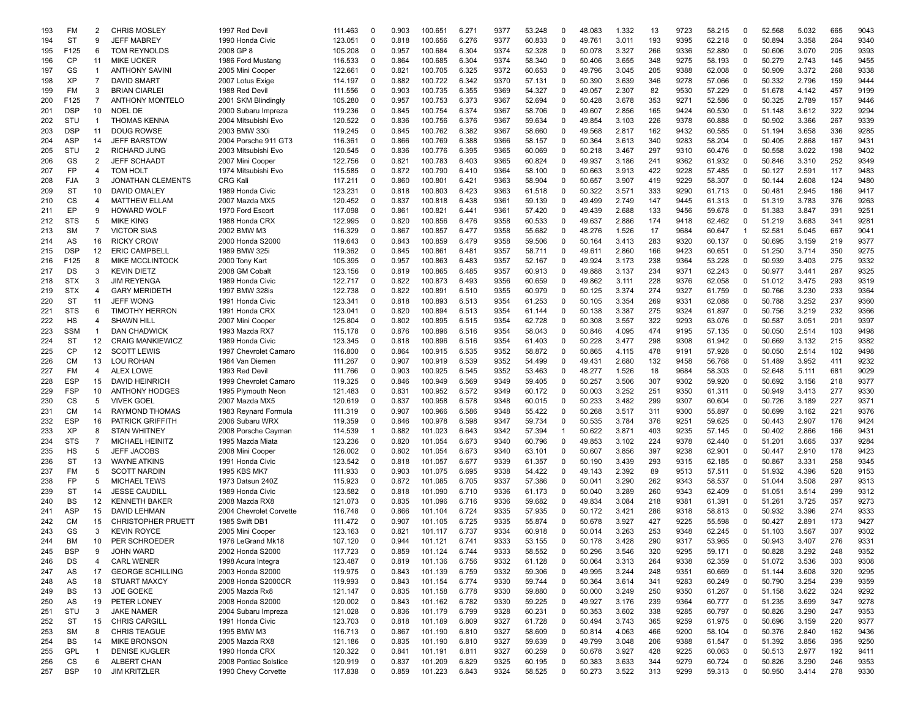| 193 | FM         | 2                 | <b>CHRIS MOSLEY</b>       | 1997 Red Devil          | 111.463 | 0           | 0.903 | 100.651 | 6.271 | 9377 | 53.248 | 0           | 48.083 | 1.332 | 13  | 9723 | 58.215 | 0              | 52.568 | 5.032 | 665 | 9043 |
|-----|------------|-------------------|---------------------------|-------------------------|---------|-------------|-------|---------|-------|------|--------|-------------|--------|-------|-----|------|--------|----------------|--------|-------|-----|------|
| 194 | <b>ST</b>  | 9                 | <b>JEFF MABREY</b>        | 1990 Honda Civic        | 123.051 | $^{\circ}$  | 0.818 | 100.656 | 6.276 | 9377 | 60.833 | $\Omega$    | 49.761 | 3.011 | 193 | 9395 | 62.218 | $\mathbf 0$    | 50.894 | 3.358 | 264 | 9340 |
| 195 | F125       | 6                 | TOM REYNOLDS              | 2008 GP 8               | 105.208 | 0           | 0.957 | 100.684 | 6.304 | 9374 | 52.328 | 0           | 50.078 | 3.327 | 266 | 9336 | 52.880 | 0              | 50.606 | 3.070 | 205 | 9393 |
| 196 | CP         | 11                | <b>MIKE UCKER</b>         | 1986 Ford Mustang       | 116.533 | 0           | 0.864 | 100.685 | 6.304 | 9374 | 58.340 | $\Omega$    | 50.406 | 3.655 | 348 | 9275 | 58.193 | $\mathbf 0$    | 50.279 | 2.743 | 145 | 9455 |
| 197 | GS         | $\overline{1}$    | <b>ANTHONY SAVINI</b>     | 2005 Mini Cooper        | 122.661 | $\Omega$    | 0.821 | 100.705 | 6.325 | 9372 | 60.653 | $\Omega$    | 49.796 | 3.045 | 205 | 9388 | 62.008 | $\mathbf 0$    | 50.909 | 3.372 | 268 | 9338 |
| 198 | XP         | $\overline{7}$    | <b>DAVID SMART</b>        | 2007 Lotus Exige        | 114.197 | 0           | 0.882 | 100.722 | 6.342 | 9370 | 57.131 | $\Omega$    | 50.390 | 3.639 | 346 | 9278 | 57.066 | $\mathbf 0$    | 50.332 | 2.796 | 159 | 9444 |
| 199 | FM         | 3                 | <b>BRIAN CIARLEI</b>      | 1988 Red Devil          | 111.556 | 0           | 0.903 | 100.735 | 6.355 | 9369 | 54.327 | $\Omega$    | 49.057 | 2.307 | 82  | 9530 | 57.229 | 0              | 51.678 | 4.142 | 457 | 9199 |
| 200 | F125       | $\overline{7}$    | <b>ANTHONY MONTELO</b>    | 2001 SKM Blindingly     | 105.280 | 0           | 0.957 | 100.753 | 6.373 | 9367 | 52.694 | 0           | 50.428 | 3.678 | 353 | 9271 | 52.586 | $\mathbf 0$    | 50.325 | 2.789 | 157 | 9446 |
| 201 | <b>DSP</b> | 10                | <b>NOEL DE</b>            | 2000 Subaru Impreza     | 119.236 | 0           | 0.845 | 100.754 | 6.374 | 9367 | 58.706 | 0           | 49.607 | 2.856 | 165 | 9424 | 60.530 | $\mathbf 0$    | 51.148 | 3.612 | 322 | 9294 |
| 202 | STU        | $\overline{1}$    | <b>THOMAS KENNA</b>       | 2004 Mitsubishi Evo     | 120.522 | 0           | 0.836 | 100.756 | 6.376 | 9367 | 59.634 | 0           | 49.854 | 3.103 | 226 | 9378 | 60.888 | $\mathbf 0$    | 50.902 | 3.366 | 267 | 9339 |
| 203 | <b>DSP</b> | 11                | <b>DOUG ROWSE</b>         | 2003 BMW 330i           | 119.245 | $\mathbf 0$ | 0.845 | 100.762 | 6.382 | 9367 | 58.660 | $\Omega$    | 49.568 | 2.817 | 162 | 9432 | 60.585 | 0              | 51.194 | 3.658 | 336 | 9285 |
| 204 | <b>ASP</b> | 14                | <b>JEFF BARSTOW</b>       | 2004 Porsche 911 GT3    | 116.361 | 0           | 0.866 | 100.769 | 6.388 | 9366 | 58.157 | 0           | 50.364 | 3.613 | 340 | 9283 | 58.204 | $\mathbf 0$    | 50.405 | 2.868 | 167 | 9431 |
| 205 | STU        | $\overline{2}$    | <b>RICHARD JUNG</b>       | 2003 Mitsubishi Evo     | 120.545 | 0           | 0.836 | 100.776 | 6.395 | 9365 | 60.069 | $\Omega$    | 50.218 | 3.467 | 297 | 9310 | 60.476 | $\Omega$       | 50.558 | 3.022 | 198 | 9402 |
| 206 | GS         | 2                 | <b>JEFF SCHAADT</b>       | 2007 Mini Cooper        | 122.756 | $\Omega$    | 0.821 | 100.783 | 6.403 | 9365 | 60.824 | $\Omega$    | 49.937 | 3.186 | 241 | 9362 | 61.932 | 0              | 50.846 | 3.310 | 252 | 9349 |
| 207 | <b>FP</b>  | $\overline{4}$    | <b>TOM HOLT</b>           | 1974 Mitsubishi Evo     | 115.585 | $\Omega$    | 0.872 | 100.790 | 6.410 | 9364 | 58.100 | 0           | 50.663 | 3.913 | 422 | 9228 | 57.485 | $\mathbf 0$    | 50.127 | 2.591 | 117 | 9483 |
| 208 | FJA        | 3                 | <b>JONATHAN CLEMENTS</b>  | <b>CRG Kali</b>         | 117.211 | 0           | 0.860 | 100.801 | 6.421 | 9363 | 58.904 | 0           | 50.657 | 3.907 | 419 | 9229 | 58.307 | 0              | 50.144 | 2.608 | 124 | 9480 |
| 209 | <b>ST</b>  | 10                | DAVID OMALEY              | 1989 Honda Civic        | 123.231 | 0           | 0.818 | 100.803 | 6.423 | 9363 | 61.518 | 0           | 50.322 | 3.571 | 333 | 9290 | 61.713 | $\mathbf 0$    | 50.481 | 2.945 | 186 | 9417 |
|     | CS         | $\overline{4}$    | <b>MATTHEW ELLAM</b>      | 2007 Mazda MX5          | 120.452 | 0           | 0.837 | 100.818 | 6.438 | 9361 | 59.139 | $\mathbf 0$ | 49.499 | 2.749 | 147 | 9445 | 61.313 | 0              | 51.319 | 3.783 | 376 | 9263 |
| 210 | EP         | 9                 | <b>HOWARD WOLF</b>        |                         |         | 0           | 0.861 | 100.821 |       | 9361 |        | 0           |        | 2.688 | 133 | 9456 |        | $\mathbf 0$    | 51.383 |       | 391 | 9251 |
| 211 |            | 5                 |                           | 1970 Ford Escort        | 117.098 |             |       |         | 6.441 |      | 57.420 |             | 49.439 |       |     |      | 59.678 | $\Omega$       |        | 3.847 | 341 |      |
| 212 | <b>STS</b> |                   | <b>MIKE KING</b>          | 1988 Honda CRX          | 122.995 | 0           | 0.820 | 100.856 | 6.476 | 9358 | 60.533 | 0           | 49.637 | 2.886 | 174 | 9418 | 62.462 |                | 51.219 | 3.683 |     | 928' |
| 213 | <b>SM</b>  | $\overline{7}$    | <b>VICTOR SIAS</b>        | 2002 BMW M3             | 116.329 | $\Omega$    | 0.867 | 100.857 | 6.477 | 9358 | 55.682 | 0           | 48.276 | 1.526 | 17  | 9684 | 60.647 | $\overline{1}$ | 52.581 | 5.045 | 667 | 904' |
| 214 | AS         | 16                | <b>RICKY CROW</b>         | 2000 Honda S2000        | 119.643 | $\Omega$    | 0.843 | 100.859 | 6.479 | 9358 | 59.506 | 0           | 50.164 | 3.413 | 283 | 9320 | 60.137 | $\mathbf 0$    | 50.695 | 3.159 | 219 | 9377 |
| 215 | <b>DSP</b> | $12 \overline{ }$ | <b>ERIC CAMPBELL</b>      | 1989 BMW 325            | 119.362 | $\Omega$    | 0.845 | 100.861 | 6.481 | 9357 | 58.711 | $\Omega$    | 49.611 | 2.860 | 166 | 9423 | 60.651 | $\Omega$       | 51.250 | 3.714 | 350 | 9275 |
| 216 | F125       | 8                 | <b>MIKE MCCLINTOCK</b>    | 2000 Tony Kart          | 105.395 | 0           | 0.957 | 100.863 | 6.483 | 9357 | 52.167 | $\Omega$    | 49.924 | 3.173 | 238 | 9364 | 53.228 | $\mathbf 0$    | 50.939 | 3.403 | 275 | 9332 |
| 217 | DS         | 3                 | <b>KEVIN DIETZ</b>        | 2008 GM Cobalt          | 123.156 | 0           | 0.819 | 100.865 | 6.485 | 9357 | 60.913 | 0           | 49.888 | 3.137 | 234 | 9371 | 62.243 | $\mathbf 0$    | 50.977 | 3.441 | 287 | 9325 |
| 218 | <b>STX</b> | 3                 | <b>JIM REYENGA</b>        | 1989 Honda Civic        | 122.717 | 0           | 0.822 | 100.873 | 6.493 | 9356 | 60.659 | 0           | 49.862 | 3.111 | 228 | 9376 | 62.058 | $\mathbf 0$    | 51.012 | 3.475 | 293 | 9319 |
| 219 | <b>STX</b> | $\overline{4}$    | <b>GARY MERIDETH</b>      | 1997 BMW 328is          | 122.738 | $\Omega$    | 0.822 | 100.891 | 6.510 | 9355 | 60.979 | 0           | 50.125 | 3.374 | 274 | 9327 | 61.759 | $\mathbf 0$    | 50.766 | 3.230 | 233 | 9364 |
| 220 | <b>ST</b>  | 11                | <b>JEFF WONG</b>          | 1991 Honda Civic        | 123.341 | 0           | 0.818 | 100.893 | 6.513 | 9354 | 61.253 | 0           | 50.105 | 3.354 | 269 | 9331 | 62.088 | 0              | 50.788 | 3.252 | 237 | 9360 |
| 221 | <b>STS</b> | 6                 | <b>TIMOTHY HERRON</b>     | 1991 Honda CRX          | 123.041 | 0           | 0.820 | 100.894 | 6.513 | 9354 | 61.144 | 0           | 50.138 | 3.387 | 275 | 9324 | 61.897 | $\mathbf 0$    | 50.756 | 3.219 | 232 | 9366 |
| 222 | HS         | $\overline{4}$    | <b>SHAWN HILL</b>         | 2007 Mini Cooper        | 125.804 | $\Omega$    | 0.802 | 100.895 | 6.515 | 9354 | 62.728 | 0           | 50.308 | 3.557 | 322 | 9293 | 63.076 | $\mathbf 0$    | 50.587 | 3.051 | 201 | 9397 |
| 223 | <b>SSM</b> | $\overline{1}$    | <b>DAN CHADWICK</b>       | 1993 Mazda RX7          | 115.178 | $\Omega$    | 0.876 | 100.896 | 6.516 | 9354 | 58.043 | 0           | 50.846 | 4.095 | 474 | 9195 | 57.135 | $\Omega$       | 50.050 | 2.514 | 103 | 9498 |
| 224 | <b>ST</b>  | 12                | <b>CRAIG MANKIEWICZ</b>   | 1989 Honda Civic        | 123.345 | $\Omega$    | 0.818 | 100.896 | 6.516 | 9354 | 61.403 | $\Omega$    | 50.228 | 3.477 | 298 | 9308 | 61.942 | 0              | 50.669 | 3.132 | 215 | 9382 |
| 225 | CP         | 12                | <b>SCOTT LEWIS</b>        | 1997 Chevrolet Camaro   | 116.800 | 0           | 0.864 | 100.915 | 6.535 | 9352 | 58.872 | 0           | 50.865 | 4.115 | 478 | 9191 | 57.928 | $\mathbf 0$    | 50.050 | 2.514 | 102 | 9498 |
| 226 | <b>CM</b>  | 13                | LOU ROHAN                 | 1984 Van Diemen         | 111.267 | 0           | 0.907 | 100.919 | 6.539 | 9352 | 54.499 | 0           | 49.431 | 2.680 | 132 | 9458 | 56.768 | $\mathbf 0$    | 51.489 | 3.952 | 411 | 9232 |
| 227 | <b>FM</b>  | $\overline{4}$    | <b>ALEX LOWE</b>          | 1993 Red Devil          | 111.766 | 0           | 0.903 | 100.925 | 6.545 | 9352 | 53.463 | 0           | 48.277 | 1.526 | 18  | 9684 | 58.303 | $\mathbf 0$    | 52.648 | 5.111 | 681 | 9029 |
| 228 | <b>ESP</b> | 15                | DAVID HEINRICH            | 1999 Chevrolet Camaro   | 119.325 | $\Omega$    | 0.846 | 100.949 | 6.569 | 9349 | 59.405 | 0           | 50.257 | 3.506 | 307 | 9302 | 59.920 | 0              | 50.692 | 3.156 | 218 | 9377 |
| 229 | <b>FSP</b> | 10                | <b>ANTHONY HODGES</b>     | 1995 Plymouth Neon      | 121.483 | 0           | 0.831 | 100.952 | 6.572 | 9349 | 60.172 | 0           | 50.003 | 3.252 | 251 | 9350 | 61.311 | $\mathbf 0$    | 50.949 | 3.413 | 277 | 9330 |
| 230 | CS         | 5                 | <b>VIVEK GOEL</b>         | 2007 Mazda MX5          | 120.619 | $\Omega$    | 0.837 | 100.958 | 6.578 | 9348 | 60.015 | $\Omega$    | 50.233 | 3.482 | 299 | 9307 | 60.604 | $\Omega$       | 50.726 | 3.189 | 227 | 9371 |
| 231 | <b>CM</b>  | 14                | <b>RAYMOND THOMAS</b>     | 1983 Reynard Formula    | 111.319 | 0           | 0.907 | 100.966 | 6.586 | 9348 | 55.422 | 0           | 50.268 | 3.517 | 311 | 9300 | 55.897 | 0              | 50.699 | 3.162 | 221 | 9376 |
| 232 | <b>ESP</b> | 16                | <b>PATRICK GRIFFITH</b>   | 2006 Subaru WRX         | 119.359 | 0           | 0.846 | 100.978 | 6.598 | 9347 | 59.734 | 0           | 50.535 | 3.784 | 376 | 9251 | 59.625 | 0              | 50.443 | 2.907 | 176 | 9424 |
| 233 | XP         | 8                 | <b>STAN WHITNEY</b>       | 2008 Porsche Cayman     | 114.539 | -1          | 0.882 | 101.023 | 6.643 | 9342 | 57.394 | -1          | 50.622 | 3.871 | 403 | 9235 | 57.145 | $\mathbf 0$    | 50.402 | 2.866 | 166 | 9431 |
| 234 | <b>STS</b> | $\overline{7}$    | <b>MICHAEL HEINITZ</b>    | 1995 Mazda Miata        | 123.236 | 0           | 0.820 | 101.054 | 6.673 | 9340 | 60.796 | 0           | 49.853 | 3.102 | 224 | 9378 | 62.440 | $\mathbf 0$    | 51.201 | 3.665 | 337 | 9284 |
| 235 | HS         | 5                 | <b>JEFF JACOBS</b>        | 2008 Mini Cooper        | 126.002 | 0           | 0.802 | 101.054 | 6.673 | 9340 | 63.101 | 0           | 50.607 | 3.856 | 397 | 9238 | 62.901 | $\mathbf 0$    | 50.447 | 2.910 | 178 | 9423 |
| 236 | <b>ST</b>  | 13                | <b>WAYNE ATKINS</b>       | 1991 Honda Civic        | 123.542 | $\Omega$    | 0.818 | 101.057 | 6.677 | 9339 | 61.357 | 0           | 50.190 | 3.439 | 293 | 9315 | 62.185 | $\mathbf 0$    | 50.867 | 3.331 | 258 | 9345 |
| 237 | FM         | 5                 | <b>SCOTT NARDIN</b>       | 1995 KBS MK7            | 111.933 | 0           | 0.903 | 101.075 | 6.695 | 9338 | 54.422 | $\Omega$    | 49.143 | 2.392 | 89  | 9513 | 57.511 | $\Omega$       | 51.932 | 4.396 | 528 | 9153 |
| 238 | <b>FP</b>  | -5                | <b>MICHAEL TEWS</b>       | 1973 Datsun 240Z        | 115.923 | $\Omega$    | 0.872 | 101.085 | 6.705 | 9337 | 57.386 | $\Omega$    | 50.041 | 3.290 | 262 | 9343 | 58.537 | $\Omega$       | 51.044 | 3.508 | 297 | 9313 |
| 239 | <b>ST</b>  | 14                | <b>JESSE CAUDILL</b>      | 1989 Honda Civic        | 123.582 | $\Omega$    | 0.818 | 101.090 | 6.710 | 9336 | 61.173 | 0           | 50.040 | 3.289 | 260 | 9343 | 62.409 | $\Omega$       | 51.051 | 3.514 | 299 | 9312 |
|     | <b>BS</b>  |                   |                           |                         |         |             |       |         |       |      |        |             |        |       |     |      |        |                |        |       |     |      |
| 240 |            | 12                | <b>KENNETH BAKER</b>      | 2008 Mazda RX8          | 121.073 | $\Omega$    | 0.835 | 101.096 | 6.716 | 9336 | 59.682 | $\Omega$    | 49.834 | 3.084 | 218 | 9381 | 61.391 | 0              | 51.261 | 3.725 | 357 | 9273 |
| 241 | ASP        | 15                | DAVID LEHMAN              | 2004 Chevrolet Corvette | 116.748 | 0           | 0.866 | 101.104 | 6.724 | 9335 | 57.935 | 0           | 50.172 | 3.421 | 286 | 9318 | 58.813 | 0              | 50.932 | 3.396 | 274 | 9333 |
| 242 | <b>CM</b>  | 15                | <b>CHRISTOPHER PRUETT</b> | 1985 Swift DB1          | 111.472 | $\Omega$    | 0.907 | 101.105 | 6.725 | 9335 | 55.874 | 0           | 50.678 | 3.927 | 427 | 9225 | 55.598 | 0              | 50.427 | 2.891 | 173 | 9427 |
| 243 | GS         | 3                 | <b>KEVIN ROYCE</b>        | 2005 Mini Cooper        | 123.163 | 0           | 0.821 | 101.117 | 6.737 | 9334 | 60.918 | 0           | 50.014 | 3.263 | 253 | 9348 | 62.245 | $\mathbf 0$    | 51.103 | 3.567 | 307 | 9302 |
| 244 | <b>BM</b>  | 10                | PER SCHROEDER             | 1976 LeGrand Mk18       | 107.120 | $\Omega$    | 0.944 | 101.121 | 6.741 | 9333 | 53.155 | $\Omega$    | 50.178 | 3.428 | 290 | 9317 | 53.965 | $\Omega$       | 50.943 | 3.407 | 276 | 9331 |
| 245 | <b>BSP</b> | 9                 | <b>JOHN WARD</b>          | 2002 Honda S2000        | 117.723 | 0           | 0.859 | 101.124 | 6.744 | 9333 | 58.552 | 0           | 50.296 | 3.546 | 320 | 9295 | 59.171 | $\mathbf 0$    | 50.828 | 3.292 | 248 | 9352 |
| 246 | DS         | 4                 | <b>CARL WENER</b>         | 1998 Acura Integra      | 123.487 | 0           | 0.819 | 101.136 | 6.756 | 9332 | 61.128 | 0           | 50.064 | 3.313 | 264 | 9338 | 62.359 | $\mathbf 0$    | 51.072 | 3.536 | 303 | 9308 |
| 247 | AS         | 17                | <b>GEORGE SCHILLING</b>   | 2003 Honda S2000        | 119.975 | 0           | 0.843 | 101.139 | 6.759 | 9332 | 59.306 | 0           | 49.995 | 3.244 | 248 | 9351 | 60.669 | 0              | 51.144 | 3.608 | 320 | 9295 |
| 248 | AS         | 18                | <b>STUART MAXCY</b>       | 2008 Honda S2000CR      | 119.993 | 0           | 0.843 | 101.154 | 6.774 | 9330 | 59.744 | 0           | 50.364 | 3.614 | 341 | 9283 | 60.249 | 0              | 50.790 | 3.254 | 239 | 9359 |
| 249 | BS         | 13                | <b>JOE GOEKE</b>          | 2005 Mazda Rx8          | 121.147 | 0           | 0.835 | 101.158 | 6.778 | 9330 | 59.880 | 0           | 50.000 | 3.249 | 250 | 9350 | 61.267 | $\mathbf 0$    | 51.158 | 3.622 | 324 | 9292 |
| 250 | AS         | 19                | PETER LONEY               | 2008 Honda S2000        | 120.002 | 0           | 0.843 | 101.162 | 6.782 | 9330 | 59.225 | 0           | 49.927 | 3.176 | 239 | 9364 | 60.777 | $\mathbf 0$    | 51.235 | 3.699 | 347 | 9278 |
| 251 | STU        | 3                 | <b>JAKE NAMER</b>         | 2004 Subaru Impreza     | 121.028 | 0           | 0.836 | 101.179 | 6.799 | 9328 | 60.231 | 0           | 50.353 | 3.602 | 338 | 9285 | 60.797 | 0              | 50.826 | 3.290 | 247 | 9353 |
| 252 | ST         | 15                | <b>CHRIS CARGILL</b>      | 1991 Honda Civic        | 123.703 | 0           | 0.818 | 101.189 | 6.809 | 9327 | 61.728 | 0           | 50.494 | 3.743 | 365 | 9259 | 61.975 | 0              | 50.696 | 3.159 | 220 | 9377 |
| 253 | <b>SM</b>  | 8                 | <b>CHRIS TEAGUE</b>       | 1995 BMW M3             | 116.713 | 0           | 0.867 | 101.190 | 6.810 | 9327 | 58.609 | 0           | 50.814 | 4.063 | 466 | 9200 | 58.104 | 0              | 50.376 | 2.840 | 162 | 9436 |
| 254 | BS         | 14                | <b>MIKE BRONSON</b>       | 2005 Mazda RX8          | 121.186 | 0           | 0.835 | 101.190 | 6.810 | 9327 | 59.639 | 0           | 49.799 | 3.048 | 206 | 9388 | 61.547 | $\mathbf 0$    | 51.392 | 3.856 | 395 | 9250 |
| 255 | GPL        | $\overline{1}$    | <b>DENISE KUGLER</b>      | 1990 Honda CRX          | 120.322 | 0           | 0.841 | 101.191 | 6.811 | 9327 | 60.259 | 0           | 50.678 | 3.927 | 428 | 9225 | 60.063 | 0              | 50.513 | 2.977 | 192 | 9411 |
| 256 | CS         | 6                 | <b>ALBERT CHAN</b>        | 2008 Pontiac Solstice   | 120.919 | 0           | 0.837 | 101.209 | 6.829 | 9325 | 60.195 | 0           | 50.383 | 3.633 | 344 | 9279 | 60.724 | $\mathbf 0$    | 50.826 | 3.290 | 246 | 9353 |
| 257 | <b>BSP</b> | 10                | <b>JIM KRITZLER</b>       | 1990 Chevy Corvette     | 117.838 | 0           | 0.859 | 101.223 | 6.843 | 9324 | 58.525 | 0           | 50.273 | 3.522 | 313 | 9299 | 59.313 | $\mathbf 0$    | 50.950 | 3.414 | 278 | 9330 |
|     |            |                   |                           |                         |         |             |       |         |       |      |        |             |        |       |     |      |        |                |        |       |     |      |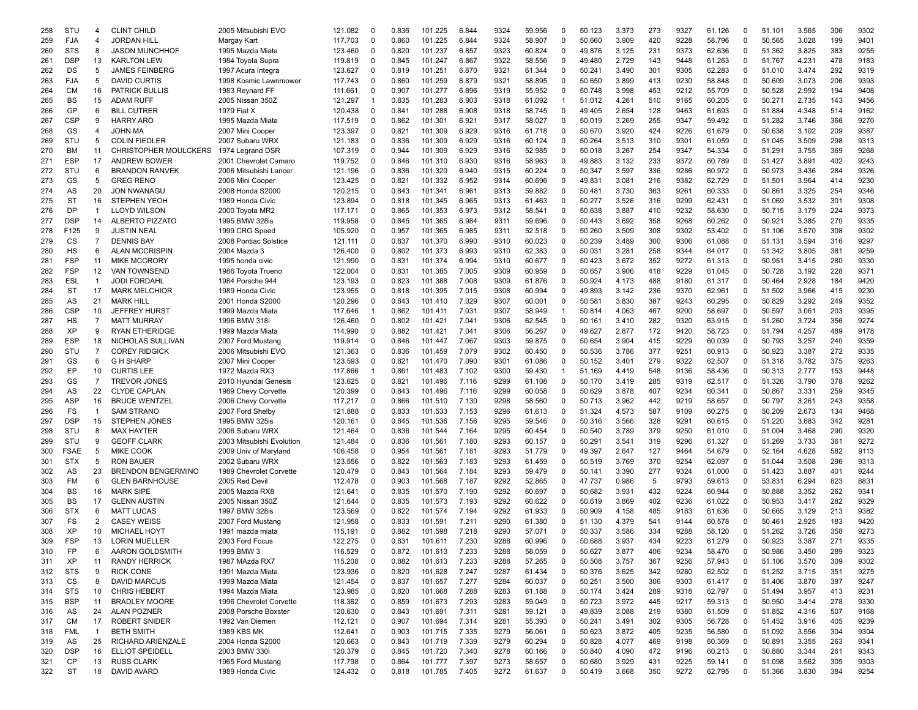| 258 | STU         | 4              | <b>CLINT CHILD</b>           | 2005 Mitsubishi EVO       | 121.082 | $\mathbf 0$ | 0.836 | 101.225 | 6.844 | 9324 | 59.956 | 0           | 50.123 | 3.373 | 273 | 9327 | 61.126 | 0           | 51.101 | 3.565 | 306 | 9302 |
|-----|-------------|----------------|------------------------------|---------------------------|---------|-------------|-------|---------|-------|------|--------|-------------|--------|-------|-----|------|--------|-------------|--------|-------|-----|------|
| 259 | <b>FJA</b>  | 4              | <b>JORDAN HILL</b>           | Margay Kart               | 117.703 | $\Omega$    | 0.860 | 101.225 | 6.844 | 9324 | 58.907 | $\Omega$    | 50.660 | 3.909 | 420 | 9228 | 58.796 | $\mathbf 0$ | 50.565 | 3.028 | 199 | 9401 |
| 260 | <b>STS</b>  | 8              | <b>JASON MUNCHHOF</b>        | 1995 Mazda Miata          | 123.460 | 0           | 0.820 | 101.237 | 6.857 | 9323 | 60.824 | 0           | 49.876 | 3.125 | 231 | 9373 | 62.636 | $\mathbf 0$ | 51.362 | 3.825 | 383 | 9255 |
| 261 | <b>DSP</b>  | 13             | <b>KARLTON LEW</b>           | 1984 Toyota Supra         | 119.819 | $\Omega$    | 0.845 | 101.247 | 6.867 | 9322 | 58.556 | $\Omega$    | 49.480 | 2.729 | 143 | 9448 | 61.263 | $\Omega$    | 51.767 | 4.231 | 478 | 9183 |
| 262 | DS          | 5              | <b>JAMES FEINBERG</b>        | 1997 Acura Integra        | 123.627 | $\Omega$    | 0.819 | 101.251 | 6.870 | 9321 | 61.344 | 0           | 50.241 | 3.490 | 301 | 9305 | 62.283 | $\Omega$    | 51.010 | 3.474 | 292 | 9319 |
| 263 | FJA         | 5              | <b>DAVID CURTIS</b>          | 1998 Kosmic Lawnmower     | 117.743 | $\Omega$    | 0.860 | 101.259 | 6.879 | 9321 | 58.895 | 0           | 50.650 | 3.899 | 413 | 9230 | 58.848 | $\Omega$    | 50.609 | 3.073 | 206 | 9393 |
|     |             |                |                              |                           |         |             |       |         |       |      |        |             |        |       |     |      |        |             |        |       |     |      |
| 264 | СM          | 16             | <b>PATRICK BULLIS</b>        | 1983 Reynard FF           | 111.661 | $\Omega$    | 0.907 | 101.277 | 6.896 | 9319 | 55.952 | $\Omega$    | 50.748 | 3.998 | 453 | 9212 | 55.709 | 0           | 50.528 | 2.992 | 194 | 9408 |
| 265 | <b>BS</b>   | 15             | <b>ADAM RUFF</b>             | 2005 Nissan 350Z          | 121.297 | -1          | 0.835 | 101.283 | 6.903 | 9318 | 61.092 | -1          | 51.012 | 4.261 | 510 | 9165 | 60.205 | 0           | 50.271 | 2.735 | 143 | 9456 |
| 266 | GP          | 6              | <b>BILL CUTRER</b>           | 1979 Fiat X               | 120.438 | $\Omega$    | 0.841 | 101.288 | 6.908 | 9318 | 58.745 | 0           | 49.405 | 2.654 | 128 | 9463 | 61.693 | 0           | 51.884 | 4.348 | 514 | 9162 |
| 267 | <b>CSP</b>  | 9              | <b>HARRY ARO</b>             | 1995 Mazda Miata          | 117.519 | 0           | 0.862 | 101.301 | 6.921 | 9317 | 58.027 | 0           | 50.019 | 3.269 | 255 | 9347 | 59.492 | 0           | 51.282 | 3.746 | 366 | 9270 |
| 268 | GS          | 4              | JOHN MA                      | 2007 Mini Cooper          | 123.397 | $\Omega$    | 0.821 | 101.309 | 6.929 | 9316 | 61.718 | $\Omega$    | 50.670 | 3.920 | 424 | 9226 | 61.679 | $\mathbf 0$ | 50.638 | 3.102 | 209 | 9387 |
| 269 | STU         | 5              | <b>COLIN FIEDLER</b>         | 2007 Subaru WRX           | 121.183 | $\mathbf 0$ | 0.836 | 101.309 | 6.929 | 9316 | 60.124 | $\mathbf 0$ | 50.264 | 3.513 | 310 | 9301 | 61.059 | $\Omega$    | 51.045 | 3.509 | 298 | 9313 |
| 270 | BM          | 11             | <b>CHRISTOPHER MOULCKERS</b> | 1974 Legrand DSR          | 107.319 | $\Omega$    | 0.944 | 101.309 | 6.929 | 9316 | 52.985 | $\Omega$    | 50.018 | 3.267 | 254 | 9347 | 54.334 | $\Omega$    | 51.291 | 3.755 | 369 | 9268 |
| 271 | <b>ESP</b>  | 17             | <b>ANDREW BOWER</b>          | 2001 Chevrolet Camaro     | 119.752 | $\Omega$    | 0.846 | 101.310 | 6.930 | 9316 | 58.963 | $\Omega$    | 49.883 | 3.132 | 233 | 9372 | 60.789 | 0           | 51.427 | 3.891 | 402 | 9243 |
| 272 | STU         | 6              | <b>BRANDON RANVEK</b>        | 2006 Mitsubishi Lancer    | 121.196 | $\mathbf 0$ | 0.836 | 101.320 | 6.940 | 9315 | 60.224 | 0           | 50.347 | 3.597 | 336 | 9286 | 60.972 | $\mathbf 0$ | 50.973 | 3.436 | 284 | 9326 |
| 273 | GS          | 5              | <b>GREG RENO</b>             | 2006 Mini Cooper          | 123.425 | $\Omega$    | 0.821 | 101.332 | 6.952 | 9314 | 60.696 | 0           | 49.831 | 3.081 | 216 | 9382 | 62.729 | 0           | 51.501 | 3.964 | 414 | 9230 |
| 274 | AS          | 20             | <b>JON NWANAGU</b>           | 2008 Honda S2000          | 120.215 | 0           | 0.843 | 101.341 | 6.961 | 9313 | 59.882 | 0           | 50.481 | 3.730 | 363 | 9261 | 60.333 | 0           | 50.861 | 3.325 | 254 | 9346 |
|     | <b>ST</b>   | 16             |                              |                           |         | $\Omega$    |       |         | 6.965 | 9313 |        | 0           |        |       |     | 9299 |        | 0           |        |       | 301 | 9308 |
| 275 |             |                | <b>STEPHEN YEOH</b>          | 1989 Honda Civic          | 123.894 |             | 0.818 | 101.345 |       |      | 61.463 |             | 50.277 | 3.526 | 316 |      | 62.431 |             | 51.069 | 3.532 |     |      |
| 276 | <b>DP</b>   | $\mathbf{1}$   | <b>LLOYD WILSON</b>          | 2000 Toyota MR2           | 117.171 | 0           | 0.865 | 101.353 | 6.973 | 9312 | 58.541 | 0           | 50.638 | 3.887 | 410 | 9232 | 58.630 | $\mathbf 0$ | 50.715 | 3.179 | 224 | 9373 |
| 277 | <b>DSP</b>  | 14             | ALBERTO PIZZATO              | 1995 BMW 328is            | 119.958 | $\Omega$    | 0.845 | 101.365 | 6.984 | 9311 | 59.696 | $\mathbf 0$ | 50.443 | 3.692 | 358 | 9268 | 60.262 | $\Omega$    | 50.921 | 3.385 | 270 | 9335 |
| 278 | F125        | 9              | <b>JUSTIN NEAL</b>           | 1999 CRG Speed            | 105.920 | $\Omega$    | 0.957 | 101.365 | 6.985 | 9311 | 52.518 | $\mathbf 0$ | 50.260 | 3.509 | 308 | 9302 | 53.402 | $\Omega$    | 51.106 | 3.570 | 308 | 9302 |
| 279 | СS          | $\overline{7}$ | <b>DENNIS BAY</b>            | 2008 Pontiac Solstice     | 121.111 | $\Omega$    | 0.837 | 101.370 | 6.990 | 9310 | 60.023 | $\mathbf 0$ | 50.239 | 3.489 | 300 | 9306 | 61.088 | $\Omega$    | 51.131 | 3.594 | 316 | 9297 |
| 280 | <b>HS</b>   | 6              | <b>ALAN MCCRISPIN</b>        | 2004 Mazda 3              | 126.400 | $\Omega$    | 0.802 | 101.373 | 6.993 | 9310 | 62.383 | $\Omega$    | 50.031 | 3.281 | 258 | 9344 | 64.017 | 0           | 51.342 | 3.805 | 381 | 9259 |
| 281 | <b>FSP</b>  | 11             | <b>MIKE MCCRORY</b>          | 1995 honda civic          | 121.990 | 0           | 0.831 | 101.374 | 6.994 | 9310 | 60.677 | 0           | 50.423 | 3.672 | 352 | 9272 | 61.313 | 0           | 50.951 | 3.415 | 280 | 9330 |
| 282 | <b>FSP</b>  | 12             | <b>VAN TOWNSEND</b>          | 1986 Toyota Trueno        | 122.004 | $\Omega$    | 0.831 | 101.385 | 7.005 | 9309 | 60.959 | $\Omega$    | 50.657 | 3.906 | 418 | 9229 | 61.045 | 0           | 50.728 | 3.192 | 228 | 9371 |
| 283 | <b>ESL</b>  | $\mathbf{1}$   | <b>JODI FORDAHL</b>          | 1984 Porsche 944          | 123.193 | 0           | 0.823 | 101.388 | 7.008 | 9309 | 61.876 | 0           | 50.924 | 4.173 | 488 | 9180 | 61.317 | 0           | 50.464 | 2.928 | 184 | 9420 |
| 284 | ST          | 17             | <b>MARK MELCHIOR</b>         | 1989 Honda Civic          | 123.955 | $\Omega$    | 0.818 | 101.395 | 7.015 | 9308 | 60.994 | 0           | 49.893 | 3.142 | 236 | 9370 | 62.961 | 0           | 51.502 | 3.966 | 415 | 9230 |
|     |             |                |                              |                           |         |             |       |         |       |      |        |             |        |       |     |      |        |             |        |       |     |      |
| 285 | AS          | 21             | <b>MARK HILL</b>             | 2001 Honda S2000          | 120.296 | $\mathbf 0$ | 0.843 | 101.410 | 7.029 | 9307 | 60.001 | 0           | 50.581 | 3.830 | 387 | 9243 | 60.295 | $\mathbf 0$ | 50.829 | 3.292 | 249 | 9352 |
| 286 | <b>CSP</b>  | 10             | <b>JEFFREY HURST</b>         | 1999 Mazda Miata          | 117.646 | -1          | 0.862 | 101.411 | 7.031 | 9307 | 58.949 | -1          | 50.814 | 4.063 | 467 | 9200 | 58.697 | $\mathbf 0$ | 50.597 | 3.061 | 203 | 9395 |
| 287 | HS          | $\overline{7}$ | <b>MATT MURRAY</b>           | 1996 BMW 318i             | 126.460 | $\Omega$    | 0.802 | 101.421 | 7.041 | 9306 | 62.545 | 0           | 50.161 | 3.410 | 282 | 9320 | 63.915 | $\Omega$    | 51.260 | 3.724 | 356 | 9274 |
| 288 | XP          | 9              | <b>RYAN ETHERIDGE</b>        | 1999 Mazda Miata          | 114.990 | $\Omega$    | 0.882 | 101.421 | 7.041 | 9306 | 56.267 | $\mathbf 0$ | 49.627 | 2.877 | 172 | 9420 | 58.723 | $\mathbf 0$ | 51.794 | 4.257 | 489 | 9178 |
| 289 | <b>ESP</b>  | 18             | NICHOLAS SULLIVAN            | 2007 Ford Mustang         | 119.914 | $\Omega$    | 0.846 | 101.447 | 7.067 | 9303 | 59.875 | $\Omega$    | 50.654 | 3.904 | 415 | 9229 | 60.039 | 0           | 50.793 | 3.257 | 240 | 9359 |
| 290 | STU         | $\overline{7}$ | <b>COREY RIDGICK</b>         | 2006 Mitsubishi EVO       | 121.363 | 0           | 0.836 | 101.459 | 7.079 | 9302 | 60.450 | 0           | 50.536 | 3.786 | 377 | 9251 | 60.913 | 0           | 50.923 | 3.387 | 272 | 9335 |
| 291 | GS          | 6              | <b>GH SHARP</b>              | 2007 Mini Cooper          | 123.593 | $\Omega$    | 0.821 | 101.470 | 7.090 | 9301 | 61.086 | 0           | 50.152 | 3.401 | 279 | 9322 | 62.507 | 0           | 51.318 | 3.782 | 375 | 9263 |
| 292 | EP          | 10             | <b>CURTIS LEE</b>            | 1972 Mazda RX3            | 117.866 | -1          | 0.861 | 101.483 | 7.102 | 9300 | 59.430 | -1          | 51.169 | 4.419 | 548 | 9136 | 58.436 | $\mathbf 0$ | 50.313 | 2.777 | 153 | 9448 |
| 293 | GS          | $\overline{7}$ | <b>TREVOR JONES</b>          | 2010 Hyundai Genesis      | 123.625 | $\mathbf 0$ | 0.821 | 101.496 | 7.116 | 9299 | 61.108 | $\Omega$    | 50.170 | 3.419 | 285 | 9319 | 62.517 | $\mathbf 0$ | 51.326 | 3.790 | 378 | 9262 |
| 294 | AS          | 22             | <b>CLYDE CAPLAN</b>          | 1989 Chevy Corvette       | 120.399 | $\mathbf 0$ | 0.843 | 101.496 | 7.116 | 9299 | 60.058 | $\mathbf 0$ | 50.629 | 3.878 | 407 | 9234 | 60.341 | $\mathbf 0$ | 50.867 | 3.331 | 259 | 9345 |
| 295 | <b>ASP</b>  | 16             | <b>BRUCE WENTZEL</b>         | 2006 Chevy Corvette       | 117.217 | $\Omega$    | 0.866 | 101.510 | 7.130 | 9298 | 58.560 | $\Omega$    | 50.713 | 3.962 | 442 | 9219 | 58.657 | $\Omega$    | 50.797 | 3.261 | 243 | 9358 |
| 296 | FS          | $\mathbf{1}$   | <b>SAM STRANO</b>            | 2007 Ford Shelby          | 121.888 | $\Omega$    | 0.833 | 101.533 | 7.153 | 9296 | 61.613 | 0           | 51.324 | 4.573 | 587 | 9109 | 60.275 | $\Omega$    | 50.209 | 2.673 | 134 | 9468 |
|     |             |                |                              |                           |         |             |       |         |       |      |        |             |        |       |     |      |        |             |        |       |     |      |
| 297 | <b>DSP</b>  | 15             | <b>STEPHEN JONES</b>         | 1995 BMW 325is            | 120.161 | $\Omega$    | 0.845 | 101.536 | 7.156 | 9295 | 59.546 | 0           | 50.316 | 3.566 | 328 | 9291 | 60.615 | 0           | 51.220 | 3.683 | 342 | 9281 |
| 298 | STU         | 8              | <b>MAX HAYTER</b>            | 2006 Subaru WRX           | 121.464 | $\Omega$    | 0.836 | 101.544 | 7.164 | 9295 | 60.454 | 0           | 50.540 | 3.789 | 379 | 9250 | 61.010 | 0           | 51.004 | 3.468 | 290 | 9320 |
| 299 | STU         | 9              | <b>GEOFF CLARK</b>           | 2003 Mitsubishi Evolution | 121.484 | 0           | 0.836 | 101.561 | 7.180 | 9293 | 60.157 | 0           | 50.291 | 3.541 | 319 | 9296 | 61.327 | 0           | 51.269 | 3.733 | 361 | 9272 |
| 300 | <b>FSAE</b> | 5              | <b>MIKE COOK</b>             | 2009 Univ of Maryland     | 106.458 | $\Omega$    | 0.954 | 101.561 | 7.181 | 9293 | 51.779 | $\Omega$    | 49.397 | 2.647 | 127 | 9464 | 54.679 | 0           | 52.164 | 4.628 | 582 | 9113 |
| 301 | <b>STX</b>  | 5              | <b>RON BAUER</b>             | 2002 Subaru WRX           | 123.556 | 0           | 0.822 | 101.563 | 7.183 | 9293 | 61.459 | 0           | 50.519 | 3.769 | 370 | 9254 | 62.097 | $\mathbf 0$ | 51.044 | 3.508 | 296 | 9313 |
| 302 | AS          | 23             | <b>BRENDON BENGERMINO</b>    | 1989 Chevrolet Corvette   | 120.479 | $\Omega$    | 0.843 | 101.564 | 7.184 | 9293 | 59.479 | $\Omega$    | 50.141 | 3.390 | 277 | 9324 | 61.000 | $\Omega$    | 51.423 | 3.887 | 401 | 9244 |
| 303 | FM          | 6              | <b>GLEN BARNHOUSE</b>        | 2005 Red Devil            | 112.478 | $\Omega$    | 0.903 | 101.568 | 7.187 | 9292 | 52.865 | 0           | 47.737 | 0.986 | 5   | 9793 | 59.613 | $\Omega$    | 53.831 | 6.294 | 823 | 8831 |
| 304 | BS          | 16             | <b>MARK SIPE</b>             | 2005 Mazda RX8            | 121.641 | $\Omega$    | 0.835 | 101.570 | 7.190 | 9292 | 60.697 | $\mathbf 0$ | 50.682 | 3.931 | 432 | 9224 | 60.944 | $\Omega$    | 50.888 | 3.352 | 262 | 9341 |
| 305 | BS          | 17             | <b>GLENN AUSTIN</b>          | 2005 Nissan 350Z          | 121.644 | 0           | 0.835 | 101.573 | 7.193 | 9292 | 60.622 | $\Omega$    | 50.619 | 3.869 | 402 | 9236 | 61.022 | 0           | 50.953 | 3.417 | 282 | 9329 |
| 306 | <b>STX</b>  | 6              | <b>MATT LUCAS</b>            | 1997 BMW 328is            | 123.569 | 0           | 0.822 | 101.574 | 7.194 | 9292 | 61.933 | 0           | 50.909 | 4.158 | 485 | 9183 | 61.636 | 0           | 50.665 | 3.129 | 213 | 9382 |
| 307 | FS          | 2              | <b>CASEY WEISS</b>           | 2007 Ford Mustang         | 121.958 | $\Omega$    | 0.833 | 101.591 | 7.211 | 9290 | 61.380 | 0           | 51.130 | 4.379 | 541 | 9144 | 60.578 | 0           | 50.461 | 2.925 | 183 | 9420 |
|     |             |                |                              |                           |         | $\Omega$    |       |         |       |      |        |             |        |       | 334 | 9288 |        |             |        |       |     |      |
| 308 | XP          | 10             | <b>MICHAEL HOYT</b>          | 1991 mazda miata          | 115.191 |             | 0.882 | 101.598 | 7.218 | 9290 | 57.071 | 0           | 50.337 | 3.586 |     |      | 58.120 | 0           | 51.262 | 3.726 | 358 | 9273 |
| 309 | <b>FSP</b>  | 13             | <b>LORIN MUELLER</b>         | 2003 Ford Focus           | 122.275 | $\Omega$    | 0.831 | 101.611 | 7.230 | 9288 | 60.996 | $\Omega$    | 50.688 | 3.937 | 434 | 9223 | 61.279 | $\Omega$    | 50.923 | 3.387 | 271 | 9335 |
| 310 | FP          | 6              | AARON GOLDSMITH              | 1999 BMW 3                | 116.529 | 0           | 0.872 | 101.613 | 7.233 | 9288 | 58.059 | 0           | 50.627 | 3.877 | 406 | 9234 | 58.470 | 0           | 50.986 | 3.450 | 289 | 9323 |
| 311 | XP          | 11             | <b>RANDY HERRICK</b>         | 1987 MAzda RX7            | 115.208 | 0           | 0.882 | 101.613 | 7.233 | 9288 | 57.265 | 0           | 50.508 | 3.757 | 367 | 9256 | 57.943 | 0           | 51.106 | 3.570 | 309 | 9302 |
| 312 | <b>STS</b>  | 9              | <b>RICK CONE</b>             | 1991 Mazda Miata          | 123.936 | 0           | 0.820 | 101.628 | 7.247 | 9287 | 61.434 | 0           | 50.376 | 3.625 | 342 | 9280 | 62.502 | 0           | 51.252 | 3.715 | 351 | 9275 |
| 313 | CS          | 8              | <b>DAVID MARCUS</b>          | 1999 Mazda Miata          | 121.454 | 0           | 0.837 | 101.657 | 7.277 | 9284 | 60.037 | 0           | 50.251 | 3.500 | 306 | 9303 | 61.417 | 0           | 51.406 | 3.870 | 397 | 9247 |
| 314 | <b>STS</b>  | 10             | <b>CHRIS HEBERT</b>          | 1994 Mazda Miata          | 123.985 | 0           | 0.820 | 101.668 | 7.288 | 9283 | 61.188 | 0           | 50.174 | 3.424 | 289 | 9318 | 62.797 | 0           | 51.494 | 3.957 | 413 | 9231 |
| 315 | <b>BSP</b>  | 11             | <b>BRADLEY MOORE</b>         | 1996 Chevrolet Corvette   | 118.362 | 0           | 0.859 | 101.673 | 7.293 | 9283 | 59.049 | 0           | 50.723 | 3.972 | 445 | 9217 | 59.313 | $\mathbf 0$ | 50.950 | 3.414 | 278 | 9330 |
| 316 | AS          | 24             | <b>ALAN POZNER</b>           | 2008 Porsche Boxster      | 120.630 | 0           | 0.843 | 101.691 | 7.311 | 9281 | 59.121 | 0           | 49.839 | 3.088 | 219 | 9380 | 61.509 | 0           | 51.852 | 4.316 | 507 | 9168 |
| 317 | CM          | 17             | ROBERT SNIDER                | 1992 Van Diemen           | 112.121 | 0           | 0.907 | 101.694 | 7.314 | 9281 | 55.393 | 0           | 50.241 | 3.491 | 302 | 9305 | 56.728 | 0           | 51.452 | 3.916 | 405 | 9239 |
|     | <b>FML</b>  | $\overline{1}$ | <b>BETH SMITH</b>            | <b>1989 KBS MK</b>        | 112.641 | 0           | 0.903 | 101.715 | 7.335 | 9279 | 56.061 | 0           | 50.623 | 3.872 | 405 | 9235 | 56.580 | 0           | 51.092 | 3.556 | 304 | 9304 |
| 318 |             |                |                              | 2004 Honda S2000          |         |             |       |         |       |      |        |             |        |       |     |      |        |             |        |       |     |      |
| 319 | AS          | 25             | RICHARD ARIENZALE            |                           | 120.663 | 0           | 0.843 | 101.719 | 7.339 | 9279 | 60.294 | 0           | 50.828 | 4.077 | 469 | 9198 | 60.369 | 0           | 50.891 | 3.355 | 263 | 9341 |
| 320 | <b>DSP</b>  | 16             | <b>ELLIOT SPEIDELL</b>       | 2003 BMW 330i             | 120.379 | 0           | 0.845 | 101.720 | 7.340 | 9278 | 60.166 | 0           | 50.840 | 4.090 | 472 | 9196 | 60.213 | 0           | 50.880 | 3.344 | 261 | 9343 |
| 321 | CP          | 13             | <b>RUSS CLARK</b>            | 1965 Ford Mustang         | 117.798 | 0           | 0.864 | 101.777 | 7.397 | 9273 | 58.657 | 0           | 50.680 | 3.929 | 431 | 9225 | 59.141 | $\mathbf 0$ | 51.098 | 3.562 | 305 | 9303 |
| 322 | <b>ST</b>   | 18             | DAVID AVARD                  | 1989 Honda Civic          | 124.432 | 0           | 0.818 | 101.785 | 7.405 | 9272 | 61.637 | 0           | 50.419 | 3.668 | 350 | 9272 | 62.795 | 0           | 51.366 | 3.830 | 384 | 9254 |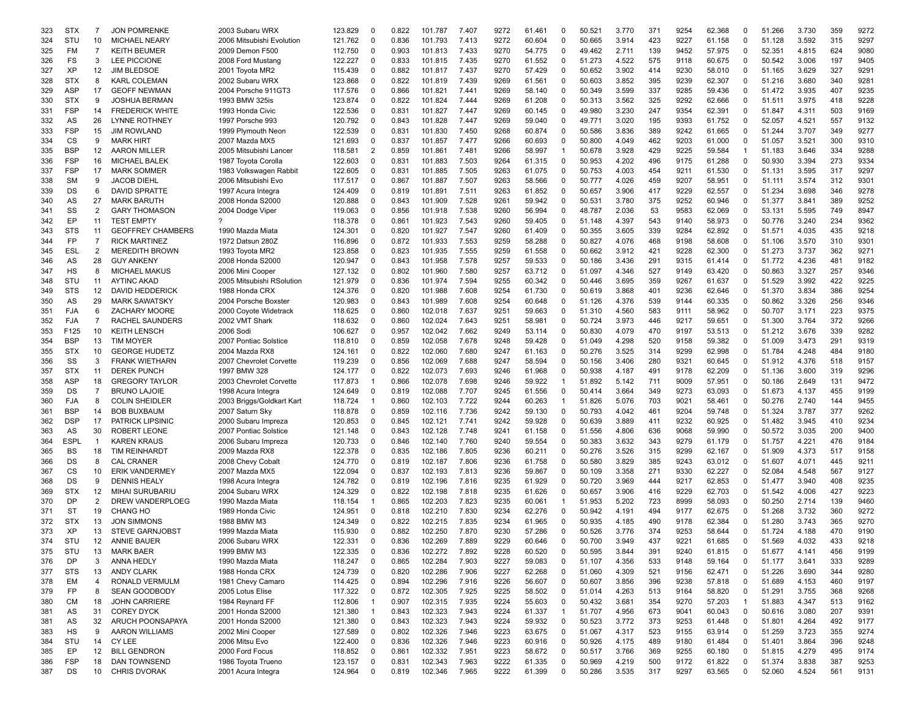| 323 | <b>STX</b> | 7                 | <b>JON POMRENKE</b>      | 2003 Subaru WRX           | 123.829 | 0              | 0.822 | 101.787 | 7.407 | 9272 | 61.461 | 0            | 50.521 | 3.770 | 371 | 9254 | 62.368 | 0              | 51.266 | 3.730 | 359 | 9272 |
|-----|------------|-------------------|--------------------------|---------------------------|---------|----------------|-------|---------|-------|------|--------|--------------|--------|-------|-----|------|--------|----------------|--------|-------|-----|------|
| 324 | STU        | 10                | <b>MICHAEL NEARY</b>     | 2006 Mitsubishi Evolution | 121.762 | $\mathbf 0$    | 0.836 | 101.793 | 7.413 | 9272 | 60.604 | 0            | 50.665 | 3.914 | 423 | 9227 | 61.158 | $\mathbf 0$    | 51.128 | 3.592 | 315 | 9297 |
| 325 | FM         | $\overline{7}$    | <b>KEITH BEUMER</b>      | 2009 Demon F500           | 112.750 | $\Omega$       | 0.903 | 101.813 | 7.433 | 9270 | 54.775 | 0            | 49.462 | 2.711 | 139 | 9452 | 57.975 | 0              | 52.351 | 4.815 | 624 | 9080 |
| 326 | FS         | 3                 | <b>LEE PICCIONE</b>      | 2008 Ford Mustang         | 122.227 | $\mathbf 0$    | 0.833 | 101.815 | 7.435 | 9270 | 61.552 | 0            | 51.273 | 4.522 | 575 | 9118 | 60.675 | 0              | 50.542 | 3.006 | 197 | 9405 |
| 327 | ΧP         | 12                | <b>JIM BLEDSOE</b>       | 2001 Toyota MR2           | 115.439 | $\Omega$       | 0.882 | 101.817 | 7.437 | 9270 | 57.429 | 0            | 50.652 | 3.902 | 414 | 9230 | 58.010 | 0              | 51.165 | 3.629 | 327 | 9291 |
|     |            |                   |                          |                           |         |                |       |         |       |      |        |              |        |       |     |      |        |                |        |       |     |      |
| 328 | <b>STX</b> | 8                 | <b>KARL COLEMAN</b>      | 2002 Subaru WRX           | 123.868 | $\Omega$       | 0.822 | 101.819 | 7.439 | 9269 | 61.561 | $\Omega$     | 50.603 | 3.852 | 395 | 9239 | 62.307 | 0              | 51.216 | 3.680 | 340 | 9281 |
| 329 | ASP        | 17                | <b>GEOFF NEWMAN</b>      | 2004 Porsche 911GT3       | 117.576 | $\Omega$       | 0.866 | 101.821 | 7.441 | 9269 | 58.140 | 0            | 50.349 | 3.599 | 337 | 9285 | 59.436 | 0              | 51.472 | 3.935 | 407 | 9235 |
| 330 | <b>STX</b> | 9                 | <b>JOSHUA BERMAN</b>     | 1993 BMW 325is            | 123.874 | 0              | 0.822 | 101.824 | 7.444 | 9269 | 61.208 | 0            | 50.313 | 3.562 | 325 | 9292 | 62.666 | 0              | 51.511 | 3.975 | 418 | 9228 |
| 331 | <b>FSP</b> | 14                | <b>FREDERICK WHITE</b>   | 1993 Honda Civic          | 122.536 | $\Omega$       | 0.831 | 101.827 | 7.447 | 9269 | 60.145 | 0            | 49.980 | 3.230 | 247 | 9354 | 62.391 | 0              | 51.847 | 4.311 | 503 | 9169 |
| 332 | AS         | 26                | LYNNE ROTHNEY            | 1997 Porsche 993          | 120.792 | $\Omega$       | 0.843 | 101.828 | 7.447 | 9269 | 59.040 | 0            | 49.771 | 3.020 | 195 | 9393 | 61.752 | 0              | 52.057 | 4.521 | 557 | 9132 |
| 333 | <b>FSP</b> | 15                | <b>JIM ROWLAND</b>       | 1999 Plymouth Neon        | 122.539 | $\Omega$       | 0.831 | 101.830 | 7.450 | 9268 | 60.874 | 0            | 50.586 | 3.836 | 389 | 9242 | 61.665 | 0              | 51.244 | 3.707 | 349 | 9277 |
|     |            |                   | <b>MARK HIRT</b>         |                           |         | $\Omega$       |       |         |       |      |        |              |        |       |     |      |        |                |        |       |     |      |
| 334 | CS         | 9                 |                          | 2007 Mazda MX5            | 121.693 |                | 0.837 | 101.857 | 7.477 | 9266 | 60.693 | 0            | 50.800 | 4.049 | 462 | 9203 | 61.000 | 0              | 51.057 | 3.521 | 300 | 9310 |
| 335 | <b>BSP</b> | 12                | <b>AARON MILLER</b>      | 2005 Mitsubishi Lancer    | 118.581 | $\overline{2}$ | 0.859 | 101.861 | 7.481 | 9266 | 58.997 | 1            | 50.678 | 3.928 | 429 | 9225 | 59.584 | 1              | 51.183 | 3.646 | 334 | 9288 |
| 336 | <b>FSP</b> | 16                | MICHAEL BALEK            | 1987 Toyota Corolla       | 122.603 | $\Omega$       | 0.831 | 101.883 | 7.503 | 9264 | 61.315 | $\Omega$     | 50.953 | 4.202 | 496 | 9175 | 61.288 | $\Omega$       | 50.930 | 3.394 | 273 | 9334 |
| 337 | <b>FSP</b> | 17                | <b>MARK SOMMER</b>       | 1983 Volkswagen Rabbit    | 122.605 | $\Omega$       | 0.831 | 101.885 | 7.505 | 9263 | 61.075 | 0            | 50.753 | 4.003 | 454 | 9211 | 61.530 | 0              | 51.131 | 3.595 | 317 | 9297 |
| 338 | <b>SM</b>  | 9                 | <b>JACOB DIEHL</b>       | 2006 Mitsubishi Evo       | 117.517 | 0              | 0.867 | 101.887 | 7.507 | 9263 | 58.566 | 0            | 50.777 | 4.026 | 459 | 9207 | 58.951 | 0              | 51.111 | 3.574 | 312 | 9301 |
| 339 | DS         | 6                 | DAVID SPRATTE            | 1997 Acura Integra        | 124.409 | 0              | 0.819 | 101.891 | 7.511 | 9263 | 61.852 | 0            | 50.657 | 3.906 | 417 | 9229 | 62.557 | 0              | 51.234 | 3.698 | 346 | 9278 |
|     | AS         | 27                | <b>MARK BARUTH</b>       | 2008 Honda S2000          | 120.888 | $\Omega$       | 0.843 | 101.909 | 7.528 | 9261 | 59.942 | $\Omega$     | 50.531 | 3.780 | 375 | 9252 | 60.946 | 0              | 51.377 | 3.841 | 389 | 9252 |
| 340 |            |                   |                          |                           |         |                |       |         |       |      |        |              |        |       |     |      |        |                |        |       |     |      |
| 341 | SS         | 2                 | <b>GARY THOMASON</b>     | 2004 Dodge Viper          | 119.063 | 0              | 0.856 | 101.918 | 7.538 | 9260 | 56.994 | 0            | 48.787 | 2.036 | 53  | 9583 | 62.069 | 0              | 53.131 | 5.595 | 749 | 8947 |
| 342 | EP         | 11                | <b>TEST EMPTY</b>        | 7                         | 118.378 | $\Omega$       | 0.861 | 101.923 | 7.543 | 9260 | 59.405 | 0            | 51.148 | 4.397 | 543 | 9140 | 58.973 | $\Omega$       | 50.776 | 3.240 | 234 | 9362 |
| 343 | <b>STS</b> | 11                | <b>GEOFFREY CHAMBERS</b> | 1990 Mazda Miata          | 124.301 | $\Omega$       | 0.820 | 101.927 | 7.547 | 9260 | 61.409 | 0            | 50.355 | 3.605 | 339 | 9284 | 62.892 | 0              | 51.571 | 4.035 | 435 | 9218 |
| 344 | <b>FP</b>  | $\overline{7}$    | <b>RICK MARTINEZ</b>     | 1972 Datsun 280Z          | 116.896 | $\Omega$       | 0.872 | 101.933 | 7.553 | 9259 | 58.288 | $\Omega$     | 50.827 | 4.076 | 468 | 9198 | 58.608 | 0              | 51.106 | 3.570 | 310 | 9301 |
| 345 | <b>ESL</b> | 2                 | <b>MEREDITH BROWN</b>    | 1993 Toyota MR2           | 123.858 | $\Omega$       | 0.823 | 101.935 | 7.555 | 9259 | 61.558 | $\Omega$     | 50.662 | 3.912 | 421 | 9228 | 62.300 | 0              | 51.273 | 3.737 | 362 | 9271 |
| 346 | AS         | 28                | <b>GUY ANKENY</b>        | 2008 Honda S2000          | 120.947 | $\Omega$       | 0.843 | 101.958 | 7.578 | 9257 | 59.533 | 0            | 50.186 | 3.436 | 291 | 9315 | 61.414 | 0              | 51.772 | 4.236 | 481 | 9182 |
|     |            |                   |                          |                           |         |                |       |         |       |      |        |              |        |       |     |      |        |                |        |       |     |      |
| 347 | HS         | 8                 | <b>MICHAEL MAKUS</b>     | 2006 Mini Cooper          | 127.132 | $\Omega$       | 0.802 | 101.960 | 7.580 | 9257 | 63.712 | 0            | 51.097 | 4.346 | 527 | 9149 | 63.420 | 0              | 50.863 | 3.327 | 257 | 9346 |
| 348 | STU        | 11                | <b>AYTINC AKAD</b>       | 2005 Mitsubishi RSolution | 121.979 | 0              | 0.836 | 101.974 | 7.594 | 9255 | 60.342 | 0            | 50.446 | 3.695 | 359 | 9267 | 61.637 | 0              | 51.529 | 3.992 | 422 | 9225 |
| 349 | <b>STS</b> | 12                | DAVID HEDDERICK          | 1988 Honda CRX            | 124.376 | $\Omega$       | 0.820 | 101.988 | 7.608 | 9254 | 61.730 | 0            | 50.619 | 3.868 | 401 | 9236 | 62.646 | 0              | 51.370 | 3.834 | 386 | 9254 |
| 350 | AS         | 29                | <b>MARK SAWATSKY</b>     | 2004 Porsche Boxster      | 120.983 | $\Omega$       | 0.843 | 101.989 | 7.608 | 9254 | 60.648 | 0            | 51.126 | 4.376 | 539 | 9144 | 60.335 | 0              | 50.862 | 3.326 | 256 | 9346 |
| 351 | <b>FJA</b> | 6                 | ZACHARY MOORE            | 2000 Coyote Widetrack     | 118.625 | $\Omega$       | 0.860 | 102.018 | 7.637 | 9251 | 59.663 | 0            | 51.310 | 4.560 | 583 | 9111 | 58.962 | 0              | 50.707 | 3.171 | 223 | 9375 |
| 352 | <b>FJA</b> | $\overline{7}$    | <b>RACHEL SAUNDERS</b>   | 2002 VMT Shark            | 118.632 | $\Omega$       | 0.860 | 102.024 | 7.643 | 9251 | 58.981 | 0            | 50.724 | 3.973 | 446 | 9217 | 59.651 | 0              | 51.300 | 3.764 | 372 | 9266 |
|     | F125       | 10                | <b>KEITH LENSCH</b>      |                           | 106.627 | $\Omega$       | 0.957 | 102.042 | 7.662 | 9249 |        | 0            |        | 4.079 | 470 | 9197 |        | 0              |        | 3.676 | 339 | 9282 |
| 353 |            |                   |                          | 2006 Sodi                 |         |                |       |         |       |      | 53.114 |              | 50.830 |       |     |      | 53.513 |                | 51.212 |       |     |      |
| 354 | <b>BSP</b> | 13                | <b>TIM MOYER</b>         | 2007 Pontiac Solstice     | 118.810 | $\Omega$       | 0.859 | 102.058 | 7.678 | 9248 | 59.428 | 0            | 51.049 | 4.298 | 520 | 9158 | 59.382 | 0              | 51.009 | 3.473 | 291 | 9319 |
| 355 | <b>STX</b> | 10                | <b>GEORGE HUDETZ</b>     | 2004 Mazda RX8            | 124.161 | 0              | 0.822 | 102.060 | 7.680 | 9247 | 61.163 | 0            | 50.276 | 3.525 | 314 | 9299 | 62.998 | 0              | 51.784 | 4.248 | 484 | 9180 |
| 356 | SS         | 3                 | <b>FRANK WIETHARN</b>    | 2007 Chevrolet Corvette   | 119.239 | $\Omega$       | 0.856 | 102.069 | 7.688 | 9247 | 58.594 | 0            | 50.156 | 3.406 | 280 | 9321 | 60.645 | 0              | 51.912 | 4.376 | 518 | 9157 |
| 357 | <b>STX</b> | 11                | <b>DEREK PUNCH</b>       | 1997 BMW 328              | 124.177 | $\Omega$       | 0.822 | 102.073 | 7.693 | 9246 | 61.968 | 0            | 50.938 | 4.187 | 491 | 9178 | 62.209 | 0              | 51.136 | 3.600 | 319 | 9296 |
| 358 | ASP        | 18                | <b>GREGORY TAYLOR</b>    | 2003 Chevrolet Corvette   | 117.873 | -1             | 0.866 | 102.078 | 7.698 | 9246 | 59.922 | 1            | 51.892 | 5.142 | 711 | 9009 | 57.951 | 0              | 50.186 | 2.649 | 131 | 9472 |
| 359 | DS         | $\overline{7}$    | <b>BRUNO LAJOIE</b>      |                           | 124.649 | $\Omega$       | 0.819 | 102.088 | 7.707 | 9245 | 61.556 | 0            | 50.414 | 3.664 | 349 | 9273 | 63.093 | 0              | 51.673 | 4.137 | 455 | 9199 |
|     |            |                   |                          | 1998 Acura Integra        |         |                |       |         |       |      |        |              |        |       |     |      |        |                |        |       |     |      |
| 360 | <b>FJA</b> | 8                 | <b>COLIN SHEIDLER</b>    | 2003 Briggs/Goldkart Kart | 118.724 | -1             | 0.860 | 102.103 | 7.722 | 9244 | 60.263 | $\mathbf 1$  | 51.826 | 5.076 | 703 | 9021 | 58.461 | 0              | 50.276 | 2.740 | 144 | 9455 |
| 361 | <b>BSP</b> | 14                | <b>BOB BUXBAUM</b>       | 2007 Saturn Sky           | 118.878 | $\Omega$       | 0.859 | 102.116 | 7.736 | 9242 | 59.130 | 0            | 50.793 | 4.042 | 461 | 9204 | 59.748 | 0              | 51.324 | 3.787 | 377 | 9262 |
| 362 | <b>DSP</b> | 17                | <b>PATRICK LIPSINIC</b>  | 2000 Subaru Impreza       | 120.853 | $\Omega$       | 0.845 | 102.121 | 7.741 | 9242 | 59.928 | 0            | 50.639 | 3.889 | 411 | 9232 | 60.925 | 0              | 51.482 | 3.945 | 410 | 9234 |
| 363 | AS         | 30                | ROBERT LEONE             | 2007 Pontiac Solstice     | 121.148 | $\Omega$       | 0.843 | 102.128 | 7.748 | 9241 | 61.158 | 0            | 51.556 | 4.806 | 636 | 9068 | 59.990 | 0              | 50.572 | 3.035 | 200 | 9400 |
| 364 | ESPL       | $\overline{1}$    | <b>KAREN KRAUS</b>       | 2006 Subaru Impreza       | 120.733 | 0              | 0.846 | 102.140 | 7.760 | 9240 | 59.554 | 0            | 50.383 | 3.632 | 343 | 9279 | 61.179 | 0              | 51.757 | 4.221 | 476 | 9184 |
| 365 | BS         | 18                | <b>TIM REINHARDT</b>     | 2009 Mazda RX8            | 122.378 | $\Omega$       | 0.835 | 102.186 | 7.805 | 9236 | 60.211 | 0            | 50.276 | 3.526 | 315 | 9299 | 62.167 | $\mathbf 0$    | 51.909 | 4.373 | 517 | 9158 |
|     | DS         | 8                 | <b>CAL CRANER</b>        |                           |         | $\Omega$       | 0.819 | 102.187 | 7.806 | 9236 |        | 0            | 50.580 | 3.829 | 385 | 9243 |        | 0              | 51.607 | 4.071 | 445 | 9211 |
| 366 |            |                   |                          | 2008 Chevy Cobalt         | 124.770 |                |       |         |       |      | 61.758 |              |        |       |     |      | 63.012 |                |        |       |     |      |
| 367 | CS         | 10                | <b>ERIK VANDERMEY</b>    | 2007 Mazda MX5            | 122.094 | $\Omega$       | 0.837 | 102.193 | 7.813 | 9236 | 59.867 | 0            | 50.109 | 3.358 | 271 | 9330 | 62.227 | 0              | 52.084 | 4.548 | 567 | 9127 |
| 368 | DS         | 9                 | <b>DENNIS HEALY</b>      | 1998 Acura Integra        | 124.782 | $\Omega$       | 0.819 | 102.196 | 7.816 | 9235 | 61.929 | 0            | 50.720 | 3.969 | 444 | 9217 | 62.853 | 0              | 51.477 | 3.940 | 408 | 9235 |
| 369 | <b>STX</b> | 12                | <b>MIHAI SURUBARIU</b>   | 2004 Subaru WRX           | 124.329 | $\Omega$       | 0.822 | 102.198 | 7.818 | 9235 | 61.626 | $\Omega$     | 50.657 | 3.906 | 416 | 9229 | 62.703 | 0              | 51.542 | 4.006 | 427 | 9223 |
| 370 | <b>DP</b>  | 2                 | DREW VANDERPLOEG         | 1990 Mazda Miata          | 118.154 | -1             | 0.865 | 102.203 | 7.823 | 9235 | 60.061 | 1            | 51.953 | 5.202 | 723 | 8999 | 58.093 | 0              | 50.250 | 2.714 | 139 | 9460 |
| 371 | <b>ST</b>  | 19                | <b>CHANG HO</b>          | 1989 Honda Civic          | 124.951 | $\Omega$       | 0.818 | 102.210 | 7.830 | 9234 | 62.276 | 0            | 50.942 | 4.191 | 494 | 9177 | 62.675 | 0              | 51.268 | 3.732 | 360 | 9272 |
| 372 | <b>STX</b> | 13                | <b>JON SIMMONS</b>       | 1988 BMW M3               | 124.349 | $\Omega$       | 0.822 | 102.215 | 7.835 | 9234 | 61.965 | 0            | 50.935 | 4.185 | 490 | 9178 | 62.384 | 0              | 51.280 | 3.743 | 365 | 9270 |
|     | XP         |                   | <b>STEVE GARNJOBST</b>   | 1999 Mazda Miata          |         | $\Omega$       | 0.882 |         |       |      |        |              |        |       | 374 | 9253 |        |                |        |       | 470 |      |
| 373 |            | 13                |                          |                           | 115.930 |                |       | 102.250 | 7.870 | 9230 | 57.286 | 0            | 50.526 | 3.776 |     |      | 58.644 | 0              | 51.724 | 4.188 |     | 9190 |
| 374 | STU        | $12 \overline{ }$ | <b>ANNIE BAUER</b>       | 2006 Subaru WRX           | 122.331 | $\Omega$       | 0.836 | 102.269 | 7.889 | 9229 | 60.646 | $\Omega$     | 50.700 | 3.949 | 437 | 9221 | 61.685 | O              | 51.569 | 4.032 | 433 | 9218 |
| 375 | STU        | 13                | <b>MARK BAER</b>         | 1999 BMW M3               | 122.335 | 0              | 0.836 | 102.272 | 7.892 | 9228 | 60.520 | 0            | 50.595 | 3.844 | 391 | 9240 | 61.815 | 0              | 51.677 | 4.141 | 456 | 9199 |
| 376 | <b>DP</b>  | 3                 | ANNA HEDLY               | 1990 Mazda Miata          | 118.247 | 0              | 0.865 | 102.284 | 7.903 | 9227 | 59.083 | 0            | 51.107 | 4.356 | 533 | 9148 | 59.164 | 0              | 51.177 | 3.641 | 333 | 9289 |
| 377 | <b>STS</b> | 13                | <b>ANDY CLARK</b>        | 1988 Honda CRX            | 124.739 | 0              | 0.820 | 102.286 | 7.906 | 9227 | 62.268 | 0            | 51.060 | 4.309 | 521 | 9156 | 62.471 | 0              | 51.226 | 3.690 | 344 | 9280 |
| 378 | EM         | 4                 | RONALD VERMULM           | 1981 Chevy Camaro         | 114.425 | 0              | 0.894 | 102.296 | 7.916 | 9226 | 56.607 | 0            | 50.607 | 3.856 | 396 | 9238 | 57.818 | 0              | 51.689 | 4.153 | 460 | 9197 |
|     | FP         | 8                 | <b>SEAN GOODBODY</b>     | 2005 Lotus Elise          |         | 0              | 0.872 | 102.305 | 7.925 | 9225 |        | 0            |        | 4.263 | 513 | 9164 |        | 0              |        | 3.755 | 368 | 9268 |
| 379 |            |                   |                          |                           | 117.322 |                |       |         |       |      | 58.502 |              | 51.014 |       |     |      | 58.820 |                | 51.291 |       |     |      |
| 380 | СM         | 18                | <b>JOHN CARRIERE</b>     | 1984 Reynard FF           | 112.806 | $\mathbf{1}$   | 0.907 | 102.315 | 7.935 | 9224 | 55.603 | 0            | 50.432 | 3.681 | 354 | 9270 | 57.203 | $\overline{1}$ | 51.883 | 4.347 | 513 | 9162 |
| 381 | AS         | 31                | <b>COREY DYCK</b>        | 2001 Honda S2000          | 121.380 | $\overline{1}$ | 0.843 | 102.323 | 7.943 | 9224 | 61.337 | $\mathbf{1}$ | 51.707 | 4.956 | 673 | 9041 | 60.043 | 0              | 50.616 | 3.080 | 207 | 9391 |
| 381 | AS         | 32                | ARUCH POONSAPAYA         | 2001 Honda S2000          | 121.380 | 0              | 0.843 | 102.323 | 7.943 | 9224 | 59.932 | 0            | 50.523 | 3.772 | 373 | 9253 | 61.448 | 0              | 51.801 | 4.264 | 492 | 9177 |
| 383 | HS         | 9                 | <b>AARON WILLIAMS</b>    | 2002 Mini Cooper          | 127.589 | 0              | 0.802 | 102.326 | 7.946 | 9223 | 63.675 | 0            | 51.067 | 4.317 | 523 | 9155 | 63.914 | 0              | 51.259 | 3.723 | 355 | 9274 |
| 384 | STU        | 14                | CY LEE                   | 2006 Mitsu Evo            | 122.400 | 0              | 0.836 | 102.326 | 7.946 | 9223 | 60.916 | 0            | 50.926 | 4.175 | 489 | 9180 | 61.484 | 0              | 51.401 | 3.864 | 396 | 9248 |
| 385 | EP         | 12                | <b>BILL GENDRON</b>      | 2000 Ford Focus           | 118.852 | 0              | 0.861 | 102.332 | 7.951 | 9223 | 58.672 | 0            | 50.517 | 3.766 | 369 | 9255 | 60.180 | 0              | 51.815 | 4.279 | 495 | 9174 |
|     | <b>FSP</b> | 18                | DAN TOWNSEND             | 1986 Toyota Trueno        |         |                | 0.831 | 102.343 |       | 9222 |        | 0            | 50.969 |       | 500 |      | 61.822 | 0              | 51.374 | 3.838 | 387 | 9253 |
| 386 |            |                   |                          |                           | 123.157 | 0              |       |         | 7.963 |      | 61.335 |              |        | 4.219 |     | 9172 |        |                |        |       |     |      |
| 387 | DS         | 10                | <b>CHRIS DVORAK</b>      | 2001 Acura Integra        | 124.964 | 0              | 0.819 | 102.346 | 7.965 | 9222 | 61.399 | 0            | 50.286 | 3.535 | 317 | 9297 | 63.565 | 0              | 52.060 | 4.524 | 561 | 9131 |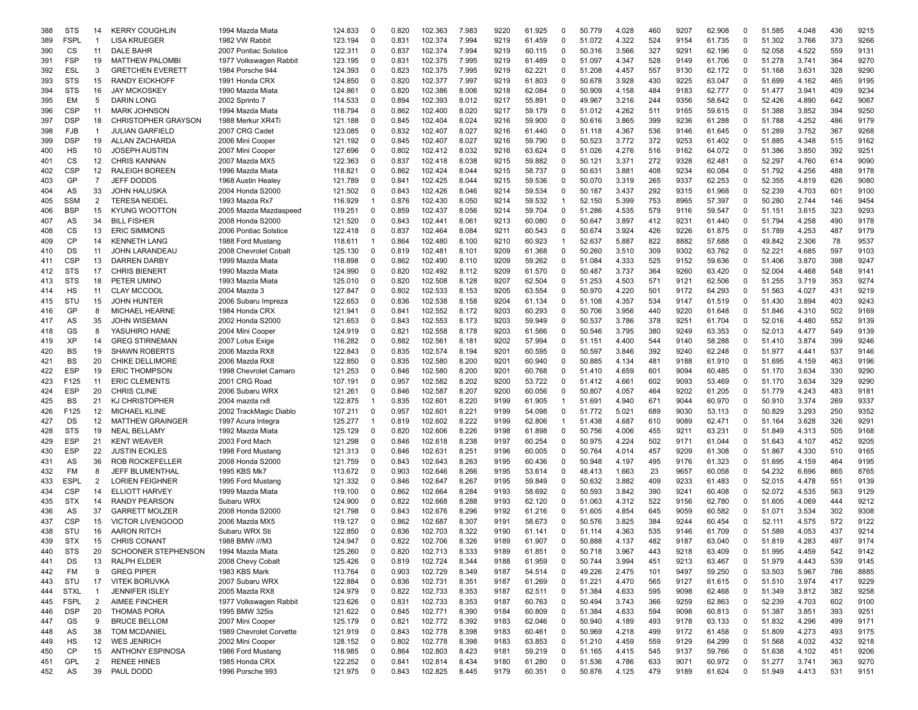| 388<br><b>STS</b><br><b>KERRY COUGHLIN</b><br>14<br><b>FSPL</b><br><b>LISA KRUEGER</b><br>389<br>$\mathbf{1}$<br>CS<br>11<br><b>DALE BAHR</b><br>390<br>391<br><b>FSP</b><br>19<br><b>MATTHEW PALOMB</b><br>ESL<br>3<br><b>GRETCHEN EVERETT</b><br>392<br><b>STS</b><br>15<br><b>RANDY EICKHOFF</b><br>393<br><b>STS</b><br>16<br><b>JAY MCKOSKEY</b><br>394<br>EM<br>5<br><b>DARIN LONG</b><br>395<br><b>CSP</b><br>396<br>11<br><b>MARK JOHNSON</b><br><b>DSP</b><br>18<br><b>CHRISTOPHER GRAYSON</b><br>397<br><b>FJB</b><br>398<br>$\mathbf{1}$<br><b>JULIAN GARFIELD</b><br><b>DSP</b><br>19<br><b>ALLAN ZACHARDA</b><br>399<br>HS<br><b>JOSEPH AUSTIN</b><br>400<br>10<br>CS<br>12<br><b>CHRIS KANNAN</b><br>401<br><b>CSP</b><br>12<br>402<br><b>RALEIGH BOREEN</b><br>GP<br>7<br>JEFF DODDS<br>403<br>AS<br>33<br>404<br><b>JOHN HALUSKA</b><br>SSM<br>2<br>405<br><b>TERESA NEIDEL</b><br><b>BSP</b><br>15<br><b>KYUNG WOOTTON</b><br>406<br>AS<br>34<br>407<br><b>BILL FISHER</b><br>CS<br>13<br><b>ERIC SIMMONS</b><br>408<br><b>CP</b><br>409<br>14<br><b>KENNETH LANG</b><br>DS<br>11<br><b>JOHN LARANDEAU</b><br>410<br>CSP<br>13<br><b>DARREN DARBY</b><br>411<br><b>STS</b><br>17<br>412<br><b>CHRIS BIENERT</b><br><b>STS</b><br>18<br>413<br>PETER UMINO<br>HS<br>11<br><b>CLAY MCCOOL</b><br>414<br>STU<br>15<br><b>JOHN HUNTER</b><br>415<br>GP<br>8<br><b>MICHAEL HEARNE</b><br>416<br>AS<br>35<br>JOHN WISEMAN<br>417<br>GS<br>8<br>YASUHIRO HANE<br>418<br>XP<br>14<br><b>GREG STIRNEMAN</b><br>419<br>BS<br>19<br>420<br><b>SHAWN ROBERTS</b><br>BS<br>20<br>421<br><b>CHIKE DELLIMORE</b><br><b>ESP</b><br>19<br><b>ERIC THOMPSON</b><br>422<br>F125<br>423<br>11<br><b>ERIC CLEMENTS</b><br><b>ESP</b><br>20<br><b>CHRIS CLINE</b><br>424<br>BS<br>425<br>21<br>KJ CHRISTOPHER<br>F125<br>426<br>12<br><b>MICHAEL KLINE</b><br>DS<br>12<br>427<br><b>MATTHEW GRAINGER</b><br><b>STS</b><br>19<br>428<br><b>NEAL BELLAMY</b><br><b>ESP</b><br>21<br>429<br><b>KENT WEAVER</b><br><b>ESP</b><br>430<br>22<br><b>JUSTIN ECKLES</b><br>AS<br>36<br><b>ROB ROCKEFELLER</b><br>431<br><b>FM</b><br>8<br>432<br>JEFF BLUMENTHAL<br><b>ESPL</b><br>2<br><b>LORIEN FEIGHNER</b><br>433<br><b>CSP</b><br>434<br>14<br>ELLIOTT HARVEY<br><b>STX</b><br>435<br>14<br><b>RANDY PEARSON</b><br>AS<br>37<br><b>GARRETT MOLZER</b><br>436<br><b>CSP</b><br><b>VICTOR LIVENGOOD</b><br>437<br>15<br>STU<br><b>AARON RITCH</b><br>438<br>16<br>439<br><b>STX</b><br>15<br><b>CHRIS CONANT</b><br><b>STS</b><br>440<br>20<br><b>SCHOONER STEPHENSON</b><br>441<br>DS<br>13<br>RALPH ELDER<br><b>GREG PIPER</b><br>FM<br>9<br>442<br>STU<br>17<br><b>VITEK BORUVKA</b><br>443<br><b>STXL</b><br><b>JENNIFER ISLEY</b><br>$\mathbf{1}$<br>444<br><b>FSPL</b><br>2<br><b>AIMEE FINCHER</b><br>445<br><b>DSP</b><br>20<br><b>THOMAS PORA</b><br>446<br>GS<br>9<br><b>BRUCE BELLOM</b><br>447<br>AS<br>38<br><b>TOM MCDANIEL</b><br>448<br>HS<br>12<br><b>WES JENRICH</b><br>449<br>СP<br><b>ANTHONY ESPINOSA</b><br>450<br>15<br>GPL<br>$\overline{2}$<br><b>RENEE HINES</b><br>451 |     |    |    |           |                                        |         |          |       |         |       |      |                  |          |                  |       |     |      |                  |          |        |                |     |      |
|----------------------------------------------------------------------------------------------------------------------------------------------------------------------------------------------------------------------------------------------------------------------------------------------------------------------------------------------------------------------------------------------------------------------------------------------------------------------------------------------------------------------------------------------------------------------------------------------------------------------------------------------------------------------------------------------------------------------------------------------------------------------------------------------------------------------------------------------------------------------------------------------------------------------------------------------------------------------------------------------------------------------------------------------------------------------------------------------------------------------------------------------------------------------------------------------------------------------------------------------------------------------------------------------------------------------------------------------------------------------------------------------------------------------------------------------------------------------------------------------------------------------------------------------------------------------------------------------------------------------------------------------------------------------------------------------------------------------------------------------------------------------------------------------------------------------------------------------------------------------------------------------------------------------------------------------------------------------------------------------------------------------------------------------------------------------------------------------------------------------------------------------------------------------------------------------------------------------------------------------------------------------------------------------------------------------------------------------------------------------------------------------------------------------------------------------------------------------------------------------------------------------------------------------------------------------------------------------------------------------------------------------------------------------------------------------------------------------------------------------------------------------------------------------------------------------------------------------------------------------------------------------------------------------------------------------------------------------------------------------------------------------------------------------------------------------------------------|-----|----|----|-----------|----------------------------------------|---------|----------|-------|---------|-------|------|------------------|----------|------------------|-------|-----|------|------------------|----------|--------|----------------|-----|------|
|                                                                                                                                                                                                                                                                                                                                                                                                                                                                                                                                                                                                                                                                                                                                                                                                                                                                                                                                                                                                                                                                                                                                                                                                                                                                                                                                                                                                                                                                                                                                                                                                                                                                                                                                                                                                                                                                                                                                                                                                                                                                                                                                                                                                                                                                                                                                                                                                                                                                                                                                                                                                                                                                                                                                                                                                                                                                                                                                                                                                                                                                                        |     |    |    |           | 1994 Mazda Miata                       | 124.833 | 0        | 0.820 | 102.363 | 7.983 | 9220 | 61.925           | 0        | 50.779           | 4.028 | 460 | 9207 | 62.908           | $\Omega$ | 51.585 | 4.048          | 436 | 9215 |
|                                                                                                                                                                                                                                                                                                                                                                                                                                                                                                                                                                                                                                                                                                                                                                                                                                                                                                                                                                                                                                                                                                                                                                                                                                                                                                                                                                                                                                                                                                                                                                                                                                                                                                                                                                                                                                                                                                                                                                                                                                                                                                                                                                                                                                                                                                                                                                                                                                                                                                                                                                                                                                                                                                                                                                                                                                                                                                                                                                                                                                                                                        |     |    |    |           | 1982 VW Rabbit                         | 123.194 | $\Omega$ | 0.831 | 102.374 | 7.994 | 9219 | 61.459           | 0        | 51.072           | 4.322 | 524 | 9154 | 61.735           | $\Omega$ | 51.302 | 3.766          | 373 | 9266 |
|                                                                                                                                                                                                                                                                                                                                                                                                                                                                                                                                                                                                                                                                                                                                                                                                                                                                                                                                                                                                                                                                                                                                                                                                                                                                                                                                                                                                                                                                                                                                                                                                                                                                                                                                                                                                                                                                                                                                                                                                                                                                                                                                                                                                                                                                                                                                                                                                                                                                                                                                                                                                                                                                                                                                                                                                                                                                                                                                                                                                                                                                                        |     |    |    |           | 2007 Pontiac Solstice                  | 122.311 | $\Omega$ | 0.837 | 102.374 | 7.994 | 9219 | 60.115           | 0        | 50.316           | 3.566 | 327 | 9291 | 62.196           | 0        | 52.058 | 4.522          | 559 | 9131 |
|                                                                                                                                                                                                                                                                                                                                                                                                                                                                                                                                                                                                                                                                                                                                                                                                                                                                                                                                                                                                                                                                                                                                                                                                                                                                                                                                                                                                                                                                                                                                                                                                                                                                                                                                                                                                                                                                                                                                                                                                                                                                                                                                                                                                                                                                                                                                                                                                                                                                                                                                                                                                                                                                                                                                                                                                                                                                                                                                                                                                                                                                                        |     |    |    |           | 1977 Volkswagen Rabbit                 | 123.195 | $\Omega$ | 0.831 | 102.375 | 7.995 | 9219 | 61.489           | 0        | 51.097           | 4.347 | 528 | 9149 | 61.706           | 0        | 51.278 | 3.741          | 364 | 9270 |
|                                                                                                                                                                                                                                                                                                                                                                                                                                                                                                                                                                                                                                                                                                                                                                                                                                                                                                                                                                                                                                                                                                                                                                                                                                                                                                                                                                                                                                                                                                                                                                                                                                                                                                                                                                                                                                                                                                                                                                                                                                                                                                                                                                                                                                                                                                                                                                                                                                                                                                                                                                                                                                                                                                                                                                                                                                                                                                                                                                                                                                                                                        |     |    |    |           | 1984 Porsche 944                       | 124.393 | $\Omega$ | 0.823 | 102.375 | 7.995 | 9219 | 62.221           | $\Omega$ | 51.208           | 4.457 | 557 | 9130 | 62.172           | 0        | 51.168 | 3.631          | 328 | 9290 |
|                                                                                                                                                                                                                                                                                                                                                                                                                                                                                                                                                                                                                                                                                                                                                                                                                                                                                                                                                                                                                                                                                                                                                                                                                                                                                                                                                                                                                                                                                                                                                                                                                                                                                                                                                                                                                                                                                                                                                                                                                                                                                                                                                                                                                                                                                                                                                                                                                                                                                                                                                                                                                                                                                                                                                                                                                                                                                                                                                                                                                                                                                        |     |    |    |           | 1991 Honda CRX                         | 124.850 | $\Omega$ | 0.820 | 102.377 | 7.997 | 9219 | 61.803           | $\Omega$ | 50.678           | 3.928 | 430 | 9225 | 63.047           | $\Omega$ | 51.699 | 4.162          | 465 | 9195 |
|                                                                                                                                                                                                                                                                                                                                                                                                                                                                                                                                                                                                                                                                                                                                                                                                                                                                                                                                                                                                                                                                                                                                                                                                                                                                                                                                                                                                                                                                                                                                                                                                                                                                                                                                                                                                                                                                                                                                                                                                                                                                                                                                                                                                                                                                                                                                                                                                                                                                                                                                                                                                                                                                                                                                                                                                                                                                                                                                                                                                                                                                                        |     |    |    |           | 1990 Mazda Miata                       | 124.861 | $\Omega$ | 0.820 | 102.386 | 8.006 | 9218 | 62.084           | $\Omega$ | 50.909           | 4.158 | 484 | 9183 | 62.777           | 0        | 51.477 | 3.941          | 409 | 9234 |
|                                                                                                                                                                                                                                                                                                                                                                                                                                                                                                                                                                                                                                                                                                                                                                                                                                                                                                                                                                                                                                                                                                                                                                                                                                                                                                                                                                                                                                                                                                                                                                                                                                                                                                                                                                                                                                                                                                                                                                                                                                                                                                                                                                                                                                                                                                                                                                                                                                                                                                                                                                                                                                                                                                                                                                                                                                                                                                                                                                                                                                                                                        |     |    |    |           | 2002 Sprinto 7                         | 114.533 | 0        | 0.894 | 102.393 | 8.012 | 9217 | 55.891           | 0        | 49.967           | 3.216 | 244 | 9356 | 58.642           | 0        | 52.426 | 4.890          | 642 | 9067 |
|                                                                                                                                                                                                                                                                                                                                                                                                                                                                                                                                                                                                                                                                                                                                                                                                                                                                                                                                                                                                                                                                                                                                                                                                                                                                                                                                                                                                                                                                                                                                                                                                                                                                                                                                                                                                                                                                                                                                                                                                                                                                                                                                                                                                                                                                                                                                                                                                                                                                                                                                                                                                                                                                                                                                                                                                                                                                                                                                                                                                                                                                                        |     |    |    |           | 1994 Mazda Miata                       | 118.794 | $\Omega$ | 0.862 | 102.400 | 8.020 | 9217 | 59.179           | 0        | 51.012           | 4.262 | 511 | 9165 | 59.615           | 0        | 51.388 | 3.852          | 394 | 9250 |
|                                                                                                                                                                                                                                                                                                                                                                                                                                                                                                                                                                                                                                                                                                                                                                                                                                                                                                                                                                                                                                                                                                                                                                                                                                                                                                                                                                                                                                                                                                                                                                                                                                                                                                                                                                                                                                                                                                                                                                                                                                                                                                                                                                                                                                                                                                                                                                                                                                                                                                                                                                                                                                                                                                                                                                                                                                                                                                                                                                                                                                                                                        |     |    |    |           | 1988 Merkur XR4Ti                      | 121.188 | $\Omega$ | 0.845 | 102.404 | 8.024 | 9216 | 59.900           | 0        | 50.616           | 3.865 | 399 | 9236 | 61.288           | 0        | 51.788 | 4.252          | 486 | 9179 |
|                                                                                                                                                                                                                                                                                                                                                                                                                                                                                                                                                                                                                                                                                                                                                                                                                                                                                                                                                                                                                                                                                                                                                                                                                                                                                                                                                                                                                                                                                                                                                                                                                                                                                                                                                                                                                                                                                                                                                                                                                                                                                                                                                                                                                                                                                                                                                                                                                                                                                                                                                                                                                                                                                                                                                                                                                                                                                                                                                                                                                                                                                        |     |    |    |           | 2007 CRG Cadet                         | 123.085 | $\Omega$ | 0.832 | 102.407 | 8.027 | 9216 | 61.440           | 0        | 51.118           | 4.367 | 536 | 9146 | 61.645           | 0        | 51.289 | 3.752          | 367 | 9268 |
|                                                                                                                                                                                                                                                                                                                                                                                                                                                                                                                                                                                                                                                                                                                                                                                                                                                                                                                                                                                                                                                                                                                                                                                                                                                                                                                                                                                                                                                                                                                                                                                                                                                                                                                                                                                                                                                                                                                                                                                                                                                                                                                                                                                                                                                                                                                                                                                                                                                                                                                                                                                                                                                                                                                                                                                                                                                                                                                                                                                                                                                                                        |     |    |    |           | 2006 Mini Cooper                       | 121.192 | $\Omega$ | 0.845 | 102.407 | 8.027 | 9216 | 59.790           | 0        | 50.523           | 3.772 | 372 | 9253 | 61.402           | 0        | 51.885 | 4.348          | 515 | 9162 |
|                                                                                                                                                                                                                                                                                                                                                                                                                                                                                                                                                                                                                                                                                                                                                                                                                                                                                                                                                                                                                                                                                                                                                                                                                                                                                                                                                                                                                                                                                                                                                                                                                                                                                                                                                                                                                                                                                                                                                                                                                                                                                                                                                                                                                                                                                                                                                                                                                                                                                                                                                                                                                                                                                                                                                                                                                                                                                                                                                                                                                                                                                        |     |    |    |           | 2007 Mini Cooper                       | 127.696 | $\Omega$ | 0.802 | 102.412 | 8.032 | 9216 | 63.624           | 0        | 51.026           | 4.276 | 516 | 9162 | 64.072           | 0        | 51.386 | 3.850          | 392 | 9251 |
|                                                                                                                                                                                                                                                                                                                                                                                                                                                                                                                                                                                                                                                                                                                                                                                                                                                                                                                                                                                                                                                                                                                                                                                                                                                                                                                                                                                                                                                                                                                                                                                                                                                                                                                                                                                                                                                                                                                                                                                                                                                                                                                                                                                                                                                                                                                                                                                                                                                                                                                                                                                                                                                                                                                                                                                                                                                                                                                                                                                                                                                                                        |     |    |    |           |                                        |         | $\Omega$ | 0.837 | 102.418 | 8.038 | 9215 |                  | $\Omega$ | 50.121           | 3.371 | 272 | 9328 |                  | 0        | 52.297 |                | 614 | 9090 |
|                                                                                                                                                                                                                                                                                                                                                                                                                                                                                                                                                                                                                                                                                                                                                                                                                                                                                                                                                                                                                                                                                                                                                                                                                                                                                                                                                                                                                                                                                                                                                                                                                                                                                                                                                                                                                                                                                                                                                                                                                                                                                                                                                                                                                                                                                                                                                                                                                                                                                                                                                                                                                                                                                                                                                                                                                                                                                                                                                                                                                                                                                        |     |    |    |           | 2007 Mazda MX5                         | 122.363 | $\Omega$ | 0.862 | 102.424 | 8.044 | 9215 | 59.882<br>58.737 | 0        |                  | 3.881 | 408 | 9234 | 62.481           | 0        | 51.792 | 4.760<br>4.256 | 488 | 9178 |
|                                                                                                                                                                                                                                                                                                                                                                                                                                                                                                                                                                                                                                                                                                                                                                                                                                                                                                                                                                                                                                                                                                                                                                                                                                                                                                                                                                                                                                                                                                                                                                                                                                                                                                                                                                                                                                                                                                                                                                                                                                                                                                                                                                                                                                                                                                                                                                                                                                                                                                                                                                                                                                                                                                                                                                                                                                                                                                                                                                                                                                                                                        |     |    |    |           | 1996 Mazda Miata                       | 118.821 | $\Omega$ | 0.841 | 102.425 | 8.044 | 9215 | 59.536           |          | 50.631<br>50.070 | 3.319 | 265 | 9337 | 60.084<br>62.253 | 0        | 52.355 | 4.819          | 626 | 9080 |
|                                                                                                                                                                                                                                                                                                                                                                                                                                                                                                                                                                                                                                                                                                                                                                                                                                                                                                                                                                                                                                                                                                                                                                                                                                                                                                                                                                                                                                                                                                                                                                                                                                                                                                                                                                                                                                                                                                                                                                                                                                                                                                                                                                                                                                                                                                                                                                                                                                                                                                                                                                                                                                                                                                                                                                                                                                                                                                                                                                                                                                                                                        |     |    |    |           | 1968 Austin Healey<br>2004 Honda S2000 | 121.789 | $\Omega$ | 0.843 |         |       |      |                  | 0        |                  |       |     |      |                  |          |        |                |     |      |
|                                                                                                                                                                                                                                                                                                                                                                                                                                                                                                                                                                                                                                                                                                                                                                                                                                                                                                                                                                                                                                                                                                                                                                                                                                                                                                                                                                                                                                                                                                                                                                                                                                                                                                                                                                                                                                                                                                                                                                                                                                                                                                                                                                                                                                                                                                                                                                                                                                                                                                                                                                                                                                                                                                                                                                                                                                                                                                                                                                                                                                                                                        |     |    |    |           |                                        | 121.502 |          |       | 102.426 | 8.046 | 9214 | 59.534           | 0        | 50.187           | 3.437 | 292 | 9315 | 61.968           | 0        | 52.239 | 4.703          | 601 | 9100 |
|                                                                                                                                                                                                                                                                                                                                                                                                                                                                                                                                                                                                                                                                                                                                                                                                                                                                                                                                                                                                                                                                                                                                                                                                                                                                                                                                                                                                                                                                                                                                                                                                                                                                                                                                                                                                                                                                                                                                                                                                                                                                                                                                                                                                                                                                                                                                                                                                                                                                                                                                                                                                                                                                                                                                                                                                                                                                                                                                                                                                                                                                                        |     |    |    |           | 1993 Mazda Rx7                         | 116.929 | -1       | 0.876 | 102.430 | 8.050 | 9214 | 59.532           | 1        | 52.150           | 5.399 | 753 | 8965 | 57.397           | 0        | 50.280 | 2.744          | 146 | 9454 |
|                                                                                                                                                                                                                                                                                                                                                                                                                                                                                                                                                                                                                                                                                                                                                                                                                                                                                                                                                                                                                                                                                                                                                                                                                                                                                                                                                                                                                                                                                                                                                                                                                                                                                                                                                                                                                                                                                                                                                                                                                                                                                                                                                                                                                                                                                                                                                                                                                                                                                                                                                                                                                                                                                                                                                                                                                                                                                                                                                                                                                                                                                        |     |    |    |           | 2005 Mazda Mazdaspeed                  | 119.251 | $\Omega$ | 0.859 | 102.437 | 8.056 | 9214 | 59.704           | 0        | 51.286           | 4.535 | 579 | 9116 | 59.547           | 0        | 51.151 | 3.615          | 323 | 9293 |
|                                                                                                                                                                                                                                                                                                                                                                                                                                                                                                                                                                                                                                                                                                                                                                                                                                                                                                                                                                                                                                                                                                                                                                                                                                                                                                                                                                                                                                                                                                                                                                                                                                                                                                                                                                                                                                                                                                                                                                                                                                                                                                                                                                                                                                                                                                                                                                                                                                                                                                                                                                                                                                                                                                                                                                                                                                                                                                                                                                                                                                                                                        |     |    |    |           | 2008 Honda S2000                       | 121.520 | $\Omega$ | 0.843 | 102.441 | 8.061 | 9213 | 60.080           | 0        | 50.647           | 3.897 | 412 | 9231 | 61.440           | 0        | 51.794 | 4.258          | 490 | 9178 |
|                                                                                                                                                                                                                                                                                                                                                                                                                                                                                                                                                                                                                                                                                                                                                                                                                                                                                                                                                                                                                                                                                                                                                                                                                                                                                                                                                                                                                                                                                                                                                                                                                                                                                                                                                                                                                                                                                                                                                                                                                                                                                                                                                                                                                                                                                                                                                                                                                                                                                                                                                                                                                                                                                                                                                                                                                                                                                                                                                                                                                                                                                        |     |    |    |           | 2006 Pontiac Solstice                  | 122.418 | $\Omega$ | 0.837 | 102.464 | 8.084 | 9211 | 60.543           | 0        | 50.674           | 3.924 | 426 | 9226 | 61.875           | 0        | 51.789 | 4.253          | 487 | 9179 |
|                                                                                                                                                                                                                                                                                                                                                                                                                                                                                                                                                                                                                                                                                                                                                                                                                                                                                                                                                                                                                                                                                                                                                                                                                                                                                                                                                                                                                                                                                                                                                                                                                                                                                                                                                                                                                                                                                                                                                                                                                                                                                                                                                                                                                                                                                                                                                                                                                                                                                                                                                                                                                                                                                                                                                                                                                                                                                                                                                                                                                                                                                        |     |    |    |           | 1988 Ford Mustang                      | 118.611 | -1       | 0.864 | 102.480 | 8.100 | 9210 | 60.923           | 1        | 52.637           | 5.887 | 822 | 8882 | 57.688           | 0        | 49.842 | 2.306          | 78  | 9537 |
|                                                                                                                                                                                                                                                                                                                                                                                                                                                                                                                                                                                                                                                                                                                                                                                                                                                                                                                                                                                                                                                                                                                                                                                                                                                                                                                                                                                                                                                                                                                                                                                                                                                                                                                                                                                                                                                                                                                                                                                                                                                                                                                                                                                                                                                                                                                                                                                                                                                                                                                                                                                                                                                                                                                                                                                                                                                                                                                                                                                                                                                                                        |     |    |    |           | 2008 Chevrolet Cobalt                  | 125.130 | $\Omega$ | 0.819 | 102.481 | 8.101 | 9209 | 61.368           | 0        | 50.260           | 3.510 | 309 | 9302 | 63.762           | 0        | 52.221 | 4.685          | 597 | 9103 |
|                                                                                                                                                                                                                                                                                                                                                                                                                                                                                                                                                                                                                                                                                                                                                                                                                                                                                                                                                                                                                                                                                                                                                                                                                                                                                                                                                                                                                                                                                                                                                                                                                                                                                                                                                                                                                                                                                                                                                                                                                                                                                                                                                                                                                                                                                                                                                                                                                                                                                                                                                                                                                                                                                                                                                                                                                                                                                                                                                                                                                                                                                        |     |    |    |           | 1999 Mazda Miata                       | 118.898 | $\Omega$ | 0.862 | 102.490 | 8.110 | 9209 | 59.262           | 0        | 51.084           | 4.333 | 525 | 9152 | 59.636           | 0        | 51.406 | 3.870          | 398 | 9247 |
|                                                                                                                                                                                                                                                                                                                                                                                                                                                                                                                                                                                                                                                                                                                                                                                                                                                                                                                                                                                                                                                                                                                                                                                                                                                                                                                                                                                                                                                                                                                                                                                                                                                                                                                                                                                                                                                                                                                                                                                                                                                                                                                                                                                                                                                                                                                                                                                                                                                                                                                                                                                                                                                                                                                                                                                                                                                                                                                                                                                                                                                                                        |     |    |    |           | 1990 Mazda Miata                       | 124.990 | $\Omega$ | 0.820 | 102.492 | 8.112 | 9209 | 61.570           | 0        | 50.487           | 3.737 | 364 | 9260 | 63.420           | 0        | 52.004 | 4.468          | 548 | 9141 |
|                                                                                                                                                                                                                                                                                                                                                                                                                                                                                                                                                                                                                                                                                                                                                                                                                                                                                                                                                                                                                                                                                                                                                                                                                                                                                                                                                                                                                                                                                                                                                                                                                                                                                                                                                                                                                                                                                                                                                                                                                                                                                                                                                                                                                                                                                                                                                                                                                                                                                                                                                                                                                                                                                                                                                                                                                                                                                                                                                                                                                                                                                        |     |    |    |           | 1993 Mazda Miata                       | 125.010 | 0        | 0.820 | 102.508 | 8.128 | 9207 | 62.504           | 0        | 51.253           | 4.503 | 571 | 9121 | 62.506           | 0        | 51.255 | 3.719          | 353 | 9274 |
|                                                                                                                                                                                                                                                                                                                                                                                                                                                                                                                                                                                                                                                                                                                                                                                                                                                                                                                                                                                                                                                                                                                                                                                                                                                                                                                                                                                                                                                                                                                                                                                                                                                                                                                                                                                                                                                                                                                                                                                                                                                                                                                                                                                                                                                                                                                                                                                                                                                                                                                                                                                                                                                                                                                                                                                                                                                                                                                                                                                                                                                                                        |     |    |    |           | 2004 Mazda 3                           | 127.847 | $\Omega$ | 0.802 | 102.533 | 8.153 | 9205 | 63.554           | 0        | 50.970           | 4.220 | 501 | 9172 | 64.293           | 0        | 51.563 | 4.027          | 431 | 9219 |
|                                                                                                                                                                                                                                                                                                                                                                                                                                                                                                                                                                                                                                                                                                                                                                                                                                                                                                                                                                                                                                                                                                                                                                                                                                                                                                                                                                                                                                                                                                                                                                                                                                                                                                                                                                                                                                                                                                                                                                                                                                                                                                                                                                                                                                                                                                                                                                                                                                                                                                                                                                                                                                                                                                                                                                                                                                                                                                                                                                                                                                                                                        |     |    |    |           | 2006 Subaru Impreza                    | 122.653 | $\Omega$ | 0.836 | 102.538 | 8.158 | 9204 | 61.134           | 0        | 51.108           | 4.357 | 534 | 9147 | 61.519           | 0        | 51.430 | 3.894          | 403 | 9243 |
|                                                                                                                                                                                                                                                                                                                                                                                                                                                                                                                                                                                                                                                                                                                                                                                                                                                                                                                                                                                                                                                                                                                                                                                                                                                                                                                                                                                                                                                                                                                                                                                                                                                                                                                                                                                                                                                                                                                                                                                                                                                                                                                                                                                                                                                                                                                                                                                                                                                                                                                                                                                                                                                                                                                                                                                                                                                                                                                                                                                                                                                                                        |     |    |    |           | 1984 Honda CRX                         | 121.941 | $\Omega$ | 0.841 | 102.552 | 8.172 | 9203 | 60.293           | 0        | 50.706           | 3.956 | 440 | 9220 | 61.648           | 0        | 51.846 | 4.310          | 502 | 9169 |
|                                                                                                                                                                                                                                                                                                                                                                                                                                                                                                                                                                                                                                                                                                                                                                                                                                                                                                                                                                                                                                                                                                                                                                                                                                                                                                                                                                                                                                                                                                                                                                                                                                                                                                                                                                                                                                                                                                                                                                                                                                                                                                                                                                                                                                                                                                                                                                                                                                                                                                                                                                                                                                                                                                                                                                                                                                                                                                                                                                                                                                                                                        |     |    |    |           | 2002 Honda S2000                       | 121.653 | $\Omega$ | 0.843 | 102.553 | 8.173 | 9203 | 59.949           | 0        | 50.537           | 3.786 | 378 | 9251 | 61.704           | 0        | 52.016 | 4.480          | 552 | 9139 |
|                                                                                                                                                                                                                                                                                                                                                                                                                                                                                                                                                                                                                                                                                                                                                                                                                                                                                                                                                                                                                                                                                                                                                                                                                                                                                                                                                                                                                                                                                                                                                                                                                                                                                                                                                                                                                                                                                                                                                                                                                                                                                                                                                                                                                                                                                                                                                                                                                                                                                                                                                                                                                                                                                                                                                                                                                                                                                                                                                                                                                                                                                        |     |    |    |           | 2004 Mini Cooper                       | 124.919 | $\Omega$ | 0.821 | 102.558 | 8.178 | 9203 | 61.566           | $\Omega$ | 50.546           | 3.795 | 380 | 9249 | 63.353           | 0        | 52.013 | 4.477          | 549 | 9139 |
|                                                                                                                                                                                                                                                                                                                                                                                                                                                                                                                                                                                                                                                                                                                                                                                                                                                                                                                                                                                                                                                                                                                                                                                                                                                                                                                                                                                                                                                                                                                                                                                                                                                                                                                                                                                                                                                                                                                                                                                                                                                                                                                                                                                                                                                                                                                                                                                                                                                                                                                                                                                                                                                                                                                                                                                                                                                                                                                                                                                                                                                                                        |     |    |    |           | 2007 Lotus Exige                       | 116.282 | $\Omega$ | 0.882 | 102.561 | 8.181 | 9202 | 57.994           | 0        | 51.151           | 4.400 | 544 | 9140 | 58.288           | 0        | 51.410 | 3.874          | 399 | 9246 |
|                                                                                                                                                                                                                                                                                                                                                                                                                                                                                                                                                                                                                                                                                                                                                                                                                                                                                                                                                                                                                                                                                                                                                                                                                                                                                                                                                                                                                                                                                                                                                                                                                                                                                                                                                                                                                                                                                                                                                                                                                                                                                                                                                                                                                                                                                                                                                                                                                                                                                                                                                                                                                                                                                                                                                                                                                                                                                                                                                                                                                                                                                        |     |    |    |           | 2006 Mazda RX8                         | 122.843 | 0        | 0.835 | 102.574 | 8.194 | 9201 | 60.595           | 0        | 50.597           | 3.846 | 392 | 9240 | 62.248           | 0        | 51.977 | 4.441          | 537 | 9146 |
|                                                                                                                                                                                                                                                                                                                                                                                                                                                                                                                                                                                                                                                                                                                                                                                                                                                                                                                                                                                                                                                                                                                                                                                                                                                                                                                                                                                                                                                                                                                                                                                                                                                                                                                                                                                                                                                                                                                                                                                                                                                                                                                                                                                                                                                                                                                                                                                                                                                                                                                                                                                                                                                                                                                                                                                                                                                                                                                                                                                                                                                                                        |     |    |    |           | 2006 Mazda RX8                         | 122.850 | $\Omega$ | 0.835 | 102.580 | 8.200 | 9201 | 60.940           | 0        | 50.885           | 4.134 | 481 | 9188 | 61.910           | 0        | 51.695 | 4.159          | 463 | 9196 |
|                                                                                                                                                                                                                                                                                                                                                                                                                                                                                                                                                                                                                                                                                                                                                                                                                                                                                                                                                                                                                                                                                                                                                                                                                                                                                                                                                                                                                                                                                                                                                                                                                                                                                                                                                                                                                                                                                                                                                                                                                                                                                                                                                                                                                                                                                                                                                                                                                                                                                                                                                                                                                                                                                                                                                                                                                                                                                                                                                                                                                                                                                        |     |    |    |           | 1998 Chevrolet Camaro                  | 121.253 | $\Omega$ | 0.846 | 102.580 | 8.200 | 9201 | 60.768           | 0        | 51.410           | 4.659 | 601 | 9094 | 60.485           | 0        | 51.170 | 3.634          | 330 | 9290 |
|                                                                                                                                                                                                                                                                                                                                                                                                                                                                                                                                                                                                                                                                                                                                                                                                                                                                                                                                                                                                                                                                                                                                                                                                                                                                                                                                                                                                                                                                                                                                                                                                                                                                                                                                                                                                                                                                                                                                                                                                                                                                                                                                                                                                                                                                                                                                                                                                                                                                                                                                                                                                                                                                                                                                                                                                                                                                                                                                                                                                                                                                                        |     |    |    |           | 2001 CRG Road                          | 107.191 | $\Omega$ | 0.957 | 102.582 | 8.202 | 9200 | 53.722           | 0        | 51.412           | 4.661 | 602 | 9093 | 53.469           | 0        | 51.170 | 3.634          | 329 | 9290 |
|                                                                                                                                                                                                                                                                                                                                                                                                                                                                                                                                                                                                                                                                                                                                                                                                                                                                                                                                                                                                                                                                                                                                                                                                                                                                                                                                                                                                                                                                                                                                                                                                                                                                                                                                                                                                                                                                                                                                                                                                                                                                                                                                                                                                                                                                                                                                                                                                                                                                                                                                                                                                                                                                                                                                                                                                                                                                                                                                                                                                                                                                                        |     |    |    |           | 2006 Subaru WRX                        | 121.261 | $\Omega$ | 0.846 | 102.587 | 8.207 | 9200 | 60.056           | 0        | 50.807           | 4.057 | 464 | 9202 | 61.205           | 0        | 51.779 | 4.243          | 483 | 9181 |
|                                                                                                                                                                                                                                                                                                                                                                                                                                                                                                                                                                                                                                                                                                                                                                                                                                                                                                                                                                                                                                                                                                                                                                                                                                                                                                                                                                                                                                                                                                                                                                                                                                                                                                                                                                                                                                                                                                                                                                                                                                                                                                                                                                                                                                                                                                                                                                                                                                                                                                                                                                                                                                                                                                                                                                                                                                                                                                                                                                                                                                                                                        |     |    |    |           | 2004 mazda rx8                         | 122.875 | -1       | 0.835 | 102.601 | 8.220 | 9199 | 61.905           | 1        | 51.691           | 4.940 | 671 | 9044 | 60.970           | 0        | 50.910 | 3.374          | 269 | 9337 |
|                                                                                                                                                                                                                                                                                                                                                                                                                                                                                                                                                                                                                                                                                                                                                                                                                                                                                                                                                                                                                                                                                                                                                                                                                                                                                                                                                                                                                                                                                                                                                                                                                                                                                                                                                                                                                                                                                                                                                                                                                                                                                                                                                                                                                                                                                                                                                                                                                                                                                                                                                                                                                                                                                                                                                                                                                                                                                                                                                                                                                                                                                        |     |    |    |           | 2002 TrackMagic Diablo                 | 107.211 | $\Omega$ | 0.957 | 102.601 | 8.221 | 9199 | 54.098           | 0        | 51.772           | 5.021 | 689 | 9030 | 53.113           | 0        | 50.829 | 3.293          | 250 | 9352 |
|                                                                                                                                                                                                                                                                                                                                                                                                                                                                                                                                                                                                                                                                                                                                                                                                                                                                                                                                                                                                                                                                                                                                                                                                                                                                                                                                                                                                                                                                                                                                                                                                                                                                                                                                                                                                                                                                                                                                                                                                                                                                                                                                                                                                                                                                                                                                                                                                                                                                                                                                                                                                                                                                                                                                                                                                                                                                                                                                                                                                                                                                                        |     |    |    |           | 1997 Acura Integra                     | 125.277 | -1       | 0.819 | 102.602 | 8.222 | 9199 | 62.806           | 1        | 51.438           | 4.687 | 610 | 9089 | 62.471           | 0        | 51.164 | 3.628          | 326 | 9291 |
|                                                                                                                                                                                                                                                                                                                                                                                                                                                                                                                                                                                                                                                                                                                                                                                                                                                                                                                                                                                                                                                                                                                                                                                                                                                                                                                                                                                                                                                                                                                                                                                                                                                                                                                                                                                                                                                                                                                                                                                                                                                                                                                                                                                                                                                                                                                                                                                                                                                                                                                                                                                                                                                                                                                                                                                                                                                                                                                                                                                                                                                                                        |     |    |    |           | 1992 Mazda Miata                       | 125.129 | $\Omega$ | 0.820 | 102.606 | 8.226 | 9198 | 61.898           | 0        | 50.756           | 4.006 | 455 | 9211 | 63.231           | 0        | 51.849 | 4.313          | 505 | 9168 |
|                                                                                                                                                                                                                                                                                                                                                                                                                                                                                                                                                                                                                                                                                                                                                                                                                                                                                                                                                                                                                                                                                                                                                                                                                                                                                                                                                                                                                                                                                                                                                                                                                                                                                                                                                                                                                                                                                                                                                                                                                                                                                                                                                                                                                                                                                                                                                                                                                                                                                                                                                                                                                                                                                                                                                                                                                                                                                                                                                                                                                                                                                        |     |    |    |           | 2003 Ford Mach                         | 121.298 | $\Omega$ | 0.846 | 102.618 | 8.238 | 9197 | 60.254           | 0        | 50.975           | 4.224 | 502 | 9171 | 61.044           | 0        | 51.643 | 4.107          | 452 | 9205 |
|                                                                                                                                                                                                                                                                                                                                                                                                                                                                                                                                                                                                                                                                                                                                                                                                                                                                                                                                                                                                                                                                                                                                                                                                                                                                                                                                                                                                                                                                                                                                                                                                                                                                                                                                                                                                                                                                                                                                                                                                                                                                                                                                                                                                                                                                                                                                                                                                                                                                                                                                                                                                                                                                                                                                                                                                                                                                                                                                                                                                                                                                                        |     |    |    |           | 1998 Ford Mustang                      | 121.313 | $\Omega$ | 0.846 | 102.631 | 8.251 | 9196 | 60.005           | 0        | 50.764           | 4.014 | 457 | 9209 | 61.308           | 0        | 51.867 | 4.330          | 510 | 9165 |
|                                                                                                                                                                                                                                                                                                                                                                                                                                                                                                                                                                                                                                                                                                                                                                                                                                                                                                                                                                                                                                                                                                                                                                                                                                                                                                                                                                                                                                                                                                                                                                                                                                                                                                                                                                                                                                                                                                                                                                                                                                                                                                                                                                                                                                                                                                                                                                                                                                                                                                                                                                                                                                                                                                                                                                                                                                                                                                                                                                                                                                                                                        |     |    |    |           | 2008 Honda S2000                       | 121.759 | $\Omega$ | 0.843 | 102.643 | 8.263 | 9195 | 60.436           | 0        | 50.948           | 4.197 | 495 | 9176 | 61.323           | 0        | 51.695 | 4.159          | 464 | 9195 |
|                                                                                                                                                                                                                                                                                                                                                                                                                                                                                                                                                                                                                                                                                                                                                                                                                                                                                                                                                                                                                                                                                                                                                                                                                                                                                                                                                                                                                                                                                                                                                                                                                                                                                                                                                                                                                                                                                                                                                                                                                                                                                                                                                                                                                                                                                                                                                                                                                                                                                                                                                                                                                                                                                                                                                                                                                                                                                                                                                                                                                                                                                        |     |    |    |           | 1995 KBS Mk7                           | 113.672 | $\Omega$ | 0.903 | 102.646 | 8.266 | 9195 | 53.614           | 0        | 48.413           | 1.663 | 23  | 9657 | 60.058           | 0        | 54.232 | 6.696          | 865 | 8765 |
|                                                                                                                                                                                                                                                                                                                                                                                                                                                                                                                                                                                                                                                                                                                                                                                                                                                                                                                                                                                                                                                                                                                                                                                                                                                                                                                                                                                                                                                                                                                                                                                                                                                                                                                                                                                                                                                                                                                                                                                                                                                                                                                                                                                                                                                                                                                                                                                                                                                                                                                                                                                                                                                                                                                                                                                                                                                                                                                                                                                                                                                                                        |     |    |    |           | 1995 Ford Mustang                      | 121.332 | $\Omega$ | 0.846 | 102.647 | 8.267 | 9195 | 59.849           | 0        | 50.632           | 3.882 | 409 | 9233 | 61.483           | 0        | 52.015 | 4.478          | 551 | 9139 |
|                                                                                                                                                                                                                                                                                                                                                                                                                                                                                                                                                                                                                                                                                                                                                                                                                                                                                                                                                                                                                                                                                                                                                                                                                                                                                                                                                                                                                                                                                                                                                                                                                                                                                                                                                                                                                                                                                                                                                                                                                                                                                                                                                                                                                                                                                                                                                                                                                                                                                                                                                                                                                                                                                                                                                                                                                                                                                                                                                                                                                                                                                        |     |    |    |           | 1999 Mazda Miata                       | 119.100 | $\Omega$ | 0.862 | 102.664 | 8.284 | 9193 | 58.692           | 0        | 50.593           | 3.842 | 390 | 9241 | 60.408           | 0        | 52.072 | 4.535          | 563 | 9129 |
|                                                                                                                                                                                                                                                                                                                                                                                                                                                                                                                                                                                                                                                                                                                                                                                                                                                                                                                                                                                                                                                                                                                                                                                                                                                                                                                                                                                                                                                                                                                                                                                                                                                                                                                                                                                                                                                                                                                                                                                                                                                                                                                                                                                                                                                                                                                                                                                                                                                                                                                                                                                                                                                                                                                                                                                                                                                                                                                                                                                                                                                                                        |     |    |    |           | Subaru WRX                             |         | $\Omega$ | 0.822 | 102.668 | 8.288 | 9193 |                  | $\Omega$ |                  |       | 522 |      |                  | 0        |        |                | 444 | 9212 |
|                                                                                                                                                                                                                                                                                                                                                                                                                                                                                                                                                                                                                                                                                                                                                                                                                                                                                                                                                                                                                                                                                                                                                                                                                                                                                                                                                                                                                                                                                                                                                                                                                                                                                                                                                                                                                                                                                                                                                                                                                                                                                                                                                                                                                                                                                                                                                                                                                                                                                                                                                                                                                                                                                                                                                                                                                                                                                                                                                                                                                                                                                        |     |    |    |           |                                        | 124.900 | $\Omega$ |       |         | 8.296 | 9192 | 62.120           |          | 51.063           | 4.312 |     | 9156 | 62.780           |          | 51.605 | 4.069          | 302 |      |
|                                                                                                                                                                                                                                                                                                                                                                                                                                                                                                                                                                                                                                                                                                                                                                                                                                                                                                                                                                                                                                                                                                                                                                                                                                                                                                                                                                                                                                                                                                                                                                                                                                                                                                                                                                                                                                                                                                                                                                                                                                                                                                                                                                                                                                                                                                                                                                                                                                                                                                                                                                                                                                                                                                                                                                                                                                                                                                                                                                                                                                                                                        |     |    |    |           | 2008 Honda S2000                       | 121.798 |          | 0.843 | 102.676 |       |      | 61.216           | 0        | 51.605           | 4.854 | 645 | 9059 | 60.582           | 0        | 51.071 | 3.534          |     | 9308 |
|                                                                                                                                                                                                                                                                                                                                                                                                                                                                                                                                                                                                                                                                                                                                                                                                                                                                                                                                                                                                                                                                                                                                                                                                                                                                                                                                                                                                                                                                                                                                                                                                                                                                                                                                                                                                                                                                                                                                                                                                                                                                                                                                                                                                                                                                                                                                                                                                                                                                                                                                                                                                                                                                                                                                                                                                                                                                                                                                                                                                                                                                                        |     |    |    |           | 2006 Mazda MX5                         | 119.127 | $\Omega$ | 0.862 | 102.687 | 8.307 | 9191 | 58.673           | 0        | 50.576           | 3.825 | 384 | 9244 | 60.454           | 0        | 52.111 | 4.575          | 572 | 9122 |
|                                                                                                                                                                                                                                                                                                                                                                                                                                                                                                                                                                                                                                                                                                                                                                                                                                                                                                                                                                                                                                                                                                                                                                                                                                                                                                                                                                                                                                                                                                                                                                                                                                                                                                                                                                                                                                                                                                                                                                                                                                                                                                                                                                                                                                                                                                                                                                                                                                                                                                                                                                                                                                                                                                                                                                                                                                                                                                                                                                                                                                                                                        |     |    |    |           | Subaru WRX Sti                         | 122.850 | $\Omega$ | 0.836 | 102.703 | 8.322 | 9190 | 61.141           | 0        | 51.114           | 4.363 | 535 | 9146 | 61.709           | $\Omega$ | 51.589 | 4.053          | 437 | 9214 |
|                                                                                                                                                                                                                                                                                                                                                                                                                                                                                                                                                                                                                                                                                                                                                                                                                                                                                                                                                                                                                                                                                                                                                                                                                                                                                                                                                                                                                                                                                                                                                                                                                                                                                                                                                                                                                                                                                                                                                                                                                                                                                                                                                                                                                                                                                                                                                                                                                                                                                                                                                                                                                                                                                                                                                                                                                                                                                                                                                                                                                                                                                        |     |    |    |           | 1988 BMW ///M3                         | 124.947 | $\Omega$ | 0.822 | 102.706 | 8.326 | 9189 | 61.907           | $\Omega$ | 50.888           | 4.137 | 482 | 9187 | 63.040           | O        | 51.819 | 4.283          | 497 | 9174 |
|                                                                                                                                                                                                                                                                                                                                                                                                                                                                                                                                                                                                                                                                                                                                                                                                                                                                                                                                                                                                                                                                                                                                                                                                                                                                                                                                                                                                                                                                                                                                                                                                                                                                                                                                                                                                                                                                                                                                                                                                                                                                                                                                                                                                                                                                                                                                                                                                                                                                                                                                                                                                                                                                                                                                                                                                                                                                                                                                                                                                                                                                                        |     |    |    |           | 1994 Mazda Miata                       | 125.260 | 0        | 0.820 | 102.713 | 8.333 | 9189 | 61.851           | 0        | 50.718           | 3.967 | 443 | 9218 | 63.409           | 0        | 51.995 | 4.459          | 542 | 9142 |
|                                                                                                                                                                                                                                                                                                                                                                                                                                                                                                                                                                                                                                                                                                                                                                                                                                                                                                                                                                                                                                                                                                                                                                                                                                                                                                                                                                                                                                                                                                                                                                                                                                                                                                                                                                                                                                                                                                                                                                                                                                                                                                                                                                                                                                                                                                                                                                                                                                                                                                                                                                                                                                                                                                                                                                                                                                                                                                                                                                                                                                                                                        |     |    |    |           | 2008 Chevy Cobalt                      | 125.426 | 0        | 0.819 | 102.724 | 8.344 | 9188 | 61.959           | 0        | 50.744           | 3.994 | 451 | 9213 | 63.467           | 0        | 51.979 | 4.443          | 539 | 9145 |
|                                                                                                                                                                                                                                                                                                                                                                                                                                                                                                                                                                                                                                                                                                                                                                                                                                                                                                                                                                                                                                                                                                                                                                                                                                                                                                                                                                                                                                                                                                                                                                                                                                                                                                                                                                                                                                                                                                                                                                                                                                                                                                                                                                                                                                                                                                                                                                                                                                                                                                                                                                                                                                                                                                                                                                                                                                                                                                                                                                                                                                                                                        |     |    |    |           | 1983 KBS Mark                          | 113.764 | 0        | 0.903 | 102.729 | 8.349 | 9187 | 54.514           | 0        | 49.226           | 2.475 | 101 | 9497 | 59.250           | 0        | 53.503 | 5.967          | 786 | 8885 |
|                                                                                                                                                                                                                                                                                                                                                                                                                                                                                                                                                                                                                                                                                                                                                                                                                                                                                                                                                                                                                                                                                                                                                                                                                                                                                                                                                                                                                                                                                                                                                                                                                                                                                                                                                                                                                                                                                                                                                                                                                                                                                                                                                                                                                                                                                                                                                                                                                                                                                                                                                                                                                                                                                                                                                                                                                                                                                                                                                                                                                                                                                        |     |    |    |           | 2007 Subaru WRX                        | 122.884 | 0        | 0.836 | 102.731 | 8.351 | 9187 | 61.269           | 0        | 51.221           | 4.470 | 565 | 9127 | 61.615           | 0        | 51.510 | 3.974          | 417 | 9229 |
|                                                                                                                                                                                                                                                                                                                                                                                                                                                                                                                                                                                                                                                                                                                                                                                                                                                                                                                                                                                                                                                                                                                                                                                                                                                                                                                                                                                                                                                                                                                                                                                                                                                                                                                                                                                                                                                                                                                                                                                                                                                                                                                                                                                                                                                                                                                                                                                                                                                                                                                                                                                                                                                                                                                                                                                                                                                                                                                                                                                                                                                                                        |     |    |    |           | 2005 Mazda RX8                         | 124.979 | 0        | 0.822 | 102.733 | 8.353 | 9187 | 62.511           | 0        | 51.384           | 4.633 | 595 | 9098 | 62.468           | 0        | 51.349 | 3.812          | 382 | 9258 |
|                                                                                                                                                                                                                                                                                                                                                                                                                                                                                                                                                                                                                                                                                                                                                                                                                                                                                                                                                                                                                                                                                                                                                                                                                                                                                                                                                                                                                                                                                                                                                                                                                                                                                                                                                                                                                                                                                                                                                                                                                                                                                                                                                                                                                                                                                                                                                                                                                                                                                                                                                                                                                                                                                                                                                                                                                                                                                                                                                                                                                                                                                        |     |    |    |           | 1977 Volkswagen Rabbit                 | 123.626 | 0        | 0.831 | 102.733 | 8.353 | 9187 | 60.763           | 0        | 50.494           | 3.743 | 366 | 9259 | 62.863           | 0        | 52.239 | 4.703          | 602 | 9100 |
|                                                                                                                                                                                                                                                                                                                                                                                                                                                                                                                                                                                                                                                                                                                                                                                                                                                                                                                                                                                                                                                                                                                                                                                                                                                                                                                                                                                                                                                                                                                                                                                                                                                                                                                                                                                                                                                                                                                                                                                                                                                                                                                                                                                                                                                                                                                                                                                                                                                                                                                                                                                                                                                                                                                                                                                                                                                                                                                                                                                                                                                                                        |     |    |    |           | 1995 BMW 325is                         | 121.622 | 0        | 0.845 | 102.771 | 8.390 | 9184 | 60.809           | 0        | 51.384           | 4.633 | 594 | 9098 | 60.813           | 0        | 51.387 | 3.851          | 393 | 9251 |
|                                                                                                                                                                                                                                                                                                                                                                                                                                                                                                                                                                                                                                                                                                                                                                                                                                                                                                                                                                                                                                                                                                                                                                                                                                                                                                                                                                                                                                                                                                                                                                                                                                                                                                                                                                                                                                                                                                                                                                                                                                                                                                                                                                                                                                                                                                                                                                                                                                                                                                                                                                                                                                                                                                                                                                                                                                                                                                                                                                                                                                                                                        |     |    |    |           | 2007 Mini Cooper                       | 125.179 | 0        | 0.821 | 102.772 | 8.392 | 9183 | 62.046           | 0        | 50.940           | 4.189 | 493 | 9178 | 63.133           | 0        | 51.832 | 4.296          | 499 | 9171 |
|                                                                                                                                                                                                                                                                                                                                                                                                                                                                                                                                                                                                                                                                                                                                                                                                                                                                                                                                                                                                                                                                                                                                                                                                                                                                                                                                                                                                                                                                                                                                                                                                                                                                                                                                                                                                                                                                                                                                                                                                                                                                                                                                                                                                                                                                                                                                                                                                                                                                                                                                                                                                                                                                                                                                                                                                                                                                                                                                                                                                                                                                                        |     |    |    |           | 1989 Chevrolet Corvette                | 121.919 | 0        | 0.843 | 102.778 | 8.398 | 9183 | 60.461           | 0        | 50.969           | 4.218 | 499 | 9172 | 61.458           | 0        | 51.809 | 4.273          | 493 | 9175 |
|                                                                                                                                                                                                                                                                                                                                                                                                                                                                                                                                                                                                                                                                                                                                                                                                                                                                                                                                                                                                                                                                                                                                                                                                                                                                                                                                                                                                                                                                                                                                                                                                                                                                                                                                                                                                                                                                                                                                                                                                                                                                                                                                                                                                                                                                                                                                                                                                                                                                                                                                                                                                                                                                                                                                                                                                                                                                                                                                                                                                                                                                                        |     |    |    |           | 2002 Mini Cooper                       | 128.152 | 0        | 0.802 | 102.778 | 8.398 | 9183 | 63.853           | 0        | 51.210           | 4.459 | 559 | 9129 | 64.299           | 0        | 51.568 | 4.032          | 432 | 9218 |
|                                                                                                                                                                                                                                                                                                                                                                                                                                                                                                                                                                                                                                                                                                                                                                                                                                                                                                                                                                                                                                                                                                                                                                                                                                                                                                                                                                                                                                                                                                                                                                                                                                                                                                                                                                                                                                                                                                                                                                                                                                                                                                                                                                                                                                                                                                                                                                                                                                                                                                                                                                                                                                                                                                                                                                                                                                                                                                                                                                                                                                                                                        |     |    |    |           | 1986 Ford Mustang                      | 118.985 | 0        | 0.864 | 102.803 | 8.423 | 9181 | 59.219           | 0        | 51.165           | 4.415 | 545 | 9137 | 59.766           | 0        | 51.638 | 4.102          | 451 | 9206 |
|                                                                                                                                                                                                                                                                                                                                                                                                                                                                                                                                                                                                                                                                                                                                                                                                                                                                                                                                                                                                                                                                                                                                                                                                                                                                                                                                                                                                                                                                                                                                                                                                                                                                                                                                                                                                                                                                                                                                                                                                                                                                                                                                                                                                                                                                                                                                                                                                                                                                                                                                                                                                                                                                                                                                                                                                                                                                                                                                                                                                                                                                                        |     |    |    |           | 1985 Honda CRX                         | 122.252 | 0        | 0.841 | 102.814 | 8.434 | 9180 | 61.280           | 0        | 51.536           | 4.786 | 633 | 9071 | 60.972           | 0        | 51.277 | 3.741          | 363 | 9270 |
|                                                                                                                                                                                                                                                                                                                                                                                                                                                                                                                                                                                                                                                                                                                                                                                                                                                                                                                                                                                                                                                                                                                                                                                                                                                                                                                                                                                                                                                                                                                                                                                                                                                                                                                                                                                                                                                                                                                                                                                                                                                                                                                                                                                                                                                                                                                                                                                                                                                                                                                                                                                                                                                                                                                                                                                                                                                                                                                                                                                                                                                                                        | 452 | AS | 39 | PAUL DODD | 1996 Porsche 993                       | 121.975 | 0        | 0.843 | 102.825 | 8.445 | 9179 | 60.351           | 0        | 50.876           | 4.125 | 479 | 9189 | 61.624           | 0        | 51.949 | 4.413          | 531 | 9151 |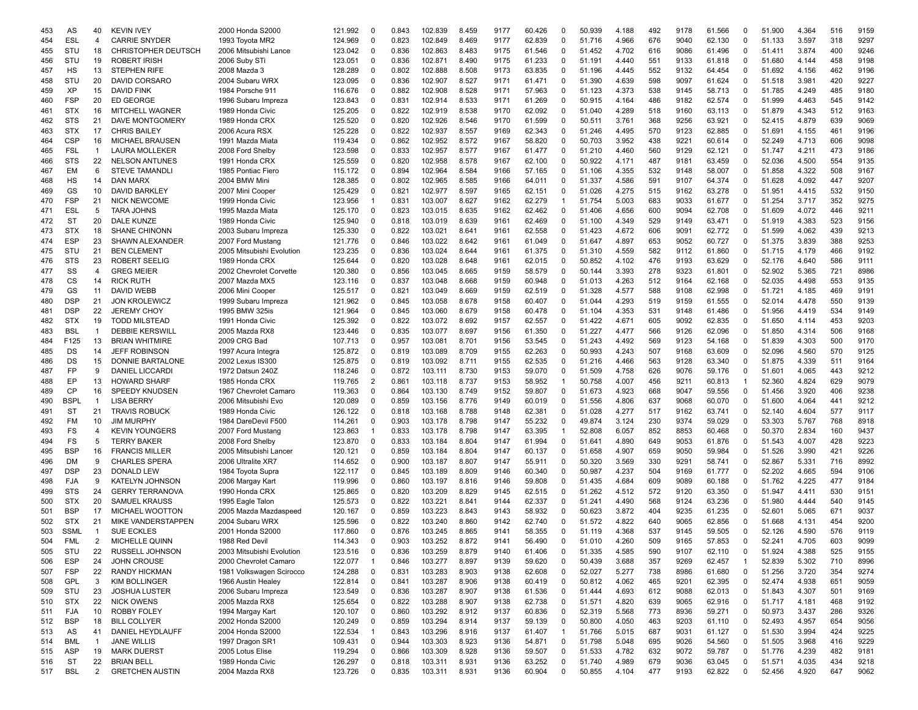| 453 | AS          | 40             | <b>KEVIN IVEY</b>       | 2000 Honda S2000          | 121.992 | 0              | 0.843 | 102.839 | 8.459 | 9177 | 60.426 | 0            | 50.939 | 4.188 | 492 | 9178 | 61.566 | 0            | 51.900 | 4.364 | 516 | 9159 |
|-----|-------------|----------------|-------------------------|---------------------------|---------|----------------|-------|---------|-------|------|--------|--------------|--------|-------|-----|------|--------|--------------|--------|-------|-----|------|
| 454 | <b>ESL</b>  | $\overline{4}$ | <b>CARRIE SNYDER</b>    | 1993 Toyota MR2           | 124.969 | $\mathbf 0$    | 0.823 | 102.849 | 8.469 | 9177 | 62.839 | 0            | 51.716 | 4.966 | 676 | 9040 | 62.130 | $\Omega$     | 51.133 | 3.597 | 318 | 9297 |
| 455 | STU         | 18             | CHRISTOPHER DEUTSCH     | 2006 Mitsubishi Lance     | 123.042 | 0              | 0.836 | 102.863 | 8.483 | 9175 | 61.546 | 0            | 51.452 | 4.702 | 616 | 9086 | 61.496 | 0            | 51.411 | 3.874 | 400 | 9246 |
| 456 | STU         | 19             | <b>ROBERT IRISH</b>     | 2006 Suby STi             | 123.051 | 0              | 0.836 | 102.871 | 8.490 | 9175 | 61.233 | $\Omega$     | 51.191 | 4.440 | 551 | 9133 | 61.818 | 0            | 51.680 | 4.144 | 458 | 9198 |
| 457 | HS          | 13             | <b>STEPHEN RIFE</b>     | 2008 Mazda 3              | 128.289 | 0              | 0.802 | 102.888 | 8.508 | 9173 | 63.835 | 0            | 51.196 | 4.445 | 552 | 9132 | 64.454 | 0            | 51.692 | 4.156 | 462 | 9196 |
| 458 | STU         | 20             | DAVID CORSARO           | 2004 Subaru WRX           | 123.095 | 0              | 0.836 | 102.907 | 8.527 | 9171 | 61.471 | 0            | 51.390 | 4.639 | 598 | 9097 | 61.624 | 0            | 51.518 | 3.981 | 420 | 9227 |
| 459 | XP          | 15             | DAVID FINK              | 1984 Porsche 911          | 116.676 | $\Omega$       | 0.882 | 102.908 | 8.528 | 9171 | 57.963 | 0            | 51.123 | 4.373 | 538 | 9145 | 58.713 | 0            | 51.785 | 4.249 | 485 | 9180 |
| 460 | <b>FSP</b>  | 20             | <b>ED GEORGE</b>        | 1996 Subaru Impreza       | 123.843 | 0              | 0.831 | 102.914 | 8.533 | 9171 | 61.269 | 0            | 50.915 | 4.164 | 486 | 9182 | 62.574 | 0            | 51.999 | 4.463 | 545 | 9142 |
| 461 | <b>STX</b>  | 16             | <b>MITCHELL WAGNER</b>  | 1989 Honda Civic          | 125.205 | $\Omega$       | 0.822 | 102.919 | 8.538 | 9170 | 62.092 | 0            | 51.040 | 4.289 | 518 | 9160 | 63.113 | 0            | 51.879 | 4.343 | 512 | 9163 |
| 462 | <b>STS</b>  | 21             | DAVE MONTGOMERY         | 1989 Honda CRX            | 125.520 | 0              | 0.820 | 102.926 | 8.546 | 9170 | 61.599 | 0            | 50.511 | 3.761 | 368 | 9256 | 63.921 | 0            | 52.415 | 4.879 | 639 | 9069 |
|     | <b>STX</b>  | 17             |                         |                           | 125.228 | 0              | 0.822 | 102.937 | 8.557 | 9169 |        | 0            |        | 4.495 | 570 | 9123 |        | 0            | 51.691 |       | 461 | 9196 |
| 463 |             |                | <b>CHRIS BAILEY</b>     | 2006 Acura RSX            |         |                |       |         |       |      | 62.343 |              | 51.246 |       |     |      | 62.885 |              |        | 4.155 |     |      |
| 464 | <b>CSP</b>  | 16             | <b>MICHAEL BRAUSEN</b>  | 1991 Mazda Miata          | 119.434 | $\mathbf 0$    | 0.862 | 102.952 | 8.572 | 9167 | 58.820 | $\Omega$     | 50.703 | 3.952 | 438 | 9221 | 60.614 | 0            | 52.249 | 4.713 | 606 | 9098 |
| 465 | <b>FSL</b>  | -1             | <b>LAURA MOLLEKER</b>   | 2008 Ford Shelby          | 123.598 | $\Omega$       | 0.833 | 102.957 | 8.577 | 9167 | 61.477 | $\Omega$     | 51.210 | 4.460 | 560 | 9129 | 62.121 | $\Omega$     | 51.747 | 4.211 | 473 | 9186 |
| 466 | <b>STS</b>  | 22             | <b>NELSON ANTUNES</b>   | 1991 Honda CRX            | 125.559 | $\Omega$       | 0.820 | 102.958 | 8.578 | 9167 | 62.100 | 0            | 50.922 | 4.171 | 487 | 9181 | 63.459 | 0            | 52.036 | 4.500 | 554 | 9135 |
| 467 | EM          | 6              | <b>STEVE TAMANDLI</b>   | 1985 Pontiac Fiero        | 115.172 | $\Omega$       | 0.894 | 102.964 | 8.584 | 9166 | 57.165 | 0            | 51.106 | 4.355 | 532 | 9148 | 58.007 | 0            | 51.858 | 4.322 | 508 | 9167 |
| 468 | HS          | 14             | DAN MARX                | 2004 BMW Mini             | 128.385 | $\Omega$       | 0.802 | 102.965 | 8.585 | 9166 | 64.011 | $\mathbf 0$  | 51.337 | 4.586 | 591 | 9107 | 64.374 | 0            | 51.628 | 4.092 | 447 | 9207 |
| 469 | GS          | 10             | <b>DAVID BARKLEY</b>    | 2007 Mini Cooper          | 125.429 | 0              | 0.821 | 102.977 | 8.597 | 9165 | 62.151 | 0            | 51.026 | 4.275 | 515 | 9162 | 63.278 | 0            | 51.951 | 4.415 | 532 | 9150 |
| 470 | <b>FSP</b>  | 21             | <b>NICK NEWCOME</b>     | 1999 Honda Civic          | 123.956 |                | 0.831 | 103.007 | 8.627 | 9162 | 62.279 |              | 51.754 | 5.003 | 683 | 9033 | 61.677 | 0            | 51.254 | 3.717 | 352 | 9275 |
| 471 | <b>ESL</b>  | 5              | <b>TARA JOHNS</b>       | 1995 Mazda Miata          | 125.170 | 0              | 0.823 | 103.015 | 8.635 | 9162 | 62.462 | 0            | 51.406 | 4.656 | 600 | 9094 | 62.708 | 0            | 51.609 | 4.072 | 446 | 9211 |
| 472 | <b>ST</b>   | 20             | DALE KUNZE              | 1989 Honda Civic          | 125.940 | 0              | 0.818 | 103.019 | 8.639 | 9161 | 62.469 | $\Omega$     | 51.100 | 4.349 | 529 | 9149 | 63.471 | $\Omega$     | 51.919 | 4.383 | 523 | 9156 |
| 473 | <b>STX</b>  | 18             | <b>SHANE CHINONN</b>    | 2003 Subaru Impreza       | 125.330 | $\Omega$       | 0.822 | 103.021 | 8.641 | 9161 | 62.558 | 0            | 51.423 | 4.672 | 606 | 9091 | 62.772 | 0            | 51.599 | 4.062 | 439 | 9213 |
| 474 | <b>ESP</b>  | 23             | <b>SHAWN ALEXANDER</b>  | 2007 Ford Mustang         | 121.776 | 0              | 0.846 | 103.022 | 8.642 | 9161 | 61.049 | 0            | 51.647 | 4.897 | 653 | 9052 | 60.727 | 0            | 51.375 | 3.839 | 388 | 9253 |
| 475 | STU         | 21             | <b>BEN CLEMENT</b>      | 2005 Mitsubishi Evolution | 123.235 | $\Omega$       | 0.836 | 103.024 | 8.644 | 9161 | 61.375 | 0            | 51.310 | 4.559 | 582 | 9112 | 61.860 | 0            | 51.715 | 4.179 | 466 | 9192 |
| 476 | <b>STS</b>  | 23             | <b>ROBERT SEELIG</b>    | 1989 Honda CRX            | 125.644 | $\Omega$       | 0.820 | 103.028 | 8.648 | 9161 | 62.015 | $\Omega$     | 50.852 | 4.102 | 476 | 9193 | 63.629 | $\Omega$     | 52.176 | 4.640 | 586 | 9111 |
| 477 | SS          | $\overline{4}$ | <b>GREG MEIER</b>       | 2002 Chevrolet Corvette   | 120.380 | 0              | 0.856 | 103.045 | 8.665 | 9159 | 58.579 | 0            | 50.144 | 3.393 | 278 | 9323 | 61.801 | 0            | 52.902 | 5.365 | 721 | 8986 |
|     |             |                |                         |                           |         |                |       |         |       |      |        |              |        |       |     |      |        |              |        |       |     |      |
| 478 | CS          | 14             | <b>RICK RUTH</b>        | 2007 Mazda MX5            | 123.116 | 0              | 0.837 | 103.048 | 8.668 | 9159 | 60.948 | 0            | 51.013 | 4.263 | 512 | 9164 | 62.168 | 0            | 52.035 | 4.498 | 553 | 9135 |
| 479 | GS          | 11             | <b>DAVID WEBB</b>       | 2006 Mini Cooper          | 125.517 | $\Omega$       | 0.821 | 103.049 | 8.669 | 9159 | 62.519 | $\Omega$     | 51.328 | 4.577 | 588 | 9108 | 62.998 | 0            | 51.721 | 4.185 | 469 | 9191 |
| 480 | <b>DSP</b>  | 21             | <b>JON KROLEWICZ</b>    | 1999 Subaru Impreza       | 121.962 | 0              | 0.845 | 103.058 | 8.678 | 9158 | 60.407 | $\Omega$     | 51.044 | 4.293 | 519 | 9159 | 61.555 | 0            | 52.014 | 4.478 | 550 | 9139 |
| 481 | <b>DSP</b>  | 22             | <b>JEREMY CHOY</b>      | 1995 BMW 325is            | 121.964 | 0              | 0.845 | 103.060 | 8.679 | 9158 | 60.478 | 0            | 51.104 | 4.353 | 531 | 9148 | 61.486 | 0            | 51.956 | 4.419 | 534 | 9149 |
| 482 | <b>STX</b>  | 19             | <b>TODD MILSTEAD</b>    | 1991 Honda Civic          | 125.392 | 0              | 0.822 | 103.072 | 8.692 | 9157 | 62.557 | $\Omega$     | 51.422 | 4.671 | 605 | 9092 | 62.835 | 0            | 51.650 | 4.114 | 453 | 9203 |
| 483 | <b>BSL</b>  |                | <b>DEBBIE KERSWILL</b>  | 2005 Mazda RX8            | 123.446 | $\Omega$       | 0.835 | 103.077 | 8.697 | 9156 | 61.350 | 0            | 51.227 | 4.477 | 566 | 9126 | 62.096 | 0            | 51.850 | 4.314 | 506 | 9168 |
| 484 | F125        | 13             | <b>BRIAN WHITMIRE</b>   | 2009 CRG Bad              | 107.713 | $\Omega$       | 0.957 | 103.081 | 8.701 | 9156 | 53.545 | 0            | 51.243 | 4.492 | 569 | 9123 | 54.168 | 0            | 51.839 | 4.303 | 500 | 9170 |
| 485 | DS          | 14             | <b>JEFF ROBINSON</b>    | 1997 Acura Integra        | 125.872 | 0              | 0.819 | 103.089 | 8.709 | 9155 | 62.263 | 0            | 50.993 | 4.243 | 507 | 9168 | 63.609 | 0            | 52.096 | 4.560 | 570 | 9125 |
| 486 | DS          | 15             | DONNIE BARTALONE        | 2002 Lexus IS300          | 125.875 | $\Omega$       | 0.819 | 103.092 | 8.711 | 9155 | 62.535 | 0            | 51.216 | 4.466 | 563 | 9128 | 63.340 | 0            | 51.875 | 4.339 | 511 | 9164 |
| 487 | <b>FP</b>   | 9              | <b>DANIEL LICCARD</b>   | 1972 Datsun 240Z          | 118,246 | 0              | 0.872 | 103.111 | 8.730 | 9153 | 59.070 | 0            | 51.509 | 4.758 | 626 | 9076 | 59.176 | $\mathbf 0$  | 51.601 | 4.065 | 443 | 9212 |
| 488 | EP          | 13             | <b>HOWARD SHARF</b>     | 1985 Honda CRX            | 119.765 | 2              | 0.861 | 103.118 | 8.737 | 9153 | 58.952 | 1            | 50.758 | 4.007 | 456 | 9211 | 60.813 | 1            | 52.360 | 4.824 | 629 | 9079 |
| 489 | CP          | 16             | <b>SPEEDY KNUDSEN</b>   | 1967 Chevrolet Camaro     | 119.363 | 0              | 0.864 | 103.130 | 8.749 | 9152 | 59.807 | $\Omega$     | 51.673 | 4.923 | 668 | 9047 | 59.556 | 0            | 51.456 | 3.920 | 406 | 9238 |
| 490 | <b>BSPL</b> | -1             | <b>LISA BERRY</b>       | 2006 Mitsubishi Evo       | 120.089 | $\Omega$       | 0.859 | 103.156 | 8.776 | 9149 | 60.019 | $\Omega$     | 51.556 | 4.806 | 637 | 9068 | 60.070 | 0            | 51.600 | 4.064 | 441 | 9212 |
| 491 | <b>ST</b>   | 21             | <b>TRAVIS ROBUCK</b>    | 1989 Honda Civic          | 126.122 | 0              | 0.818 | 103.168 | 8.788 | 9148 | 62.381 | 0            | 51.028 | 4.277 | 517 | 9162 | 63.741 | $\Omega$     | 52.140 | 4.604 | 577 | 9117 |
| 492 | FM          | 10             | <b>JIM MURPHY</b>       | 1984 DareDevil F500       | 114.261 | 0              | 0.903 | 103.178 | 8.798 | 9147 | 55.232 | 0            | 49.874 | 3.124 | 230 | 9374 | 59.029 | 0            | 53.303 | 5.767 | 768 | 8918 |
| 493 | FS          | 4              | <b>KEVIN YOUNGERS</b>   | 2007 Ford Mustang         | 123.863 | -1             | 0.833 | 103.178 | 8.798 | 9147 | 63.395 | -1           | 52.808 | 6.057 | 852 | 8853 | 60.468 | 0            | 50.370 | 2.834 | 160 | 9437 |
| 494 | FS          | 5              | <b>TERRY BAKER</b>      | 2008 Ford Shelby          | 123.870 | 0              | 0.833 | 103.184 | 8.804 | 9147 | 61.994 | 0            | 51.641 | 4.890 | 649 | 9053 | 61.876 | 0            | 51.543 | 4.007 | 428 | 9223 |
| 495 | <b>BSP</b>  | 16             | <b>FRANCIS MILLER</b>   | 2005 Mitsubishi Lancer    | 120.121 | $\Omega$       | 0.859 | 103.184 | 8.804 | 9147 | 60.137 | $\Omega$     | 51.658 | 4.907 | 659 | 9050 | 59.984 | 0            | 51.526 | 3.990 | 421 | 9226 |
|     | DM          | 9              | <b>CHARLES SPERA</b>    |                           |         |                | 0.900 |         | 8.807 | 9147 |        | 0            |        | 3.569 | 330 | 9291 |        | 0            | 52.867 |       | 716 | 8992 |
| 496 |             |                |                         | 2006 Ultralite XR7        | 114.652 | 0              |       | 103.187 |       |      | 55.911 | $\Omega$     | 50.320 |       |     |      | 58.741 |              |        | 5.331 |     |      |
| 497 | <b>DSP</b>  | 23             | <b>DONALD LEW</b>       | 1984 Toyota Supra         | 122.117 | $\Omega$       | 0.845 | 103.189 | 8.809 | 9146 | 60.340 |              | 50.987 | 4.237 | 504 | 9169 | 61.777 | 0            | 52.202 | 4.665 | 594 | 9106 |
| 498 | FJA         | 9              | <b>KATELYN JOHNSON</b>  | 2006 Margay Kart          | 119.996 | $\Omega$       | 0.860 | 103.197 | 8.816 | 9146 | 59.808 | 0            | 51.435 | 4.684 | 609 | 9089 | 60.188 | 0            | 51.762 | 4.225 | 477 | 9184 |
| 499 | <b>STS</b>  | 24             | <b>GERRY TERRANOVA</b>  | 1990 Honda CRX            | 125.865 | 0              | 0.820 | 103.209 | 8.829 | 9145 | 62.515 | 0            | 51.262 | 4.512 | 572 | 9120 | 63.350 | 0            | 51.947 | 4.411 | 530 | 9151 |
| 500 | <b>STX</b>  | 20             | <b>SAMUEL KRAUSS</b>    | 1995 Eagle Talon          | 125.573 | $\Omega$       | 0.822 | 103.221 | 8.841 | 9144 | 62.337 | 0            | 51.241 | 4.490 | 568 | 9124 | 63.236 | $\Omega$     | 51.980 | 4.444 | 540 | 9145 |
| 501 | <b>BSP</b>  | 17             | <b>MICHAEL WOOTTON</b>  | 2005 Mazda Mazdaspeed     | 120.167 | $\Omega$       | 0.859 | 103.223 | 8.843 | 9143 | 58.932 | 0            | 50.623 | 3.872 | 404 | 9235 | 61.235 | 0            | 52.601 | 5.065 | 671 | 9037 |
| 502 | <b>STX</b>  | 21             | MIKE VANDERSTAPPEN      | 2004 Subaru WRX           | 125.596 | 0              | 0.822 | 103.240 | 8.860 | 9142 | 62.740 | 0            | 51.572 | 4.822 | 640 | 9065 | 62.856 | 0            | 51.668 | 4.131 | 454 | 9200 |
| 503 | <b>SSML</b> | -1             | <b>SUE ECKLES</b>       | 2001 Honda S2000          | 117.860 | $\Omega$       | 0.876 | 103.245 | 8.865 | 9141 | 58.355 | 0            | 51.119 | 4.368 | 537 | 9145 | 59.505 | 0            | 52.126 | 4.590 | 576 | 9119 |
| 504 | FML         | 2              | <b>MICHELLE QUINN</b>   | 1988 Red Devil            | 114.343 | $\Omega$       | 0.903 | 103.252 | 8.872 | 9141 | 56.490 | $\Omega$     | 51.010 | 4.260 | 509 | 9165 | 57.853 | O            | 52.241 | 4.705 | 603 | 9099 |
| 505 | STU         | 22             | RUSSELL JOHNSON         | 2003 Mitsubishi Evolution | 123.516 | 0              | 0.836 | 103.259 | 8.879 | 9140 | 61.406 | 0            | 51.335 | 4.585 | 590 | 9107 | 62.110 | 0            | 51.924 | 4.388 | 525 | 9155 |
| 506 | <b>ESP</b>  | 24             | <b>JOHN CROUSE</b>      | 2000 Chevrolet Camaro     | 122.077 | $\overline{1}$ | 0.846 | 103.277 | 8.897 | 9139 | 59.620 | 0            | 50.439 | 3.688 | 357 | 9269 | 62.457 | $\mathbf{1}$ | 52.839 | 5.302 | 710 | 8996 |
| 507 | <b>FSP</b>  | 22             | <b>RANDY HICKMAN</b>    | 1981 Volkswagen Scirocco  | 124.288 | $\mathbf 0$    | 0.831 | 103.283 | 8.903 | 9138 | 62.608 | 0            | 52.027 | 5.277 | 738 | 8986 | 61.680 | 0            | 51.256 | 3.720 | 354 | 9274 |
| 508 | GPL         | 3              | <b>KIM BOLLINGER</b>    | 1966 Austin Healey        | 122.814 | 0              | 0.841 | 103.287 | 8.906 | 9138 | 60.419 | 0            | 50.812 | 4.062 | 465 | 9201 | 62.395 | 0            | 52.474 | 4.938 | 651 | 9059 |
| 509 | STU         | 23             | <b>JOSHUA LUSTER</b>    | 2006 Subaru Impreza       | 123.549 | 0              | 0.836 | 103.287 | 8.907 | 9138 | 61.536 | 0            | 51.444 | 4.693 | 612 | 9088 | 62.013 | 0            | 51.843 | 4.307 | 501 | 9169 |
| 510 | <b>STX</b>  | 22             | <b>NICK OWENS</b>       | 2005 Mazda RX8            | 125.654 | 0              | 0.822 | 103.288 | 8.907 | 9138 | 62.738 | 0            | 51.571 | 4.820 | 639 | 9065 | 62.916 | 0            | 51.717 | 4.181 | 468 | 9192 |
|     | <b>FJA</b>  | 10             | <b>ROBBY FOLEY</b>      | 1994 Margay Kart          | 120.107 | 0              | 0.860 | 103.292 | 8.912 | 9137 | 60.836 | 0            | 52.319 | 5.568 | 773 | 8936 | 59.271 | 0            | 50.973 | 3.437 | 286 | 9326 |
| 511 | <b>BSP</b>  | 18             | <b>BILL COLLYER</b>     | 2002 Honda S2000          |         | 0              | 0.859 | 103.294 | 8.914 | 9137 |        |              | 50.800 | 4.050 | 463 | 9203 |        | 0            | 52.493 |       | 654 | 9056 |
| 512 |             |                | <b>DANIEL HEYDLAUFF</b> |                           | 120.249 |                |       |         |       |      | 59.139 | 0            |        |       |     |      | 61.110 |              |        | 4.957 |     |      |
| 513 | AS          | 41             |                         | 2004 Honda S2000          | 122.534 | -1             | 0.843 | 103.296 | 8.916 | 9137 | 61.407 | $\mathbf{1}$ | 51.766 | 5.015 | 687 | 9031 | 61.127 | 0            | 51.530 | 3.994 | 424 | 9225 |
| 514 | <b>BML</b>  | $\mathbf{1}$   | <b>JANE WILLIS</b>      | 1997 Dragon SR1           | 109.431 | 0              | 0.944 | 103.303 | 8.923 | 9136 | 54.871 | $\mathbf 0$  | 51.798 | 5.048 | 695 | 9026 | 54.560 | 0            | 51.505 | 3.968 | 416 | 9229 |
| 515 | ASP         | 19             | <b>MARK DUERST</b>      | 2005 Lotus Elise          | 119.294 | 0              | 0.866 | 103.309 | 8.928 | 9136 | 59.507 | 0            | 51.533 | 4.782 | 632 | 9072 | 59.787 | 0            | 51.776 | 4.239 | 482 | 9181 |
| 516 | <b>ST</b>   | 22             | <b>BRIAN BELL</b>       | 1989 Honda Civic          | 126.297 | 0              | 0.818 | 103.311 | 8.931 | 9136 | 63.252 | 0            | 51.740 | 4.989 | 679 | 9036 | 63.045 | 0            | 51.571 | 4.035 | 434 | 9218 |
| 517 | <b>BSL</b>  | 2              | <b>GRETCHEN AUSTIN</b>  | 2004 Mazda RX8            | 123.726 | 0              | 0.835 | 103.311 | 8.931 | 9136 | 60.904 | $\mathbf 0$  | 50.855 | 4.104 | 477 | 9193 | 62.822 | $\mathbf 0$  | 52.456 | 4.920 | 647 | 9062 |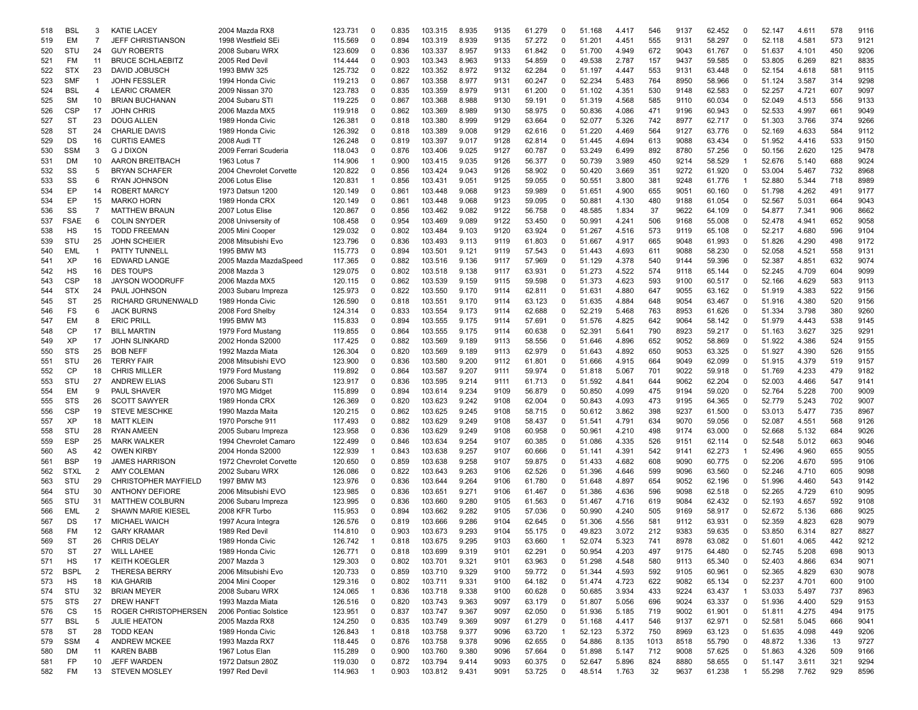| 518 | <b>BSL</b>  | 3              | <b>KATIE LACEY</b>          | 2004 Mazda RX8          | 123.731 | 0              | 0.835 | 103.315 | 8.935 | 9135 | 61.279 | 0              | 51.168 | 4.417 | 546  | 9137 | 62.452 | $\Omega$       | 52.147 | 4.611 | 578 | 9116 |
|-----|-------------|----------------|-----------------------------|-------------------------|---------|----------------|-------|---------|-------|------|--------|----------------|--------|-------|------|------|--------|----------------|--------|-------|-----|------|
| 519 | EM          | $\overline{7}$ | <b>JEFF CHRISTIANSON</b>    | 1998 Westfield SEi      | 115.569 | 0              | 0.894 | 103.319 | 8.939 | 9135 | 57.272 | 0              | 51.201 | 4.451 | 555  | 9131 | 58.297 | $\mathbf 0$    | 52.118 | 4.581 | 573 | 9121 |
| 520 | STU         | 24             | <b>GUY ROBERTS</b>          | 2008 Subaru WRX         | 123,609 | 0              | 0.836 | 103.337 | 8.957 | 9133 | 61.842 | 0              | 51.700 | 4.949 | 672  | 9043 | 61.767 | $\mathbf 0$    | 51.637 | 4.101 | 450 | 9206 |
| 521 | FM          | 11             | <b>BRUCE SCHLAEBITZ</b>     | 2005 Red Devil          | 114.444 | $\Omega$       | 0.903 | 103.343 | 8.963 | 9133 | 54.859 | 0              | 49.538 | 2.787 | 157  | 9437 | 59.585 | $\mathbf 0$    | 53.805 | 6.269 | 821 | 8835 |
| 522 | <b>STX</b>  | 23             | DAVID JOBUSCH               | 1993 BMW 325            | 125.732 | 0              | 0.822 | 103.352 | 8.972 | 9132 | 62.284 | $\Omega$       | 51.197 | 4.447 | 553  | 9131 | 63.448 | 0              | 52.154 | 4.618 | 581 | 9115 |
| 523 | SMF         | $\overline{1}$ | <b>JOHN FESSLER</b>         | 1994 Honda Civic        | 119.213 | $\Omega$       | 0.867 | 103.358 | 8.977 | 9131 | 60.247 | $\Omega$       | 52.234 | 5.483 | 764  | 8950 | 58.966 | $\Omega$       | 51.124 | 3.587 | 314 | 9298 |
| 524 | <b>BSL</b>  | 4              | <b>LEARIC CRAMER</b>        | 2009 Nissan 370         | 123.783 | $\Omega$       | 0.835 | 103.359 | 8.979 | 9131 | 61.200 | 0              | 51.102 | 4.351 | 530  | 9148 | 62.583 | $\mathbf 0$    | 52.257 | 4.721 | 607 | 9097 |
| 525 | <b>SM</b>   | 10             | <b>BRIAN BUCHANAN</b>       | 2004 Subaru STI         | 119.225 | 0              | 0.867 | 103.368 | 8.988 | 9130 | 59.191 | 0              | 51.319 | 4.568 | 585  | 9110 | 60.034 | 0              | 52.049 | 4.513 | 556 | 9133 |
|     |             |                |                             |                         |         |                |       |         |       |      |        |                |        |       |      |      |        |                |        |       |     |      |
| 526 | CSP         | 17             | <b>JOHN CHRIS</b>           | 2006 Mazda MX5          | 119.918 | 0              | 0.862 | 103.369 | 8.989 | 9130 | 58.975 | 0              | 50.836 | 4.086 | 471  | 9196 | 60.943 | 0              | 52.533 | 4.997 | 661 | 9049 |
| 527 | ST          | 23             | DOUG ALLEN                  | 1989 Honda Civic        | 126.381 | 0              | 0.818 | 103.380 | 8.999 | 9129 | 63.664 | 0              | 52.077 | 5.326 | 742  | 8977 | 62.717 | 0              | 51.303 | 3.766 | 374 | 9266 |
| 528 | ST          | 24             | <b>CHARLIE DAVIS</b>        | 1989 Honda Civic        | 126.392 | $\Omega$       | 0.818 | 103.389 | 9.008 | 9129 | 62.616 | 0              | 51.220 | 4.469 | 564  | 9127 | 63.776 | 0              | 52.169 | 4.633 | 584 | 9112 |
| 529 | DS          | 16             | <b>CURTIS EAMES</b>         | 2008 Audi TT            | 126.248 | 0              | 0.819 | 103.397 | 9.017 | 9128 | 62.814 | 0              | 51.445 | 4.694 | 613  | 9088 | 63.434 | $\mathbf 0$    | 51.952 | 4.416 | 533 | 9150 |
| 530 | <b>SSM</b>  | 3              | <b>G J DIXON</b>            | 2009 Ferrari Scuderia   | 118.043 | $\Omega$       | 0.876 | 103.406 | 9.025 | 9127 | 60.787 | $\Omega$       | 53.249 | 6.499 | 892  | 8780 | 57.256 | $\Omega$       | 50.156 | 2.620 | 125 | 9478 |
| 531 | DM          | 10             | <b>AARON BREITBACH</b>      | 1963 Lotus 7            | 114.906 |                | 0.900 | 103.415 | 9.035 | 9126 | 56.377 | $\Omega$       | 50.739 | 3.989 | 450  | 9214 | 58.529 | -1             | 52.676 | 5.140 | 688 | 9024 |
| 532 | SS          | 5              | <b>BRYAN SCHAFER</b>        | 2004 Chevrolet Corvette | 120.822 | $\Omega$       | 0.856 | 103.424 | 9.043 | 9126 | 58.902 | 0              | 50.420 | 3.669 | 351  | 9272 | 61.920 | $\mathbf 0$    | 53.004 | 5.467 | 732 | 8968 |
| 533 | SS          | 6              | <b>RYAN JOHNSON</b>         | 2006 Lotus Elise        | 120.831 | -1             | 0.856 | 103.431 | 9.051 | 9125 | 59.055 | 0              | 50.551 | 3.800 | 381  | 9248 | 61.776 | $\mathbf{1}$   | 52.880 | 5.344 | 718 | 8989 |
| 534 | EP          | 14             | <b>ROBERT MARCY</b>         | 1973 Datsun 1200        | 120.149 | 0              | 0.861 | 103.448 | 9.068 | 9123 | 59.989 | 0              | 51.651 | 4.900 | 655  | 9051 | 60.160 | 0              | 51.798 | 4.262 | 491 | 9177 |
| 534 | EP          | 15             | <b>MARKO HORN</b>           | 1989 Honda CRX          | 120.149 | $\Omega$       | 0.861 | 103.448 | 9.068 | 9123 | 59.095 | 0              | 50.881 | 4.130 | 480  | 9188 | 61.054 | 0              | 52.567 | 5.031 | 664 | 9043 |
| 536 | SS          | $\overline{7}$ | <b>MATTHEW BRAUN</b>        | 2007 Lotus Elise        | 120.867 | 0              | 0.856 | 103.462 | 9.082 | 9122 | 56.758 | 0              | 48.585 | 1.834 | 37   | 9622 | 64.109 | 0              | 54.877 | 7.341 | 906 | 8662 |
| 537 | <b>FSAE</b> | 6              | <b>COLIN SNYDER</b>         | 2008 Univsersity of     | 108.458 | 0              | 0.954 | 103.469 | 9.089 | 9122 | 53.450 | 0              | 50.991 | 4.241 | 506  | 9168 | 55.008 | $\mathbf 0$    | 52.478 | 4.941 | 652 | 9058 |
|     |             |                |                             |                         |         |                |       |         |       |      |        |                |        |       |      |      |        | $\Omega$       |        |       |     |      |
| 538 | HS          | 15             | <b>TODD FREEMAN</b>         | 2005 Mini Cooper        | 129.032 | 0              | 0.802 | 103.484 | 9.103 | 9120 | 63.924 | 0              | 51.267 | 4.516 | 573  | 9119 | 65.108 |                | 52.217 | 4.680 | 596 | 9104 |
| 539 | STU         | 25             | <b>JOHN SCHEIER</b>         | 2008 Mitsubishi Evo     | 123.796 | $\Omega$       | 0.836 | 103.493 | 9.113 | 9119 | 61.803 | 0              | 51.667 | 4.917 | 665  | 9048 | 61.993 | $\Omega$       | 51.826 | 4.290 | 498 | 9172 |
| 540 | EML         | $\overline{1}$ | PATTY TUNNELL               | 1995 BMW M3             | 115.773 | $\Omega$       | 0.894 | 103.501 | 9.121 | 9119 | 57.543 | 0              | 51.443 | 4.693 | 611  | 9088 | 58.230 | $\Omega$       | 52.058 | 4.521 | 558 | 9131 |
| 541 | XP          | 16             | <b>EDWARD LANGE</b>         | 2005 Mazda MazdaSpeed   | 117.365 | $\Omega$       | 0.882 | 103.516 | 9.136 | 9117 | 57.969 | 0              | 51.129 | 4.378 | 540  | 9144 | 59.396 | $\mathbf 0$    | 52.387 | 4.851 | 632 | 9074 |
| 542 | НS          | 16             | <b>DES TOUPS</b>            | 2008 Mazda 3            | 129.075 | $\Omega$       | 0.802 | 103.518 | 9.138 | 9117 | 63.931 | 0              | 51.273 | 4.522 | 574  | 9118 | 65.144 | 0              | 52.245 | 4.709 | 604 | 9099 |
| 543 | <b>CSP</b>  | 18             | <b>JAYSON WOODRUFF</b>      | 2006 Mazda MX5          | 120.115 | 0              | 0.862 | 103.539 | 9.159 | 9115 | 59.598 | 0              | 51.373 | 4.623 | 593  | 9100 | 60.517 | 0              | 52.166 | 4.629 | 583 | 9113 |
| 544 | <b>STX</b>  | 24             | PAUL JOHNSON                | 2003 Subaru Impreza     | 125.973 | $\Omega$       | 0.822 | 103.550 | 9.170 | 9114 | 62.811 | 0              | 51.631 | 4.880 | 647  | 9055 | 63.162 | 0              | 51.919 | 4.383 | 522 | 9156 |
| 545 | ST          | 25             | RICHARD GRUNENWALD          | 1989 Honda Civic        | 126.590 | 0              | 0.818 | 103.551 | 9.170 | 9114 | 63.123 | 0              | 51.635 | 4.884 | 648  | 9054 | 63.467 | 0              | 51.916 | 4.380 | 520 | 9156 |
| 546 | FS          | 6              | <b>JACK BURNS</b>           | 2008 Ford Shelby        | 124.314 | 0              | 0.833 | 103.554 | 9.173 | 9114 | 62.688 | 0              | 52.219 | 5.468 | 763  | 8953 | 61.626 | 0              | 51.334 | 3.798 | 380 | 9260 |
| 547 | EM          | 8              | <b>ERIC PRILL</b>           | 1995 BMW M3             | 115.833 | 0              | 0.894 | 103.555 | 9.175 | 9114 | 57.691 | 0              | 51.576 | 4.825 | 642  | 9064 | 58.142 | $\Omega$       | 51.979 | 4.443 | 538 | 9145 |
|     | СP          | 17             | <b>BILL MARTIN</b>          |                         |         | $\Omega$       | 0.864 | 103.555 | 9.175 | 9114 |        | $\Omega$       | 52.391 | 5.641 | 790  | 8923 | 59.217 | $\Omega$       | 51.163 | 3.627 | 325 | 929' |
| 548 |             |                |                             | 1979 Ford Mustang       | 119.855 |                |       |         |       |      | 60.638 |                |        |       |      |      |        |                |        |       |     |      |
| 549 | XP          | 17             | <b>JOHN SLINKARD</b>        | 2002 Honda S2000        | 117.425 | $\Omega$       | 0.882 | 103.569 | 9.189 | 9113 | 58.556 | 0              | 51.646 | 4.896 | 652  | 9052 | 58.869 | $\Omega$       | 51.922 | 4.386 | 524 | 9155 |
| 550 | <b>STS</b>  | 25             | <b>BOB NEFF</b>             | 1992 Mazda Miata        | 126.304 | 0              | 0.820 | 103.569 | 9.189 | 9113 | 62.979 | 0              | 51.643 | 4.892 | 650  | 9053 | 63.325 | 0              | 51.927 | 4.390 | 526 | 9155 |
| 551 | STU         | 26             | <b>TERRY FAIR</b>           | 2008 Mitsubishi EVO     | 123.900 | 0              | 0.836 | 103.580 | 9.200 | 9112 | 61.801 | 0              | 51.666 | 4.915 | 664  | 9049 | 62.099 | 0              | 51.915 | 4.379 | 519 | 9157 |
| 552 | CP          | 18             | <b>CHRIS MILLER</b>         | 1979 Ford Mustang       | 119.892 | 0              | 0.864 | 103.587 | 9.207 | 9111 | 59.974 | 0              | 51.818 | 5.067 | 701  | 9022 | 59.918 | 0              | 51.769 | 4.233 | 479 | 9182 |
| 553 | STU         | 27             | <b>ANDREW ELIAS</b>         | 2006 Subaru STI         | 123.917 | 0              | 0.836 | 103.595 | 9.214 | 9111 | 61.713 | 0              | 51.592 | 4.841 | 644  | 9062 | 62.204 | 0              | 52.003 | 4.466 | 547 | 9141 |
| 554 | EM          | 9              | PAUL SHAVER                 | 1970 MG Midget          | 115.899 | 0              | 0.894 | 103.614 | 9.234 | 9109 | 56.879 | 0              | 50.850 | 4.099 | 475  | 9194 | 59.020 | $\mathbf 0$    | 52.764 | 5.228 | 700 | 9009 |
| 555 | <b>STS</b>  | 26             | <b>SCOTT SAWYER</b>         | 1989 Honda CRX          | 126.369 | $\Omega$       | 0.820 | 103.623 | 9.242 | 9108 | 62.004 | $\Omega$       | 50.843 | 4.093 | 473  | 9195 | 64.365 | $\Omega$       | 52.779 | 5.243 | 702 | 9007 |
| 556 | <b>CSP</b>  | 19             | <b>STEVE MESCHKE</b>        | 1990 Mazda Maita        | 120.215 | $\Omega$       | 0.862 | 103.625 | 9.245 | 9108 | 58.715 | 0              | 50.612 | 3.862 | 398  | 9237 | 61.500 | 0              | 53.013 | 5.477 | 735 | 8967 |
| 557 | <b>XP</b>   | 18             | <b>MATT KLEIN</b>           | 1970 Porsche 911        | 117.493 | $\Omega$       | 0.882 | 103.629 | 9.249 | 9108 | 58.437 | 0              | 51.541 | 4.791 | 634  | 9070 | 59.056 | $\mathbf 0$    | 52.087 | 4.551 | 568 | 9126 |
| 558 | STU         | 28             | <b>RYAN AMEEN</b>           | 2005 Subaru Impreza     | 123.958 | 0              | 0.836 | 103.629 | 9.249 | 9108 | 60.958 | 0              | 50.961 | 4.210 | 498  | 9174 | 63.000 | 0              | 52.668 | 5.132 | 684 | 9026 |
| 559 | <b>ESP</b>  | 25             | <b>MARK WALKER</b>          | 1994 Chevrolet Camaro   | 122.499 | 0              | 0.846 | 103.634 | 9.254 | 9107 | 60.385 | 0              | 51.086 | 4.335 | 526  | 9151 | 62.114 | $\mathbf 0$    | 52.548 | 5.012 | 663 | 9046 |
|     | AS          | 42             | <b>OWEN KIRBY</b>           | 2004 Honda S2000        | 122.939 | -1             | 0.843 | 103.638 | 9.257 | 9107 | 60.666 | 0              | 51.141 | 4.391 | 542  | 9141 | 62.273 | -1             | 52.496 | 4.960 | 655 | 9055 |
| 560 |             |                |                             |                         |         |                |       |         |       |      |        |                |        |       |      |      |        |                |        |       |     |      |
| 561 | <b>BSP</b>  | 19             | <b>JAMES HARRISON</b>       | 1972 Chevrolet Corvette | 120.650 | 0              | 0.859 | 103.638 | 9.258 | 9107 | 59.875 | 0              | 51.433 | 4.682 | 608  | 9090 | 60.775 | $\mathbf 0$    | 52.206 | 4.670 | 595 | 9106 |
| 562 | <b>STXL</b> | 2              | AMY COLEMAN                 | 2002 Subaru WRX         | 126.086 | $\Omega$       | 0.822 | 103.643 | 9.263 | 9106 | 62.526 | 0              | 51.396 | 4.646 | 599  | 9096 | 63.560 | $\mathbf 0$    | 52.246 | 4.710 | 605 | 9098 |
| 563 | STU         | 29             | <b>CHRISTOPHER MAYFIELD</b> | 1997 BMW M3             | 123.976 | $\Omega$       | 0.836 | 103.644 | 9.264 | 9106 | 61.780 | $\Omega$       | 51.648 | 4.897 | 654  | 9052 | 62.196 | $\Omega$       | 51.996 | 4.460 | 543 | 9142 |
| 564 | STU         | 30             | <b>ANTHONY DEFIORE</b>      | 2006 Mitsubishi EVO     | 123.985 | $\Omega$       | 0.836 | 103.651 | 9.271 | 9106 | 61.467 | 0              | 51.386 | 4.636 | 596  | 9098 | 62.518 | $\Omega$       | 52.265 | 4.729 | 610 | 9095 |
| 565 | STU         | 31             | <b>MATTHEW COLBURN</b>      | 2006 Subaru Impreza     | 123.995 | $\Omega$       | 0.836 | 103.660 | 9.280 | 9105 | 61.563 | 0              | 51.467 | 4.716 | 619  | 9084 | 62.432 | $\mathbf 0$    | 52.193 | 4.657 | 592 | 9108 |
| 566 | EML         | $\overline{2}$ | <b>SHAWN MARIE KIESEL</b>   | 2008 KFR Turbo          | 115.953 | $\Omega$       | 0.894 | 103.662 | 9.282 | 9105 | 57.036 | 0              | 50.990 | 4.240 | 505  | 9169 | 58.917 | $\Omega$       | 52.672 | 5.136 | 686 | 9025 |
| 567 | DS          | 17             | <b>MICHAEL WAICH</b>        | 1997 Acura Integra      | 126.576 | $\Omega$       | 0.819 | 103.666 | 9.286 | 9104 | 62.645 | 0              | 51.306 | 4.556 | 581  | 9112 | 63.931 | 0              | 52.359 | 4.823 | 628 | 9079 |
| 568 | FM          | 12             | <b>GARY KRAMAR</b>          | 1989 Red Devil          | 114.810 | 0              | 0.903 | 103.673 | 9.293 | 9104 | 55.175 | 0              | 49.823 | 3.072 | 212  | 9383 | 59.635 | 0              | 53.850 | 6.314 | 827 | 8827 |
| 569 | ST          | 26             | <b>CHRIS DELAY</b>          | 1989 Honda Civic        | 126.742 | -1             | 0.818 | 103.675 | 9.295 | 9103 | 63.660 | -1             | 52.074 | 5.323 | 741  | 8978 | 63.082 | $\Omega$       | 51.601 | 4.065 | 442 | 9212 |
| 570 | <b>ST</b>   | 27             | WILL LAHEE                  | 1989 Honda Civic        | 126.771 | $\mathbf 0$    | 0.818 | 103.699 | 9.319 | 9101 | 62.291 | 0              | 50.954 | 4.203 | 497  | 9175 | 64.480 | 0              | 52.745 | 5.208 | 698 | 9013 |
| 571 | HS          | 17             | <b>KEITH KOEGLER</b>        | 2007 Mazda 3            | 129.303 | 0              | 0.802 | 103.701 | 9.321 | 9101 | 63.963 | 0              | 51.298 | 4.548 | 580  | 9113 | 65.340 | 0              | 52.403 | 4.866 | 634 | 9071 |
|     |             |                |                             |                         |         |                |       |         |       |      |        |                |        |       |      |      |        |                |        |       |     |      |
| 572 | <b>BSPL</b> | 2              | <b>THERESA BERRY</b>        | 2006 Mitsubishi Evo     | 120.733 | 0              | 0.859 | 103.710 | 9.329 | 9100 | 59.772 | 0              | 51.344 | 4.593 | 592  | 9105 | 60.961 | 0              | 52.365 | 4.829 | 630 | 9078 |
| 573 | HS          | 18             | <b>KIA GHARIB</b>           | 2004 Mini Cooper        | 129.316 | 0              | 0.802 | 103.711 | 9.331 | 9100 | 64.182 | 0              | 51.474 | 4.723 | 622  | 9082 | 65.134 | 0              | 52.237 | 4.701 | 600 | 9100 |
| 574 | STU         | 32             | <b>BRIAN MEYER</b>          | 2008 Subaru WRX         | 124.065 | $\overline{1}$ | 0.836 | 103.718 | 9.338 | 9100 | 60.628 | 0              | 50.685 | 3.934 | 433  | 9224 | 63.437 | $\overline{1}$ | 53.033 | 5.497 | 737 | 8963 |
| 575 | <b>STS</b>  | 27             | <b>DREW HANFT</b>           | 1993 Mazda Miata        | 126.516 | 0              | 0.820 | 103.743 | 9.363 | 9097 | 63.179 | 0              | 51.807 | 5.056 | 696  | 9024 | 63.337 | 0              | 51.936 | 4.400 | 529 | 9153 |
| 576 | CS          | 15             | ROGER CHRISTOPHERSEN        | 2006 Pontiac Solstice   | 123.951 | 0              | 0.837 | 103.747 | 9.367 | 9097 | 62.050 | 0              | 51.936 | 5.185 | 719  | 9002 | 61.901 | $\mathbf 0$    | 51.811 | 4.275 | 494 | 9175 |
| 577 | <b>BSL</b>  | 5              | JULIE HEATON                | 2005 Mazda RX8          | 124.250 | 0              | 0.835 | 103.749 | 9.369 | 9097 | 61.279 | 0              | 51.168 | 4.417 | 546  | 9137 | 62.971 | $\mathbf 0$    | 52.581 | 5.045 | 666 | 9041 |
| 578 | <b>ST</b>   | 28             | <b>TODD KEAN</b>            | 1989 Honda Civic        | 126.843 | -1             | 0.818 | 103.758 | 9.377 | 9096 | 63.720 | $\overline{1}$ | 52.123 | 5.372 | 750  | 8969 | 63.123 | 0              | 51.635 | 4.098 | 449 | 9206 |
| 579 | <b>SSM</b>  | 4              | <b>ANDREW MCKEE</b>         | 1993 Mazda RX7          | 118.445 | 0              | 0.876 | 103.758 | 9.378 | 9096 | 62.655 | 0              | 54.886 | 8.135 | 1013 | 8518 | 55.790 | 0              | 48.872 | 1.336 | 13  | 9727 |
| 580 | DM          | 11             | <b>KAREN BABB</b>           | 1967 Lotus Elan         | 115.289 | 0              | 0.900 | 103.760 | 9.380 | 9096 | 57.664 | 0              | 51.898 | 5.147 | 712  | 9008 | 57.625 | 0              | 51.863 | 4.326 | 509 | 9166 |
| 581 | FP          | 10             | <b>JEFF WARDEN</b>          | 1972 Datsun 280Z        | 119.030 | 0              | 0.872 | 103.794 | 9.414 | 9093 | 60.375 | 0              | 52.647 | 5.896 | 824  | 8880 | 58.655 | 0              | 51.147 | 3.611 | 321 | 9294 |
|     | FM          | 13             | <b>STEVEN MOSLEY</b>        | 1997 Red Devil          |         | $\mathbf{1}$   | 0.903 | 103.812 | 9.431 | 9091 |        | 0              |        |       | 32   | 9637 |        | $\mathbf{1}$   | 55.298 | 7.762 | 929 | 8596 |
| 582 |             |                |                             |                         | 114.963 |                |       |         |       |      | 53.725 |                | 48.514 | 1.763 |      |      | 61.238 |                |        |       |     |      |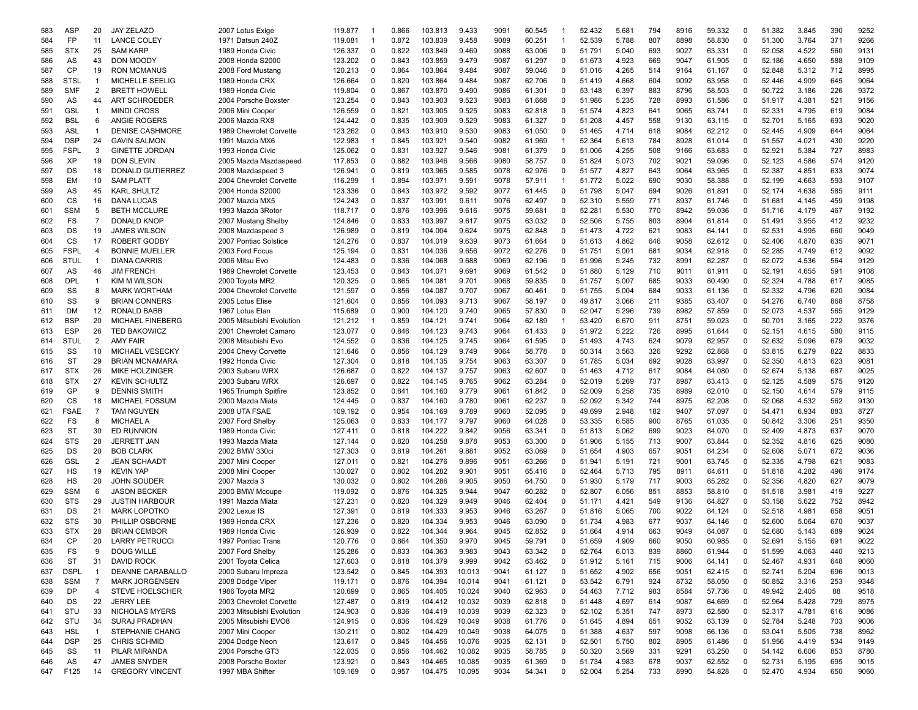| 583 | ASP         | 20             | <b>JAY ZELAZO</b>       | 2007 Lotus Exige          | 119.877 | -1          | 0.866 | 103.813 | 9.433  | 9091 | 60.545 | -1          | 52.432 | 5.681 | 794 | 8916 | 59.332 | 0           | 51.382 | 3.845 | 390 | 9252 |
|-----|-------------|----------------|-------------------------|---------------------------|---------|-------------|-------|---------|--------|------|--------|-------------|--------|-------|-----|------|--------|-------------|--------|-------|-----|------|
| 584 | FP          | 11             | <b>LANCE COLEY</b>      | 1971 Datsun 240Z          | 119.081 | -1          | 0.872 | 103.839 | 9.458  | 9089 | 60.251 | -1          | 52.539 | 5.788 | 807 | 8898 | 58.830 | $\mathbf 0$ | 51.300 | 3.764 | 371 | 9266 |
| 585 | <b>STX</b>  | 25             | <b>SAM KARP</b>         | 1989 Honda Civic          | 126.337 | 0           | 0.822 | 103.849 | 9.469  | 9088 | 63.006 | 0           | 51.791 | 5.040 | 693 | 9027 | 63.331 | $\mathbf 0$ | 52.058 | 4.522 | 560 | 9131 |
| 586 | AS          | 43             | <b>DON MOODY</b>        | 2008 Honda S2000          | 123.202 | $\mathbf 0$ | 0.843 | 103.859 | 9.479  | 9087 | 61.297 | $\Omega$    | 51.673 | 4.923 | 669 | 9047 | 61.905 | $\Omega$    | 52.186 | 4.650 | 588 | 9109 |
| 587 | CP          | 19             | <b>RON MCMANUS</b>      | 2008 Ford Mustang         | 120.213 | $\Omega$    | 0.864 | 103.864 | 9.484  | 9087 | 59.046 | 0           | 51.016 | 4.265 | 514 | 9164 | 61.167 | $\mathbf 0$ | 52.848 | 5.312 | 712 | 8995 |
| 588 | <b>STSL</b> | $\overline{1}$ | MICHELLE SEELIG         | 1989 Honda CRX            | 126.664 | $\Omega$    | 0.820 | 103.864 | 9.484  | 9087 | 62.706 | 0           | 51.419 | 4.668 | 604 | 9092 | 63.958 | $\Omega$    | 52.446 | 4.909 | 645 | 9064 |
| 589 | <b>SMF</b>  | 2              | <b>BRETT HOWELL</b>     | 1989 Honda Civic          | 119.804 | 0           | 0.867 | 103.870 | 9.490  | 9086 | 61.301 | 0           | 53.148 | 6.397 | 883 | 8796 | 58.503 | 0           | 50.722 | 3.186 | 226 | 9372 |
|     |             |                |                         |                           |         |             |       |         |        |      |        |             |        |       |     |      |        |             |        |       |     |      |
| 590 | AS          | 44             | <b>ART SCHROEDER</b>    | 2004 Porsche Boxster      | 123.254 | 0           | 0.843 | 103.903 | 9.523  | 9083 | 61.668 | 0           | 51.986 | 5.235 | 728 | 8993 | 61.586 | 0           | 51.917 | 4.381 | 521 | 9156 |
| 591 | GSL         | $\overline{1}$ | <b>MINDI CROSS</b>      | 2006 Mini Cooper          | 126.559 | $\Omega$    | 0.821 | 103.905 | 9.525  | 9083 | 62.818 | 0           | 51.574 | 4.823 | 641 | 9065 | 63.741 | 0           | 52.331 | 4.795 | 619 | 9084 |
| 592 | <b>BSL</b>  | 6              | ANGIE ROGERS            | 2006 Mazda RX8            | 124.442 | $\Omega$    | 0.835 | 103.909 | 9.529  | 9083 | 61.327 | 0           | 51.208 | 4.457 | 558 | 9130 | 63.115 | 0           | 52.701 | 5.165 | 693 | 9020 |
| 593 | <b>ASL</b>  | $\overline{1}$ | <b>DENISE CASHMORE</b>  | 1989 Chevrolet Corvette   | 123.262 | $\Omega$    | 0.843 | 103.910 | 9.530  | 9083 | 61.050 | 0           | 51.465 | 4.714 | 618 | 9084 | 62.212 | $\mathbf 0$ | 52.445 | 4.909 | 644 | 9064 |
| 594 | <b>DSP</b>  | 24             | <b>GAVIN SALMON</b>     | 1991 Mazda MX6            | 122.983 | $\mathbf 1$ | 0.845 | 103.921 | 9.540  | 9082 | 61.969 | 1           | 52.364 | 5.613 | 784 | 8928 | 61.014 | $\Omega$    | 51.557 | 4.021 | 430 | 9220 |
| 595 | <b>FSPL</b> | 3              | <b>GINETTE JORDAN</b>   | 1993 Honda Civic          | 125.062 | $\Omega$    | 0.831 | 103.927 | 9.546  | 9081 | 61.379 | 0           | 51.006 | 4.255 | 508 | 9166 | 63.683 | $\Omega$    | 52.921 | 5.384 | 727 | 8983 |
| 596 | XP          | 19             | <b>DON SLEVIN</b>       | 2005 Mazda Mazdaspeed     | 117.853 | $\Omega$    | 0.882 | 103.946 | 9.566  | 9080 | 58.757 | 0           | 51.824 | 5.073 | 702 | 9021 | 59.096 | 0           | 52.123 | 4.586 | 574 | 9120 |
| 597 | DS          | 18             | <b>DONALD GUTIERREZ</b> | 2008 Mazdaspeed 3         | 126.941 | 0           | 0.819 | 103.965 | 9.585  | 9078 | 62.976 | 0           | 51.577 | 4.827 | 643 | 9064 | 63.965 | 0           | 52.387 | 4.851 | 633 | 9074 |
| 598 | EM          | 10             | <b>SAM PLATT</b>        | 2004 Chevrolet Corvette   | 116.299 | -1          | 0.894 | 103.971 | 9.591  | 9078 | 57.911 | -1          | 51.772 | 5.022 | 690 | 9030 | 58.388 | 0           | 52.199 | 4.663 | 593 | 9107 |
| 599 | AS          | 45             | <b>KARL SHULTZ</b>      | 2004 Honda S2000          | 123.336 | 0           | 0.843 | 103.972 | 9.592  | 9077 | 61.445 | 0           | 51.798 | 5.047 | 694 | 9026 | 61.891 | 0           | 52.174 | 4.638 | 585 | 9111 |
| 600 | CS          | 16             | DANA LUCAS              | 2007 Mazda MX5            | 124.243 | 0           | 0.837 | 103.991 | 9.611  | 9076 | 62.497 | 0           | 52.310 | 5.559 | 771 | 8937 | 61.746 | 0           | 51.681 | 4.145 | 459 | 9198 |
|     | <b>SSM</b>  | 5              |                         |                           |         |             |       |         |        |      |        |             |        |       |     |      |        | $\mathbf 0$ |        |       |     |      |
| 601 |             |                | <b>BETH MCCLURE</b>     | 1993 Mazda 3Rotor         | 118.717 | 0           | 0.876 | 103.996 | 9.616  | 9075 | 59.681 | 0           | 52.281 | 5.530 | 770 | 8942 | 59.036 |             | 51.716 | 4.179 | 467 | 9192 |
| 602 | FS          | $\overline{7}$ | <b>DONALD KNOP</b>      | 2007 Mustang Shelby       | 124.846 | $\Omega$    | 0.833 | 103.997 | 9.617  | 9075 | 63.032 | $\Omega$    | 52.506 | 5.755 | 803 | 8904 | 61.814 | $\Omega$    | 51.491 | 3.955 | 412 | 9232 |
| 603 | DS          | 19             | <b>JAMES WILSON</b>     | 2008 Mazdaspeed 3         | 126.989 | $\Omega$    | 0.819 | 104.004 | 9.624  | 9075 | 62.848 | 0           | 51.473 | 4.722 | 621 | 9083 | 64.141 | 0           | 52.531 | 4.995 | 660 | 9049 |
| 604 | CS          | 17             | <b>ROBERT GODBY</b>     | 2007 Pontiac Solstice     | 124.276 | $\Omega$    | 0.837 | 104.019 | 9.639  | 9073 | 61.664 | 0           | 51.613 | 4.862 | 646 | 9058 | 62.612 | $\Omega$    | 52.406 | 4.870 | 635 | 9071 |
| 605 | <b>FSPL</b> | $\overline{4}$ | <b>BONNIE MUELLER</b>   | 2003 Ford Focus           | 125.194 | $\Omega$    | 0.831 | 104.036 | 9.656  | 9072 | 62.276 | 0           | 51.751 | 5.001 | 681 | 9034 | 62.918 | 0           | 52.285 | 4.749 | 612 | 9092 |
| 606 | <b>STUL</b> | $\overline{1}$ | <b>DIANA CARRIS</b>     | 2006 Mitsu Evo            | 124.483 | 0           | 0.836 | 104.068 | 9.688  | 9069 | 62.196 | 0           | 51.996 | 5.245 | 732 | 8991 | 62.287 | $\mathbf 0$ | 52.072 | 4.536 | 564 | 9129 |
| 607 | AS          | 46             | <b>JIM FRENCH</b>       | 1989 Chevrolet Corvette   | 123.453 | 0           | 0.843 | 104.071 | 9.691  | 9069 | 61.542 | 0           | 51.880 | 5.129 | 710 | 9011 | 61.911 | 0           | 52.191 | 4.655 | 591 | 9108 |
| 608 | <b>DPL</b>  | $\overline{1}$ | KIM M WILSON            | 2000 Toyota MR2           | 120.325 | 0           | 0.865 | 104.081 | 9.701  | 9068 | 59.835 | 0           | 51.757 | 5.007 | 685 | 9033 | 60.490 | 0           | 52.324 | 4.788 | 617 | 9085 |
| 609 | SS          | 8              | <b>MARK WORTHAM</b>     | 2004 Chevrolet Corvette   | 121.597 | 0           | 0.856 | 104.087 | 9.707  | 9067 | 60.461 | 0           | 51.755 | 5.004 | 684 | 9033 | 61.136 | 0           | 52.332 | 4.796 | 620 | 9084 |
|     | SS          | 9              | <b>BRIAN CONNERS</b>    | 2005 Lotus Elise          | 121.604 | $\mathbf 0$ | 0.856 | 104.093 | 9.713  | 9067 | 58.197 | 0           | 49.817 | 3.066 | 211 | 9385 | 63.407 | $\mathbf 0$ | 54.276 | 6.740 | 868 | 8758 |
| 610 |             |                |                         |                           |         |             |       |         |        |      |        |             |        |       |     |      |        |             |        |       |     |      |
| 611 | DM          | 12             | RONALD BABB             | 1967 Lotus Elan           | 115.689 | $\Omega$    | 0.900 | 104.120 | 9.740  | 9065 | 57.830 | $\Omega$    | 52.047 | 5.296 | 739 | 8982 | 57.859 | $\Omega$    | 52.073 | 4.537 | 565 | 9129 |
| 612 | <b>BSP</b>  | 20             | <b>MICHAEL FINEBERG</b> | 2005 Mitsubishi Evolution | 121.212 |             | 0.859 | 104.121 | 9.741  | 9064 | 62.189 | $\mathbf 1$ | 53.420 | 6.670 | 911 | 8751 | 59.023 | $\Omega$    | 50.701 | 3.165 | 222 | 9376 |
| 613 | <b>ESP</b>  | 26             | <b>TED BAKOWICZ</b>     | 2001 Chevrolet Camaro     | 123.077 | $\Omega$    | 0.846 | 104.123 | 9.743  | 9064 | 61.433 | 0           | 51.972 | 5.222 | 726 | 8995 | 61.644 | $\Omega$    | 52.151 | 4.615 | 580 | 9115 |
| 614 | <b>STUL</b> | 2              | <b>AMY FAIR</b>         | 2008 Mitsubishi Evo       | 124.552 | 0           | 0.836 | 104.125 | 9.745  | 9064 | 61.595 | 0           | 51.493 | 4.743 | 624 | 9079 | 62.957 | 0           | 52.632 | 5.096 | 679 | 9032 |
| 615 | SS          | 10             | MICHAEL VESECKY         | 2004 Chevy Corvette       | 121.646 | 0           | 0.856 | 104.129 | 9.749  | 9064 | 58.778 | 0           | 50.314 | 3.563 | 326 | 9292 | 62.868 | 0           | 53.815 | 6.279 | 822 | 8833 |
| 616 | ST          | 29             | <b>BRIAN MCNAMARA</b>   | 1992 Honda Civic          | 127.304 | 0           | 0.818 | 104.135 | 9.754  | 9063 | 63.307 | 0           | 51.785 | 5.034 | 692 | 9028 | 63.997 | 0           | 52.350 | 4.813 | 623 | 9081 |
| 617 | <b>STX</b>  | 26             | <b>MIKE HOLZINGER</b>   | 2003 Subaru WRX           | 126.687 | 0           | 0.822 | 104.137 | 9.757  | 9063 | 62.607 | 0           | 51.463 | 4.712 | 617 | 9084 | 64.080 | $\mathbf 0$ | 52.674 | 5.138 | 687 | 9025 |
| 618 | <b>STX</b>  | 27             | <b>KEVIN SCHULTZ</b>    | 2003 Subaru WRX           | 126.697 | 0           | 0.822 | 104.145 | 9.765  | 9062 | 63.284 | 0           | 52.019 | 5.269 | 737 | 8987 | 63.413 | 0           | 52.125 | 4.589 | 575 | 9120 |
| 619 | GP          | 9              | <b>DENNIS SMITH</b>     | 1965 Triumph Spitfire     | 123.852 | 0           | 0.841 | 104.160 | 9.779  | 9061 | 61.842 | 0           | 52.009 | 5.258 | 735 | 8989 | 62.010 | $\Omega$    | 52.150 | 4.614 | 579 | 9115 |
| 620 | CS          | 18             | <b>MICHAEL FOSSUM</b>   | 2000 Mazda Miata          | 124.445 | $\Omega$    | 0.837 | 104.160 | 9.780  | 9061 | 62.237 | $\Omega$    | 52.092 | 5.342 | 744 | 8975 | 62.208 | $\Omega$    | 52.068 | 4.532 | 562 | 9130 |
| 621 | <b>FSAE</b> | $\overline{7}$ | <b>TAM NGUYEN</b>       | 2008 UTA FSAE             | 109.192 | $\Omega$    | 0.954 | 104.169 | 9.789  | 9060 | 52.095 | 0           | 49.699 | 2.948 | 182 | 9407 | 57.097 | 0           | 54.471 | 6.934 | 883 | 8727 |
|     |             |                |                         |                           |         |             |       |         |        |      |        |             |        |       |     |      |        |             |        |       |     |      |
| 622 | FS          | 8              | <b>MICHAEL A</b>        | 2007 Ford Shelby          | 125.063 | 0           | 0.833 | 104.177 | 9.797  | 9060 | 64.028 | 0           | 53.335 | 6.585 | 900 | 8765 | 61.035 | 0           | 50.842 | 3.306 | 251 | 9350 |
| 623 | ST          | 30             | <b>ED RUNNION</b>       | 1989 Honda Civic          | 127.411 | 0           | 0.818 | 104.222 | 9.842  | 9056 | 63.341 | 0           | 51.813 | 5.062 | 699 | 9023 | 64.070 | 0           | 52.409 | 4.873 | 637 | 9070 |
| 624 | <b>STS</b>  | 28             | <b>JERRETT JAN</b>      | 1993 Mazda Miata          | 127.144 | 0           | 0.820 | 104.258 | 9.878  | 9053 | 63.300 | 0           | 51.906 | 5.155 | 713 | 9007 | 63.844 | $\mathbf 0$ | 52.352 | 4.816 | 625 | 9080 |
| 625 | DS          | 20             | <b>BOB CLARK</b>        | 2002 BMW 330ci            | 127.303 | 0           | 0.819 | 104.261 | 9.881  | 9052 | 63.069 | 0           | 51.654 | 4.903 | 657 | 9051 | 64.234 | 0           | 52.608 | 5.071 | 672 | 9036 |
| 626 | GSL         | 2              | <b>JEAN SCHAADT</b>     | 2007 Mini Cooper          | 127.011 | 0           | 0.821 | 104.276 | 9.896  | 9051 | 63.266 | 0           | 51.941 | 5.191 | 721 | 9001 | 63.745 | 0           | 52.335 | 4.798 | 621 | 9083 |
| 627 | HS          | 19             | <b>KEVIN YAP</b>        | 2008 Mini Cooper          | 130.027 | $\mathbf 0$ | 0.802 | 104.282 | 9.901  | 9051 | 65.416 | $\Omega$    | 52.464 | 5.713 | 795 | 8911 | 64.611 | $\mathbf 0$ | 51.818 | 4.282 | 496 | 9174 |
| 628 | HS          | 20             | <b>JOHN SOUDER</b>      | 2007 Mazda 3              | 130.032 | $\Omega$    | 0.802 | 104.286 | 9.905  | 9050 | 64.750 | 0           | 51.930 | 5.179 | 717 | 9003 | 65.282 | $\Omega$    | 52.356 | 4.820 | 627 | 9079 |
| 629 | <b>SSM</b>  | 6              | <b>JASON BECKER</b>     | 2000 BMW Mcoupe           | 119.092 | $\Omega$    | 0.876 | 104.325 | 9.944  | 9047 | 60.282 | 0           | 52.807 | 6.056 | 851 | 8853 | 58.810 | 0           | 51.518 | 3.981 | 419 | 9227 |
| 630 | <b>STS</b>  | 29             | <b>JUSTIN HARBOUR</b>   | 1991 Mazda Miata          | 127.231 | $\Omega$    | 0.820 | 104.329 | 9.949  | 9046 | 62.404 | 0           | 51.171 | 4.421 | 549 | 9136 | 64.827 | 0           | 53.158 | 5.622 | 752 | 8942 |
| 631 | DS          | 21             | <b>MARK LOPOTKO</b>     | 2002 Lexus IS             | 127.391 | 0           | 0.819 | 104.333 | 9.953  | 9046 | 63.267 | 0           | 51.816 | 5.065 | 700 | 9022 | 64.124 | 0           | 52.518 | 4.981 | 658 | 9051 |
|     | <b>STS</b>  | 30             | PHILLIP OSBORNE         |                           | 127.236 | $\Omega$    |       | 104.334 | 9.953  | 9046 | 63.090 | 0           | 51.734 | 4.983 | 677 | 9037 |        |             | 52.600 |       | 670 | 9037 |
| 632 |             |                |                         | 1989 Honda CRX            |         |             | 0.820 |         |        |      |        |             |        |       |     |      | 64.146 | 0           |        | 5.064 |     |      |
| 633 | <b>STX</b>  | 28             | <b>BRIAN CEMBOR</b>     | 1989 Honda Civic          | 126.939 | $\Omega$    | 0.822 | 104.344 | 9.964  | 9045 | 62.852 | 0           | 51.664 | 4.914 | 663 | 9049 | 64.087 | 0           | 52.680 | 5.143 | 689 | 9024 |
| 634 | <b>CP</b>   | 20             | <b>LARRY PETRUCCI</b>   | 1997 Pontiac Trans        | 120.776 | $\Omega$    | 0.864 | 104.350 | 9.970  | 9045 | 59.791 | 0           | 51.659 | 4.909 | 660 | 9050 | 60.985 | $\Omega$    | 52.691 | 5.155 | 691 | 9022 |
| 635 | FS          | 9              | <b>DOUG WILLE</b>       | 2007 Ford Shelby          | 125.286 | 0           | 0.833 | 104.363 | 9.983  | 9043 | 63.342 | 0           | 52.764 | 6.013 | 839 | 8860 | 61.944 | 0           | 51.599 | 4.063 | 440 | 9213 |
| 636 | <b>ST</b>   | 31             | <b>DAVID ROCK</b>       | 2001 Toyota Celica        | 127.603 | $\mathbf 0$ | 0.818 | 104.379 | 9.999  | 9042 | 63.462 | 0           | 51.912 | 5.161 | 715 | 9006 | 64.141 | $\mathbf 0$ | 52.467 | 4.931 | 648 | 9060 |
| 637 | <b>DSPL</b> | $\overline{1}$ | DEANNE CARABALLO        | 2000 Subaru Impreza       | 123.542 | 0           | 0.845 | 104.393 | 10.013 | 9041 | 61.127 | 0           | 51.652 | 4.902 | 656 | 9051 | 62.415 | 0           | 52.741 | 5.204 | 696 | 9013 |
| 638 | <b>SSM</b>  | $\overline{7}$ | <b>MARK JORGENSEN</b>   | 2008 Dodge Viper          | 119.171 | $\mathbf 0$ | 0.876 | 104.394 | 10.014 | 9041 | 61.121 | 0           | 53.542 | 6.791 | 924 | 8732 | 58.050 | 0           | 50.852 | 3.316 | 253 | 9348 |
| 639 | DP          | 4              | <b>STEVE HOELSCHER</b>  | 1986 Toyota MR2           | 120.699 | 0           | 0.865 | 104.405 | 10.024 | 9040 | 62.963 | 0           | 54.463 | 7.712 | 983 | 8584 | 57.736 | 0           | 49.942 | 2.405 | 88  | 9518 |
| 640 | DS          | 22             | <b>JERRY LEE</b>        | 2003 Chevrolet Corvette   | 127.487 | 0           | 0.819 | 104.412 | 10.032 | 9039 | 62.818 | 0           | 51.448 | 4.697 | 614 | 9087 | 64.669 | $\mathbf 0$ | 52.964 | 5.428 | 729 | 8975 |
| 641 | STU         | 33             | NICHOLAS MYERS          | 2003 Mitsubishi Evolution | 124.903 | 0           | 0.836 | 104.419 | 10.039 | 9039 | 62.323 | 0           | 52.102 | 5.351 | 747 | 8973 | 62.580 | 0           | 52.317 | 4.781 | 616 | 9086 |
|     | STU         | 34             | <b>SURAJ PRADHAN</b>    |                           |         |             | 0.836 | 104.429 | 10.049 | 9038 |        | 0           | 51.645 | 4.894 | 651 | 9052 |        | 0           | 52.784 | 5.248 | 703 | 9006 |
| 642 |             |                |                         | 2005 Mitsubishi EVO8      | 124.915 | 0           |       |         |        |      | 61.776 |             |        |       |     |      | 63.139 |             |        |       |     |      |
| 643 | <b>HSL</b>  | $\overline{1}$ | STEPHANIE CHANG         | 2007 Mini Cooper          | 130.211 | $\mathbf 0$ | 0.802 | 104.429 | 10.049 | 9038 | 64.075 | 0           | 51.388 | 4.637 | 597 | 9098 | 66.136 | 0           | 53.041 | 5.505 | 738 | 8962 |
| 644 | <b>DSP</b>  | 25             | <b>CHRIS SCHMID</b>     | 2004 Dodge Neon           | 123.617 | 0           | 0.845 | 104.456 | 10.076 | 9035 | 62.131 | 0           | 52.501 | 5.750 | 802 | 8905 | 61.486 | 0           | 51.956 | 4.419 | 534 | 9149 |
| 645 | SS          | 11             | PILAR MIRANDA           | 2004 Porsche GT3          | 122.035 | 0           | 0.856 | 104.462 | 10.082 | 9035 | 58.785 | 0           | 50.320 | 3.569 | 331 | 9291 | 63.250 | 0           | 54.142 | 6.606 | 853 | 8780 |
| 646 | AS          | 47             | <b>JAMES SNYDER</b>     | 2008 Porsche Boxter       | 123.921 | 0           | 0.843 | 104.465 | 10.085 | 9035 | 61.369 | 0           | 51.734 | 4.983 | 678 | 9037 | 62.552 | 0           | 52.731 | 5.195 | 695 | 9015 |
| 647 | F125        | 14             | <b>GREGORY VINCENT</b>  | 1997 MBA Shifter          | 109.169 | 0           | 0.957 | 104.475 | 10.095 | 9034 | 54.341 | 0           | 52.004 | 5.254 | 733 | 8990 | 54.828 | $\mathbf 0$ | 52.470 | 4.934 | 650 | 9060 |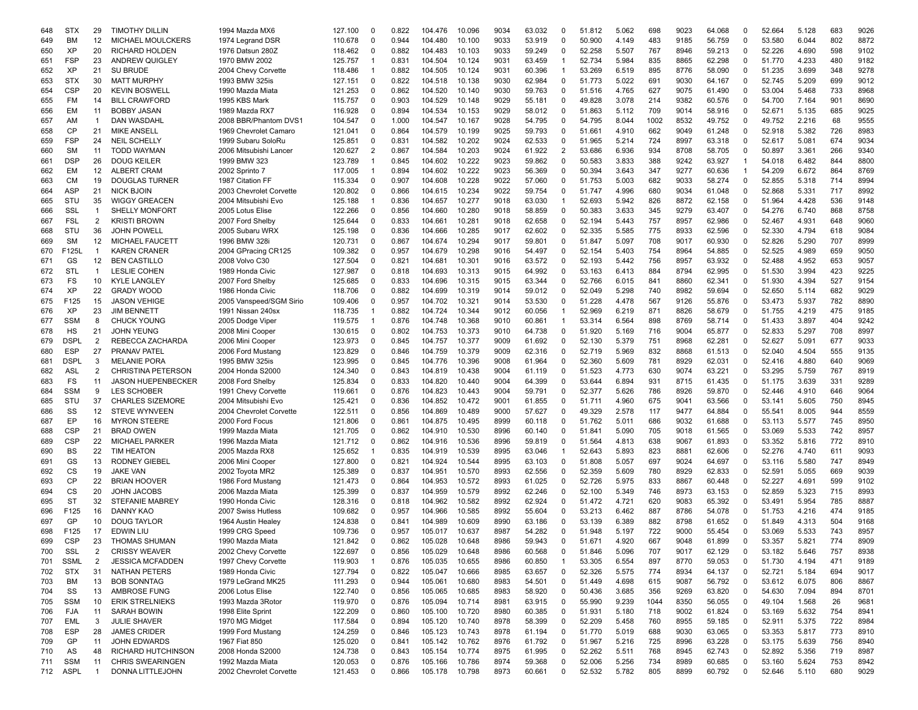| 648 | <b>STX</b>  | 29             | <b>TIMOTHY DILLIN</b>     | 1994 Mazda MX6          | 127.100 | 0              | 0.822 | 104.476 | 10.096 | 9034 | 63.032 | 0            | 51.812 | 5.062 | 698  | 9023 | 64.068 | 0        | 52.664 | 5.128 | 683 | 9026 |
|-----|-------------|----------------|---------------------------|-------------------------|---------|----------------|-------|---------|--------|------|--------|--------------|--------|-------|------|------|--------|----------|--------|-------|-----|------|
| 649 | ВM          | 12             | <b>MICHAEL MOULCKERS</b>  | 1974 Legrand DSR        | 110.678 | $\Omega$       | 0.944 | 104.480 | 10.100 | 9033 | 53.919 | 0            | 50.900 | 4.149 | 483  | 9185 | 56.759 | $\Omega$ | 53.580 | 6.044 | 802 | 8872 |
| 650 | <b>XP</b>   | 20             | <b>RICHARD HOLDEN</b>     | 1976 Datsun 280Z        | 118.462 | $\Omega$       | 0.882 | 104.483 | 10.103 | 9033 | 59.249 | 0            | 52.258 | 5.507 | 767  | 8946 | 59.213 | 0        | 52.226 | 4.690 | 598 | 9102 |
| 651 | <b>FSP</b>  | 23             | <b>ANDREW QUIGLEY</b>     | 1970 BMW 2002           | 125.757 | -1             | 0.831 | 104.504 | 10.124 | 9031 | 63.459 | 1            | 52.734 | 5.984 | 835  | 8865 | 62.298 | 0        | 51.770 | 4.233 | 480 | 9182 |
| 652 | ΧP          | 21             | <b>SU BRUDE</b>           | 2004 Chevy Corvette     | 118.486 | -1             | 0.882 | 104.505 | 10.124 | 9031 | 60.396 | $\mathbf 1$  | 53.269 | 6.519 | 895  | 8776 | 58.090 | 0        | 51.235 | 3.699 | 348 | 9278 |
| 653 | <b>STX</b>  | 30             | <b>MATT MURPHY</b>        | 1993 BMW 325is          | 127.151 | $\Omega$       | 0.822 | 104.518 | 10.138 | 9030 | 62.984 | 0            | 51.773 | 5.022 | 691  | 9030 | 64.167 | 0        | 52.745 | 5.209 | 699 | 9012 |
| 654 | <b>CSP</b>  | 20             | <b>KEVIN BOSWELL</b>      | 1990 Mazda Miata        | 121.253 | $\Omega$       | 0.862 | 104.520 | 10.140 | 9030 | 59.763 | 0            | 51.516 | 4.765 | 627  | 9075 | 61.490 | 0        | 53.004 | 5.468 | 733 | 8968 |
|     | FM          | 14             | <b>BILL CRAWFORD</b>      | 1995 KBS Mark           | 115.757 | 0              | 0.903 | 104.529 | 10.148 | 9029 | 55.181 | 0            | 49.828 | 3.078 | 214  | 9382 | 60.576 | 0        | 54.700 | 7.164 | 901 | 8690 |
| 655 |             |                |                           |                         |         |                |       |         |        |      |        |              |        |       |      |      |        |          |        |       |     |      |
| 656 | EM          | 11             | <b>BOBBY JASAN</b>        | 1989 Mazda RX7          | 116.928 | $\Omega$       | 0.894 | 104.534 | 10.153 | 9029 | 58.012 | 0            | 51.863 | 5.112 | 709  | 9014 | 58.916 | 0        | 52.671 | 5.135 | 685 | 9025 |
| 657 | AM          | $\mathbf{1}$   | DAN WASDAHL               | 2008 BBR/Phantom DVS    | 104.547 | $\Omega$       | 1.000 | 104.547 | 10.167 | 9028 | 54.795 | 0            | 54.795 | 8.044 | 1002 | 8532 | 49.752 | 0        | 49.752 | 2.216 | 68  | 9555 |
| 658 | CP          | 21             | MIKE ANSELL               | 1969 Chevrolet Camaro   | 121.041 | $\Omega$       | 0.864 | 104.579 | 10.199 | 9025 | 59.793 | 0            | 51.661 | 4.910 | 662  | 9049 | 61.248 | 0        | 52.918 | 5.382 | 726 | 8983 |
| 659 | <b>FSP</b>  | 24             | <b>NEIL SCHELLY</b>       | 1999 Subaru SoloRu      | 125.851 | $\Omega$       | 0.831 | 104.582 | 10.202 | 9024 | 62.533 | 0            | 51.965 | 5.214 | 724  | 8997 | 63.318 | 0        | 52.617 | 5.081 | 674 | 9034 |
| 660 | <b>SM</b>   | 11             | <b>TODD WAYMAN</b>        | 2006 Mitsubishi Lancer  | 120.627 | $\overline{2}$ | 0.867 | 104.584 | 10.203 | 9024 | 61.922 | 2            | 53.686 | 6.936 | 934  | 8708 | 58.705 | 0        | 50.897 | 3.361 | 266 | 9340 |
| 661 | <b>DSP</b>  | 26             | <b>DOUG KEILER</b>        | 1999 BMW 323            | 123.789 |                | 0.845 | 104.602 | 10.222 | 9023 | 59.862 | 0            | 50.583 | 3.833 | 388  | 9242 | 63.927 | 1        | 54.018 | 6.482 | 844 | 8800 |
| 662 | EM          | 12             | <b>ALBERT CRAM</b>        | 2002 Sprinto 7          | 117.005 | -1             | 0.894 | 104.602 | 10.222 | 9023 | 56.369 | 0            | 50.394 | 3.643 | 347  | 9277 | 60.636 | 1        | 54.209 | 6.672 | 864 | 8769 |
| 663 | СM          | 19             | DOUGLAS TURNER            | 1987 Citation FF        | 115.334 | 0              | 0.907 | 104.608 | 10.228 | 9022 | 57.060 | 0            | 51.753 | 5.003 | 682  | 9033 | 58.274 | 0        | 52.855 | 5.318 | 714 | 8994 |
| 664 | ASP         | 21             | <b>NICK BJOIN</b>         | 2003 Chevrolet Corvette | 120.802 | $\Omega$       | 0.866 | 104.615 | 10.234 | 9022 | 59.754 | 0            | 51.747 | 4.996 | 680  | 9034 | 61.048 | 0        | 52.868 | 5.331 | 717 | 8992 |
| 665 | STU         | 35             | <b>WIGGY GREACEN</b>      | 2004 Mitsubishi Evo     | 125.188 | -1             | 0.836 | 104.657 | 10.277 | 9018 | 63.030 |              | 52.693 | 5.942 | 826  | 8872 | 62.158 | 0        | 51.964 | 4.428 | 536 | 9148 |
|     | SSL         | $\mathbf{1}$   |                           |                         |         | $\Omega$       |       |         |        | 9018 |        |              |        |       |      |      |        | 0        |        |       | 868 |      |
| 666 |             |                | <b>SHELLY MONFORT</b>     | 2005 Lotus Elise        | 122.266 |                | 0.856 | 104.660 | 10.280 |      | 58.859 | 0            | 50.383 | 3.633 | 345  | 9279 | 63.407 |          | 54.276 | 6.740 |     | 8758 |
| 667 | <b>FSL</b>  | 2              | <b>KRISTI BROWN</b>       | 2007 Ford Shelby        | 125.644 | $\Omega$       | 0.833 | 104.661 | 10.281 | 9018 | 62.658 | 0            | 52.194 | 5.443 | 757  | 8957 | 62.986 | 0        | 52.467 | 4.931 | 648 | 9060 |
| 668 | STU         | 36             | <b>JOHN POWELL</b>        | 2005 Subaru WRX         | 125.198 | $\Omega$       | 0.836 | 104.666 | 10.285 | 9017 | 62.602 | 0            | 52.335 | 5.585 | 775  | 8933 | 62.596 | 0        | 52.330 | 4.794 | 618 | 9084 |
| 669 | <b>SM</b>   | 12             | MICHAEL FAUCETT           | 1996 BMW 328i           | 120.731 | $\Omega$       | 0.867 | 104.674 | 10.294 | 9017 | 59.801 | 0            | 51.847 | 5.097 | 708  | 9017 | 60.930 | 0        | 52.826 | 5.290 | 707 | 8999 |
| 670 | F125L       | $\overline{1}$ | <b>KAREN CRANER</b>       | 2004 GPracing CR125     | 109.382 | $\Omega$       | 0.957 | 104.679 | 10.298 | 9016 | 54.497 | 0            | 52.154 | 5.403 | 754  | 8964 | 54.885 | 0        | 52.525 | 4.989 | 659 | 9050 |
| 671 | GS          | 12             | <b>BEN CASTILLO</b>       | 2008 Volvo C30          | 127.504 | $\Omega$       | 0.821 | 104.681 | 10.301 | 9016 | 63.572 | 0            | 52.193 | 5.442 | 756  | 8957 | 63.932 | 0        | 52.488 | 4.952 | 653 | 9057 |
| 672 | STL         | $\mathbf{1}$   | <b>LESLIE COHEN</b>       | 1989 Honda Civic        | 127.987 | $\Omega$       | 0.818 | 104.693 | 10.313 | 9015 | 64.992 | 0            | 53.163 | 6.413 | 884  | 8794 | 62.995 | 0        | 51.530 | 3.994 | 423 | 9225 |
| 673 | FS          | 10             | <b>KYLE LANGLEY</b>       | 2007 Ford Shelby        | 125.685 | 0              | 0.833 | 104.696 | 10.315 | 9015 | 63.344 | 0            | 52.766 | 6.015 | 841  | 8860 | 62.341 | 0        | 51.930 | 4.394 | 527 | 9154 |
| 674 | XP          | 22             | <b>GRADY WOOD</b>         | 1986 Honda Civic        | 118.706 | $\Omega$       | 0.882 | 104.699 | 10.319 | 9014 | 59.012 | 0            | 52.049 | 5.298 | 740  | 8982 | 59.694 | 0        | 52.650 | 5.114 | 682 | 9029 |
|     | F125        | 15             | <b>JASON VEHIGE</b>       |                         |         | $\Omega$       | 0.957 | 104.702 | 10.321 | 9014 | 53.530 | 0            | 51.228 | 4.478 | 567  | 9126 |        | 0        | 53.473 |       | 782 | 8890 |
| 675 |             |                |                           | 2005 Vanspeed/SGM Sirio | 109.406 |                |       |         |        |      |        |              |        |       |      |      | 55.876 |          |        | 5.937 |     |      |
| 676 | XP          | 23             | <b>JIM BENNETT</b>        | 1991 Nissan 240sx       | 118.735 | -1             | 0.882 | 104.724 | 10.344 | 9012 | 60.056 | 1            | 52.969 | 6.219 | 871  | 8826 | 58.679 | 0        | 51.755 | 4.219 | 475 | 9185 |
| 677 | <b>SSM</b>  | 8              | <b>CHUCK YOUNG</b>        | 2005 Dodge Viper        | 119.575 | -1             | 0.876 | 104.748 | 10.368 | 9010 | 60.861 | $\mathbf{1}$ | 53.314 | 6.564 | 898  | 8769 | 58.714 | 0        | 51.433 | 3.897 | 404 | 9242 |
| 678 | <b>HS</b>   | 21             | JOHN YEUNG                | 2008 Mini Cooper        | 130.615 | $\Omega$       | 0.802 | 104.753 | 10.373 | 9010 | 64.738 | 0            | 51.920 | 5.169 | 716  | 9004 | 65.877 | 0        | 52.833 | 5.297 | 708 | 8997 |
| 679 | <b>DSPL</b> | 2              | REBECCA ZACHARDA          | 2006 Mini Cooper        | 123.973 | $\Omega$       | 0.845 | 104.757 | 10.377 | 9009 | 61.692 | 0            | 52.130 | 5.379 | 751  | 8968 | 62.281 | 0        | 52.627 | 5.091 | 677 | 9033 |
| 680 | <b>ESP</b>  | 27             | <b>PRANAV PATEL</b>       | 2006 Ford Mustang       | 123.829 | $\Omega$       | 0.846 | 104.759 | 10.379 | 9009 | 62.316 | 0            | 52.719 | 5.969 | 832  | 8868 | 61.513 | 0        | 52.040 | 4.504 | 555 | 9135 |
| 681 | <b>DSPL</b> | 3              | <b>MELANIE PORA</b>       | 1995 BMW 325is          | 123.995 | $\Omega$       | 0.845 | 104.776 | 10.396 | 9008 | 61.964 | 0            | 52.360 | 5.609 | 781  | 8929 | 62.031 | 0        | 52.416 | 4.880 | 640 | 9069 |
| 682 | <b>ASL</b>  | 2              | <b>CHRISTINA PETERSON</b> | 2004 Honda S2000        | 124.340 | 0              | 0.843 | 104.819 | 10.438 | 9004 | 61.119 | 0            | 51.523 | 4.773 | 630  | 9074 | 63.221 | 0        | 53.295 | 5.759 | 767 | 8919 |
| 683 | <b>FS</b>   | 11             | <b>JASON HUEPENBECKER</b> | 2008 Ford Shelby        | 125.834 | $\Omega$       | 0.833 | 104.820 | 10.440 | 9004 | 64.399 | 0            | 53.644 | 6.894 | 931  | 8715 | 61.435 | 0        | 51.175 | 3.639 | 331 | 9289 |
| 684 | <b>SSM</b>  | 9              | <b>LES SCHOBER</b>        | 1991 Chevy Corvette     | 119.661 | $\Omega$       | 0.876 | 104.823 | 10.443 | 9004 | 59.791 | 0            | 52.377 | 5.626 | 786  | 8926 | 59.870 | 0        | 52.446 | 4.910 | 646 | 9064 |
|     | STU         | 37             | <b>CHARLES SIZEMORE</b>   | 2004 Mitsubishi Evo     | 125.421 | $\Omega$       | 0.836 | 104.852 | 10.472 | 9001 | 61.855 | 0            | 51.711 | 4.960 | 675  | 9041 | 63.566 | 0        | 53.141 | 5.605 | 750 | 8945 |
| 685 |             |                |                           |                         |         |                |       |         |        |      |        |              |        |       |      |      |        |          |        |       |     |      |
| 686 | SS          | 12             | <b>STEVE WYNVEEN</b>      | 2004 Chevrolet Corvette | 122.511 | $\Omega$       | 0.856 | 104.869 | 10.489 | 9000 | 57.627 | 0            | 49.329 | 2.578 | 117  | 9477 | 64.884 | 0        | 55.541 | 8.005 | 944 | 8559 |
| 687 | EP          | 16             | <b>MYRON STEERE</b>       | 2000 Ford Focus         | 121.806 | $\Omega$       | 0.861 | 104.875 | 10.495 | 8999 | 60.118 | 0            | 51.762 | 5.011 | 686  | 9032 | 61.688 | 0        | 53.113 | 5.577 | 745 | 8950 |
| 688 | <b>CSP</b>  | 21             | <b>BRAD OWEN</b>          | 1999 Mazda Miata        | 121.705 | $\Omega$       | 0.862 | 104.910 | 10.530 | 8996 | 60.140 | 0            | 51.841 | 5.090 | 705  | 9018 | 61.565 | 0        | 53.069 | 5.533 | 742 | 8957 |
| 689 | <b>CSP</b>  | 22             | <b>MICHAEL PARKER</b>     | 1996 Mazda Miata        | 121.712 | $\Omega$       | 0.862 | 104.916 | 10.536 | 8996 | 59.819 | 0            | 51.564 | 4.813 | 638  | 9067 | 61.893 | 0        | 53.352 | 5.816 | 772 | 8910 |
| 690 | BS          | 22             | <b>TIM HEATON</b>         | 2005 Mazda RX8          | 125.652 |                | 0.835 | 104.919 | 10.539 | 8995 | 63.046 |              | 52.643 | 5.893 | 823  | 8881 | 62.606 | 0        | 52.276 | 4.740 | 611 | 9093 |
| 691 | GS          | 13             | <b>RODNEY GIEBEL</b>      | 2006 Mini Cooper        | 127.800 | $\Omega$       | 0.821 | 104.924 | 10.544 | 8995 | 63.103 | 0            | 51.808 | 5.057 | 697  | 9024 | 64.697 | 0        | 53.116 | 5.580 | 747 | 8949 |
| 692 | CS          | 19             | <b>JAKE VAN</b>           | 2002 Toyota MR2         | 125.389 | $\Omega$       | 0.837 | 104.951 | 10.570 | 8993 | 62.556 | 0            | 52.359 | 5.609 | 780  | 8929 | 62.833 | 0        | 52.591 | 5.055 | 669 | 9039 |
| 693 | CP          | 22             | <b>BRIAN HOOVER</b>       | 1986 Ford Mustang       | 121.473 | $\Omega$       | 0.864 | 104.953 | 10.572 | 8993 | 61.025 | 0            | 52.726 | 5.975 | 833  | 8867 | 60.448 | 0        | 52.227 | 4.691 | 599 | 9102 |
| 694 | CS          | 20             | <b>JOHN JACOBS</b>        | 2006 Mazda Miata        | 125.399 | $\Omega$       | 0.837 | 104.959 | 10.579 | 8992 | 62.246 | 0            | 52.100 | 5.349 | 746  | 8973 | 63.153 | 0        | 52.859 | 5.323 | 715 | 8993 |
| 695 | <b>ST</b>   | 32             | <b>STEFANIE MABREY</b>    | 1990 Honda Civic        | 128.316 | $\Omega$       | 0.818 | 104.962 | 10.582 | 8992 | 62.924 | 0            | 51.472 | 4.721 | 620  | 9083 | 65.392 | 0        | 53.491 | 5.954 | 785 | 8887 |
|     |             |                |                           |                         |         | $\Omega$       |       |         |        |      |        |              |        |       |      |      |        |          |        |       |     |      |
| 696 | F125        | 16             | <b>DANNY KAO</b>          | 2007 Swiss Hutless      | 109.682 |                | 0.957 | 104.966 | 10.585 | 8992 | 55.604 | 0            | 53.213 | 6.462 | 887  | 8786 | 54.078 | 0        | 51.753 | 4.216 | 474 | 9185 |
| 697 | GP          | 10             | <b>DOUG TAYLOR</b>        | 1964 Austin Healey      | 124.838 | $\Omega$       | 0.841 | 104.989 | 10.609 | 8990 | 63.186 | 0            | 53.139 | 6.389 | 882  | 8798 | 61.652 | 0        | 51.849 | 4.313 | 504 | 9168 |
| 698 | F125        | 17             | <b>EDWIN LIU</b>          | 1999 CRG Speed          | 109.736 | $\Omega$       | 0.957 | 105.017 | 10.637 | 8987 | 54.282 | 0            | 51.948 | 5.197 | 722  | 9000 | 55.454 | 0        | 53.069 | 5.533 | 743 | 8957 |
| 699 | <b>CSP</b>  | 23             | <b>THOMAS SHUMAN</b>      | 1990 Mazda Miata        | 121.842 | $\Omega$       | 0.862 | 105.028 | 10.648 | 8986 | 59.943 | $\Omega$     | 51.671 | 4.920 | 667  | 9048 | 61.899 | O        | 53.357 | 5.821 | 774 | 8909 |
| 700 | SSL         | $\overline{2}$ | <b>CRISSY WEAVER</b>      | 2002 Chevy Corvette     | 122.697 | 0              | 0.856 | 105.029 | 10.648 | 8986 | 60.568 | 0            | 51.846 | 5.096 | 707  | 9017 | 62.129 | 0        | 53.182 | 5.646 | 757 | 8938 |
| 701 | <b>SSML</b> | 2              | <b>JESSICA MCFADDEN</b>   | 1997 Chevy Corvette     | 119.903 | $\mathbf{1}$   | 0.876 | 105.035 | 10.655 | 8986 | 60.850 | $\mathbf{1}$ | 53.305 | 6.554 | 897  | 8770 | 59.053 | 0        | 51.730 | 4.194 | 471 | 9189 |
| 702 | <b>STX</b>  | 31             | <b>NATHAN PETERS</b>      | 1989 Honda Civic        | 127.794 | 0              | 0.822 | 105.047 | 10.666 | 8985 | 63.657 | 0            | 52.326 | 5.575 | 774  | 8934 | 64.137 | 0        | 52.721 | 5.184 | 694 | 9017 |
| 703 | ВM          | 13             | <b>BOB SONNTAG</b>        | 1979 LeGrand MK25       | 111.293 | 0              | 0.944 | 105.061 | 10.680 | 8983 | 54.501 | 0            | 51.449 | 4.698 | 615  | 9087 | 56.792 | 0        | 53.612 | 6.075 | 806 | 8867 |
|     | SS          | 13             | AMBROSE FUNG              | 2006 Lotus Elise        | 122.740 | 0              | 0.856 | 105.065 | 10.685 | 8983 | 58.920 | 0            | 50.436 | 3.685 | 356  | 9269 | 63.820 | 0        | 54.630 | 7.094 | 894 | 8701 |
| 704 |             |                |                           |                         |         |                |       |         |        |      |        |              |        |       |      |      |        |          |        |       |     |      |
| 705 | <b>SSM</b>  | 10             | <b>ERIK STRELNIEKS</b>    | 1993 Mazda 3Rotor       | 119.970 | 0              | 0.876 | 105.094 | 10.714 | 8981 | 63.915 | 0            | 55.990 | 9.239 | 1044 | 8350 | 56.055 | 0        | 49.104 | 1.568 | 26  | 9681 |
| 706 | <b>FJA</b>  | 11             | <b>SARAH BOWIN</b>        | 1998 Elite Sprint       | 122.209 | 0              | 0.860 | 105.100 | 10.720 | 8980 | 60.385 | 0            | 51.931 | 5.180 | 718  | 9002 | 61.824 | 0        | 53.169 | 5.632 | 754 | 8941 |
| 707 | EML         | 3              | <b>JULIE SHAVER</b>       | 1970 MG Midget          | 117.584 | 0              | 0.894 | 105.120 | 10.740 | 8978 | 58.399 | 0            | 52.209 | 5.458 | 760  | 8955 | 59.185 | 0        | 52.911 | 5.375 | 722 | 8984 |
| 708 | <b>ESP</b>  | 28             | <b>JAMES CRIDER</b>       | 1999 Ford Mustang       | 124.259 | 0              | 0.846 | 105.123 | 10.743 | 8978 | 61.194 | 0            | 51.770 | 5.019 | 688  | 9030 | 63.065 | 0        | 53.353 | 5.817 | 773 | 8910 |
| 709 | GP          | 11             | <b>JOHN EDWARDS</b>       | 1967 Fiat 850           | 125.020 | 0              | 0.841 | 105.142 | 10.762 | 8976 | 61.792 | 0            | 51.967 | 5.216 | 725  | 8996 | 63.228 | 0        | 53.175 | 5.639 | 756 | 8940 |
| 710 | AS          | 48             | RICHARD HUTCHINSON        | 2008 Honda S2000        | 124.738 | 0              | 0.843 | 105.154 | 10.774 | 8975 | 61.995 | 0            | 52.262 | 5.511 | 768  | 8945 | 62.743 | 0        | 52.892 | 5.356 | 719 | 8987 |
| 711 | <b>SSM</b>  | 11             | <b>CHRIS SWEARINGEN</b>   | 1992 Mazda Miata        | 120.053 | 0              | 0.876 | 105.166 | 10.786 | 8974 | 59.368 | 0            | 52.006 | 5.256 | 734  | 8989 | 60.685 | 0        | 53.160 | 5.624 | 753 | 8942 |
| 712 | ASPL        | $\overline{1}$ | DONNA LITTLEJOHN          | 2002 Chevrolet Corvette | 121.453 | 0              | 0.866 | 105.178 | 10.798 | 8973 | 60.661 | 0            | 52.532 | 5.782 | 805  | 8899 | 60.792 | 0        | 52.646 | 5.110 | 680 | 9029 |
|     |             |                |                           |                         |         |                |       |         |        |      |        |              |        |       |      |      |        |          |        |       |     |      |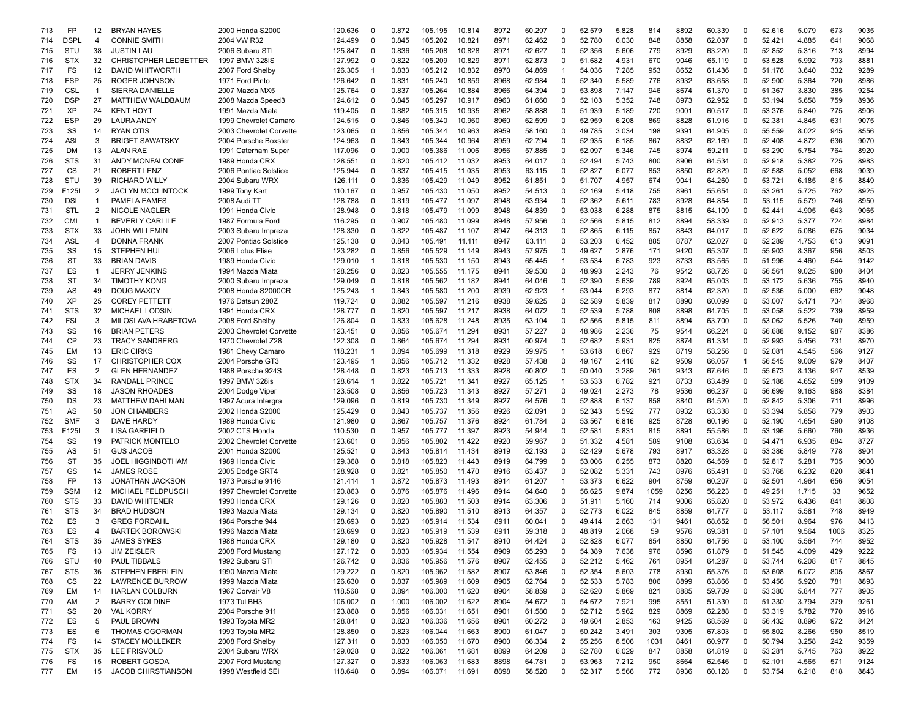| 713 | FP          | 12             | <b>BRYAN HAYES</b>           | 2000 Honda S2000        | 120.636 | 0           | 0.872 | 105.195 | 10.814 | 8972 | 60.297 | 0                       | 52.579 | 5.828 | 814  | 8892 | 60.339 | 0            | 52.616 | 5.079 | 673  | 9035 |
|-----|-------------|----------------|------------------------------|-------------------------|---------|-------------|-------|---------|--------|------|--------|-------------------------|--------|-------|------|------|--------|--------------|--------|-------|------|------|
| 714 | <b>DSPI</b> | $\overline{4}$ | <b>CONNIE SMITH</b>          | 2004 VW R32             | 124.499 | 0           | 0.845 | 105.202 | 10.821 | 8971 | 62.462 | $\Omega$                | 52.780 | 6.030 | 848  | 8858 | 62.037 | $\mathbf 0$  | 52.421 | 4.885 | 641  | 9068 |
| 715 | STU         | 38             | <b>JUSTIN LAU</b>            | 2006 Subaru STI         | 125.847 | 0           | 0.836 | 105.208 | 10.828 | 8971 | 62.627 | $\Omega$                | 52.356 | 5.606 | 779  | 8929 | 63.220 | $\Omega$     | 52.852 | 5.316 | 713  | 8994 |
| 716 | <b>STX</b>  | 32             | <b>CHRISTOPHER LEDBETTER</b> | 1997 BMW 328iS          | 127.992 | $\Omega$    | 0.822 | 105.209 | 10.829 | 8971 | 62.873 | 0                       | 51.682 | 4.931 | 670  | 9046 | 65.119 | $\Omega$     | 53.528 | 5.992 | 793  | 8881 |
| 717 | FS          | 12             | <b>DAVID WHITWORTH</b>       | 2007 Ford Shelby        | 126.305 |             | 0.833 | 105.212 | 10.832 | 8970 | 64.869 | -1                      | 54.036 | 7.285 | 953  | 8652 | 61.436 | $\Omega$     | 51.176 | 3.640 | 332  | 9289 |
| 718 | <b>FSP</b>  | 25             | ROGER JOHNSON                | 1971 Ford Pinto         | 126.642 | 0           | 0.831 | 105.240 | 10.859 | 8968 | 62.984 | 0                       | 52.340 | 5.589 | 776  | 8932 | 63.658 | $\mathbf 0$  | 52.900 | 5.364 | 720  | 8986 |
| 719 | <b>CSL</b>  | $\overline{1}$ | SIERRA DANIELLE              | 2007 Mazda MX5          | 125.764 | 0           | 0.837 | 105.264 | 10.884 | 8966 | 64.394 | 0                       | 53.898 | 7.147 | 946  | 8674 | 61.370 | 0            | 51.367 | 3.830 | 385  | 9254 |
| 720 | <b>DSP</b>  | 27             | MATTHEW WALDBAUM             | 2008 Mazda Speed3       | 124.612 | 0           | 0.845 | 105.297 | 10.917 | 8963 | 61.660 | 0                       | 52.103 | 5.352 | 748  | 8973 | 62.952 | 0            | 53.194 | 5.658 | 759  | 8936 |
| 721 | XP          | 24             | <b>KENT HOYT</b>             | 1991 Mazda Miata        | 119.405 | $\Omega$    | 0.882 | 105.315 | 10.935 | 8962 | 58.888 | 0                       | 51.939 | 5.189 | 720  | 9001 | 60.517 | 0            | 53.376 | 5.840 | 775  | 8906 |
|     | <b>ESP</b>  |                |                              |                         |         | $\mathbf 0$ |       |         |        | 8960 |        | 0                       |        |       |      |      |        | $\mathbf 0$  | 52.381 |       | 631  |      |
| 722 |             | 29             | <b>LAURA ANDY</b>            | 1999 Chevrolet Camaro   | 124.515 |             | 0.846 | 105.340 | 10.960 |      | 62.599 |                         | 52.959 | 6.208 | 869  | 8828 | 61.916 |              |        | 4.845 |      | 9075 |
| 723 | SS          | 14             | <b>RYAN OTIS</b>             | 2003 Chevrolet Corvette | 123.065 | $\Omega$    | 0.856 | 105.344 | 10.963 | 8959 | 58.160 | 0                       | 49.785 | 3.034 | 198  | 9391 | 64.905 | $\Omega$     | 55.559 | 8.022 | 945  | 8556 |
| 724 | <b>ASL</b>  | 3              | <b>BRIGET SAWATSKY</b>       | 2004 Porsche Boxste     | 124.963 | $\Omega$    | 0.843 | 105.344 | 10.964 | 8959 | 62.794 | 0                       | 52.935 | 6.185 | 867  | 8832 | 62.169 | $\Omega$     | 52.408 | 4.872 | 636  | 9070 |
| 725 | DM          | 13             | <b>ALAN RAE</b>              | 1991 Caterham Super     | 117.096 | $\Omega$    | 0.900 | 105.386 | 11.006 | 8956 | 57.885 | 0                       | 52.097 | 5.346 | 745  | 8974 | 59.211 | $\Omega$     | 53.290 | 5.754 | 764  | 8920 |
| 726 | <b>STS</b>  | 31             | ANDY MONFALCONE              | 1989 Honda CRX          | 128.551 | 0           | 0.820 | 105.412 | 11.032 | 8953 | 64.017 | 0                       | 52.494 | 5.743 | 800  | 8906 | 64.534 | $\mathbf 0$  | 52.918 | 5.382 | 725  | 8983 |
| 727 | СS          | 21             | <b>ROBERT LENZ</b>           | 2006 Pontiac Solstice   | 125.944 | 0           | 0.837 | 105.415 | 11.035 | 8953 | 63.115 | 0                       | 52.827 | 6.077 | 853  | 8850 | 62.829 | 0            | 52.588 | 5.052 | 668  | 9039 |
| 728 | STU         | 39             | <b>RICHARD WILLY</b>         | 2004 Subaru WRX         | 126.111 | $\Omega$    | 0.836 | 105.429 | 11.049 | 8952 | 61.851 | 0                       | 51.707 | 4.957 | 674  | 9041 | 64.260 | 0            | 53.721 | 6.185 | 815  | 8849 |
| 729 | F125L       | 2              | <b>JACLYN MCCLINTOCK</b>     | 1999 Tony Kart          | 110.167 | 0           | 0.957 | 105.430 | 11.050 | 8952 | 54.513 | 0                       | 52.169 | 5.418 | 755  | 8961 | 55.654 | 0            | 53.261 | 5.725 | 762  | 8925 |
| 730 | <b>DSL</b>  | -1             | PAMELA EAMES                 | 2008 Audi T1            | 128.788 | $\Omega$    | 0.819 | 105.477 | 11.097 | 8948 | 63.934 | 0                       | 52.362 | 5.611 | 783  | 8928 | 64.854 | $\mathbf 0$  | 53.115 | 5.579 | 746  | 8950 |
| 731 | STL         | 2              | <b>NICOLE NAGLER</b>         | 1991 Honda Civic        | 128.948 | 0           | 0.818 | 105.479 | 11.099 | 8948 | 64.839 | $\Omega$                | 53.038 | 6.288 | 875  | 8815 | 64.109 | $\Omega$     | 52.441 | 4.905 | 643  | 9065 |
| 732 | <b>CML</b>  | -1             | <b>BEVERLY CARLILE</b>       | 1987 Formula Ford       | 116.295 | $\Omega$    | 0.907 | 105.480 | 11.099 | 8948 | 57.956 | 0                       | 52.566 | 5.815 | 812  | 8894 | 58.339 | $\Omega$     | 52.913 | 5.377 | 724  | 8984 |
| 733 | <b>STX</b>  | 33             | <b>JOHN WILLEMIN</b>         | 2003 Subaru Impreza     | 128.330 | $\Omega$    | 0.822 | 105.487 | 11.107 | 8947 | 64.313 | 0                       | 52.865 | 6.115 | 857  | 8843 | 64.017 | 0            | 52.622 | 5.086 | 675  | 9034 |
| 734 | <b>ASL</b>  | 4              | <b>DONNA FRANK</b>           | 2007 Pontiac Solstice   | 125.138 | $\mathbf 0$ | 0.843 | 105.491 | 11.111 | 8947 | 63.111 | 0                       | 53.203 | 6.452 | 885  | 8787 | 62.027 | $\Omega$     | 52.289 | 4.753 | 613  | 9091 |
|     |             |                |                              |                         |         |             |       |         |        |      |        |                         |        |       |      |      |        |              |        |       |      |      |
| 735 | SS          | 15             | <b>STEPHEN HUI</b>           | 2006 Lotus Elise        | 123.282 | $\Omega$    | 0.856 | 105.529 | 11.149 | 8943 | 57.975 | 0                       | 49.627 | 2.876 | 171  | 9420 | 65.307 | 0            | 55.903 | 8.367 | 956  | 8503 |
| 736 | ST          | 33             | <b>BRIAN DAVIS</b>           | 1989 Honda Civic        | 129.010 | $\mathbf 1$ | 0.818 | 105.530 | 11.150 | 8943 | 65.445 | 1                       | 53.534 | 6.783 | 923  | 8733 | 63.565 | $\mathbf 0$  | 51.996 | 4.460 | 544  | 9142 |
| 737 | ES          | $\overline{1}$ | <b>JERRY JENKINS</b>         | 1994 Mazda Miata        | 128.256 | 0           | 0.823 | 105.555 | 11.175 | 8941 | 59.530 | 0                       | 48.993 | 2.243 | 76   | 9542 | 68.726 | 0            | 56.561 | 9.025 | 980  | 8404 |
| 738 | <b>ST</b>   | 34             | <b>TIMOTHY KONG</b>          | 2000 Subaru Impreza     | 129.049 | 0           | 0.818 | 105.562 | 11.182 | 8941 | 64.046 | 0                       | 52.390 | 5.639 | 789  | 8924 | 65.003 | 0            | 53.172 | 5.636 | 755  | 8940 |
| 739 | AS          | 49             | <b>DOUG MAXCY</b>            | 2008 Honda S2000CR      | 125.243 |             | 0.843 | 105.580 | 11.200 | 8939 | 62.923 | -1                      | 53.044 | 6.293 | 877  | 8814 | 62.320 | $\mathbf 0$  | 52.536 | 5.000 | 662  | 9048 |
| 740 | XP          | 25             | <b>COREY PETTETT</b>         | 1976 Datsun 280Z        | 119.724 | $\Omega$    | 0.882 | 105.597 | 11.216 | 8938 | 59.625 | $\Omega$                | 52.589 | 5.839 | 817  | 8890 | 60.099 | $\Omega$     | 53.007 | 5.471 | 734  | 8968 |
| 741 | <b>STS</b>  | 32             | <b>MICHAEL LODSIN</b>        | 1991 Honda CRX          | 128,777 | $\Omega$    | 0.820 | 105.597 | 11.217 | 8938 | 64.072 | 0                       | 52.539 | 5.788 | 808  | 8898 | 64.705 | $\Omega$     | 53.058 | 5.522 | 739  | 8959 |
| 742 | <b>FSL</b>  | 3              | MILOSLAVA HRABETOVA          | 2008 Ford Shelby        | 126.804 | $\Omega$    | 0.833 | 105.628 | 11.248 | 8935 | 63.104 | 0                       | 52.566 | 5.815 | 811  | 8894 | 63.700 | $\Omega$     | 53.062 | 5.526 | 740  | 8959 |
| 743 | SS          | 16             | <b>BRIAN PETERS</b>          | 2003 Chevrolet Corvette | 123.451 | $\mathbf 0$ | 0.856 | 105.674 | 11.294 | 8931 | 57.227 | $\Omega$                | 48.986 | 2.236 | 75   | 9544 | 66.224 | $\Omega$     | 56.688 | 9.152 | 987  | 8386 |
| 744 | СP          | 23             | <b>TRACY SANDBERG</b>        | 1970 Chevrolet Z28      | 122.308 | 0           | 0.864 | 105.674 | 11.294 | 8931 | 60.974 | 0                       | 52.682 | 5.931 | 825  | 8874 | 61.334 | 0            | 52.993 | 5.456 | 731  | 8970 |
| 745 | EM          | 13             | <b>ERIC CIRKS</b>            | 1981 Chevy Camaro       | 118.231 | $\mathbf 1$ | 0.894 | 105.699 | 11.318 | 8929 | 59.975 | $\mathbf 1$             | 53.618 | 6.867 | 929  | 8719 | 58.256 | 0            | 52.081 | 4.545 | 566  | 9127 |
| 746 | SS          | 17             | <b>CHRISTOPHER COX</b>       | 2004 Porsche GT3        | 123.495 |             | 0.856 | 105.712 | 11.332 | 8928 | 57.438 | 0                       | 49.167 | 2.416 | 92   | 9509 | 66.057 | $\mathbf{1}$ | 56.545 | 9.009 | 979  | 8407 |
|     |             |                |                              |                         |         | 0           |       |         |        | 8928 |        | 0                       |        |       | 261  |      |        | $\mathbf 0$  |        |       |      |      |
| 747 | ES          | 2              | <b>GLEN HERNANDEZ</b>        | 1988 Porsche 924S       | 128.448 |             | 0.823 | 105.713 | 11.333 |      | 60.802 |                         | 50.040 | 3.289 |      | 9343 | 67.646 |              | 55.673 | 8.136 | 947  | 8539 |
| 748 | <b>STX</b>  | 34             | <b>RANDALL PRINCE</b>        | 1997 BMW 328is          | 128.614 | $\mathbf 1$ | 0.822 | 105.721 | 11.341 | 8927 | 65.125 | $\overline{\mathbf{1}}$ | 53.533 | 6.782 | 921  | 8733 | 63.489 | $\Omega$     | 52.188 | 4.652 | 589  | 9109 |
| 749 | SS          | 18             | <b>JASON RHOADES</b>         | 2004 Dodge Viper        | 123.508 | $\Omega$    | 0.856 | 105.723 | 11.343 | 8927 | 57.271 | 0                       | 49.024 | 2.273 | 78   | 9536 | 66.237 | 0            | 56.699 | 9.163 | 988  | 8384 |
| 750 | DS          | 23             | <b>MATTHEW DAHLMAN</b>       | 1997 Acura Intergra     | 129.096 | $\Omega$    | 0.819 | 105.730 | 11.349 | 8927 | 64.576 | 0                       | 52.888 | 6.137 | 858  | 8840 | 64.520 | $\Omega$     | 52.842 | 5.306 | 711  | 8996 |
| 751 | AS          | 50             | <b>JON CHAMBERS</b>          | 2002 Honda S2000        | 125.429 | $\Omega$    | 0.843 | 105.737 | 11.356 | 8926 | 62.091 | 0                       | 52.343 | 5.592 | 777  | 8932 | 63.338 | 0            | 53.394 | 5.858 | 779  | 8903 |
| 752 | SMF         | 3              | <b>DAVE HARDY</b>            | 1989 Honda Civic        | 121.980 | 0           | 0.867 | 105.757 | 11.376 | 8924 | 61.784 | 0                       | 53.567 | 6.816 | 925  | 8728 | 60.196 | 0            | 52.190 | 4.654 | 590  | 9108 |
| 753 | F125L       | 3              | <b>LISA GARFIELD</b>         | 2002 CTS Honda          | 110.530 | $\Omega$    | 0.957 | 105.777 | 11.397 | 8923 | 54.944 | 0                       | 52.581 | 5.831 | 815  | 8891 | 55.586 | 0            | 53.196 | 5.660 | 760  | 8936 |
| 754 | SS          | 19             | PATRICK MONTELO              | 2002 Chevrolet Corvette | 123.601 | 0           | 0.856 | 105.802 | 11.422 | 8920 | 59.967 | 0                       | 51.332 | 4.581 | 589  | 9108 | 63.634 | 0            | 54.471 | 6.935 | 884  | 8727 |
| 755 | AS          | 51             | <b>GUS JACOB</b>             | 2001 Honda S2000        | 125.521 | $\Omega$    | 0.843 | 105.814 | 11.434 | 8919 | 62.193 | $\Omega$                | 52.429 | 5.678 | 793  | 8917 | 63.328 | $\mathbf 0$  | 53.386 | 5.849 | 778  | 8904 |
| 756 | ST          | 35             | <b>JOEL HIGGINBOTHAM</b>     | 1989 Honda Civic        | 129.368 | 0           | 0.818 | 105.823 | 11.443 | 8919 | 64.799 | $\Omega$                | 53.006 | 6.255 | 873  | 8820 | 64.569 | $\Omega$     | 52.817 | 5.281 | 705  | 9000 |
| 757 | GS          | 14             | <b>JAMES ROSE</b>            | 2005 Dodge SRT4         | 128.928 | $\Omega$    | 0.821 | 105.850 | 11.470 | 8916 | 63.437 | 0                       | 52.082 | 5.331 | 743  | 8976 | 65.491 | 0            | 53.768 | 6.232 | 820  | 884  |
| 758 | FP          | 13             | <b>JONATHAN JACKSON</b>      | 1973 Porsche 9146       | 121.414 |             | 0.872 | 105.873 | 11.493 | 8914 | 61.207 | $\mathbf 1$             | 53.373 | 6.622 | 904  | 8759 | 60.207 | $\Omega$     | 52.501 | 4.964 | 656  | 9054 |
| 759 | SSM         | 12             | MICHAEL FELDPUSCH            | 1997 Chevrolet Corvette | 120.863 | $\Omega$    | 0.876 | 105.876 | 11.496 | 8914 | 64.640 | 0                       | 56.625 | 9.874 | 1059 | 8256 | 56.223 | $\Omega$     | 49.251 | 1.715 | 33   | 9652 |
| 760 | <b>STS</b>  | 33             | <b>DAVID WHITENER</b>        | 1990 Honda CRX          | 129.126 | $\Omega$    | 0.820 | 105.883 | 11.503 | 8914 | 63.306 | 0                       | 51.911 | 5.160 | 714  | 9006 | 65.820 | $\mathbf 0$  | 53.972 | 6.436 | 841  | 8808 |
|     |             |                |                              |                         |         |             |       |         |        |      |        |                         |        |       |      |      |        |              |        |       |      |      |
| 761 | <b>STS</b>  | 34             | <b>BRAD HUDSON</b>           | 1993 Mazda Miata        | 129.134 | 0           | 0.820 | 105.890 | 11.510 | 8913 | 64.357 | 0                       | 52.773 | 6.022 | 845  | 8859 | 64.777 | 0            | 53.117 | 5.581 | 748  | 8949 |
| 762 | ES          | 3              | <b>GREG FORDAHL</b>          | 1984 Porsche 944        | 128.693 | $\Omega$    | 0.823 | 105.914 | 11.534 | 8911 | 60.041 | 0                       | 49.414 | 2.663 | 131  | 9461 | 68.652 | 0            | 56.501 | 8.964 | 976  | 8413 |
| 763 | ES          | 4              | <b>BARTEK BOROWSKI</b>       | 1996 Mazda Miata        | 128.699 | $\Omega$    | 0.823 | 105.919 | 11.539 | 8911 | 59.318 | 0                       | 48.819 | 2.068 | 59   | 9576 | 69.381 | 0            | 57.101 | 9.564 | 1006 | 8325 |
| 764 | <b>STS</b>  | 35             | <b>JAMES SYKES</b>           | 1988 Honda CRX          | 129.180 | $\Omega$    | 0.820 | 105.928 | 11.547 | 8910 | 64.424 | $\Omega$                | 52.828 | 6.077 | 854  | 8850 | 64.756 | $\Omega$     | 53.100 | 5.564 | 744  | 8952 |
| 765 | FS          | 13             | <b>JIM ZEISLER</b>           | 2008 Ford Mustang       | 127.172 | $\mathbf 0$ | 0.833 | 105.934 | 11.554 | 8909 | 65.293 | 0                       | 54.389 | 7.638 | 976  | 8596 | 61.879 | 0            | 51.545 | 4.009 | 429  | 9222 |
| 766 | STU         | 40             | PAUL TIBBALS                 | 1992 Subaru STI         | 126.742 | $\mathbf 0$ | 0.836 | 105.956 | 11.576 | 8907 | 62.455 | 0                       | 52.212 | 5.462 | 761  | 8954 | 64.287 | 0            | 53.744 | 6.208 | 817  | 8845 |
| 767 | <b>STS</b>  | 36             | STEPHEN EBERLEIN             | 1990 Mazda Miata        | 129.222 | 0           | 0.820 | 105.962 | 11.582 | 8907 | 63.846 | 0                       | 52.354 | 5.603 | 778  | 8930 | 65.376 | 0            | 53.608 | 6.072 | 805  | 8867 |
| 768 | CS          | 22             | <b>LAWRENCE BURROW</b>       | 1999 Mazda Miata        | 126.630 | 0           | 0.837 | 105.989 | 11.609 | 8905 | 62.764 | 0                       | 52.533 | 5.783 | 806  | 8899 | 63.866 | 0            | 53.456 | 5.920 | 781  | 8893 |
| 769 | EM          | 14             | <b>HARLAN COLBURN</b>        | 1967 Corvair V8         | 118.568 | 0           | 0.894 | 106.000 | 11.620 | 8904 | 58.859 | 0                       | 52.620 | 5.869 | 821  | 8885 | 59.709 | 0            | 53.380 | 5.844 | 777  | 8905 |
| 770 | AM          | $\overline{2}$ | <b>BARRY GOLDINE</b>         | 1973 Tui BH3            | 106.002 | 0           | 1.000 | 106.002 | 11.622 | 8904 | 54.672 | 0                       | 54.672 | 7.921 | 995  | 8551 | 51.330 | $\mathbf 0$  | 51.330 | 3.794 | 379  | 9261 |
| 771 | SS          | 20             | <b>VAL KORRY</b>             | 2004 Porsche 911        | 123.868 | 0           | 0.856 | 106.031 | 11.651 | 8901 | 61.580 | 0                       | 52.712 | 5.962 | 829  | 8869 | 62.288 | 0            | 53.319 | 5.782 | 770  | 8916 |
| 772 | ES          | 5              | PAUL BROWN                   | 1993 Toyota MR2         | 128.841 | 0           | 0.823 | 106.036 | 11.656 | 8901 | 60.272 | 0                       | 49.604 | 2.853 | 163  | 9425 | 68.569 | 0            | 56.432 | 8.896 | 972  | 8424 |
|     | ES          | 6              | <b>THOMAS OGORMAN</b>        | 1993 Toyota MR2         | 128.850 | 0           | 0.823 | 106.044 | 11.663 | 8900 | 61.047 | 0                       | 50.242 | 3.491 | 303  | 9305 | 67.803 | 0            | 55.802 | 8.266 | 950  | 8519 |
| 773 |             |                |                              |                         |         |             |       |         |        |      |        |                         |        |       |      |      |        |              |        |       |      |      |
| 774 | FS          | 14             | <b>STACEY MOLLEKER</b>       | 2008 Ford Shelby        | 127.311 | $\mathbf 0$ | 0.833 | 106.050 | 11.670 | 8900 | 66.334 | $\overline{\mathbf{c}}$ | 55.256 | 8.506 | 1031 | 8461 | 60.977 | 0            | 50.794 | 3.258 | 242  | 9359 |
| 775 | <b>STX</b>  | 35             | LEE FRISVOLD                 | 2004 Subaru WRX         | 129.028 | 0           | 0.822 | 106.061 | 11.681 | 8899 | 64.209 | 0                       | 52.780 | 6.029 | 847  | 8858 | 64.819 | 0            | 53.281 | 5.745 | 763  | 8922 |
| 776 | FS          | 15             | ROBERT GOSDA                 | 2007 Ford Mustang       | 127.327 | 0           | 0.833 | 106.063 | 11.683 | 8898 | 64.781 | 0                       | 53.963 | 7.212 | 950  | 8664 | 62.546 | 0            | 52.101 | 4.565 | 571  | 9124 |
| 777 | EM          | 15             | <b>JACOB CHIRSTIANSON</b>    | 1998 Westfield SEi      | 118.648 | 0           | 0.894 | 106.071 | 11.691 | 8898 | 58.520 | 0                       | 52.317 | 5.566 | 772  | 8936 | 60.128 | $\mathbf 0$  | 53.754 | 6.218 | 818  | 8843 |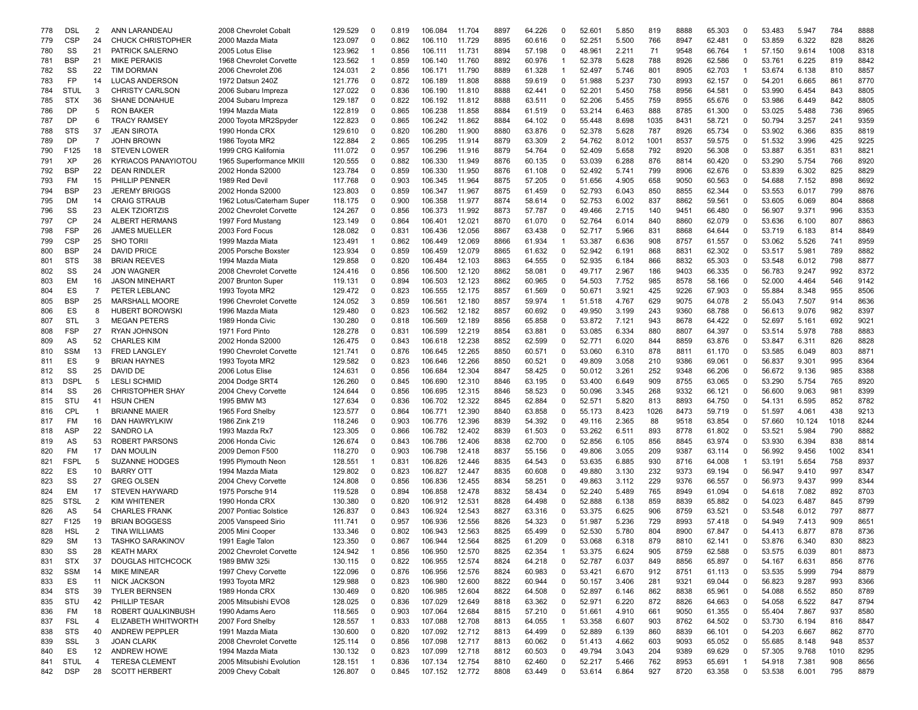| 778 | <b>DSL</b>  | 2              | ANN LARANDEAU              | 2008 Chevrolet Cobalt                                | 129.529 | 0              | 0.819          | 106.084            | 11.704           | 8897 | 64.226 | 0                       | 52.601           | 5.850          | 819  | 8888 | 65.303 | 0              | 53.483 | 5.947          | 784  | 8888 |
|-----|-------------|----------------|----------------------------|------------------------------------------------------|---------|----------------|----------------|--------------------|------------------|------|--------|-------------------------|------------------|----------------|------|------|--------|----------------|--------|----------------|------|------|
| 779 | <b>CSP</b>  | 24             | <b>CHUCK CHRISTOPHER</b>   | 2000 Mazda Miata                                     | 123.097 | $\Omega$       | 0.862          | 106.110            | 11.729           | 8895 | 60.616 | 0                       | 52.251           | 5.500          | 766  | 8947 | 62.481 | $\mathbf 0$    | 53.859 | 6.322          | 828  | 8826 |
| 780 | SS          | 21             | PATRICK SALERNO            | 2005 Lotus Elise                                     | 123.962 | $\mathbf 1$    | 0.856          | 106.111            | 11.731           | 8894 | 57.198 | 0                       | 48.961           | 2.211          | 71   | 9548 | 66.764 | $\mathbf{1}$   | 57.150 | 9.614          | 1008 | 8318 |
| 781 | <b>BSP</b>  | 21             | <b>MIKE PERAKIS</b>        | 1968 Chevrolet Corvette                              | 123.562 |                | 0.859          | 106.140            | 11.760           | 8892 | 60.976 | $\overline{\mathbf{1}}$ | 52.378           | 5.628          | 788  | 8926 | 62.586 | $\Omega$       | 53.761 | 6.225          | 819  | 8842 |
| 782 | SS          | 22             | <b>TIM DORMAN</b>          | 2006 Chevrolet Z06                                   | 124.031 | 2              | 0.856          | 106.171            | 11.790           | 8889 | 61.328 | $\mathbf 1$             | 52.497           | 5.746          | 801  | 8905 | 62.703 | -1             | 53.674 | 6.138          | 810  | 8857 |
| 783 | FP          | 14             | <b>LUCAS ANDERSON</b>      | 1972 Datsun 240Z                                     | 121.776 | $\Omega$       | 0.872          | 106.189            | 11.808           | 8888 | 59.619 | 0                       | 51.988           | 5.237          | 730  | 8993 | 62.157 | $\Omega$       | 54.201 | 6.665          | 861  | 8770 |
| 784 | <b>STUL</b> | 3              | <b>CHRISTY CARLSON</b>     | 2006 Subaru Impreza                                  | 127.022 | 0              | 0.836          | 106.190            | 11.810           | 8888 | 62.441 | 0                       | 52.201           | 5.450          | 758  | 8956 | 64.581 | 0              | 53.990 | 6.454          | 843  | 8805 |
| 785 | <b>STX</b>  | 36             | SHANE DONAHUE              | 2004 Subaru Impreza                                  | 129.187 | 0              | 0.822          | 106.192            | 11.812           | 8888 | 63.511 | 0                       | 52.206           | 5.455          | 759  | 8955 | 65.676 | 0              | 53.986 | 6.449          | 842  | 8805 |
| 786 | DP          | 5              | <b>RON BAKER</b>           | 1994 Mazda Miata                                     | 122.819 | $\Omega$       | 0.865          | 106.238            | 11.858           | 8884 | 61.519 | 0                       | 53.214           | 6.463          | 888  | 8785 | 61.300 | 0              | 53.025 | 5.488          | 736  | 8965 |
| 787 | DP          | 6              | <b>TRACY RAMSEY</b>        | 2000 Toyota MR2Spyder                                | 122.823 | 0              | 0.865          | 106.242            | 11.862           | 8884 | 64.102 | 0                       | 55.448           | 8.698          | 1035 | 8431 | 58.721 | 0              | 50.794 | 3.257          | 241  | 9359 |
| 788 | <b>STS</b>  | 37             | <b>JEAN SIROTA</b>         | 1990 Honda CRX                                       | 129.610 | 0              | 0.820          | 106.280            | 11.900           | 8880 | 63.876 | 0                       | 52.378           | 5.628          | 787  | 8926 | 65.734 | $\mathbf 0$    | 53.902 | 6.366          | 835  | 8819 |
| 789 | DP          | $\overline{7}$ | <b>JOHN BROWN</b>          | 1986 Toyota MR2                                      | 122.884 | 2              | 0.865          | 106.295            | 11.914           | 8879 | 63.309 | 2                       | 54.762           | 8.012          | 1001 | 8537 | 59.575 | $\Omega$       | 51.532 | 3.996          | 425  | 9225 |
| 790 | F125        | 18             | <b>STEVEN LOWER</b>        | 1999 CRG Kalifornia                                  | 111.072 | $\Omega$       | 0.957          | 106.296            | 11.916           | 8879 | 54.764 | 0                       | 52.409           | 5.658          | 792  | 8920 | 56.308 | $\Omega$       | 53.887 | 6.351          | 831  | 8821 |
| 791 | <b>XP</b>   | 26             | <b>KYRIACOS PANAYIOTOU</b> | 1965 Superformance MKIII                             | 120.555 | $\Omega$       | 0.882          | 106.330            | 11.949           | 8876 | 60.135 | 0                       | 53.039           | 6.288          | 876  | 8814 | 60.420 | 0              | 53.290 | 5.754          | 766  | 8920 |
| 792 | <b>BSP</b>  | 22             | <b>DEAN RINDLER</b>        | 2002 Honda S2000                                     | 123.784 | $\mathbf 0$    | 0.859          | 106.330            | 11.950           | 8876 | 61.108 | 0                       | 52.492           | 5.741          | 799  | 8906 | 62.676 | 0              | 53.839 | 6.302          | 825  | 8829 |
| 793 | FM          | 15             | PHILLIP PENNER             | 1989 Red Devil                                       | 117.768 | 0              | 0.903          | 106.345            | 11.964           | 8875 | 57.205 | 0                       | 51.656           | 4.905          | 658  | 9050 | 60.563 | 0              | 54.688 | 7.152          | 898  | 8692 |
|     | <b>BSP</b>  | 23             | <b>JEREMY BRIGGS</b>       | 2002 Honda S2000                                     | 123.803 | 0              | 0.859          | 106.347            | 11.967           | 8875 | 61.459 | 0                       | 52.793           | 6.043          | 850  | 8855 | 62.344 | $\mathbf 0$    | 53.553 | 6.017          | 799  | 8876 |
| 794 |             | 14             |                            |                                                      |         | $\Omega$       |                |                    |                  | 8874 |        | 0                       |                  |                | 837  | 8862 |        | 0              | 53.605 |                | 804  | 8868 |
| 795 | DM<br>SS    | 23             | <b>CRAIG STRAUB</b>        | 1962 Lotus/Caterham Super<br>2002 Chevrolet Corvette | 118.175 | 0              | 0.900<br>0.856 | 106.358<br>106.373 | 11.977<br>11.992 | 8873 | 58.614 | 0                       | 52.753<br>49.466 | 6.002<br>2.715 | 140  | 9451 | 59.561 | $\mathbf 0$    | 56.907 | 6.069<br>9.371 | 996  | 8353 |
| 796 |             |                | <b>ALEK TZIORTZIS</b>      |                                                      | 124.267 |                |                |                    |                  |      | 57.787 |                         |                  |                |      |      | 66.480 |                |        |                |      |      |
| 797 | CP          | 24             | ALBERT HERMANS             | 1997 Ford Mustang                                    | 123.149 | $\Omega$       | 0.864          | 106.401            | 12.021           | 8870 | 61.070 | $\Omega$                | 52.764           | 6.014          | 840  | 8860 | 62.079 | $\Omega$       | 53.636 | 6.100          | 807  | 8863 |
| 798 | <b>FSP</b>  | 26             | <b>JAMES MUELLER</b>       | 2003 Ford Focus                                      | 128.082 | $\Omega$       | 0.831          | 106.436            | 12.056           | 8867 | 63.438 | 0                       | 52.717           | 5.966          | 831  | 8868 | 64.644 | $\Omega$       | 53.719 | 6.183          | 814  | 8849 |
| 799 | <b>CSP</b>  | 25             | <b>SHO TORI</b>            | 1999 Mazda Miata                                     | 123.491 |                | 0.862          | 106.449            | 12.069           | 8866 | 61.934 | -1                      | 53.387           | 6.636          | 908  | 8757 | 61.557 | 0              | 53.062 | 5.526          | 741  | 8959 |
| 800 | <b>BSP</b>  | 24             | <b>DAVID PRICE</b>         | 2005 Porsche Boxster                                 | 123.934 | $\Omega$       | 0.859          | 106.459            | 12.079           | 8865 | 61.632 | 0                       | 52.942           | 6.191          | 868  | 8831 | 62.302 | $\Omega$       | 53.517 | 5.981          | 789  | 8882 |
| 801 | <b>STS</b>  | 38             | <b>BRIAN REEVES</b>        | 1994 Mazda Miata                                     | 129.858 | $\mathbf 0$    | 0.820          | 106.484            | 12.103           | 8863 | 64.555 | 0                       | 52.935           | 6.184          | 866  | 8832 | 65.303 | 0              | 53.548 | 6.012          | 798  | 8877 |
| 802 | SS          | 24             | <b>JON WAGNER</b>          | 2008 Chevrolet Corvette                              | 124.416 | 0              | 0.856          | 106.500            | 12.120           | 8862 | 58.081 | 0                       | 49.717           | 2.967          | 186  | 9403 | 66.335 | 0              | 56.783 | 9.247          | 992  | 8372 |
| 803 | EM          | 16             | <b>JASON MINEHART</b>      | 2007 Brunton Super                                   | 119.131 | 0              | 0.894          | 106.503            | 12.123           | 8862 | 60.965 | 0                       | 54.503           | 7.752          | 985  | 8578 | 58.166 | 0              | 52.000 | 4.464          | 546  | 9142 |
| 804 | ES          | $\overline{7}$ | PETER LEBLANC              | 1993 Toyota MR2                                      | 129.472 | 0              | 0.823          | 106.555            | 12.175           | 8857 | 61.569 | 0                       | 50.671           | 3.921          | 425  | 9226 | 67.903 | 0              | 55.884 | 8.348          | 955  | 8506 |
| 805 | <b>BSP</b>  | 25             | <b>MARSHALL MOORE</b>      | 1996 Chevrolet Corvette                              | 124.052 | 3              | 0.859          | 106.561            | 12.180           | 8857 | 59.974 | 1                       | 51.518           | 4.767          | 629  | 9075 | 64.078 | $\overline{2}$ | 55.043 | 7.507          | 914  | 8636 |
| 806 | ES          | 8              | <b>HUBERT BOROWSK</b>      | 1996 Mazda Miata                                     | 129.480 | $\Omega$       | 0.823          | 106.562            | 12.182           | 8857 | 60.692 | $\Omega$                | 49.950           | 3.199          | 243  | 9360 | 68.788 | $\Omega$       | 56.613 | 9.076          | 982  | 8397 |
| 807 | STL         | 3              | <b>MEGAN PETERS</b>        | 1989 Honda Civic                                     | 130.280 | $\Omega$       | 0.818          | 106.569            | 12.189           | 8856 | 65.858 | 0                       | 53.872           | 7.121          | 943  | 8678 | 64.422 | $\Omega$       | 52.697 | 5.161          | 692  | 9021 |
| 808 | <b>FSP</b>  | 27             | <b>RYAN JOHNSON</b>        | 1971 Ford Pinto                                      | 128,278 | $\Omega$       | 0.831          | 106.599            | 12.219           | 8854 | 63.881 | 0                       | 53.085           | 6.334          | 880  | 8807 | 64.397 | $\Omega$       | 53.514 | 5.978          | 788  | 8883 |
| 809 | AS          | 52             | <b>CHARLES KIM</b>         | 2002 Honda S2000                                     | 126.475 | $\Omega$       | 0.843          | 106.618            | 12.238           | 8852 | 62.599 | 0                       | 52.771           | 6.020          | 844  | 8859 | 63.876 | 0              | 53.847 | 6.311          | 826  | 8828 |
| 810 | <b>SSM</b>  | 13             | <b>FRED LANGLEY</b>        | 1990 Chevrolet Corvette                              | 121.741 | 0              | 0.876          | 106.645            | 12.265           | 8850 | 60.571 | 0                       | 53.060           | 6.310          | 878  | 8811 | 61.170 | 0              | 53.585 | 6.049          | 803  | 8871 |
| 811 | ES          | 9              | <b>BRIAN HAYNES</b>        | 1993 Toyota MR2                                      | 129.582 | $\Omega$       | 0.823          | 106.646            | 12.266           | 8850 | 60.521 | 0                       | 49.809           | 3.058          | 210  | 9386 | 69.061 | 0              | 56.837 | 9.301          | 995  | 8364 |
| 812 | SS          | 25             | DAVID DE                   | 2006 Lotus Elise                                     | 124.631 | 0              | 0.856          | 106.684            | 12.304           | 8847 | 58.425 | 0                       | 50.012           | 3.261          | 252  | 9348 | 66.206 | 0              | 56.672 | 9.136          | 985  | 8388 |
| 813 | <b>DSPI</b> | 5              | <b>LESLI SCHMID</b>        | 2004 Dodge SRT4                                      | 126.260 | 0              | 0.845          | 106.690            | 12.310           | 8846 | 63.195 | 0                       | 53.400           | 6.649          | 909  | 8755 | 63.065 | $\mathbf 0$    | 53.290 | 5.754          | 765  | 8920 |
| 814 | SS          | 26             | <b>CHRISTOPHER SHAY</b>    | 2004 Chevy Corvette                                  | 124.644 | 0              | 0.856          | 106.695            | 12.315           | 8846 | 58.523 | $\Omega$                | 50.096           | 3.345          | 268  | 9332 | 66.121 | $\Omega$       | 56.600 | 9.063          | 981  | 8399 |
| 815 | STU         | 41             | <b>HSUN CHEN</b>           | 1995 BMW M3                                          | 127.634 | $\Omega$       | 0.836          | 106.702            | 12.322           | 8845 | 62.884 | 0                       | 52.571           | 5.820          | 813  | 8893 | 64.750 | $\Omega$       | 54.131 | 6.595          | 852  | 8782 |
| 816 | CPL         | -1             | <b>BRIANNE MAIER</b>       | 1965 Ford Shelby                                     | 123.577 | $\Omega$       | 0.864          | 106.771            | 12.390           | 8840 | 63.858 | 0                       | 55.173           | 8.423          | 1026 | 8473 | 59.719 | 0              | 51.597 | 4.061          | 438  | 9213 |
| 817 | FM          | 16             | DAN HAWRYLKIW              | 1986 Zink Z19                                        | 118.246 | 0              | 0.903          | 106.776            | 12.396           | 8839 | 54.392 | 0                       | 49.116           | 2.365          | 88   | 9518 | 63.854 | $\mathbf 0$    | 57.660 | 10.124         | 1018 | 8244 |
|     | ASP         | 22             | <b>SANDRO LA</b>           | 1993 Mazda Rx7                                       | 123.305 | 0              | 0.866          | 106.782            | 12.402           | 8839 | 61.503 | 0                       | 53.262           | 6.511          | 893  | 8778 |        |                | 53.521 | 5.984          | 790  | 8882 |
| 818 |             |                |                            |                                                      |         |                |                |                    |                  |      |        |                         |                  |                |      | 8845 | 61.802 | 0              |        |                |      |      |
| 819 | AS          | 53             | <b>ROBERT PARSONS</b>      | 2006 Honda Civic                                     | 126.674 | 0              | 0.843          | 106.786            | 12.406           | 8838 | 62.700 | 0                       | 52.856           | 6.105          | 856  |      | 63.974 | 0              | 53.930 | 6.394          | 838  | 8814 |
| 820 | FM          | 17             | <b>DAN MOULIN</b>          | 2009 Demon F500                                      | 118.270 | 0              | 0.903          | 106.798            | 12.418           | 8837 | 55.156 | 0                       | 49.806           | 3.055          | 209  | 9387 | 63.114 | 0              | 56.992 | 9.456          | 1002 | 834  |
| 821 | <b>FSPL</b> | 5              | <b>SUZANNE HODGES</b>      | 1995 Plymouth Neor                                   | 128.551 | $\mathbf 1$    | 0.831          | 106.826            | 12.446           | 8835 | 64.543 | 0                       | 53.635           | 6.885          | 930  | 8716 | 64.008 | $\mathbf{1}$   | 53.191 | 5.654          | 758  | 8937 |
| 822 | ES          | 10             | <b>BARRY OTT</b>           | 1994 Mazda Miata                                     | 129.802 | $\Omega$       | 0.823          | 106.827            | 12.447           | 8835 | 60.608 | $\Omega$                | 49.880           | 3.130          | 232  | 9373 | 69.194 | $\Omega$       | 56.947 | 9.410          | 997  | 8347 |
| 823 | SS          | 27             | <b>GREG OLSEN</b>          | 2004 Chevy Corvette                                  | 124.808 | $\Omega$       | 0.856          | 106.836            | 12.455           | 8834 | 58.251 | 0                       | 49.863           | 3.112          | 229  | 9376 | 66.557 | $\Omega$       | 56.973 | 9.437          | 999  | 8344 |
| 824 | EM          | 17             | <b>STEVEN HAYWARD</b>      | 1975 Porsche 914                                     | 119.528 | $\Omega$       | 0.894          | 106.858            | 12.478           | 8832 | 58.434 | 0                       | 52.240           | 5.489          | 765  | 8949 | 61.094 | 0              | 54.618 | 7.082          | 892  | 8703 |
| 825 | <b>STSL</b> | 2              | <b>KIM WHITENER</b>        | 1990 Honda CRX                                       | 130.380 | $\Omega$       | 0.820          | 106.912            | 12.53'           | 8828 | 64.498 | 0                       | 52.888           | 6.138          | 859  | 8839 | 65.882 | $\Omega$       | 54.023 | 6.487          | 845  | 8799 |
| 826 | AS          | 54             | <b>CHARLES FRANK</b>       | 2007 Pontiac Solstice                                | 126.837 | $\mathbf 0$    | 0.843          | 106.924            | 12.543           | 8827 | 63.316 | 0                       | 53.375           | 6.625          | 906  | 8759 | 63.521 | $\mathbf 0$    | 53.548 | 6.012          | 797  | 8877 |
| 827 | F125        | 19             | <b>BRIAN BOGGESS</b>       | 2005 Vanspeed Sirio                                  | 111.741 | $\Omega$       | 0.957          | 106.936            | 12.556           | 8826 | 54.323 | 0                       | 51.987           | 5.236          | 729  | 8993 | 57.418 | 0              | 54.949 | 7.413          | 909  | 8651 |
| 828 | <b>HSL</b>  | 2              | <b>TINA WILLIAMS</b>       | 2005 Mini Cooper                                     | 133.346 | $\Omega$       | 0.802          | 106.943            | 12.563           | 8825 | 65.499 | 0                       | 52.530           | 5.780          | 804  | 8900 | 67.847 | 0              | 54.413 | 6.877          | 878  | 8736 |
| 829 | <b>SM</b>   | 13             | <b>TASHKO SARAKINOV</b>    | 1991 Eagle Talon                                     | 123.350 | $\Omega$       | 0.867          | 106.944            | 12.564           | 8825 | 61.209 | <sup>0</sup>            | 53.068           | 6.318          | 879  | 8810 | 62.141 | $\Omega$       | 53.876 | 6.340          | 830  | 8823 |
| 830 | SS          | 28             | <b>KEATH MARX</b>          | 2002 Chevrolet Corvette                              | 124.942 | - 1            | 0.856          | 106.950            | 12.570           | 8825 | 62.354 | -1                      | 53.375           | 6.624          | 905  | 8759 | 62.588 | 0              | 53.575 | 6.039          | 801  | 8873 |
| 831 | <b>STX</b>  | 37             | <b>DOUGLAS HITCHCOCK</b>   | 1989 BMW 325i                                        | 130.115 | $\mathbf 0$    | 0.822          | 106.955            | 12.574           | 8824 | 64.218 | 0                       | 52.787           | 6.037          | 849  | 8856 | 65.897 | 0              | 54.167 | 6.631          | 856  | 8776 |
| 832 | <b>SSM</b>  | 14             | <b>MIKE MINEAR</b>         | 1997 Chevy Corvette                                  | 122.096 | 0              | 0.876          | 106.956            | 12.576           | 8824 | 60.983 | 0                       | 53.421           | 6.670          | 912  | 8751 | 61.113 | 0              | 53.535 | 5.999          | 794  | 8879 |
| 833 | ES          | 11             | <b>NICK JACKSON</b>        | 1993 Toyota MR2                                      | 129.988 | 0              | 0.823          | 106.980            | 12.600           | 8822 | 60.944 | 0                       | 50.157           | 3.406          | 281  | 9321 | 69.044 | 0              | 56.823 | 9.287          | 993  | 8366 |
| 834 | <b>STS</b>  | 39             | <b>TYLER BERNSEN</b>       | 1989 Honda CRX                                       | 130.469 | 0              | 0.820          | 106.985            | 12.604           | 8822 | 64.508 | 0                       | 52.897           | 6.146          | 862  | 8838 | 65.961 | $\mathbf 0$    | 54.088 | 6.552          | 850  | 8789 |
| 835 | STU         | 42             | PHILLIP TESAR              | 2005 Mitsubishi EVO8                                 | 128.025 | 0              | 0.836          | 107.029            | 12.649           | 8818 | 63.362 | 0                       | 52.971           | 6.220          | 872  | 8826 | 64.663 | 0              | 54.058 | 6.522          | 847  | 8794 |
| 836 | FM          | 18             | ROBERT QUALKINBUSH         | 1990 Adams Aero                                      | 118.565 | 0              | 0.903          | 107.064            | 12.684           | 8815 | 57.210 | 0                       | 51.661           | 4.910          | 661  | 9050 | 61.355 | $\mathbf 0$    | 55.404 | 7.867          | 937  | 8580 |
| 837 | <b>FSL</b>  | 4              | ELIZABETH WHITWORTH        | 2007 Ford Shelby                                     | 128.557 | $\overline{1}$ | 0.833          | 107.088            | 12.708           | 8813 | 64.055 | $\overline{1}$          | 53.358           | 6.607          | 903  | 8762 | 64.502 | $\mathbf 0$    | 53.730 | 6.194          | 816  | 8847 |
| 838 | <b>STS</b>  | 40             | <b>ANDREW PEPPLER</b>      | 1991 Mazda Miata                                     | 130.600 | 0              | 0.820          | 107.092            | 12.712           | 8813 | 64.499 | 0                       | 52.889           | 6.139          | 860  | 8839 | 66.101 | 0              | 54.203 | 6.667          | 862  | 8770 |
| 839 | SSL         | 3              | <b>JOAN CLARK</b>          | 2008 Chevrolet Corvette                              | 125.114 | $\mathbf 0$    | 0.856          | 107.098            | 12.717           | 8813 | 60.062 | 0                       | 51.413           | 4.662          | 603  | 9093 | 65.052 | 0              | 55.685 | 8.148          | 948  | 8537 |
| 840 | ES          | 12             | <b>ANDREW HOWE</b>         | 1994 Mazda Miata                                     | 130.132 | $\mathbf 0$    | 0.823          | 107.099            | 12.718           | 8812 | 60.503 | 0                       | 49.794           | 3.043          | 204  | 9389 | 69.629 | 0              | 57.305 | 9.768          | 1010 | 8295 |
| 841 | <b>STUL</b> | 4              | <b>TERESA CLEMENT</b>      | 2005 Mitsubishi Evolution                            | 128.151 | $\overline{1}$ | 0.836          | 107.134            | 12.754           | 8810 | 62.460 | 0                       | 52.217           | 5.466          | 762  | 8953 | 65.691 | $\overline{1}$ | 54.918 | 7.381          | 908  | 8656 |
| 842 | <b>DSP</b>  | 28             | <b>SCOTT HERBERT</b>       | 2009 Chevy Cobalt                                    | 126.807 | 0              | 0.845          | 107.152            | 12.772           | 8808 | 63.449 | 0                       | 53.614           | 6.864          | 927  | 8720 | 63.358 | 0              | 53.538 | 6.001          | 795  | 8879 |
|     |             |                |                            |                                                      |         |                |                |                    |                  |      |        |                         |                  |                |      |      |        |                |        |                |      |      |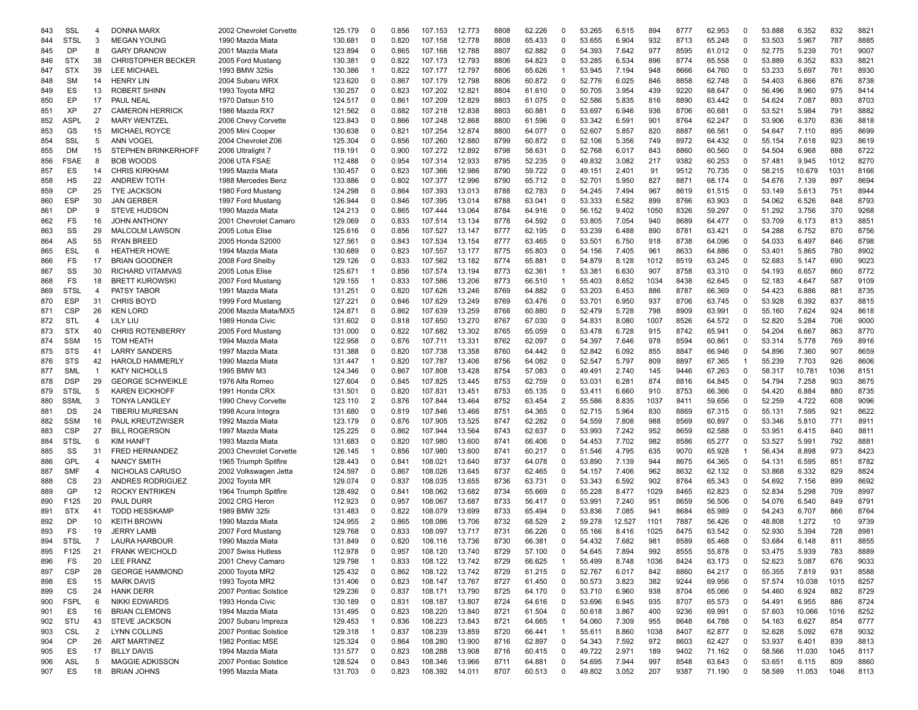| 843        | SSL              | 4              | DONNA MARX                                     | 2002 Chevrolet Corvette                   | 125.179 | 0              | 0.856          | 107.153 | 12.773 | 8808 | 62.226           | $\Omega$       | 53.265 | 6.515  | 894  | 8777 | 62.953 | 0            | 53.888 | 6.352          | 832        | 8821 |
|------------|------------------|----------------|------------------------------------------------|-------------------------------------------|---------|----------------|----------------|---------|--------|------|------------------|----------------|--------|--------|------|------|--------|--------------|--------|----------------|------------|------|
| 844        | <b>STSL</b>      | 3              | <b>MEGAN YOUNG</b>                             | 1990 Mazda Miata                          | 130.681 | $\Omega$       | 0.820          | 107.158 | 12.778 | 8808 | 65.433           | 0              | 53.655 | 6.904  | 932  | 8713 | 65.248 | $\Omega$     | 53.503 | 5.967          | 787        | 8885 |
| 845        | <b>DP</b>        | 8              | <b>GARY DRANOW</b>                             | 2001 Mazda Miata                          | 123.894 | $\Omega$       | 0.865          | 107.168 | 12.788 | 8807 | 62.882           | $\Omega$       | 54.393 | 7.642  | 977  | 8595 | 61.012 | $\Omega$     | 52.775 | 5.239          | 701        | 9007 |
| 846        | <b>STX</b>       | 38             | <b>CHRISTOPHER BECKER</b>                      | 2005 Ford Mustang                         | 130.381 | 0              | 0.822          | 107.173 | 12.793 | 8806 | 64.823           | $\Omega$       | 53.285 | 6.534  | 896  | 8774 | 65.558 | $\Omega$     | 53.889 | 6.352          | 833        | 8821 |
| 847        | <b>STX</b>       | 39             | <b>LEE MICHAEL</b>                             | 1993 BMW 325is                            | 130.386 | -1             | 0.822          | 107.177 | 12.797 | 8806 | 65.626           | $\mathbf 1$    | 53.945 | 7.194  | 948  | 8666 | 64.760 | $\Omega$     | 53.233 | 5.697          | 761        | 8930 |
| 848        | <b>SM</b>        | 14             | <b>HENRY LIN</b>                               | 2004 Subaru WRX                           | 123.620 | $\Omega$       | 0.867          | 107.179 | 12.798 | 8806 | 60.872           | 0              | 52.776 | 6.025  | 846  | 8858 | 62.748 | $\Omega$     | 54.403 | 6.866          | 876        | 8738 |
| 849        | ES               | 13             | <b>ROBERT SHINN</b>                            | 1993 Toyota MR2                           | 130.257 | $\Omega$       | 0.823          | 107.202 | 12.821 | 8804 | 61.610           | 0              | 50.705 | 3.954  | 439  | 9220 | 68.647 | 0            | 56.496 | 8.960          | 975        | 8414 |
| 850        | EP               | 17             | <b>PAUL NEAL</b>                               | 1970 Datsun 510                           | 124.517 | 0              | 0.861          | 107.209 | 12.829 | 8803 | 61.075           | 0              | 52.586 | 5.835  | 816  | 8890 | 63.442 | 0            | 54.624 | 7.087          | 893        | 8703 |
| 851        | XP               | 27             | <b>CAMERON HERRICK</b>                         | 1986 Mazda RX7                            | 121.562 | $\Omega$       | 0.882          | 107.218 | 12.838 | 8803 | 60.881           | 0              | 53.697 | 6.946  | 936  | 8706 | 60.681 | 0            | 53.521 | 5.984          | 791        | 8882 |
| 852        | <b>ASPL</b>      | 2              | <b>MARY WENTZEL</b>                            | 2006 Chevy Corvette                       | 123.843 | 0              | 0.866          | 107.248 | 12.868 | 8800 | 61.596           | 0              | 53.342 | 6.591  | 901  | 8764 | 62.247 | 0            | 53.906 | 6.370          | 836        | 8818 |
| 853        | GS               | 15             | <b>MICHAEL ROYCE</b>                           | 2005 Mini Cooper                          | 130.638 | $\Omega$       | 0.821          | 107.254 | 12.874 | 8800 | 64.077           | 0              | 52.607 | 5.857  | 820  | 8887 | 66.561 | $\Omega$     | 54.647 | 7.110          | 895        | 8699 |
| 854        | SSL              | 5              | <b>ANN VOGEL</b>                               | 2004 Chevrolet Z06                        | 125.304 | $\Omega$       | 0.856          | 107.260 | 12.880 | 8799 | 60.872           | $\Omega$       | 52.106 | 5.356  | 749  | 8972 | 64.432 | $\Omega$     | 55.154 | 7.618          | 923        | 8619 |
| 855        | DM               | 15             | <b>STEPHEN BRINKERHOFF</b>                     | 2006 Ultralight 7                         | 119.191 | $\Omega$       | 0.900          | 107.272 | 12.892 | 8798 | 58.631           | 0              | 52.768 | 6.017  | 843  | 8860 | 60.560 | $\Omega$     | 54.504 | 6.968          | 888        | 8722 |
| 856        | <b>FSAE</b>      | 8              | <b>BOB WOODS</b>                               | 2006 UTA FSAE                             | 112.488 | $\Omega$       | 0.954          | 107.314 | 12.933 | 8795 | 52.235           | 0              | 49.832 | 3.082  | 217  | 9382 | 60.253 | 0            | 57.481 | 9.945          | 1012       | 8270 |
| 857        | ES               | 14             | <b>CHRIS KIRKHAM</b>                           | 1995 Mazda Miata                          | 130.457 | $\Omega$       | 0.823          | 107.366 | 12.986 | 8790 | 59.722           | 0              | 49.151 | 2.401  | 91   | 9512 | 70.735 | 0            | 58.215 | 10.679         | 1031       | 8166 |
| 858        | HS               | 22             | <b>ANDREW TOTH</b>                             | 1988 Mercedes Benz                        | 133.886 | $\Omega$       | 0.802          | 107.377 | 12.996 | 8790 | 65.712           | 0              | 52.701 | 5.950  | 827  | 8871 | 68.174 | 0            | 54.676 | 7.139          | 897        | 8694 |
| 859        | СP               | 25             | <b>TYE JACKSON</b>                             | 1980 Ford Mustang                         | 124.298 | 0              | 0.864          | 107.393 | 13.013 | 8788 | 62.783           | 0              | 54.245 | 7.494  | 967  | 8619 | 61.515 | 0            | 53.149 | 5.613          | 751        | 8944 |
| 860        | <b>ESP</b>       | 30             | <b>JAN GERBER</b>                              | 1997 Ford Mustang                         | 126.944 | $\Omega$       | 0.846          | 107.395 | 13.014 | 8788 | 63.041           | $\mathbf 0$    | 53.333 | 6.582  | 899  | 8766 | 63.903 | 0            | 54.062 | 6.526          | 848        | 8793 |
| 861        | <b>DP</b>        | 9              | <b>STEVE HUDSON</b>                            | 1990 Mazda Miata                          | 124.213 | $\Omega$       | 0.865          | 107.444 | 13.064 | 8784 | 64.916           | 0              | 56.152 | 9.402  | 1050 | 8326 | 59.297 | $\Omega$     | 51.292 | 3.756          | 370        | 9268 |
| 862        | FS               | 16             | <b>JOHN ANTHONY</b>                            | 2001 Chevrolet Camaro                     | 129.069 | $\Omega$       | 0.833          | 107.514 | 13.134 | 8778 | 64.592           | 0              | 53.805 | 7.054  | 940  | 8689 | 64.477 | $\Omega$     | 53.709 | 6.173          | 813        | 8851 |
| 863        | SS               | 29             | <b>MALCOLM LAWSON</b>                          | 2005 Lotus Elise                          | 125.616 | $\Omega$       | 0.856          | 107.527 | 13.147 | 8777 | 62.195           | 0              | 53.239 | 6.488  | 890  | 8781 | 63.421 | 0            | 54.288 | 6.752          | 870        | 8756 |
| 864        | AS               | 55             | <b>RYAN BREED</b>                              | 2005 Honda S2000                          | 127.561 | $\Omega$       | 0.843          | 107.534 | 13.154 | 8777 | 63.465           | 0              | 53.501 | 6.750  | 918  | 8738 | 64.096 | $\Omega$     | 54.033 | 6.497          | 846        | 8798 |
| 865        | ESL              | 6              | <b>HEATHER HOWE</b>                            | 1994 Mazda Miata                          | 130.689 | $\Omega$       | 0.823          | 107.557 | 13.177 | 8775 | 65.803           | 0              | 54.156 | 7.405  | 961  | 8633 | 64.886 | $\Omega$     | 53.401 | 5.865          | 780        | 8902 |
| 866        | FS               | 17             | <b>BRIAN GOODNER</b>                           | 2008 Ford Shelby                          | 129.126 | $\Omega$       | 0.833          | 107.562 | 13.182 | 8774 | 65.881           | 0              | 54.879 | 8.128  | 1012 | 8519 | 63.245 | $\Omega$     | 52.683 | 5.147          | 690        | 9023 |
| 867        | SS               | 30             | <b>RICHARD VITAMVAS</b>                        | 2005 Lotus Elise                          | 125.671 | -1             | 0.856          | 107.574 | 13.194 | 8773 | 62.361           | -1             | 53.381 | 6.630  | 907  | 8758 | 63.310 | 0            | 54.193 | 6.657          | 860        | 8772 |
|            | FS               | 18             | <b>BRETT KUROWSKI</b>                          | 2007 Ford Mustang                         | 129.155 | -1             | 0.833          | 107.586 | 13.206 | 8773 | 66.510           | -1             | 55.403 | 8.652  | 1034 | 8438 | 62.645 | 0            | 52.183 |                | 587        | 9109 |
| 868<br>869 | <b>STSL</b>      | $\overline{4}$ | PATSY TABOR                                    | 1991 Mazda Miata                          | 131.251 | $\Omega$       | 0.820          | 107.626 | 13.246 | 8769 | 64.882           | 0              | 53.203 | 6.453  | 886  | 8787 | 66.369 | 0            | 54.423 | 4.647<br>6.886 | 881        | 8735 |
|            | <b>ESP</b>       | 31             | <b>CHRIS BOYD</b>                              |                                           | 127.221 | $\Omega$       |                | 107.629 | 13.249 | 8769 |                  | 0              | 53.701 | 6.950  | 937  | 8706 |        | 0            | 53.928 |                | 837        | 8815 |
| 870        | <b>CSP</b>       | 26             | <b>KEN LORD</b>                                | 1999 Ford Mustang<br>2006 Mazda Miata/MX5 |         | $\Omega$       | 0.846<br>0.862 | 107.639 | 13.259 | 8768 | 63.476<br>60.880 | 0              | 52.479 | 5.728  | 798  | 8909 | 63.745 | $\Omega$     | 55.160 | 6.392<br>7.624 | 924        | 8618 |
| 871        |                  |                |                                                |                                           | 124.871 | $\Omega$       |                |         |        | 8767 |                  | 0              |        |        |      |      | 63.991 | $\Omega$     |        |                |            |      |
| 872        | STL              | $\overline{4}$ | LILY LIU                                       | 1989 Honda Civic                          | 131.602 |                | 0.818          | 107.650 | 13.270 | 8765 | 67.030           |                | 54.831 | 8.080  | 1007 | 8526 | 64.572 |              | 52.820 | 5.284          | 706<br>863 | 9000 |
| 873        | <b>STX</b>       | 40             | <b>CHRIS ROTENBERRY</b>                        | 2005 Ford Mustand                         | 131.000 | $\Omega$       | 0.822          | 107.682 | 13.302 |      | 65.059           | 0              | 53.478 | 6.728  | 915  | 8742 | 65.941 | $\Omega$     | 54.204 | 6.667          |            | 8770 |
| 874        | <b>SSM</b>       | 15             | <b>TOM HEATH</b>                               | 1994 Mazda Miata                          | 122.958 | 0              | 0.876          | 107.711 | 13.331 | 8762 | 62.097           | 0              | 54.397 | 7.646  | 978  | 8594 | 60.861 | 0            | 53.314 | 5.778          | 769        | 8916 |
| 875        | <b>STS</b>       | 41             | <b>LARRY SANDERS</b><br><b>HAROLD HAMMERLY</b> | 1997 Mazda Miata                          | 131.388 | 0              | 0.820          | 107.738 | 13.358 | 8760 | 64.442           | 0              | 52.842 | 6.092  | 855  | 8847 | 66.946 | 0            | 54.896 | 7.360          | 907        | 8659 |
| 876        | STS              | 42             |                                                | 1990 Mazda Miata                          | 131.447 | -1             | 0.820          | 107.787 | 13.406 | 8756 | 64.082           | 0              | 52.547 | 5.797  | 809  | 8897 | 67.365 | -1           | 55.239 | 7.703          | 926        | 8606 |
| 877        | SML              | $\overline{1}$ | <b>KATY NICHOLLS</b>                           | 1995 BMW M3                               | 124.346 | $\Omega$       | 0.867          | 107.808 | 13.428 | 8754 | 57.083           | 0              | 49.491 | 2.740  | 145  | 9446 | 67.263 | 0            | 58.317 | 10.781         | 1036       | 8151 |
| 878        | <b>DSP</b>       | 29             | <b>GEORGE SCHWEIKLE</b>                        | 1976 Alfa Romeo                           | 127.604 | $\Omega$       | 0.845          | 107.825 | 13.445 | 8753 | 62.759           | 0              | 53.031 | 6.281  | 874  | 8816 | 64.845 | 0            | 54.794 | 7.258          | 903        | 8675 |
| 879        | <b>STSL</b>      | 5              | <b>KAREN EICKHOFF</b>                          | 1991 Honda CRX                            | 131.501 | 0              | 0.820          | 107.831 | 13.451 | 8753 | 65.135           | 0              | 53.411 | 6.660  | 910  | 8753 | 66.366 | $\Omega$     | 54.420 | 6.884          | 880        | 8735 |
| 880        | <b>SSML</b>      | 3              | <b>TONYA LANGLEY</b>                           | 1990 Chevy Corvette                       | 123.110 | $\overline{2}$ | 0.876          | 107.844 | 13.464 | 8752 | 63.454           | $\overline{2}$ | 55.586 | 8.835  | 1037 | 8411 | 59.656 | $\Omega$     | 52.259 | 4.722          | 608        | 9096 |
| 881        | DS               | 24             | <b>TIBERIU MURESAN</b>                         | 1998 Acura Integra                        | 131.680 | $\Omega$       | 0.819          | 107.846 | 13.466 | 8751 | 64.365           | 0              | 52.715 | 5.964  | 830  | 8869 | 67.315 | $\Omega$     | 55.131 | 7.595          | 921        | 8622 |
| 882        | <b>SSM</b>       | 16             | PAUL KREUTZWISER                               | 1992 Mazda Miata                          | 123.179 | $\Omega$       | 0.876          | 107.905 | 13.525 | 8747 | 62.282           | 0              | 54.559 | 7.808  | 988  | 8569 | 60.897 | 0            | 53.346 | 5.810          | 771        | 8911 |
| 883        | <b>CSP</b>       | 27             | <b>BILL ROGERSON</b>                           | 1997 Mazda Miata                          | 125.225 | 0              | 0.862          | 107.944 | 13.564 | 8743 | 62.637           | 0              | 53.993 | 7.242  | 952  | 8659 | 62.588 | 0            | 53.951 | 6.415          | 840        | 8811 |
| 884        | <b>STSL</b>      | 6              | <b>KIM HANFT</b>                               | 1993 Mazda Miata                          | 131.683 | $\Omega$       | 0.820          | 107.980 | 13.600 | 8741 | 66.406           | 0              | 54.453 | 7.702  | 982  | 8586 | 65.277 | 0            | 53.527 | 5.991          | 792        | 8881 |
| 885        | SS               | 31             | <b>FRED HERNANDEZ</b>                          | 2003 Chevrolet Corvette                   | 126.145 | -1             | 0.856          | 107.980 | 13.600 | 8741 | 60.217           | 0              | 51.546 | 4.795  | 635  | 9070 | 65.928 | $\mathbf{1}$ | 56.434 | 8.898          | 973        | 8423 |
| 886        | <b>GPL</b>       | $\overline{4}$ | <b>NANCY SMITH</b>                             | 1965 Triumph Spitfire                     | 128.443 | $\Omega$       | 0.841          | 108.021 | 13.640 | 8737 | 64.078           | 0              | 53.890 | 7.139  | 944  | 8675 | 64.365 | 0            | 54.131 | 6.595          | 851        | 8782 |
| 887        | <b>SMF</b>       | $\overline{4}$ | NICHOLAS CARUSO                                | 2002 Volkswagen Jetta                     | 124.597 | $\Omega$       | 0.867          | 108.026 | 13.645 | 8737 | 62.465           | 0              | 54.157 | 7.406  | 962  | 8632 | 62.132 | $\Omega$     | 53.868 | 6.332          | 829        | 8824 |
| 888        | CS               | 23             | ANDRES RODRIGUEZ                               | 2002 Toyota MR                            | 129.074 | $\Omega$       | 0.837          | 108.035 | 13.655 | 8736 | 63.731           | 0              | 53.343 | 6.592  | 902  | 8764 | 65.343 | $\Omega$     | 54.692 | 7.156          | 899        | 8692 |
| 889        | GP               | 12             | <b>ROCKY ENTRIKEN</b>                          | 1964 Triumph Spitfire                     | 128.492 | $\Omega$       | 0.841          | 108.062 | 13.682 | 8734 | 65.669           | 0              | 55.228 | 8.477  | 1029 | 8465 | 62.823 | $\Omega$     | 52.834 | 5.298          | 709        | 8997 |
| 890        | F <sub>125</sub> | 20             | PAUL DURR                                      | 2002 CRG Heron                            | 112.923 | $\Omega$       | 0.957          | 108.067 | 13.687 | 8733 | 56.417           | 0              | 53.991 | 7.240  | 951  | 8659 | 56.506 | $\Omega$     | 54.076 | 6.540          | 849        | 8791 |
| 891        | <b>STX</b>       | 41             | <b>TODD HESSKAMP</b>                           | 1989 BMW 325i                             | 131.483 | $\Omega$       | 0.822          | 108.079 | 13.699 | 8733 | 65.494           | 0              | 53.836 | 7.085  | 941  | 8684 | 65.989 | 0            | 54.243 | 6.707          | 866        | 8764 |
| 892        | DP               | 10             | <b>KEITH BROWN</b>                             | 1990 Mazda Miata                          | 124.955 | $\overline{2}$ | 0.865          | 108.086 | 13.706 | 8732 | 68.529           | $\overline{2}$ | 59.278 | 12.527 | 1101 | 7887 | 56.426 | 0            | 48.808 | 1.272          | 10         | 9739 |
| 893        | FS               | 19             | <b>JERRY LAMB</b>                              | 2007 Ford Mustang                         | 129.768 | $\Omega$       | 0.833          | 108.097 | 13.717 | 8731 | 66.226           | $\Omega$       | 55.166 | 8.416  | 1025 | 8475 | 63.542 | 0            | 52.930 | 5.394          | 728        | 8981 |
| 894        | <b>STSL</b>      | $\overline{7}$ | LAURA HARBOUR                                  | 1990 Mazda Miata                          | 131.849 | $\Omega$       | 0.820          | 108.116 | 13.736 | 8730 | 66.381           | <sup>0</sup>   | 54.432 | 7.682  | 981  | 8589 | 65.468 | $\Omega$     | 53.684 | 6.148          | 811        | 8855 |
| 895        | F125             | 21             | <b>FRANK WEICHOLD</b>                          | 2007 Swiss Hutless                        | 112.978 | 0              | 0.957          | 108.120 | 13.740 | 8729 | 57.100           | 0              | 54.645 | 7.894  | 992  | 8555 | 55.878 | 0            | 53.475 | 5.939          | 783        | 8889 |
| 896        | FS               | 20             | <b>LEE FRANZ</b>                               | 2001 Chevy Camaro                         | 129.798 | $\overline{1}$ | 0.833          | 108.122 | 13.742 | 8729 | 66.625           | $\mathbf 1$    | 55.499 | 8.748  | 1036 | 8424 | 63.173 | 0            | 52.623 | 5.087          | 676        | 9033 |
| 897        | <b>CSP</b>       | 28             | <b>GEORGE HAMMOND</b>                          | 2000 Toyota MR2                           | 125.432 | 0              | 0.862          | 108.122 | 13.742 | 8729 | 61.215           | 0              | 52.767 | 6.017  | 842  | 8860 | 64.217 | 0            | 55.355 | 7.819          | 931        | 8588 |
| 898        | ES               | 15             | <b>MARK DAVIS</b>                              | 1993 Toyota MR2                           | 131.406 | 0              | 0.823          | 108.147 | 13.767 | 8727 | 61.450           | 0              | 50.573 | 3.823  | 382  | 9244 | 69.956 | 0            | 57.574 | 10.038         | 1015       | 8257 |
| 899        | CS               | 24             | <b>HANK DERR</b>                               | 2007 Pontiac Solstice                     | 129.236 | 0              | 0.837          | 108.171 | 13.790 | 8725 | 64.170           | 0              | 53.710 | 6.960  | 938  | 8704 | 65.066 | 0            | 54.460 | 6.924          | 882        | 8729 |
| 900        | <b>FSPL</b>      | 6              | NIKKI EDWARDS                                  | 1993 Honda Civic                          | 130.189 | 0              | 0.831          | 108.187 | 13.807 | 8724 | 64.616           | 0              | 53.696 | 6.945  | 935  | 8707 | 65.573 | 0            | 54.491 | 6.955          | 886        | 8724 |
| 901        | ES               | 16             | <b>BRIAN CLEMONS</b>                           | 1994 Mazda Miata                          | 131.495 | 0              | 0.823          | 108.220 | 13.840 | 8721 | 61.504           | 0              | 50.618 | 3.867  | 400  | 9236 | 69.991 | 0            | 57.603 | 10.066         | 1016       | 8252 |
| 902        | STU              | 43             | STEVE JACKSON                                  | 2007 Subaru Impreza                       | 129.453 | $\overline{1}$ | 0.836          | 108.223 | 13.843 | 8721 | 64.665           | $\overline{1}$ | 54.060 | 7.309  | 955  | 8648 | 64.788 | 0            | 54.163 | 6.627          | 854        | 8777 |
| 903        | CSL              | 2              | <b>LYNN COLLINS</b>                            | 2007 Pontiac Solstice                     | 129.318 | $\mathbf{1}$   | 0.837          | 108.239 | 13.859 | 8720 | 66.441           | $\mathbf{1}$   | 55.611 | 8.860  | 1038 | 8407 | 62.877 | 0            | 52.628 | 5.092          | 678        | 9032 |
| 904        | CP               | 26             | <b>ART MARTINEZ</b>                            | 1982 Pontiac MSE                          | 125.324 | 0              | 0.864          | 108.280 | 13.900 | 8716 | 62.897           | 0              | 54.343 | 7.592  | 972  | 8603 | 62.427 | 0            | 53.937 | 6.401          | 839        | 8813 |
| 905        | ES               | 17             | <b>BILLY DAVIS</b>                             | 1994 Mazda Miata                          | 131.577 | 0              | 0.823          | 108.288 | 13.908 | 8716 | 60.415           | 0              | 49.722 | 2.971  | 189  | 9402 | 71.162 | 0            | 58.566 | 11.030         | 1045       | 8117 |
| 906        | ASL              | 5              | <b>MAGGIE ADKISSON</b>                         | 2007 Pontiac Solstice                     | 128.524 | 0              | 0.843          | 108.346 | 13.966 | 8711 | 64.881           | 0              | 54.695 | 7.944  | 997  | 8548 | 63.643 | 0            | 53.651 | 6.115          | 809        | 8860 |
| 907        | ES               | 18             | <b>BRIAN JOHNS</b>                             | 1995 Mazda Miata                          | 131.703 | 0              | 0.823          | 108.392 | 14.011 | 8707 | 60.513           | 0              | 49.802 | 3.052  | 207  | 9387 | 71.190 | 0            | 58.589 | 11.053         | 1046       | 8113 |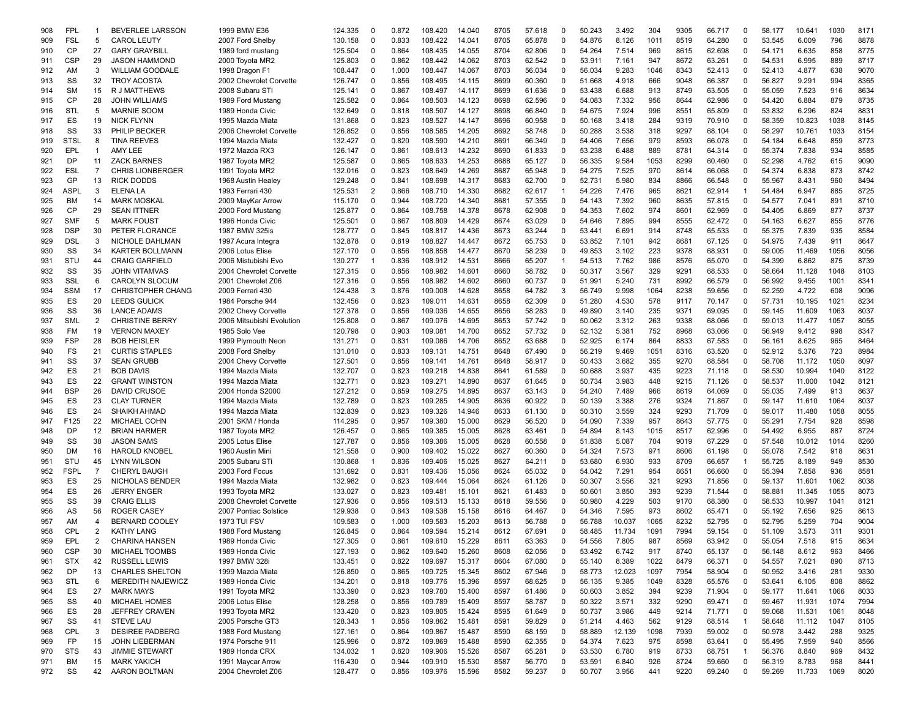| 908 | FPL         | -1             | <b>BEVERLEE LARSSON</b>  | 1999 BMW E36              | 124.335 | 0              | 0.872 | 108.420 | 14.040 | 8705 | 57.618 | 0           | 50.243 | 3.492  | 304  | 9305 | 66.717 | 0              | 58.177 | 10.641 | 1030 | 8171 |
|-----|-------------|----------------|--------------------------|---------------------------|---------|----------------|-------|---------|--------|------|--------|-------------|--------|--------|------|------|--------|----------------|--------|--------|------|------|
| 909 | <b>FSL</b>  | 5              | <b>CAROL LEUTY</b>       | 2007 Ford Shelby          | 130.158 | $\Omega$       | 0.833 | 108.422 | 14.041 | 8705 | 65.878 | $\Omega$    | 54.876 | 8.126  | 1011 | 8519 | 64.280 | $\mathbf 0$    | 53.545 | 6.009  | 796  | 8878 |
|     |             |                |                          |                           |         | $\Omega$       |       |         |        |      |        | $\Omega$    |        |        | 969  |      |        | $\Omega$       |        |        |      | 8775 |
| 910 | CP          | 27             | <b>GARY GRAYBILL</b>     | 1989 ford mustang         | 125.504 |                | 0.864 | 108.435 | 14.055 | 8704 | 62.806 |             | 54.264 | 7.514  |      | 8615 | 62.698 |                | 54.171 | 6.635  | 858  |      |
| 911 | <b>CSP</b>  | 29             | <b>JASON HAMMOND</b>     | 2000 Toyota MR2           | 125.803 | $\Omega$       | 0.862 | 108.442 | 14.062 | 8703 | 62.542 | $\Omega$    | 53.911 | 7.161  | 947  | 8672 | 63.261 | $\mathbf 0$    | 54.531 | 6.995  | 889  | 8717 |
| 912 | AM          | 3              | <b>WILLIAM GOODALE</b>   | 1998 Dragon F1            | 108.447 | $\Omega$       | 1.000 | 108.447 | 14.067 | 8703 | 56.034 | 0           | 56.034 | 9.283  | 1046 | 8343 | 52.413 | 0              | 52.413 | 4.877  | 638  | 9070 |
| 913 | SS          | 32             | <b>TROY ACOSTA</b>       | 2002 Chevrolet Corvette   | 126.747 | $\Omega$       | 0.856 | 108.495 | 14.115 | 8699 | 60.360 | 0           | 51.668 | 4.918  | 666  | 9048 | 66.387 | 0              | 56.827 | 9.291  | 994  | 8365 |
| 914 | <b>SM</b>   | 15             | R J MATTHEWS             | 2008 Subaru STI           | 125.141 | $\Omega$       | 0.867 | 108.497 | 14.117 | 8699 | 61.636 | 0           | 53.438 | 6.688  | 913  | 8749 | 63.505 | 0              | 55.059 | 7.523  | 916  | 8634 |
| 915 | CP          | 28             | <b>JOHN WILLIAMS</b>     | 1989 Ford Mustang         | 125.582 | 0              | 0.864 | 108.503 | 14.123 | 8698 | 62.596 | 0           | 54.083 | 7.332  | 956  | 8644 | 62.986 | $\mathbf 0$    | 54.420 | 6.884  | 879  | 8735 |
| 916 | STL         | 5              | <b>MARNIE SOOM</b>       | 1989 Honda Civic          | 132.649 | $\Omega$       | 0.818 | 108.507 | 14.127 | 8698 | 66.840 | $\Omega$    | 54.675 | 7.924  | 996  | 8551 | 65.809 | 0              | 53.832 | 6.296  | 824  | 8831 |
|     |             |                |                          |                           |         |                |       |         |        |      |        |             |        |        |      |      |        |                |        |        |      |      |
| 917 | ES          | 19             | <b>NICK FLYNN</b>        | 1995 Mazda Miata          | 131.868 | $\Omega$       | 0.823 | 108.527 | 14.147 | 8696 | 60.958 | 0           | 50.168 | 3.418  | 284  | 9319 | 70.910 | 0              | 58.359 | 10.823 | 1038 | 8145 |
| 918 | SS          | 33             | PHILIP BECKER            | 2006 Chevrolet Corvette   | 126.852 | $\Omega$       | 0.856 | 108.585 | 14.205 | 8692 | 58.748 | 0           | 50.288 | 3.538  | 318  | 9297 | 68.104 | $\Omega$       | 58.297 | 10.761 | 1033 | 8154 |
| 919 | <b>STSL</b> | 8              | <b>TINA REEVES</b>       | 1994 Mazda Miata          | 132.427 | $\Omega$       | 0.820 | 108.590 | 14.210 | 8691 | 66.349 | 0           | 54.406 | 7.656  | 979  | 8593 | 66.078 | 0              | 54.184 | 6.648  | 859  | 8773 |
| 920 | EPL         | $\mathbf{1}$   | AMY LEE                  | 1972 Mazda RX3            | 126.147 | $\Omega$       | 0.861 | 108.613 | 14.232 | 8690 | 61.833 | 0           | 53.238 | 6.488  | 889  | 8781 | 64.314 | $\mathbf 0$    | 55.374 | 7.838  | 934  | 8585 |
| 921 | DP          | 11             | <b>ZACK BARNES</b>       | 1987 Toyota MR2           | 125.587 | $\Omega$       | 0.865 | 108.633 | 14.253 | 8688 | 65.127 | 0           | 56.335 | 9.584  | 1053 | 8299 | 60.460 | 0              | 52.298 | 4.762  | 615  | 9090 |
| 922 | ESL         | $\overline{7}$ | <b>CHRIS LIONBERGER</b>  | 1991 Toyota MR2           | 132.016 | 0              | 0.823 | 108.649 | 14.269 | 8687 | 65.948 | 0           | 54.275 | 7.525  | 970  | 8614 | 66.068 | 0              | 54.374 | 6.838  | 873  | 8742 |
| 923 | GP          | 13             | <b>RICK DODDS</b>        | 1968 Austin Healev        | 129.248 | $\Omega$       | 0.841 | 108.698 | 14.317 | 8683 | 62.700 | 0           | 52.731 | 5.980  | 834  | 8866 | 66.548 | 0              | 55.967 | 8.431  | 960  | 8494 |
|     |             |                |                          |                           |         |                |       |         |        |      |        |             |        |        |      |      |        |                |        |        |      |      |
| 924 | <b>ASPL</b> | 3              | ELENA LA                 | 1993 Ferrari 430          | 125.531 | $\overline{2}$ | 0.866 | 108.710 | 14.330 | 8682 | 62.617 | $\mathbf 1$ | 54.226 | 7.476  | 965  | 8621 | 62.914 | $\overline{1}$ | 54.484 | 6.947  | 885  | 8725 |
| 925 | <b>BM</b>   | 14             | <b>MARK MOSKAL</b>       | 2009 MayKar Arrow         | 115.170 | $\Omega$       | 0.944 | 108.720 | 14.340 | 8681 | 57.355 | 0           | 54.143 | 7.392  | 960  | 8635 | 57.815 | 0              | 54.577 | 7.041  | 891  | 8710 |
| 926 | CP          | 29             | <b>SEAN ITTNER</b>       | 2000 Ford Mustang         | 125.877 | $\Omega$       | 0.864 | 108.758 | 14.378 | 8678 | 62.908 | $\Omega$    | 54.353 | 7.602  | 974  | 8601 | 62.969 | $\mathbf 0$    | 54.405 | 6.869  | 877  | 8737 |
| 927 | <b>SMF</b>  | 5              | <b>MARK FOUST</b>        | 1996 Honda Civic          | 125.501 | $\Omega$       | 0.867 | 108.809 | 14.429 | 8674 | 63.029 | 0           | 54.646 | 7.895  | 994  | 8555 | 62.472 | $\Omega$       | 54.163 | 6.627  | 855  | 8776 |
| 928 | <b>DSP</b>  | 30             | PETER FLORANCE           | 1987 BMW 325is            | 128.777 | $\Omega$       | 0.845 | 108.817 | 14.436 | 8673 | 63.244 | 0           | 53.441 | 6.691  | 914  | 8748 | 65.533 | 0              | 55.375 | 7.839  | 935  | 8584 |
| 929 | DSL         | 3              | NICHOLE DAHLMAN          | 1997 Acura Integra        | 132.878 | $\Omega$       | 0.819 | 108.827 | 14.447 | 8672 | 65.753 | 0           | 53.852 | 7.101  | 942  | 8681 | 67.125 | $\mathbf 0$    | 54.975 | 7.439  | 911  | 8647 |
|     |             |                |                          | 2006 Lotus Elise          |         | $\Omega$       |       |         |        | 8670 |        | 0           |        |        |      |      |        |                |        |        | 1056 |      |
| 930 | SS          | 34             | <b>KARTER BOLLMANN</b>   |                           | 127.170 |                | 0.856 | 108.858 | 14.477 |      | 58.239 |             | 49.853 | 3.102  | 223  | 9378 | 68.931 | 0              | 59.005 | 11.469 |      | 8056 |
| 931 | STU         | 44             | <b>CRAIG GARFIELD</b>    | 2006 Mistubishi Evo       | 130.277 | $\mathbf{1}$   | 0.836 | 108.912 | 14.531 | 8666 | 65.207 | 1           | 54.513 | 7.762  | 986  | 8576 | 65.070 | 0              | 54.399 | 6.862  | 875  | 8739 |
| 932 | SS          | 35             | <b>JOHN VITAMVAS</b>     | 2004 Chevrolet Corvette   | 127.315 | $\Omega$       | 0.856 | 108.982 | 14.601 | 8660 | 58.782 | 0           | 50.317 | 3.567  | 329  | 9291 | 68.533 | 0              | 58.664 | 11.128 | 1048 | 8103 |
| 933 | SSL         | 6              | <b>CAROLYN SLOCUM</b>    | 2001 Chevrolet Z06        | 127.316 | 0              | 0.856 | 108.982 | 14.602 | 8660 | 60.737 | 0           | 51.991 | 5.240  | 731  | 8992 | 66.579 | 0              | 56.992 | 9.455  | 1001 | 834  |
| 934 | <b>SSM</b>  | 17             | <b>CHRISTOPHER CHANG</b> | 2009 Ferrari 430          | 124.438 | 3              | 0.876 | 109.008 | 14.628 | 8658 | 64.782 | 3           | 56.749 | 9.998  | 1064 | 8238 | 59.656 | 0              | 52.259 | 4.722  | 608  | 9096 |
| 935 | ES          | 20             | <b>LEEDS GULICK</b>      | 1984 Porsche 944          | 132.456 | $\Omega$       | 0.823 | 109.011 | 14.631 | 8658 | 62.309 | 0           | 51.280 | 4.530  | 578  | 9117 | 70.147 | $\mathbf 0$    | 57.731 | 10.195 | 1021 | 8234 |
| 936 | SS          | 36             | <b>LANCE ADAMS</b>       | 2002 Chevy Corvette       | 127.378 | $\Omega$       | 0.856 | 109.036 | 14.655 | 8656 | 58.283 | $\Omega$    | 49.890 | 3.140  | 235  | 9371 | 69.095 | $\mathbf 0$    | 59.145 | 11.609 | 1063 | 8037 |
|     | <b>SML</b>  | 2              |                          | 2006 Mitsubishi Evolution |         | $\Omega$       |       |         |        | 8653 |        | 0           |        |        | 263  | 9338 |        |                | 59.013 |        | 1057 |      |
| 937 |             |                | <b>CHRISTINE BERRY</b>   |                           | 125.808 |                | 0.867 | 109.076 | 14.695 |      | 57.742 |             | 50.062 | 3.312  |      |      | 68.066 | 0              |        | 11.477 |      | 8055 |
| 938 | FM          | 19             | <b>VERNON MAXEY</b>      | 1985 Solo Vee             | 120.798 | $\Omega$       | 0.903 | 109.081 | 14.700 | 8652 | 57.732 | $\Omega$    | 52.132 | 5.381  | 752  | 8968 | 63.066 | 0              | 56.949 | 9.412  | 998  | 8347 |
| 939 | FSP         | 28             | <b>BOB HEISLER</b>       | 1999 Plymouth Neon        | 131.271 | $\overline{0}$ | 0.831 | 109.086 | 14.706 | 8652 | 63.688 | 0           | 52.925 | 6.174  | 864  | 8833 | 67.583 | 0              | 56.161 | 8.625  | 965  | 8464 |
| 940 | FS          | 21             | <b>CURTIS STAPLES</b>    | 2008 Ford Shelby          | 131.010 | 0              | 0.833 | 109.131 | 14.751 | 8648 | 67.490 | 0           | 56.219 | 9.469  | 1051 | 8316 | 63.520 | 0              | 52.912 | 5.376  | 723  | 8984 |
| 941 | SS          | 37             | <b>SEAN GRUBB</b>        | 2004 Chevy Corvette       | 127.501 | $\Omega$       | 0.856 | 109.141 | 14.761 | 8648 | 58.917 | 0           | 50.433 | 3.682  | 355  | 9270 | 68.584 | 0              | 58.708 | 11.172 | 1050 | 8097 |
| 942 | ES          | 21             | <b>BOB DAVIS</b>         | 1994 Mazda Miata          | 132.707 | $\Omega$       | 0.823 | 109.218 | 14.838 | 8641 | 61.589 | $\Omega$    | 50.688 | 3.937  | 435  | 9223 | 71.118 | 0              | 58.530 | 10.994 | 1040 | 8122 |
| 943 | ES          | 22             | <b>GRANT WINSTON</b>     | 1994 Mazda Miata          | 132.771 | $\Omega$       | 0.823 | 109.271 | 14.890 | 8637 | 61.645 | 0           | 50.734 | 3.983  | 448  | 9215 | 71.126 | $\Omega$       | 58.537 | 11.000 | 1042 | 8121 |
|     |             | 26             |                          |                           |         | $\Omega$       |       |         |        |      |        | 0           |        |        | 966  |      |        |                |        |        |      |      |
| 944 | <b>BSP</b>  |                | <b>DAVID CRUSOE</b>      | 2004 Honda S2000          | 127.212 |                | 0.859 | 109.275 | 14.895 | 8637 | 63.143 |             | 54.240 | 7.489  |      | 8619 | 64.069 | 0              | 55.035 | 7.499  | 913  | 8637 |
| 945 | ES          | 23             | <b>CLAY TURNER</b>       | 1994 Mazda Miata          | 132.789 | $\Omega$       | 0.823 | 109.285 | 14.905 | 8636 | 60.922 | 0           | 50.139 | 3.388  | 276  | 9324 | 71.867 | $\mathbf 0$    | 59.147 | 11.610 | 1064 | 8037 |
| 946 | ES          | 24             | <b>SHAIKH AHMAD</b>      | 1994 Mazda Miata          | 132.839 | $\Omega$       | 0.823 | 109.326 | 14.946 | 8633 | 61.130 | 0           | 50.310 | 3.559  | 324  | 9293 | 71.709 | 0              | 59.017 | 11.480 | 1058 | 8055 |
| 947 | F125        | 22             | <b>MICHAEL COHN</b>      | 2001 SKM / Honda          | 114.295 | 0              | 0.957 | 109.380 | 15.000 | 8629 | 56.520 | 0           | 54.090 | 7.339  | 957  | 8643 | 57.775 | $\mathbf 0$    | 55.291 | 7.754  | 928  | 8598 |
| 948 | DP          | 12             | <b>BRIAN HARMER</b>      | 1987 Toyota MR2           | 126.457 | $\Omega$       | 0.865 | 109.385 | 15.005 | 8628 | 63.461 | 0           | 54.894 | 8.143  | 1015 | 8517 | 62.996 | 0              | 54.492 | 6.955  | 887  | 8724 |
| 949 | SS          | 38             | <b>JASON SAMS</b>        | 2005 Lotus Elise          | 127.787 | 0              | 0.856 | 109.386 | 15.005 | 8628 | 60.558 | 0           | 51.838 | 5.087  | 704  | 9019 | 67.229 | 0              | 57.548 | 10.012 | 1014 | 8260 |
| 950 | DM          | 16             | <b>HAROLD KNOBEL</b>     | 1960 Austin Min           | 121.558 | $\Omega$       | 0.900 | 109.402 | 15.022 | 8627 | 60.360 | 0           | 54.324 | 7.573  | 971  | 8606 | 61.198 | 0              | 55.078 | 7.542  | 918  | 863' |
|     | STU         | 45             | <b>LYNN WILSON</b>       | 2005 Subaru STi           | 130.868 | $\mathbf 1$    | 0.836 | 109.406 | 15.025 | 8627 |        | $\Omega$    | 53.680 | 6.930  | 933  | 8709 |        | $\mathbf{1}$   | 55.725 | 8.189  | 949  | 8530 |
| 951 |             |                |                          |                           |         |                |       |         |        |      | 64.211 |             |        |        |      |      | 66.657 |                |        |        |      |      |
| 952 | <b>FSPL</b> | 7              | <b>CHERYL BAUGH</b>      | 2003 Ford Focus           | 131.692 | $\Omega$       | 0.831 | 109.436 | 15.056 | 8624 | 65.032 | $\Omega$    | 54.042 | 7.291  | 954  | 8651 | 66.660 | $\mathbf 0$    | 55.394 | 7.858  | 936  | 858' |
| 953 | ES          | 25             | NICHOLAS BENDER          | 1994 Mazda Miata          | 132.982 | $\Omega$       | 0.823 | 109.444 | 15.064 | 8624 | 61.126 | 0           | 50.307 | 3.556  | 321  | 9293 | 71.856 | 0              | 59.137 | 11.601 | 1062 | 8038 |
| 954 | ES          | 26             | <b>JERRY ENGER</b>       | 1993 Toyota MR2           | 133.027 | $\Omega$       | 0.823 | 109.481 | 15.101 | 8621 | 61.483 | 0           | 50.601 | 3.850  | 393  | 9239 | 71.544 | 0              | 58.881 | 11.345 | 1055 | 8073 |
| 955 | SS          | 39             | <b>CRAIG ELLIS</b>       | 2008 Chevrolet Corvette   | 127.936 | 0              | 0.856 | 109.513 | 15.133 | 8618 | 59.556 | 0           | 50.980 | 4.229  | 503  | 9170 | 68.380 | 0              | 58.533 | 10.997 | 1041 | 8121 |
| 956 | AS          | 56             | <b>ROGER CASEY</b>       | 2007 Pontiac Solstice     | 129.938 | 0              | 0.843 | 109.538 | 15.158 | 8616 | 64.467 | 0           | 54.346 | 7.595  | 973  | 8602 | 65.471 | $\mathbf 0$    | 55.192 | 7.656  | 925  | 8613 |
| 957 | AM          | 4              | <b>BERNARD COOLEY</b>    | 1973 TUI FSV              | 109.583 | $\Omega$       | 1.000 | 109.583 | 15.203 | 8613 | 56.788 | 0           | 56.788 | 10.037 | 1065 | 8232 | 52.795 | 0              | 52.795 | 5.259  | 704  | 9004 |
|     | CPL         | 2              | <b>KATHY LANG</b>        | 1988 Ford Mustang         | 126.845 | $\Omega$       | 0.864 | 109.594 | 15.214 | 8612 | 67.691 | 0           | 58.485 | 11.734 | 1091 | 7994 | 59.154 | 0              | 51.109 | 3.573  | 311  | 930' |
| 958 |             |                |                          |                           |         |                |       |         |        |      |        |             |        |        |      |      |        |                |        |        |      |      |
| 959 | EPL         | 2              | <b>CHARINA HANSEN</b>    | 1989 Honda Civic          | 127.305 | $\Omega$       | 0.861 | 109.610 | 15.229 | 8611 | 63.363 | $\Omega$    | 54.556 | 7.805  | 987  | 8569 | 63.942 | $\Omega$       | 55.054 | 7.518  | 915  | 8634 |
| 960 | <b>CSP</b>  | 30             | MICHAEL TOOMBS           | 1989 Honda Civic          | 127.193 | 0              | 0.862 | 109.640 | 15.260 | 8608 | 62.056 | 0           | 53.492 | 6.742  | 917  | 8740 | 65.137 | 0              | 56.148 | 8.612  | 963  | 8466 |
| 961 | <b>STX</b>  | 42             | <b>RUSSELL LEWIS</b>     | 1997 BMW 328i             | 133.451 | 0              | 0.822 | 109.697 | 15.317 | 8604 | 67.080 | 0           | 55.140 | 8.389  | 1022 | 8479 | 66.371 | 0              | 54.557 | 7.021  | 890  | 8713 |
| 962 | <b>DP</b>   | 13             | <b>CHARLES SHELTON</b>   | 1999 Mazda Miata          | 126.850 | 0              | 0.865 | 109.725 | 15.345 | 8602 | 67.946 | 0           | 58.773 | 12.023 | 1097 | 7954 | 58.904 | 0              | 50.952 | 3.416  | 281  | 9330 |
| 963 | <b>STL</b>  | 6              | MEREDITH NAJEWICZ        | 1989 Honda Civic          | 134.201 | 0              | 0.818 | 109.776 | 15.396 | 8597 | 68.625 | 0           | 56.135 | 9.385  | 1049 | 8328 | 65.576 | $\mathbf 0$    | 53.641 | 6.105  | 808  | 8862 |
| 964 | ES          | 27             | <b>MARK MAYS</b>         | 1991 Toyota MR2           | 133.390 | 0              | 0.823 | 109.780 | 15.400 | 8597 | 61.486 | 0           | 50.603 | 3.852  | 394  | 9239 | 71.904 | $\mathbf 0$    | 59.177 | 11.641 | 1066 | 8033 |
|     |             | 40             | <b>MICHAEL HOMES</b>     |                           |         |                |       |         |        |      |        |             |        |        |      |      |        |                |        |        |      |      |
| 965 | SS          |                |                          | 2006 Lotus Elise          | 128.258 | 0              | 0.856 | 109.789 | 15.409 | 8597 | 58.787 | 0           | 50.322 | 3.571  | 332  | 9290 | 69.471 | 0              | 59.467 | 11.931 | 1074 | 7994 |
| 966 | ES          | 28             | JEFFREY CRAVEN           | 1993 Toyota MR2           | 133.420 | 0              | 0.823 | 109.805 | 15.424 | 8595 | 61.649 | 0           | 50.737 | 3.986  | 449  | 9214 | 71.771 | 0              | 59.068 | 11.531 | 1061 | 8048 |
| 967 | SS          | 41             | <b>STEVE LAU</b>         | 2005 Porsche GT3          | 128.343 | $\overline{1}$ | 0.856 | 109.862 | 15.481 | 8591 | 59.829 | 0           | 51.214 | 4.463  | 562  | 9129 | 68.514 | $\overline{1}$ | 58.648 | 11.112 | 1047 | 8105 |
| 968 | CPL         | 3              | <b>DESIREE PADBERG</b>   | 1988 Ford Mustang         | 127.161 | 0              | 0.864 | 109.867 | 15.487 | 8590 | 68.159 | 0           | 58.889 | 12.139 | 1098 | 7939 | 59.002 | 0              | 50.978 | 3.442  | 288  | 9325 |
| 969 | FP          | 15             | JOHN LIEBERMAN           | 1974 Porsche 911          | 125.996 | 0              | 0.872 | 109.869 | 15.488 | 8590 | 62.355 | 0           | 54.374 | 7.623  | 975  | 8598 | 63.641 | $\mathbf 0$    | 55.495 | 7.959  | 940  | 8566 |
| 970 | <b>STS</b>  | 43             | <b>JIMMIE STEWART</b>    | 1989 Honda CRX            | 134.032 | $\mathbf 1$    | 0.820 | 109.906 | 15.526 | 8587 | 65.281 | 0           | 53.530 | 6.780  | 919  | 8733 | 68.751 | $\overline{1}$ | 56.376 | 8.840  | 969  | 8432 |
| 971 | <b>BM</b>   | 15             | <b>MARK YAKICH</b>       | 1991 Maycar Arrow         | 116.430 | 0              | 0.944 | 109.910 | 15.530 | 8587 | 56.770 | 0           | 53.591 | 6.840  | 926  | 8724 | 59.660 | $\mathbf 0$    | 56.319 | 8.783  | 968  | 8441 |
| 972 | SS          |                | 42 AARON BOLTMAN         | 2004 Chevrolet Z06        | 128.477 | 0              | 0.856 | 109.976 | 15.596 | 8582 | 59.237 | 0           | 50.707 | 3.956  | 441  | 9220 | 69.240 | $\mathsf 0$    | 59.269 | 11.733 | 1069 | 8020 |
|     |             |                |                          |                           |         |                |       |         |        |      |        |             |        |        |      |      |        |                |        |        |      |      |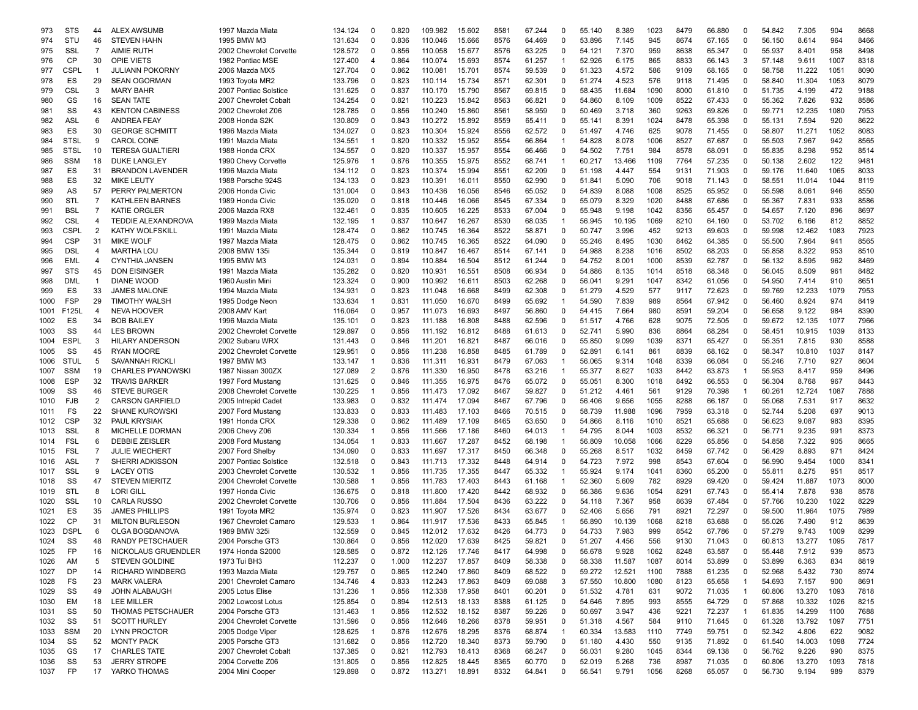| 973  | <b>STS</b>  | 44             | <b>ALEX AWSUMB</b>       | 1997 Mazda Miata        | 134.124 | 0              | 0.820 | 109.982 | 15.602 | 8581 | 67.244 | 0            | 55.140 | 8.389  | 1023 | 8479 | 66.880 | 0              | 54.842 | 7.305  | 904  | 8668 |
|------|-------------|----------------|--------------------------|-------------------------|---------|----------------|-------|---------|--------|------|--------|--------------|--------|--------|------|------|--------|----------------|--------|--------|------|------|
| 974  | STU         | 46             | <b>STEVEN HAHN</b>       | 1995 BMW M3             | 131.634 | $\mathbf 0$    | 0.836 | 110.046 | 15.666 | 8576 | 64.469 | 0            | 53.896 | 7.145  | 945  | 8674 | 67.165 | $\Omega$       | 56.150 | 8.614  | 964  | 8466 |
| 975  | SSL         | $\overline{7}$ | <b>AIMIE RUTH</b>        | 2002 Chevrolet Corvette | 128.572 | $\Omega$       | 0.856 | 110.058 | 15.677 | 8576 | 63.225 | 0            | 54.121 | 7.370  | 959  | 8638 | 65.347 | 0              | 55.937 | 8.401  | 958  | 8498 |
| 976  | CP          | 30             | <b>OPIE VIETS</b>        | 1982 Pontiac MSE        | 127.400 | 4              | 0.864 | 110.074 | 15.693 | 8574 | 61.257 | 1            | 52.926 | 6.175  | 865  | 8833 | 66.143 | 3              | 57.148 | 9.611  | 1007 | 8318 |
| 977  | CSPL        | $\overline{1}$ | <b>JULIANN POKORNY</b>   | 2006 Mazda MX5          | 127.704 | $\Omega$       | 0.862 | 110.081 | 15.701 | 8574 | 59.539 | 0            | 51.323 | 4.572  | 586  | 9109 | 68.165 | 0              | 58.758 | 11.222 | 1051 | 8090 |
| 978  | ES          | 29             | <b>SEAN OGORMAN</b>      | 1993 Toyota MR2         | 133.796 | $\Omega$       | 0.823 | 110.114 | 15.734 | 8571 | 62.301 | $\Omega$     | 51.274 | 4.523  | 576  | 9118 | 71.495 | 0              | 58.840 | 11.304 | 1053 | 8079 |
| 979  | <b>CSL</b>  | 3              | <b>MARY BAHR</b>         | 2007 Pontiac Solstice   | 131.625 | $\Omega$       | 0.837 | 110.170 | 15.790 | 8567 | 69.815 | 0            | 58.435 | 11.684 | 1090 | 8000 | 61.810 | 0              | 51.735 | 4.199  | 472  | 9188 |
| 980  | GS          | 16             | <b>SEAN TATE</b>         | 2007 Chevrolet Cobalt   | 134.254 | 0              | 0.821 | 110.223 | 15.842 | 8563 | 66.821 | 0            | 54.860 | 8.109  | 1009 | 8522 | 67.433 | 0              | 55.362 | 7.826  | 932  | 8586 |
| 981  | SS          | 43             | <b>KENTON CABINESS</b>   | 2002 Chevrolet Z06      | 128.785 | $\Omega$       | 0.856 | 110.240 | 15.860 | 8561 | 58.959 | 0            | 50.469 | 3.718  | 360  | 9263 | 69.826 | 0              | 59.771 | 12.235 | 1080 | 7953 |
| 982  | ASL         | 6              | <b>ANDREA FEAY</b>       | 2008 Honda S2K          | 130.809 | $\Omega$       | 0.843 | 110.272 | 15.892 | 8559 | 65.411 | 0            | 55.141 | 8.391  | 1024 | 8478 | 65.398 | 0              | 55.131 | 7.594  | 920  | 8622 |
|      | ES          |                |                          |                         |         | $\Omega$       |       |         |        |      |        |              |        |        |      |      |        |                |        |        |      |      |
| 983  |             | 30             | <b>GEORGE SCHMITT</b>    | 1996 Mazda Miata        | 134.027 |                | 0.823 | 110.304 | 15.924 | 8556 | 62.572 | 0            | 51.497 | 4.746  | 625  | 9078 | 71.455 | 0              | 58.807 | 11.271 | 1052 | 8083 |
| 984  | <b>STSL</b> | 9              | <b>CAROL CONE</b>        | 1991 Mazda Miata        | 134.551 | -1             | 0.820 | 110.332 | 15.952 | 8554 | 66.864 | $\mathbf 1$  | 54.828 | 8.078  | 1006 | 8527 | 67.687 | 0              | 55.503 | 7.967  | 942  | 8565 |
| 985  | <b>STSL</b> | 10             | <b>TERESA GUALTIERI</b>  | 1988 Honda CRX          | 134.557 | $\Omega$       | 0.820 | 110.337 | 15.957 | 8554 | 66.466 | 0            | 54.502 | 7.751  | 984  | 8578 | 68.091 | 0              | 55.835 | 8.298  | 952  | 8514 |
| 986  | <b>SSM</b>  | 18             | DUKE LANGLEY             | 1990 Chevy Corvette     | 125.976 |                | 0.876 | 110.355 | 15.975 | 8552 | 68.741 | 1            | 60.217 | 13.466 | 1109 | 7764 | 57.235 | $\Omega$       | 50.138 | 2.602  | 122  | 9481 |
| 987  | ES          | 31             | <b>BRANDON LAVENDER</b>  | 1996 Mazda Miata        | 134.112 | $\Omega$       | 0.823 | 110.374 | 15.994 | 8551 | 62.209 | 0            | 51.198 | 4.447  | 554  | 9131 | 71.903 | 0              | 59.176 | 11.640 | 1065 | 8033 |
| 988  | ES          | 32             | <b>MIKE LEUTY</b>        | 1988 Porsche 924S       | 134.133 | $\Omega$       | 0.823 | 110.391 | 16.011 | 8550 | 62.990 | 0            | 51.841 | 5.090  | 706  | 9018 | 71.143 | 0              | 58.551 | 11.014 | 1044 | 8119 |
| 989  | AS          | 57             | PERRY PALMERTON          | 2006 Honda Civic        | 131.004 | 0              | 0.843 | 110.436 | 16.056 | 8546 | 65.052 | 0            | 54.839 | 8.088  | 1008 | 8525 | 65.952 | 0              | 55.598 | 8.061  | 946  | 8550 |
| 990  | STL         | $\overline{7}$ | <b>KATHLEEN BARNES</b>   | 1989 Honda Civic        | 135.020 | $\Omega$       | 0.818 | 110.446 | 16.066 | 8545 | 67.334 | 0            | 55.079 | 8.329  | 1020 | 8488 | 67.686 | 0              | 55.367 | 7.831  | 933  | 8586 |
| 991  | <b>BSL</b>  | $\overline{7}$ | <b>KATIE ORGLER</b>      | 2006 Mazda RX8          | 132.461 | $\Omega$       | 0.835 | 110.605 | 16.225 | 8533 | 67.004 | 0            | 55.948 | 9.198  | 1042 | 8356 | 65.457 | 0              | 54.657 | 7.120  | 896  | 8697 |
| 992  | CSL         | $\overline{4}$ | TEDDIE ALEXANDROVA       | 1999 Mazda Miata        | 132.195 | -1             | 0.837 | 110.647 | 16.267 | 8530 | 68.035 | $\mathbf 1$  | 56.945 | 10.195 | 1069 | 8210 | 64.160 | 0              | 53.702 | 6.166  | 812  | 8852 |
| 993  | CSPL        | 2              | <b>KATHY WOLFSKILL</b>   | 1991 Mazda Miata        | 128.474 | $\Omega$       | 0.862 | 110.745 | 16.364 | 8522 | 58.871 | 0            | 50.747 | 3.996  | 452  | 9213 | 69.603 | 0              | 59.998 | 12.462 | 1083 | 7923 |
| 994  | <b>CSP</b>  | 31             | <b>MIKE WOLF</b>         | 1997 Mazda Miata        | 128.475 | $\Omega$       | 0.862 | 110.745 | 16.365 | 8522 | 64.090 | $\Omega$     | 55.246 | 8.495  | 1030 | 8462 | 64.385 | $\Omega$       | 55.500 | 7.964  | 941  | 8565 |
| 995  | <b>DSL</b>  | 4              | <b>MARTHA LOU</b>        | 2008 BMW 135i           | 135.344 | $\Omega$       | 0.819 | 110.847 | 16.467 | 8514 | 67.141 | $\Omega$     | 54.988 | 8.238  | 1016 | 8502 | 68.203 | $\Omega$       | 55.858 | 8.322  | 953  | 8510 |
| 996  | EML         | 4              | <b>CYNTHIA JANSEN</b>    | 1995 BMW M3             | 124.031 | $\Omega$       | 0.894 | 110.884 | 16.504 | 8512 | 61.244 | 0            | 54.752 | 8.001  | 1000 | 8539 | 62.787 | 0              | 56.132 | 8.595  | 962  | 8469 |
|      |             |                |                          |                         |         |                |       |         |        |      |        |              |        |        |      |      |        |                |        |        |      |      |
| 997  | <b>STS</b>  | 45             | <b>DON EISINGER</b>      | 1991 Mazda Miata        | 135.282 | $\Omega$       | 0.820 | 110.931 | 16.551 | 8508 | 66.934 | 0            | 54.886 | 8.135  | 1014 | 8518 | 68.348 | 0              | 56.045 | 8.509  | 961  | 8482 |
| 998  | <b>DML</b>  | $\overline{1}$ | DIANE WOOD               | 1960 Austin Mini        | 123.324 | 0              | 0.900 | 110.992 | 16.611 | 8503 | 62.268 | 0            | 56.041 | 9.291  | 1047 | 8342 | 61.056 | 0              | 54.950 | 7.414  | 910  | 8651 |
| 999  | ES          | 33             | <b>JAMES MALONE</b>      | 1994 Mazda Miata        | 134.931 | $\Omega$       | 0.823 | 111.048 | 16.668 | 8499 | 62.308 | 0            | 51.279 | 4.529  | 577  | 9117 | 72.623 | 0              | 59.769 | 12.233 | 1079 | 7953 |
| 1000 | <b>FSP</b>  | 29             | <b>TIMOTHY WALSH</b>     | 1995 Dodge Neon         | 133.634 | -1             | 0.831 | 111.050 | 16.670 | 8499 | 65.692 | 1            | 54.590 | 7.839  | 989  | 8564 | 67.942 | 0              | 56.460 | 8.924  | 974  | 8419 |
| 1001 | F125L       | $\overline{4}$ | NEVA HOOVER              | 2008 AMV Kart           | 116.064 | $\Omega$       | 0.957 | 111.073 | 16.693 | 8497 | 56.860 | 0            | 54.415 | 7.664  | 980  | 8591 | 59.204 | 0              | 56.658 | 9.122  | 984  | 8390 |
| 1002 | ES          | 34             | <b>BOB BAILEY</b>        | 1996 Mazda Miata        | 135.101 | $\Omega$       | 0.823 | 111.188 | 16.808 | 8488 | 62.596 | 0            | 51.517 | 4.766  | 628  | 9075 | 72.505 | 0              | 59.672 | 12.135 | 1077 | 7966 |
| 1003 | SS          | 44             | <b>LES BROWN</b>         | 2002 Chevrolet Corvette | 129.897 | $\Omega$       | 0.856 | 111.192 | 16.812 | 8488 | 61.613 | $\Omega$     | 52.741 | 5.990  | 836  | 8864 | 68.284 | 0              | 58.451 | 10.915 | 1039 | 8133 |
| 1004 | <b>ESPL</b> | 3              | <b>HILARY ANDERSON</b>   | 2002 Subaru WRX         | 131.443 | $\Omega$       | 0.846 | 111.201 | 16.821 | 8487 | 66.016 | 0            | 55.850 | 9.099  | 1039 | 8371 | 65.427 | 0              | 55.351 | 7.815  | 930  | 8588 |
| 1005 | SS          | 45             | <b>RYAN MOORE</b>        | 2002 Chevrolet Corvette | 129.951 | $\Omega$       | 0.856 | 111.238 | 16.858 | 8485 | 61.789 | 0            | 52.891 | 6.141  | 861  | 8839 | 68.162 | 0              | 58.347 | 10.810 | 1037 | 8147 |
| 1006 | <b>STUL</b> | 5              | <b>SAVANNAH RICKL</b>    | 1997 BMW M3             | 133.147 | -1             | 0.836 | 111.311 | 16.931 | 8479 | 67.063 | -1           | 56.065 | 9.314  | 1048 | 8339 | 66.084 | 0              | 55.246 | 7.710  | 927  | 8604 |
| 1007 | <b>SSM</b>  | 19             | <b>CHARLES PYANOWSKI</b> | 1987 Nissan 300ZX       | 127.089 | $\overline{2}$ | 0.876 | 111.330 | 16.950 | 8478 | 63.216 |              | 55.377 | 8.627  | 1033 | 8442 | 63.873 | $\mathbf{1}$   | 55.953 | 8.417  | 959  | 8496 |
| 1008 | <b>ESP</b>  | 32             | <b>TRAVIS BARKER</b>     | 1997 Ford Mustang       | 131.625 | $\Omega$       | 0.846 | 111.355 | 16.975 | 8476 | 65.072 | 0            | 55.051 | 8.300  | 1018 | 8492 | 66.553 | 0              | 56.304 | 8.768  | 967  | 8443 |
| 1009 | SS          | 46             | <b>STEVE BURGER</b>      | 2008 Chevrolet Corvette | 130.225 | -1             | 0.856 | 111.473 | 17.092 | 8467 | 59.827 | 0            | 51.212 | 4.461  | 561  | 9129 | 70.398 | 1              | 60.261 | 12.724 | 1087 | 7888 |
| 1010 | <b>FJB</b>  | 2              | <b>CARSON GARFIELD</b>   | 2005 Intrepid Cadet     | 133.983 | $\Omega$       | 0.832 | 111.474 | 17.094 | 8467 | 67.796 | 0            | 56.406 | 9.656  | 1055 | 8288 | 66.187 | 0              | 55.068 | 7.531  | 917  | 8632 |
|      |             | 22             | <b>SHANE KUROWSKI</b>    |                         |         | $\Omega$       | 0.833 |         |        | 8466 |        | $\Omega$     |        |        | 1096 | 7959 |        | 0              | 52.744 |        | 697  | 9013 |
| 1011 | FS          |                |                          | 2007 Ford Mustang       | 133.833 | $\Omega$       |       | 111.483 | 17.103 |      | 70.515 |              | 58.739 | 11.988 |      |      | 63.318 |                |        | 5.208  |      |      |
| 1012 | CSP         | 32             | <b>PAUL KRYSIAK</b>      | 1991 Honda CRX          | 129.338 |                | 0.862 | 111.489 | 17.109 | 8465 | 63.650 | 0            | 54.866 | 8.116  | 1010 | 8521 | 65.688 | 0              | 56.623 | 9.087  | 983  | 8395 |
| 1013 | SSL         | 8              | MICHELLE DORMAN          | 2006 Chevy Z06          | 130.334 | -1             | 0.856 | 111.566 | 17.186 | 8460 | 64.013 | -1           | 54.795 | 8.044  | 1003 | 8532 | 66.321 | 0              | 56.771 | 9.235  | 991  | 8373 |
| 1014 | <b>FSL</b>  | 6              | <b>DEBBIE ZEISLER</b>    | 2008 Ford Mustang       | 134.054 | -1             | 0.833 | 111.667 | 17.287 | 8452 | 68.198 | -1           | 56.809 | 10.058 | 1066 | 8229 | 65.856 | 0              | 54.858 | 7.322  | 905  | 8665 |
| 1015 | <b>FSL</b>  | $\overline{7}$ | <b>JULIE WIECHERT</b>    | 2007 Ford Shelby        | 134.090 | $\Omega$       | 0.833 | 111.697 | 17.317 | 8450 | 66.348 | 0            | 55.268 | 8.517  | 1032 | 8459 | 67.742 | 0              | 56.429 | 8.893  | 971  | 8424 |
| 1016 | ASL         | $\overline{7}$ | SHERRI ADKISSON          | 2007 Pontiac Solstice   | 132.518 | $\Omega$       | 0.843 | 111.713 | 17.332 | 8448 | 64.914 | 0            | 54.723 | 7.972  | 998  | 8543 | 67.604 | 0              | 56.990 | 9.454  | 1000 | 834  |
| 1017 | SSL         | 9              | <b>LACEY OTIS</b>        | 2003 Chevrolet Corvette | 130.532 | -1             | 0.856 | 111.735 | 17.355 | 8447 | 65.332 | $\mathbf 1$  | 55.924 | 9.174  | 1041 | 8360 | 65.200 | 0              | 55.811 | 8.275  | 951  | 8517 |
| 1018 | SS          | 47             | <b>STEVEN MIERITZ</b>    | 2004 Chevrolet Corvette | 130.588 | -1             | 0.856 | 111.783 | 17.403 | 8443 | 61.168 | $\mathbf{1}$ | 52.360 | 5.609  | 782  | 8929 | 69.420 | 0              | 59.424 | 11.887 | 1073 | 8000 |
| 1019 | STL         | 8              | <b>LORI GILL</b>         | 1997 Honda Civic        | 136.675 | $\Omega$       | 0.818 | 111.800 | 17.420 | 8442 | 68.932 | $\Omega$     | 56.386 | 9.636  | 1054 | 8291 | 67.743 | 0              | 55.414 | 7.878  | 938  | 8578 |
| 1020 | SSL         | 10             | <b>CARLA RUSSO</b>       | 2002 Chevrolet Corvette | 130.706 | $\Omega$       | 0.856 | 111.884 | 17.504 | 8436 | 63.222 | 0            | 54.118 | 7.367  | 958  | 8639 | 67.484 | 0              | 57.766 | 10.230 | 1022 | 8229 |
| 1021 | ES          | 35             | <b>JAMES PHILLIPS</b>    | 1991 Toyota MR2         | 135.974 | $\Omega$       | 0.823 | 111.907 | 17.526 | 8434 | 63.677 | 0            | 52.406 | 5.656  | 791  | 8921 | 72.297 | 0              | 59.500 | 11.964 | 1075 | 7989 |
| 1022 | CP          | 31             | <b>MILTON BURLESON</b>   | 1967 Chevrolet Camaro   | 129.533 | -1             | 0.864 | 111.917 | 17.536 | 8433 | 65.845 | 1            | 56.890 | 10.139 | 1068 | 8218 | 63.688 | 0              | 55.026 | 7.490  | 912  | 8639 |
| 1023 | <b>DSPL</b> | 6              | OLGA BOGDANOVA           | 1989 BMW 325i           | 132.559 | $\Omega$       | 0.845 | 112.012 | 17.632 | 8426 | 64.773 | 0            | 54.733 | 7.983  | 999  | 8542 | 67.786 | 0              | 57.279 | 9.743  | 1009 | 8299 |
| 1024 | SS          | 48             | <b>RANDY PETSCHAUER</b>  | 2004 Porsche GT3        | 130.864 | $\Omega$       | 0.856 | 112.020 | 17.639 | 8425 | 59.821 | $\Omega$     | 51.207 | 4.456  | 556  | 9130 | 71.043 | O              | 60.813 | 13.277 | 1095 | 7817 |
| 1025 | FP          | 16             | NICKOLAUS GRUENDLER      | 1974 Honda S2000        | 128.585 | 0              | 0.872 | 112.126 | 17.746 | 8417 | 64.998 | 0            | 56.678 | 9.928  | 1062 | 8248 | 63.587 | 0              | 55.448 | 7.912  | 939  | 8573 |
| 1026 | AM          | 5              | <b>STEVEN GOLDINE</b>    | 1973 Tui BH3            | 112.237 | 0              | 1.000 | 112.237 | 17.857 | 8409 | 58.338 | 0            | 58.338 | 11.587 | 1087 | 8014 | 53.899 | 0              | 53.899 | 6.363  | 834  | 8819 |
| 1027 | DP          | 14             | <b>RICHARD WINDBERG</b>  | 1993 Mazda Miata        | 129.757 | 0              | 0.865 | 112.240 | 17.860 | 8409 | 68.522 | 0            | 59.272 | 12.521 | 1100 | 7888 | 61.235 | 0              | 52.968 | 5.432  | 730  | 8974 |
|      |             |                |                          |                         |         |                |       |         |        |      |        |              |        |        |      |      |        |                |        |        |      |      |
| 1028 | FS          | 23             | <b>MARK VALERA</b>       | 2001 Chevrolet Camaro   | 134.746 | 4              | 0.833 | 112.243 | 17.863 | 8409 | 69.088 | 3            | 57.550 | 10.800 | 1080 | 8123 | 65.658 | $\overline{1}$ | 54.693 | 7.157  | 900  | 8691 |
| 1029 | SS          | 49             | JOHN ALABAUGH            | 2005 Lotus Elise        | 131.236 | $\mathbf 1$    | 0.856 | 112.338 | 17.958 | 8401 | 60.201 | 0            | 51.532 | 4.781  | 631  | 9072 | 71.035 | $\overline{1}$ | 60.806 | 13.270 | 1093 | 7818 |
| 1030 | EM          | 18             | LEE MILLER               | 2002 Lowcost Lotus      | 125.854 | 0              | 0.894 | 112.513 | 18.133 | 8388 | 61.125 | 0            | 54.646 | 7.895  | 993  | 8555 | 64.729 | 0              | 57.868 | 10.332 | 1026 | 8215 |
| 1031 | SS          | 50             | THOMAS PETSCHAUER        | 2004 Porsche GT3        | 131.463 | $\overline{1}$ | 0.856 | 112.532 | 18.152 | 8387 | 59.226 | 0            | 50.697 | 3.947  | 436  | 9221 | 72.237 | $\overline{1}$ | 61.835 | 14.299 | 1100 | 7688 |
| 1032 | SS          | 51             | <b>SCOTT HURLEY</b>      | 2004 Chevrolet Corvette | 131.596 | 0              | 0.856 | 112.646 | 18.266 | 8378 | 59.951 | 0            | 51.318 | 4.567  | 584  | 9110 | 71.645 | 0              | 61.328 | 13.792 | 1097 | 7751 |
| 1033 | SSM         | 20             | <b>LYNN PROCTOR</b>      | 2005 Dodge Viper        | 128.625 | $\mathbf 1$    | 0.876 | 112.676 | 18.295 | 8376 | 68.874 | $\mathbf{1}$ | 60.334 | 13.583 | 1110 | 7749 | 59.751 | 0              | 52.342 | 4.806  | 622  | 9082 |
| 1034 | SS          | 52             | <b>MONTY PACK</b>        | 2005 Porsche GT3        | 131.682 | 0              | 0.856 | 112.720 | 18.340 | 8373 | 59.790 | 0            | 51.180 | 4.430  | 550  | 9135 | 71.892 | 0              | 61.540 | 14.003 | 1098 | 7724 |
| 1035 | GS          | 17             | <b>CHARLES TATE</b>      | 2007 Chevrolet Cobalt   | 137.385 | 0              | 0.821 | 112.793 | 18.413 | 8368 | 68.247 | 0            | 56.031 | 9.280  | 1045 | 8344 | 69.138 | 0              | 56.762 | 9.226  | 990  | 8375 |
| 1036 | SS          | 53             | <b>JERRY STROPE</b>      | 2004 Corvette Z06       | 131.805 | 0              | 0.856 | 112.825 | 18.445 | 8365 | 60.770 | 0            | 52.019 | 5.268  | 736  | 8987 | 71.035 | 0              | 60.806 | 13.270 | 1093 | 7818 |
| 1037 | <b>FP</b>   | 17             | YARKO THOMAS             | 2004 Mini Cooper        | 129.898 | 0              | 0.872 | 113.271 | 18.891 | 8332 | 64.841 | 0            | 56.541 | 9.791  | 1056 | 8268 | 65.057 | 0              | 56.730 | 9.194  | 989  | 8379 |
|      |             |                |                          |                         |         |                |       |         |        |      |        |              |        |        |      |      |        |                |        |        |      |      |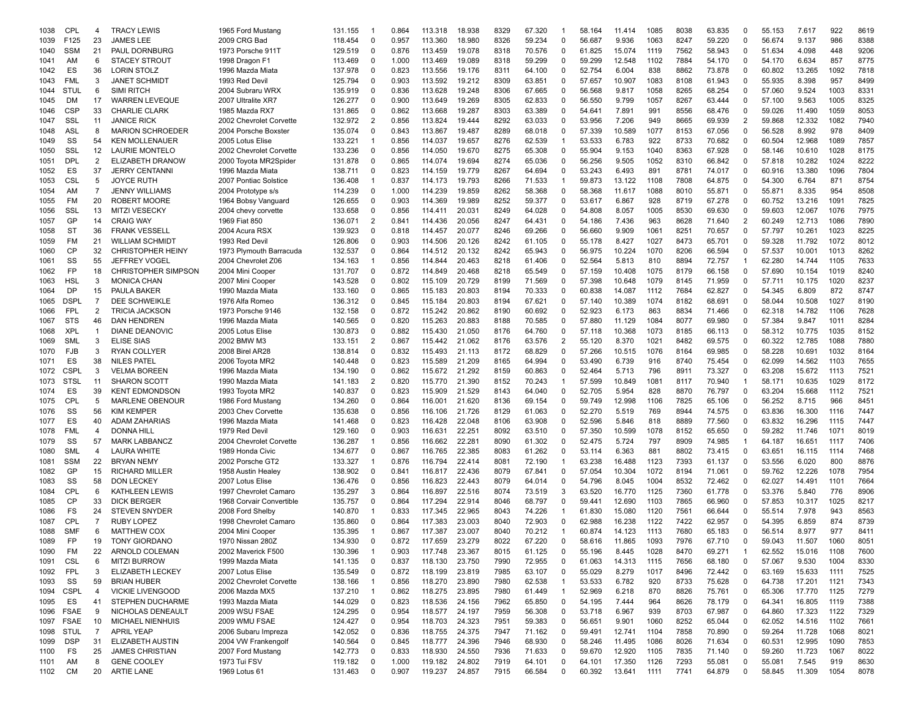| 1038 | CPL         | 4              | <b>TRACY LEWIS</b>         | 1965 Ford Mustang        | 131.155 |                | 0.864 | 113.318 | 18.938 | 8329 | 67.320 | -1           | 58.164 | 11.414 | 1085 | 8038 | 63.835 | $\Omega$       | 55.153 | 7.617  | 922  | 8619 |
|------|-------------|----------------|----------------------------|--------------------------|---------|----------------|-------|---------|--------|------|--------|--------------|--------|--------|------|------|--------|----------------|--------|--------|------|------|
| 1039 | F125        | 23             | <b>JAMES LEE</b>           | 2009 CRG Bad             | 118.454 | 0              | 0.957 | 113.360 | 18.980 | 8326 | 59.234 | $\Omega$     | 56.687 | 9.936  | 1063 | 8247 | 59.220 | 0              | 56.674 | 9.137  | 986  | 8388 |
| 1040 | <b>SSM</b>  | 21             | PAUL DORNBURG              | 1973 Porsche 911T        | 129.519 | 0              | 0.876 | 113.459 | 19.078 | 8318 | 70.576 | 0            | 61.825 | 15.074 | 1119 | 7562 | 58.943 | 0              | 51.634 | 4.098  | 448  | 9206 |
| 1041 | AM          | 6              | <b>STACEY STROUT</b>       | 1998 Dragon F1           | 113.469 | $\Omega$       | 1.000 | 113.469 | 19.089 | 8318 | 59.299 | $\Omega$     | 59.299 | 12.548 | 1102 | 7884 | 54.170 | $\Omega$       | 54.170 | 6.634  | 857  | 8775 |
| 1042 | ES          | 36             | <b>LORIN STOLZ</b>         | 1996 Mazda Miata         | 137.978 | $\Omega$       | 0.823 | 113.556 | 19.176 | 8311 | 64.100 | $\Omega$     | 52.754 | 6.004  | 838  | 8862 | 73.878 | $\Omega$       | 60.802 | 13.265 | 1092 | 7818 |
| 1043 | <b>FML</b>  | 3              | <b>JANET SCHMIDT</b>       | 1993 Red Devil           | 125.794 | $\Omega$       | 0.903 | 113.592 | 19.212 | 8309 | 63.851 | $\Omega$     | 57.657 | 10.907 | 1083 | 8108 | 61.943 | $\Omega$       | 55.935 | 8.398  | 957  | 8499 |
| 1044 | <b>STUL</b> | 6              | <b>SIMI RITCH</b>          | 2004 Subraru WRX         | 135.919 | $\Omega$       | 0.836 | 113.628 | 19.248 | 8306 | 67.665 | $\Omega$     | 56.568 | 9.817  | 1058 | 8265 | 68.254 | $\Omega$       | 57.060 | 9.524  | 1003 | 8331 |
| 1045 | DM          | 17             | <b>WARREN LEVEQUE</b>      | 2007 Ultralite XR7       | 126.277 | $\Omega$       | 0.900 | 113.649 | 19.269 | 8305 | 62.833 | 0            | 56.550 | 9.799  | 1057 | 8267 | 63.444 | $\Omega$       | 57.100 | 9.563  | 1005 | 8325 |
|      |             |                |                            |                          |         |                |       |         |        |      |        |              |        |        |      |      |        |                |        |        |      |      |
| 1046 | <b>CSP</b>  | 33             | <b>CHARLIE CLARK</b>       | 1985 Mazda RX7           | 131.865 | $\Omega$       | 0.862 | 113.668 | 19.287 | 8303 | 63.389 | 0            | 54.641 | 7.891  | 991  | 8556 | 68.476 | 0              | 59.026 | 11.490 | 1059 | 8053 |
| 1047 | SSL         | 11             | <b>JANICE RICK</b>         | 2002 Chevrolet Corvette  | 132.972 | $\overline{2}$ | 0.856 | 113.824 | 19.444 | 8292 | 63.033 | 0            | 53.956 | 7.206  | 949  | 8665 | 69.939 | $\overline{2}$ | 59.868 | 12.332 | 1082 | 7940 |
| 1048 | <b>ASL</b>  | 8              | <b>MARION SCHROEDER</b>    | 2004 Porsche Boxster     | 135.074 | $\Omega$       | 0.843 | 113.867 | 19.487 | 8289 | 68.018 | $\Omega$     | 57.339 | 10.589 | 1077 | 8153 | 67.056 | 0              | 56.528 | 8.992  | 978  | 8409 |
| 1049 | SS          | 54             | <b>KEN MOLLENAUER</b>      | 2005 Lotus Elise         | 133.221 |                | 0.856 | 114.037 | 19.657 | 8276 | 62.539 | 1            | 53.533 | 6.783  | 922  | 8733 | 70.682 | $\Omega$       | 60.504 | 12.968 | 1089 | 7857 |
| 1050 | SSL         | 12             | LAURIE MONTELC             | 2002 Chevrolet Corvette  | 133.236 | $\Omega$       | 0.856 | 114.050 | 19.670 | 8275 | 65.308 | $\Omega$     | 55.904 | 9.153  | 1040 | 8363 | 67.928 | $\Omega$       | 58.146 | 10.610 | 1028 | 8175 |
| 1051 | <b>DPL</b>  | $\overline{2}$ | <b>ELIZABETH DRANOW</b>    | 2000 Toyota MR2Spider    | 131.878 | $\Omega$       | 0.865 | 114.074 | 19.694 | 8274 | 65.036 | $\Omega$     | 56.256 | 9.505  | 1052 | 8310 | 66.842 | $\Omega$       | 57.818 | 10.282 | 1024 | 8222 |
| 1052 | ES          | 37             | <b>JERRY CENTANNI</b>      | 1996 Mazda Miata         | 138.711 | $\Omega$       | 0.823 | 114.159 | 19.779 | 8267 | 64.694 | $\Omega$     | 53.243 | 6.493  | 891  | 8781 | 74.017 | $\Omega$       | 60.916 | 13.380 | 1096 | 7804 |
| 1053 | <b>CSL</b>  | 5              | <b>JOYCE RUTH</b>          | 2007 Pontiac Solstice    | 136.408 |                | 0.837 | 114.173 | 19.793 | 8266 | 71.533 | 1            | 59.873 | 13.122 | 1108 | 7808 | 64.875 | $\Omega$       | 54.300 | 6.764  | 871  | 8754 |
| 1054 | AM          | $\overline{7}$ | <b>JENNY WILLIAMS</b>      | 2004 Prototype s/s       | 114.239 | $\Omega$       | 1.000 | 114.239 | 19.859 | 8262 | 58.368 | 0            | 58.368 | 11.617 | 1088 | 8010 | 55.871 | 0              | 55.871 | 8.335  | 954  | 8508 |
| 1055 | FM          | 20             | <b>ROBERT MOORE</b>        | 1964 Bobsy Vanguard      | 126.655 | $\Omega$       | 0.903 | 114.369 | 19.989 | 8252 | 59.377 | 0            | 53.617 | 6.867  | 928  | 8719 | 67.278 | 0              | 60.752 | 13.216 | 1091 | 7825 |
| 1056 | SSL         | 13             | <b>MITZI VESECKY</b>       | 2004 chevy corvette      | 133.658 | 0              | 0.856 | 114.411 | 20.03' | 8249 | 64.028 | 0            | 54.808 | 8.057  | 1005 | 8530 | 69.630 | 0              | 59.603 | 12.067 | 1076 | 7975 |
| 1057 | GP          | 14             | <b>CRAIG WAY</b>           | 1969 Fiat 850            | 136.071 | $\overline{2}$ | 0.841 | 114.436 | 20.056 | 8247 | 64.431 | $\Omega$     | 54.186 | 7.436  | 963  | 8628 | 71.640 | $\overline{2}$ | 60.249 | 12.713 | 1086 | 7890 |
|      | <b>ST</b>   | 36             |                            | 2004 Acura RSX           | 139.923 | $\Omega$       | 0.818 |         | 20.077 | 8246 |        | $\Omega$     | 56.660 | 9.909  | 1061 | 8251 |        | $\Omega$       | 57.797 | 10.261 | 1023 | 8225 |
| 1058 |             |                | <b>FRANK VESSELL</b>       |                          |         |                |       | 114.457 |        |      | 69.266 |              |        |        |      |      | 70.657 |                |        |        |      |      |
| 1059 | FM          | 21             | <b>WILLIAM SCHMID</b>      | 1993 Red Devil           | 126.806 | $\Omega$       | 0.903 | 114.506 | 20.126 | 8242 | 61.105 | $\Omega$     | 55.178 | 8.427  | 1027 | 8473 | 65.701 | $\Omega$       | 59.328 | 11.792 | 1072 | 8012 |
| 1060 | CP          | 32             | <b>CHRISTOPHER HEINY</b>   | 1973 Plymouth Barracuda  | 132.537 | $\Omega$       | 0.864 | 114.512 | 20.132 | 8242 | 65.943 | $\Omega$     | 56.975 | 10.224 | 1070 | 8206 | 66.594 | $\Omega$       | 57.537 | 10.001 | 1013 | 8262 |
| 1061 | SS          | 55             | <b>JEFFREY VOGEL</b>       | 2004 Chevrolet Z06       | 134.163 |                | 0.856 | 114.844 | 20.463 | 8218 | 61.406 | $\Omega$     | 52.564 | 5.813  | 810  | 8894 | 72.757 | -1             | 62.280 | 14.744 | 1105 | 7633 |
| 1062 | <b>FP</b>   | 18             | <b>CHRISTOPHER SIMPSON</b> | 2004 Mini Cooper         | 131.707 | $\Omega$       | 0.872 | 114.849 | 20.468 | 8218 | 65.549 | $\Omega$     | 57.159 | 10.408 | 1075 | 8179 | 66.158 | $\Omega$       | 57.690 | 10.154 | 1019 | 8240 |
| 1063 | <b>HSL</b>  | 3              | <b>MONICA CHAN</b>         | 2007 Mini Cooper         | 143.528 | $\Omega$       | 0.802 | 115.109 | 20.729 | 8199 | 71.569 | 0            | 57.398 | 10.648 | 1079 | 8145 | 71.959 | 0              | 57.711 | 10.175 | 1020 | 8237 |
| 1064 | DP          | 15             | <b>PAULA BAKER</b>         | 1990 Mazda Miata         | 133.160 | 0              | 0.865 | 115.183 | 20.803 | 8194 | 70.333 | 0            | 60.838 | 14.087 | 1112 | 7684 | 62.827 | 0              | 54.345 | 6.809  | 872  | 8747 |
| 1065 | DSPL        | $\overline{7}$ | DEE SCHWEIKLE              | 1976 Alfa Romeo          | 136.312 | 0              | 0.845 | 115.184 | 20.803 | 8194 | 67.621 | 0            | 57.140 | 10.389 | 1074 | 8182 | 68.691 | 0              | 58.044 | 10.508 | 1027 | 8190 |
| 1066 | <b>FPL</b>  | $\overline{2}$ | <b>TRICIA JACKSON</b>      | 1973 Porsche 9146        | 132.158 | $\Omega$       | 0.872 | 115.242 | 20.862 | 8190 | 60.692 | $\Omega$     | 52.923 | 6.173  | 863  | 8834 | 71.466 | $\Omega$       | 62.318 | 14.782 | 1106 | 7628 |
| 1067 | <b>STS</b>  | 46             | <b>DAN HENDREN</b>         | 1996 Mazda Miata         | 140.565 | $\Omega$       | 0.820 | 115.263 | 20.883 | 8188 | 70.585 | $\Omega$     | 57.880 | 11.129 | 1084 | 8077 | 69.980 | $\Omega$       | 57.384 | 9.847  | 1011 | 8284 |
| 1068 | <b>XPL</b>  | $\overline{1}$ | <b>DIANE DEANOVIC</b>      | 2005 Lotus Elise         | 130.873 | $\Omega$       | 0.882 | 115.430 | 21.050 | 8176 | 64.760 | $\Omega$     | 57.118 | 10.368 | 1073 | 8185 | 66.113 | $\Omega$       | 58.312 | 10.775 | 1035 | 8152 |
| 1069 | <b>SML</b>  | 3              | <b>ELISE SIAS</b>          | 2002 BMW M3              | 133.151 | $\overline{2}$ | 0.867 | 115.442 | 21.062 | 8176 | 63.576 | 2            | 55.120 | 8.370  | 1021 | 8482 | 69.575 | $\Omega$       | 60.322 | 12.785 | 1088 | 7880 |
|      |             |                |                            |                          |         |                |       |         |        |      |        |              |        |        |      |      |        | $\Omega$       |        |        |      |      |
| 1070 | <b>FJB</b>  | 3              | <b>RYAN COLLYER</b>        | 2008 Birel AR28          | 138.814 | $\Omega$       | 0.832 | 115.493 | 21.113 | 8172 | 68.829 | 0            | 57.266 | 10.515 | 1076 | 8164 | 69.985 |                | 58.228 | 10.691 | 1032 | 8164 |
| 1071 | ES          | 38             | <b>NILES PATEL</b>         | 2006 Toyota MR2          | 140.448 | $\Omega$       | 0.823 | 115.589 | 21.209 | 8165 | 64.994 | 0            | 53.490 | 6.739  | 916  | 8740 | 75.454 | 0              | 62.099 | 14.562 | 1103 | 7655 |
| 1072 | <b>CSPL</b> | 3              | <b>VELMA BOREEN</b>        | 1996 Mazda Miata         | 134.190 | 0              | 0.862 | 115.672 | 21.292 | 8159 | 60.863 | 0            | 52.464 | 5.713  | 796  | 8911 | 73.327 | 0              | 63.208 | 15.672 | 1113 | 7521 |
| 1073 | STSL        | 11             | <b>SHARON SCOTT</b>        | 1990 Mazda Miata         | 141.183 | $\overline{2}$ | 0.820 | 115.770 | 21.390 | 8152 | 70.243 |              | 57.599 | 10.849 | 1081 | 8117 | 70.940 | $\mathbf{1}$   | 58.171 | 10.635 | 1029 | 8172 |
| 1074 | ES          | 39             | <b>KENT EDMONDSON</b>      | 1993 Toyota MR2          | 140.837 | $\Omega$       | 0.823 | 115.909 | 21.529 | 8143 | 64.040 | 0            | 52.705 | 5.954  | 828  | 8870 | 76.797 | 0              | 63.204 | 15.668 | 1112 | 7521 |
| 1075 | <b>CPL</b>  | 5              | <b>MARLENE OBENOUR</b>     | 1986 Ford Mustang        | 134.260 | $\Omega$       | 0.864 | 116.001 | 21.620 | 8136 | 69.154 | $\Omega$     | 59.749 | 12.998 | 1106 | 7825 | 65.106 | $\Omega$       | 56.252 | 8.715  | 966  | 845' |
| 1076 | SS          | 56             | <b>KIM KEMPER</b>          | 2003 Chev Corvette       | 135.638 | $\Omega$       | 0.856 | 116.106 | 21.726 | 8129 | 61.063 | 0            | 52.270 | 5.519  | 769  | 8944 | 74.575 | $\Omega$       | 63.836 | 16.300 | 1116 | 7447 |
| 1077 | ES          | 40             | <b>ADAM ZAHARIAS</b>       | 1996 Mazda Miata         | 141.468 | $\Omega$       | 0.823 | 116.428 | 22.048 | 8106 | 63.908 | $\Omega$     | 52.596 | 5.846  | 818  | 8889 | 77.560 | $\Omega$       | 63.832 | 16.296 | 1115 | 7447 |
| 1078 | <b>FML</b>  | 4              | <b>DONNA HILL</b>          | 1979 Red Devil           | 129.160 | $\Omega$       | 0.903 | 116.631 | 22.25' | 8092 | 63.510 | 0            | 57.350 | 10.599 | 1078 | 8152 | 65.650 | $\Omega$       | 59.282 | 11.746 | 1071 | 8019 |
| 1079 | SS          | 57             | <b>MARK LABBANCZ</b>       | 2004 Chevrolet Corvette  | 136.287 |                | 0.856 | 116.662 | 22.28' | 8090 | 61.302 | 0            | 52.475 | 5.724  | 797  | 8909 | 74.985 | -1             | 64.187 | 16.651 | 1117 | 7406 |
| 1080 | <b>SML</b>  | 4              | LAURA WHITE                | 1989 Honda Civic         | 134.677 | 0              | 0.867 | 116.765 | 22.385 | 8083 | 61.262 | 0            | 53.114 | 6.363  | 881  | 8802 | 73.415 | 0              | 63.651 | 16.115 | 1114 | 7468 |
| 1081 | <b>SSM</b>  | 22             | <b>BRYAN NEMY</b>          | 2002 Porsche GT2         | 133.327 | -1             | 0.876 | 116.794 | 22.414 | 8081 | 72.190 | 1            | 63.238 | 16.488 | 1123 | 7393 | 61.137 | 0              | 53.556 | 6.020  | 800  | 8876 |
| 1082 | GP          | 15             | <b>RICHARD MILLER</b>      | 1958 Austin Healey       | 138.902 | $\Omega$       | 0.841 | 116.817 | 22.436 | 8079 | 67.841 | 0            | 57.054 | 10.304 | 1072 | 8194 | 71.061 | $\Omega$       | 59.762 | 12.226 | 1078 | 7954 |
|      |             |                |                            |                          |         |                |       |         |        |      |        | $\Omega$     |        |        |      |      |        |                |        |        |      |      |
| 1083 | SS          | 58             | <b>DON LECKEY</b>          | 2007 Lotus Elise         | 136.476 | $\Omega$       | 0.856 | 116.823 | 22.443 | 8079 | 64.014 |              | 54.796 | 8.045  | 1004 | 8532 | 72.462 | $\Omega$       | 62.027 | 14.491 | 1101 | 7664 |
| 1084 | <b>CPL</b>  | 6              | <b>KATHLEEN LEWIS</b>      | 1997 Chevrolet Camaro    | 135.297 | 3              | 0.864 | 116.897 | 22.516 | 8074 | 73.519 | 3            | 63.520 | 16.770 | 1125 | 7360 | 61.778 | $\Omega$       | 53.376 | 5.840  | 776  | 8906 |
| 1085 | CP          | 33             | <b>DICK BERGER</b>         | 1968 Corvair Convertible | 135.757 | $\Omega$       | 0.864 | 117.294 | 22.914 | 8046 | 68.797 | 0            | 59.441 | 12.690 | 1103 | 7865 | 66.960 | $\Omega$       | 57.853 | 10.317 | 1025 | 8217 |
| 1086 | <b>FS</b>   | 24             | <b>STEVEN SNYDER</b>       | 2008 Ford Shelby         | 140.870 |                | 0.833 | 117.345 | 22.965 | 8043 | 74.226 | 1            | 61.830 | 15.080 | 1120 | 7561 | 66.644 | $\Omega$       | 55.514 | 7.978  | 943  | 8563 |
| 1087 | <b>CPL</b>  | $\overline{7}$ | <b>RUBY LOPEZ</b>          | 1998 Chevrolet Camaro    | 135.860 | $\Omega$       | 0.864 | 117.383 | 23.003 | 8040 | 72.903 | $\Omega$     | 62.988 | 16.238 | 1122 | 7422 | 62.957 | $\Omega$       | 54.395 | 6.859  | 874  | 8739 |
| 1088 | <b>SMF</b>  | 6              | <b>MATTHEW COX</b>         | 2004 Mini Cooper         | 135.395 |                | 0.867 | 117.387 | 23.007 | 8040 | 70.212 | -1           | 60.874 | 14.123 | 1113 | 7680 | 65.183 | 0              | 56.514 | 8.977  | 977  | 8411 |
| 1089 | FP          | 19             | <b>TONY GIORDANO</b>       | 1970 Nissan 280Z         | 134.930 | $\Omega$       | 0.872 | 117.659 | 23.279 | 8022 | 67.220 | $\Omega$     | 58.616 | 11.865 | 1093 | 7976 | 67.710 | $\Omega$       | 59.043 | 11.507 | 1060 | 805' |
| 1090 | FM          | 22             | ARNOLD COLEMAN             | 2002 Maverick F500       | 130.396 | $\mathbf{1}$   | 0.903 | 117.748 | 23.367 | 8015 | 61.125 | 0            | 55.196 | 8.445  | 1028 | 8470 | 69.271 | $\overline{1}$ | 62.552 | 15.016 | 1108 | 7600 |
| 1091 | CSL         | 6              | <b>MITZI BURROW</b>        | 1999 Mazda Miata         | 141.135 | 0              | 0.837 | 118.130 | 23.750 | 7990 | 72.955 | 0            | 61.063 | 14.313 | 1115 | 7656 | 68.180 | 0              | 57.067 | 9.530  | 1004 | 8330 |
| 1092 | <b>FPL</b>  | 3              | ELIZABETH LECKEY           | 2007 Lotus Elise         | 135.549 | 0              | 0.872 | 118.199 | 23.819 | 7985 | 63.107 | 0            | 55.029 | 8.279  | 1017 | 8496 | 72.442 | 0              | 63.169 | 15.633 | 1111 | 7525 |
| 1093 | SS          | 59             | <b>BRIAN HUBER</b>         | 2002 Chevrolet Corvette  | 138.166 | $\mathbf{1}$   | 0.856 | 118.270 | 23.890 | 7980 | 62.538 | $\mathbf{1}$ | 53.533 | 6.782  | 920  | 8733 | 75.628 | 0              | 64.738 | 17.201 | 1121 | 7343 |
|      |             |                |                            |                          |         |                |       |         |        |      |        |              |        |        |      |      |        |                |        |        |      |      |
| 1094 | CSPL        | 4              | <b>VICKIE LIVENGOOD</b>    | 2006 Mazda MX5           | 137.210 | $\mathbf{1}$   | 0.862 | 118.275 | 23.895 | 7980 | 61.449 | $\mathbf{1}$ | 52.969 | 6.218  | 870  | 8826 | 75.761 | 0              | 65.306 | 17.770 | 1125 | 7279 |
| 1095 | ES          | 41             | STEPHEN DUCHARME           | 1993 Mazda Miata         | 144.029 | 0              | 0.823 | 118.536 | 24.156 | 7962 | 65.850 | 0            | 54.195 | 7.444  | 964  | 8626 | 78.179 | 0              | 64.341 | 16.805 | 1119 | 7388 |
| 1096 | <b>FSAE</b> | 9              | NICHOLAS DENEAULT          | 2009 WSU FSAE            | 124.295 | 0              | 0.954 | 118.577 | 24.197 | 7959 | 56.308 | 0            | 53.718 | 6.967  | 939  | 8703 | 67.987 | 0              | 64.860 | 17.323 | 1122 | 7329 |
| 1097 | <b>FSAE</b> | 10             | MICHAEL NIENHUIS           | 2009 WMU FSAE            | 124.427 | 0              | 0.954 | 118.703 | 24.323 | 7951 | 59.383 | 0            | 56.651 | 9.901  | 1060 | 8252 | 65.044 | 0              | 62.052 | 14.516 | 1102 | 7661 |
| 1098 | <b>STUL</b> | $\overline{7}$ | <b>APRIL YEAP</b>          | 2006 Subaru Impreza      | 142.052 | 0              | 0.836 | 118.755 | 24.375 | 7947 | 71.162 | 0            | 59.491 | 12.741 | 1104 | 7858 | 70.890 | 0              | 59.264 | 11.728 | 1068 | 8021 |
| 1099 | <b>DSP</b>  | 31             | ELIZABETH AUSTIN           | 2004 VW Frankengolf      | 140.564 | 0              | 0.845 | 118.777 | 24.396 | 7946 | 68.930 | 0            | 58.246 | 11.495 | 1086 | 8026 | 71.634 | 0              | 60.531 | 12.995 | 1090 | 7853 |
| 1100 | FS          | 25             | <b>JAMES CHRISTIAN</b>     | 2007 Ford Mustang        | 142.773 | 0              | 0.833 | 118.930 | 24.550 | 7936 | 71.633 | 0            | 59.670 | 12.920 | 1105 | 7835 | 71.140 | 0              | 59.260 | 11.723 | 1067 | 8022 |
| 1101 | AM          | 8              | <b>GENE COOLEY</b>         | 1973 Tui FSV             | 119.182 | 0              | 1.000 | 119.182 | 24.802 | 7919 | 64.101 | 0            | 64.101 | 17.350 | 1126 | 7293 | 55.081 | 0              | 55.081 | 7.545  | 919  | 8630 |
| 1102 | <b>CM</b>   | 20             | <b>ARTIE LANE</b>          | 1969 Lotus 61            | 131.463 | 0              | 0.907 | 119.237 | 24.857 | 7915 | 66.584 | 0            | 60.392 | 13.641 | 1111 | 7741 | 64.879 | 0              | 58.845 | 11.309 | 1054 | 8078 |
|      |             |                |                            |                          |         |                |       |         |        |      |        |              |        |        |      |      |        |                |        |        |      |      |